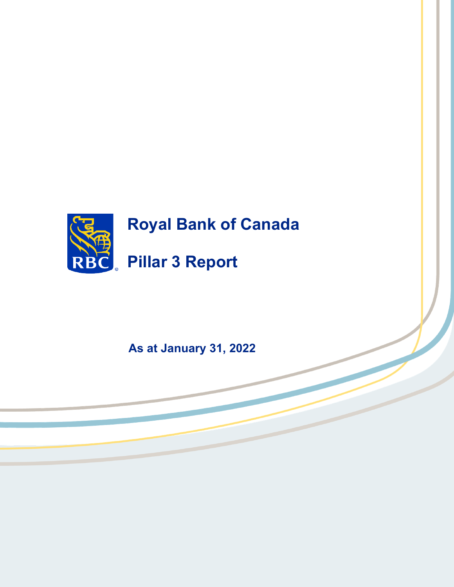

**As at January 31, 2022**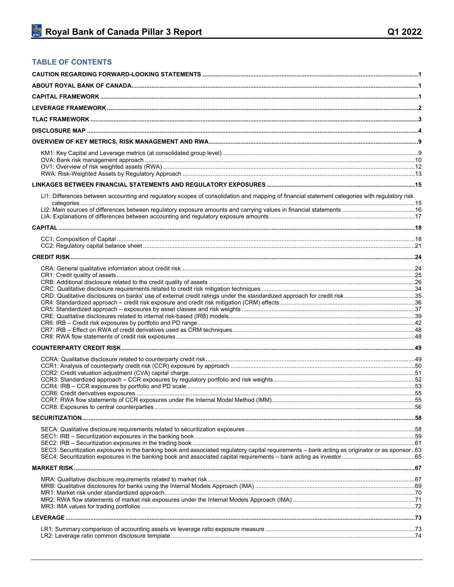## **TABLE OF CONTENTS**

| LI1: Differences between accounting and regulatory scopes of consolidation and mapping of financial statement categories with regulatory risk |  |
|-----------------------------------------------------------------------------------------------------------------------------------------------|--|
|                                                                                                                                               |  |
|                                                                                                                                               |  |
|                                                                                                                                               |  |
|                                                                                                                                               |  |
|                                                                                                                                               |  |
|                                                                                                                                               |  |
|                                                                                                                                               |  |
|                                                                                                                                               |  |
|                                                                                                                                               |  |
|                                                                                                                                               |  |
|                                                                                                                                               |  |
|                                                                                                                                               |  |
|                                                                                                                                               |  |
|                                                                                                                                               |  |
|                                                                                                                                               |  |
|                                                                                                                                               |  |
|                                                                                                                                               |  |
|                                                                                                                                               |  |
|                                                                                                                                               |  |
|                                                                                                                                               |  |
| SEC3: Securitization exposures in the banking book and associated regulatory capital requirements - bank acting as originator or as sponsor63 |  |
|                                                                                                                                               |  |
|                                                                                                                                               |  |
|                                                                                                                                               |  |
|                                                                                                                                               |  |
|                                                                                                                                               |  |
|                                                                                                                                               |  |
|                                                                                                                                               |  |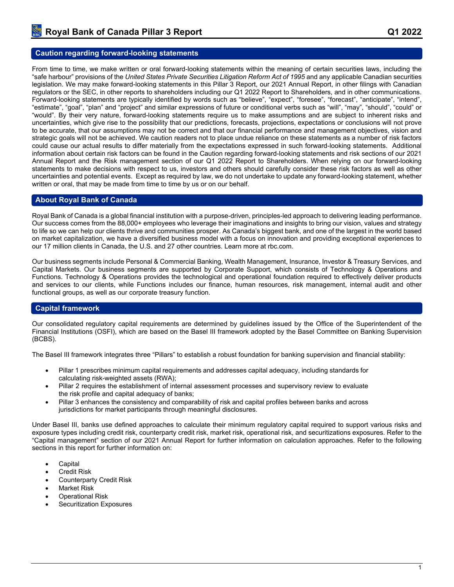### <span id="page-3-0"></span>**Caution regarding forward-looking statements**

From time to time, we make written or oral forward-looking statements within the meaning of certain securities laws, including the "safe harbour" provisions of the *United States Private Securities Litigation Reform Act of 1995* and any applicable Canadian securities legislation. We may make forward-looking statements in this Pillar 3 Report, our 2021 Annual Report, in other filings with Canadian regulators or the SEC, in other reports to shareholders including our Q1 2022 Report to Shareholders, and in other communications. Forward-looking statements are typically identified by words such as "believe", "expect", "foresee", "forecast", "anticipate", "intend", "estimate", "goal", "plan" and "project" and similar expressions of future or conditional verbs such as "will", "may", "should", "could" or "would". By their very nature, forward-looking statements require us to make assumptions and are subject to inherent risks and uncertainties, which give rise to the possibility that our predictions, forecasts, projections, expectations or conclusions will not prove to be accurate, that our assumptions may not be correct and that our financial performance and management objectives, vision and strategic goals will not be achieved. We caution readers not to place undue reliance on these statements as a number of risk factors could cause our actual results to differ materially from the expectations expressed in such forward-looking statements. Additional information about certain risk factors can be found in the Caution regarding forward-looking statements and risk sections of our 2021 Annual Report and the Risk management section of our Q1 2022 Report to Shareholders. When relying on our forward-looking statements to make decisions with respect to us, investors and others should carefully consider these risk factors as well as other uncertainties and potential events. Except as required by law, we do not undertake to update any forward-looking statement, whether written or oral, that may be made from time to time by us or on our behalf.

#### <span id="page-3-1"></span>**About Royal Bank of Canada**

Royal Bank of Canada is a global financial institution with a purpose-driven, principles-led approach to delivering leading performance. Our success comes from the 88,000+ employees who leverage their imaginations and insights to bring our vision, values and strategy to life so we can help our clients thrive and communities prosper. As Canada's biggest bank, and one of the largest in the world based on market capitalization, we have a diversified business model with a focus on innovation and providing exceptional experiences to our 17 million clients in Canada, the U.S. and 27 other countries. Learn more at rbc.com.

Our business segments include Personal & Commercial Banking, Wealth Management, Insurance, Investor & Treasury Services, and Capital Markets. Our business segments are supported by Corporate Support, which consists of Technology & Operations and Functions. Technology & Operations provides the technological and operational foundation required to effectively deliver products and services to our clients, while Functions includes our finance, human resources, risk management, internal audit and other functional groups, as well as our corporate treasury function.

#### <span id="page-3-2"></span>**Capital framework**

Our consolidated regulatory capital requirements are determined by guidelines issued by the Office of the Superintendent of the Financial Institutions (OSFI), which are based on the Basel III framework adopted by the Basel Committee on Banking Supervision (BCBS).

The Basel III framework integrates three "Pillars" to establish a robust foundation for banking supervision and financial stability:

- Pillar 1 prescribes minimum capital requirements and addresses capital adequacy, including standards for calculating risk-weighted assets (RWA);
- Pillar 2 requires the establishment of internal assessment processes and supervisory review to evaluate the risk profile and capital adequacy of banks;
- Pillar 3 enhances the consistency and comparability of risk and capital profiles between banks and across jurisdictions for market participants through meaningful disclosures.

Under Basel III, banks use defined approaches to calculate their minimum regulatory capital required to support various risks and exposure types including credit risk, counterparty credit risk, market risk, operational risk, and securitizations exposures. Refer to the "Capital management" section of our 2021 Annual Report for further information on calculation approaches. Refer to the following sections in this report for further information on:

- **Capital**
- Credit Risk
- Counterparty Credit Risk
- Market Risk
- Operational Risk
- Securitization Exposures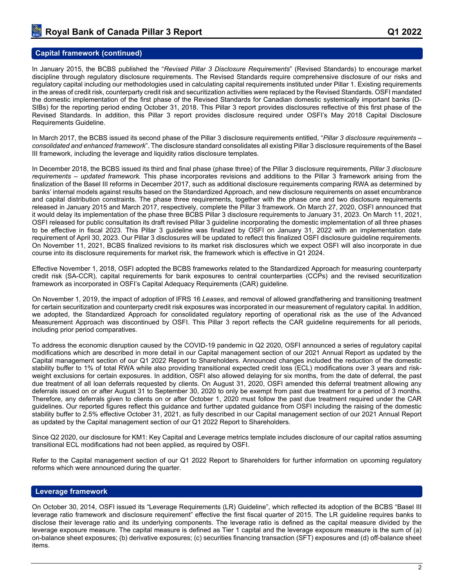### **Capital framework (continued)**

In January 2015, the BCBS published the "*Revised Pillar 3 Disclosure Requirements*" (Revised Standards) to encourage market discipline through regulatory disclosure requirements. The Revised Standards require comprehensive disclosure of our risks and regulatory capital including our methodologies used in calculating capital requirements instituted under Pillar 1. Existing requirements in the areas of credit risk, counterparty credit risk and securitization activities were replaced by the Revised Standards. OSFI mandated the domestic implementation of the first phase of the Revised Standards for Canadian domestic systemically important banks (D-SIBs) for the reporting period ending October 31, 2018. This Pillar 3 report provides disclosures reflective of this first phase of the Revised Standards. In addition, this Pillar 3 report provides disclosure required under OSFI's May 2018 Capital Disclosure Requirements Guideline.

In March 2017, the BCBS issued its second phase of the Pillar 3 disclosure requirements entitled, "*Pillar 3 disclosure requirements – consolidated and enhanced framework*". The disclosure standard consolidates all existing Pillar 3 disclosure requirements of the Basel III framework, including the leverage and liquidity ratios disclosure templates.

In December 2018, the BCBS issued its third and final phase (phase three) of the Pillar 3 disclosure requirements, *Pillar 3 disclosure requirements – updated framework.* This phase incorporates revisions and additions to the Pillar 3 framework arising from the finalization of the Basel III reforms in December 2017, such as additional disclosure requirements comparing RWA as determined by banks' internal models against results based on the Standardized Approach, and new disclosure requirements on asset encumbrance and capital distribution constraints. The phase three requirements, together with the phase one and two disclosure requirements released in January 2015 and March 2017, respectively, complete the Pillar 3 framework. On March 27, 2020, OSFI announced that it would delay its implementation of the phase three BCBS Pillar 3 disclosure requirements to January 31, 2023. On March 11, 2021, OSFI released for public consultation its draft revised Pillar 3 guideline incorporating the domestic implementation of all three phases to be effective in fiscal 2023. This Pillar 3 guideline was finalized by OSFI on January 31, 2022 with an implementation date requirement of April 30, 2023. Our Pillar 3 disclosures will be updated to reflect this finalized OSFI disclosure guideline requirements. On November 11, 2021, BCBS finalized revisions to its market risk disclosures which we expect OSFI will also incorporate in due course into its disclosure requirements for market risk, the framework which is effective in Q1 2024.

Effective November 1, 2018, OSFI adopted the BCBS frameworks related to the Standardized Approach for measuring counterparty credit risk (SA-CCR), capital requirements for bank exposures to central counterparties (CCPs) and the revised securitization framework as incorporated in OSFI's Capital Adequacy Requirements (CAR) guideline.

On November 1, 2019, the impact of adoption of IFRS 16 *Leases*, and removal of allowed grandfathering and transitioning treatment for certain securitization and counterparty credit risk exposures was incorporated in our measurement of regulatory capital. In addition, we adopted, the Standardized Approach for consolidated regulatory reporting of operational risk as the use of the Advanced Measurement Approach was discontinued by OSFI. This Pillar 3 report reflects the CAR guideline requirements for all periods, including prior period comparatives.

To address the economic disruption caused by the COVID-19 pandemic in Q2 2020, OSFI announced a series of regulatory capital modifications which are described in more detail in our Capital management section of our 2021 Annual Report as updated by the Capital management section of our Q1 2022 Report to Shareholders. Announced changes included the reduction of the domestic stability buffer to 1% of total RWA while also providing transitional expected credit loss (ECL) modifications over 3 years and riskweight exclusions for certain exposures. In addition, OSFI also allowed delaying for six months, from the date of deferral, the past due treatment of all loan deferrals requested by clients. On August 31, 2020, OSFI amended this deferral treatment allowing any deferrals issued on or after August 31 to September 30, 2020 to only be exempt from past due treatment for a period of 3 months. Therefore, any deferrals given to clients on or after October 1, 2020 must follow the past due treatment required under the CAR guidelines. Our reported figures reflect this guidance and further updated guidance from OSFI including the raising of the domestic stability buffer to 2.5% effective October 31, 2021, as fully described in our Capital management section of our 2021 Annual Report as updated by the Capital management section of our Q1 2022 Report to Shareholders.

Since Q2 2020, our disclosure for KM1: Key Capital and Leverage metrics template includes disclosure of our capital ratios assuming transitional ECL modifications had not been applied, as required by OSFI.

Refer to the Capital management section of our Q1 2022 Report to Shareholders for further information on upcoming regulatory reforms which were announced during the quarter.

### <span id="page-4-0"></span>**Leverage framework**

On October 30, 2014, OSFI issued its "Leverage Requirements (LR) Guideline", which reflected its adoption of the BCBS "Basel III leverage ratio framework and disclosure requirement" effective the first fiscal quarter of 2015. The LR guideline requires banks to disclose their leverage ratio and its underlying components. The leverage ratio is defined as the capital measure divided by the leverage exposure measure. The capital measure is defined as Tier 1 capital and the leverage exposure measure is the sum of (a) on-balance sheet exposures; (b) derivative exposures; (c) securities financing transaction (SFT) exposures and (d) off-balance sheet items.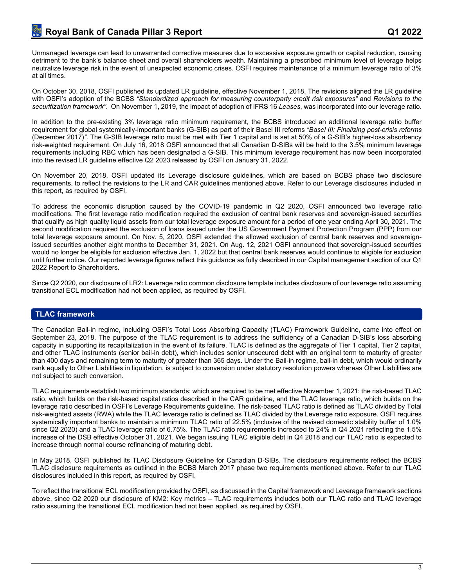Unmanaged leverage can lead to unwarranted corrective measures due to excessive exposure growth or capital reduction, causing detriment to the bank's balance sheet and overall shareholders wealth. Maintaining a prescribed minimum level of leverage helps neutralize leverage risk in the event of unexpected economic crises. OSFI requires maintenance of a minimum leverage ratio of 3% at all times.

On October 30, 2018, OSFI published its updated LR guideline, effective November 1, 2018. The revisions aligned the LR guideline with OSFI's adoption of the BCBS *"Standardized approach for measuring counterparty credit risk exposures"* and *Revisions to the securitization framework"*. On November 1, 2019, the impact of adoption of IFRS 16 *Leases*, was incorporated into our leverage ratio.

In addition to the pre-existing 3% leverage ratio minimum requirement, the BCBS introduced an additional leverage ratio buffer requirement for global systemically-important banks (G-SIB) as part of their Basel III reforms *"Basel III: Finalizing post-crisis reforms*  (December 2017)*"*. The G-SIB leverage ratio must be met with Tier 1 capital and is set at 50% of a G-SIB's higher-loss absorbency risk-weighted requirement. On July 16, 2018 OSFI announced that all Canadian D-SIBs will be held to the 3.5% minimum leverage requirements including RBC which has been designated a G-SIB. This minimum leverage requirement has now been incorporated into the revised LR guideline effective Q2 2023 released by OSFI on January 31, 2022.

On November 20, 2018, OSFI updated its Leverage disclosure guidelines, which are based on BCBS phase two disclosure requirements, to reflect the revisions to the LR and CAR guidelines mentioned above. Refer to our Leverage disclosures included in this report, as required by OSFI.

To address the economic disruption caused by the COVID-19 pandemic in Q2 2020, OSFI announced two leverage ratio modifications. The first leverage ratio modification required the exclusion of central bank reserves and sovereign-issued securities that qualify as high quality liquid assets from our total leverage exposure amount for a period of one year ending April 30, 2021. The second modification required the exclusion of loans issued under the US Government Payment Protection Program (PPP) from our total leverage exposure amount. On Nov. 5, 2020, OSFI extended the allowed exclusion of central bank reserves and sovereignissued securities another eight months to December 31, 2021. On Aug. 12, 2021 OSFI announced that sovereign-issued securities would no longer be eligible for exclusion effective Jan. 1, 2022 but that central bank reserves would continue to eligible for exclusion until further notice. Our reported leverage figures reflect this guidance as fully described in our Capital management section of our Q1 2022 Report to Shareholders.

Since Q2 2020, our disclosure of LR2: Leverage ratio common disclosure template includes disclosure of our leverage ratio assuming transitional ECL modification had not been applied, as required by OSFI.

## <span id="page-5-0"></span>**TLAC framework**

The Canadian Bail-in regime, including OSFI's Total Loss Absorbing Capacity (TLAC) Framework Guideline, came into effect on September 23, 2018. The purpose of the TLAC requirement is to address the sufficiency of a Canadian D-SIB's loss absorbing capacity in supporting its recapitalization in the event of its failure. TLAC is defined as the aggregate of Tier 1 capital, Tier 2 capital, and other TLAC instruments (senior bail-in debt), which includes senior unsecured debt with an original term to maturity of greater than 400 days and remaining term to maturity of greater than 365 days. Under the Bail-in regime, bail-in debt, which would ordinarily rank equally to Other Liabilities in liquidation, is subject to conversion under statutory resolution powers whereas Other Liabilities are not subject to such conversion.

TLAC requirements establish two minimum standards; which are required to be met effective November 1, 2021: the risk-based TLAC ratio, which builds on the risk-based capital ratios described in the CAR guideline, and the TLAC leverage ratio, which builds on the leverage ratio described in OSFI's Leverage Requirements guideline. The risk-based TLAC ratio is defined as TLAC divided by Total risk-weighted assets (RWA) while the TLAC leverage ratio is defined as TLAC divided by the Leverage ratio exposure. OSFI requires systemically important banks to maintain a minimum TLAC ratio of 22.5% (inclusive of the revised domestic stability buffer of 1.0% since Q2 2020) and a TLAC leverage ratio of 6.75%. The TLAC ratio requirements increased to 24% in Q4 2021 reflecting the 1.5% increase of the DSB effective October 31, 2021. We began issuing TLAC eligible debt in Q4 2018 and our TLAC ratio is expected to increase through normal course refinancing of maturing debt.

In May 2018, OSFI published its TLAC Disclosure Guideline for Canadian D-SIBs. The disclosure requirements reflect the BCBS TLAC disclosure requirements as outlined in the BCBS March 2017 phase two requirements mentioned above. Refer to our TLAC disclosures included in this report, as required by OSFI.

To reflect the transitional ECL modification provided by OSFI, as discussed in the Capital framework and Leverage framework sections above, since Q2 2020 our disclosure of KM2: Key metrics – TLAC requirements includes both our TLAC ratio and TLAC leverage ratio assuming the transitional ECL modification had not been applied, as required by OSFI.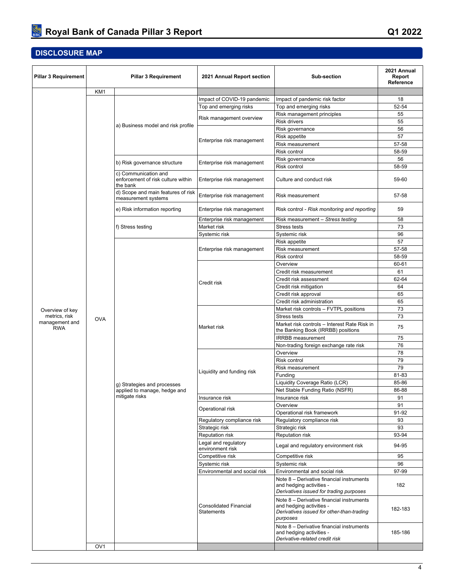# <span id="page-6-0"></span>**DISCLOSURE MAP**

| <b>Pillar 3 Requirement</b>  |                 | <b>Pillar 3 Requirement</b>                                | 2021 Annual Report section                               | <b>Sub-section</b>                                                                                                             | 2021 Annual<br>Report<br>Reference |
|------------------------------|-----------------|------------------------------------------------------------|----------------------------------------------------------|--------------------------------------------------------------------------------------------------------------------------------|------------------------------------|
|                              | KM1             |                                                            |                                                          |                                                                                                                                |                                    |
|                              |                 |                                                            | Impact of COVID-19 pandemic                              | Impact of pandemic risk factor                                                                                                 | 18                                 |
|                              |                 |                                                            | Top and emerging risks                                   | Top and emerging risks                                                                                                         | 52-54                              |
|                              |                 |                                                            |                                                          | Risk management principles                                                                                                     | 55                                 |
|                              |                 | a) Business model and risk profile                         | Risk management overview                                 | <b>Risk drivers</b>                                                                                                            | 55                                 |
|                              |                 |                                                            |                                                          | Risk governance                                                                                                                | 56                                 |
|                              |                 |                                                            | Enterprise risk management                               | Risk appetite                                                                                                                  | 57                                 |
|                              |                 |                                                            |                                                          | Risk measurement                                                                                                               | 57-58                              |
|                              |                 |                                                            |                                                          | Risk control                                                                                                                   | 58-59                              |
|                              |                 | b) Risk governance structure                               | Enterprise risk management                               | Risk governance                                                                                                                | 56                                 |
|                              |                 | c) Communication and<br>enforcement of risk culture within | Enterprise risk management                               | <b>Risk control</b><br>Culture and conduct risk                                                                                | 58-59<br>59-60                     |
|                              |                 | the bank<br>d) Scope and main features of risk             |                                                          |                                                                                                                                |                                    |
|                              |                 | measurement systems                                        | Enterprise risk management                               | Risk measurement                                                                                                               | 57-58                              |
|                              |                 | e) Risk information reporting                              | Enterprise risk management<br>Enterprise risk management | Risk control - <i>Risk monitoring and reporting</i><br>Risk measurement - Stress testing                                       | 59<br>58                           |
|                              |                 | f) Stress testing                                          | Market risk                                              | <b>Stress tests</b>                                                                                                            | 73                                 |
|                              |                 |                                                            | Systemic risk                                            | Systemic risk                                                                                                                  | 96                                 |
|                              |                 |                                                            |                                                          | Risk appetite                                                                                                                  | 57                                 |
|                              |                 |                                                            | Enterprise risk management                               | Risk measurement                                                                                                               | 57-58                              |
|                              |                 |                                                            |                                                          | Risk control                                                                                                                   | 58-59                              |
|                              |                 |                                                            |                                                          | Overview                                                                                                                       | 60-61                              |
|                              |                 |                                                            |                                                          | Credit risk measurement                                                                                                        | 61                                 |
|                              |                 |                                                            |                                                          | Credit risk assessment                                                                                                         | 62-64                              |
|                              |                 |                                                            | Credit risk                                              | Credit risk mitigation                                                                                                         | 64                                 |
|                              |                 |                                                            |                                                          | Credit risk approval                                                                                                           | 65                                 |
|                              |                 |                                                            |                                                          | Credit risk administration                                                                                                     | 65                                 |
| Overview of key              |                 |                                                            |                                                          | Market risk controls - FVTPL positions                                                                                         | 73                                 |
| metrics, risk                | <b>OVA</b>      |                                                            |                                                          | <b>Stress tests</b>                                                                                                            | 73                                 |
| management and<br><b>RWA</b> |                 |                                                            | Market risk                                              | Market risk controls – Interest Rate Risk in<br>the Banking Book (IRRBB) positions                                             | 75                                 |
|                              |                 |                                                            |                                                          | <b>IRRBB</b> measurement                                                                                                       | 75                                 |
|                              |                 |                                                            |                                                          | Non-trading foreign exchange rate risk                                                                                         | 76                                 |
|                              |                 |                                                            | Liquidity and funding risk                               | Overview                                                                                                                       | 78                                 |
|                              |                 |                                                            |                                                          | <b>Risk control</b>                                                                                                            | 79                                 |
|                              |                 |                                                            |                                                          | Risk measurement                                                                                                               | 79                                 |
|                              |                 |                                                            |                                                          | Funding                                                                                                                        | 81-83                              |
|                              |                 | g) Strategies and processes                                |                                                          | Liquidity Coverage Ratio (LCR)                                                                                                 | 85-86                              |
|                              |                 | applied to manage, hedge and                               |                                                          | Net Stable Funding Ratio (NSFR)                                                                                                | 86-88                              |
|                              |                 | mitigate risks                                             | Insurance risk                                           | Insurance risk                                                                                                                 | 91                                 |
|                              |                 |                                                            | Operational risk                                         | Overview                                                                                                                       | 91                                 |
|                              |                 |                                                            |                                                          | Operational risk framework                                                                                                     | 91-92                              |
|                              |                 |                                                            | Regulatory compliance risk                               | Regulatory compliance risk                                                                                                     | 93                                 |
|                              |                 |                                                            | Strategic risk                                           | Strategic risk                                                                                                                 | 93                                 |
|                              |                 |                                                            | <b>Reputation risk</b><br>Legal and regulatory           | Reputation risk<br>Legal and regulatory environment risk                                                                       | 93-94<br>94-95                     |
|                              |                 |                                                            | environment risk                                         |                                                                                                                                |                                    |
|                              |                 |                                                            | Competitive risk                                         | Competitive risk                                                                                                               | 95                                 |
|                              |                 |                                                            | Systemic risk                                            | Systemic risk<br>Environmental and social risk                                                                                 | 96                                 |
|                              |                 |                                                            | Environmental and social risk                            |                                                                                                                                | 97-99                              |
|                              |                 |                                                            |                                                          | Note 8 - Derivative financial instruments<br>and hedging activities -<br>Derivatives issued for trading purposes               | 182                                |
|                              |                 |                                                            | <b>Consolidated Financial</b><br><b>Statements</b>       | Note 8 - Derivative financial instruments<br>and hedging activities -<br>Derivatives issued for other-than-trading<br>purposes | 182-183                            |
|                              |                 |                                                            |                                                          | Note 8 - Derivative financial instruments<br>and hedging activities -<br>Derivative-related credit risk                        | 185-186                            |
|                              | OV <sub>1</sub> |                                                            |                                                          |                                                                                                                                |                                    |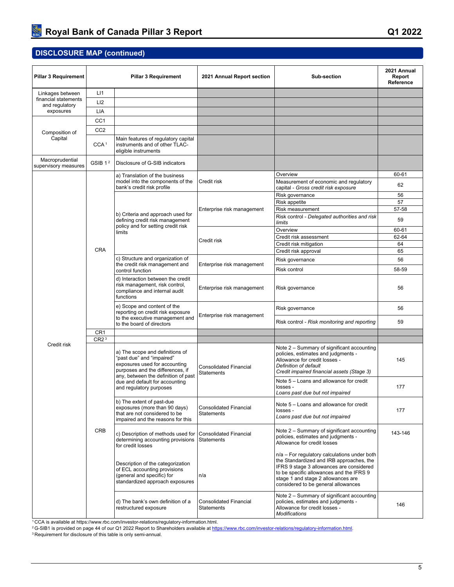| <b>Pillar 3 Requirement</b>             |                                     | <b>Pillar 3 Requirement</b>                                                                                                        | 2021 Annual Report section                         | <b>Sub-section</b>                                                                                                                                                                                                                                            | 2021 Annual<br>Report<br>Reference |
|-----------------------------------------|-------------------------------------|------------------------------------------------------------------------------------------------------------------------------------|----------------------------------------------------|---------------------------------------------------------------------------------------------------------------------------------------------------------------------------------------------------------------------------------------------------------------|------------------------------------|
| Linkages between                        | LI1                                 |                                                                                                                                    |                                                    |                                                                                                                                                                                                                                                               |                                    |
| financial statements                    | LI <sub>2</sub>                     |                                                                                                                                    |                                                    |                                                                                                                                                                                                                                                               |                                    |
| and regulatory<br>exposures             | LIA                                 |                                                                                                                                    |                                                    |                                                                                                                                                                                                                                                               |                                    |
|                                         |                                     |                                                                                                                                    |                                                    |                                                                                                                                                                                                                                                               |                                    |
|                                         | CC <sub>1</sub>                     |                                                                                                                                    |                                                    |                                                                                                                                                                                                                                                               |                                    |
| Composition of                          | CC <sub>2</sub>                     |                                                                                                                                    |                                                    |                                                                                                                                                                                                                                                               |                                    |
| Capital                                 | CCA <sup>1</sup>                    | Main features of regulatory capital<br>instruments and of other TLAC-<br>eligible instruments                                      |                                                    |                                                                                                                                                                                                                                                               |                                    |
| Macroprudential<br>supervisory measures | GSIB <sub>12</sub>                  | Disclosure of G-SIB indicators                                                                                                     |                                                    |                                                                                                                                                                                                                                                               |                                    |
|                                         |                                     | a) Translation of the business                                                                                                     |                                                    | Overview                                                                                                                                                                                                                                                      | 60-61                              |
|                                         |                                     | model into the components of the<br>bank's credit risk profile                                                                     | Credit risk                                        | Measurement of economic and regulatory<br>capital - Gross credit risk exposure                                                                                                                                                                                | 62                                 |
|                                         |                                     |                                                                                                                                    |                                                    | Risk governance                                                                                                                                                                                                                                               | 56                                 |
|                                         |                                     |                                                                                                                                    |                                                    | Risk appetite                                                                                                                                                                                                                                                 | 57                                 |
|                                         |                                     | b) Criteria and approach used for                                                                                                  | Enterprise risk management                         | Risk measurement                                                                                                                                                                                                                                              | 57-58                              |
|                                         |                                     | defining credit risk management<br>policy and for setting credit risk                                                              |                                                    | Risk control - Delegated authorities and risk<br>limits                                                                                                                                                                                                       | 59                                 |
|                                         |                                     | limits                                                                                                                             |                                                    | Overview                                                                                                                                                                                                                                                      | 60-61                              |
|                                         |                                     |                                                                                                                                    | Credit risk                                        | Credit risk assessment                                                                                                                                                                                                                                        | 62-64                              |
|                                         | <b>CRA</b>                          |                                                                                                                                    |                                                    | Credit risk mitigation                                                                                                                                                                                                                                        | 64                                 |
|                                         |                                     |                                                                                                                                    |                                                    | Credit risk approval                                                                                                                                                                                                                                          | 65                                 |
|                                         |                                     | c) Structure and organization of<br>the credit risk management and                                                                 | Enterprise risk management                         | Risk governance                                                                                                                                                                                                                                               | 56                                 |
|                                         |                                     | control function                                                                                                                   |                                                    | Risk control                                                                                                                                                                                                                                                  | 58-59                              |
|                                         |                                     | d) Interaction between the credit<br>risk management, risk control,<br>compliance and internal audit<br>functions                  | Enterprise risk management                         | Risk governance                                                                                                                                                                                                                                               | 56                                 |
|                                         |                                     | e) Scope and content of the<br>reporting on credit risk exposure<br>to the executive management and                                | Enterprise risk management                         | Risk governance                                                                                                                                                                                                                                               | 56                                 |
|                                         |                                     | to the board of directors                                                                                                          |                                                    | Risk control - Risk monitoring and reporting                                                                                                                                                                                                                  | 59                                 |
|                                         | CR <sub>1</sub><br>CR2 <sup>3</sup> |                                                                                                                                    |                                                    |                                                                                                                                                                                                                                                               |                                    |
| Credit risk                             |                                     | a) The scope and definitions of<br>"past due" and "impaired"<br>exposures used for accounting<br>purposes and the differences, if  | <b>Consolidated Financial</b><br><b>Statements</b> | Note 2 - Summary of significant accounting<br>policies, estimates and judgments -<br>Allowance for credit losses -<br>Definition of default<br>Credit impaired financial assets (Stage 3)                                                                     | 145                                |
|                                         |                                     | any, between the definition of past<br>due and default for accounting<br>and regulatory purposes                                   |                                                    | Note 5 - Loans and allowance for credit<br>losses -<br>Loans past due but not impaired                                                                                                                                                                        | 177                                |
|                                         |                                     | b) The extent of past-due<br>exposures (more than 90 days)<br>that are not considered to be<br>impaired and the reasons for this   | <b>Consolidated Financial</b><br><b>Statements</b> | Note 5 - Loans and allowance for credit<br>losses -<br>Loans past due but not impaired                                                                                                                                                                        | 177                                |
|                                         | <b>CRB</b>                          | c) Description of methods used for<br>determining accounting provisions<br>for credit losses                                       | <b>Consolidated Financial</b><br><b>Statements</b> | Note 2 - Summary of significant accounting<br>policies, estimates and judgments -<br>Allowance for credit losses                                                                                                                                              | 143-146                            |
|                                         |                                     | Description of the categorization<br>of ECL accounting provisions<br>(general and specific) for<br>standardized approach exposures | n/a                                                | n/a - For regulatory calculations under both<br>the Standardized and IRB approaches, the<br>IFRS 9 stage 3 allowances are considered<br>to be specific allowances and the IFRS 9<br>stage 1 and stage 2 allowances are<br>considered to be general allowances |                                    |
|                                         |                                     | d) The bank's own definition of a<br>restructured exposure                                                                         | <b>Consolidated Financial</b><br>Statements        | Note 2 – Summary of significant accounting<br>policies, estimates and judgments -<br>Allowance for credit losses -<br>Modifications                                                                                                                           | 146                                |

<sup>1</sup>CCA is available at https://www.rbc.com/investor-relations/regulatory-information.html.

<sup>2</sup>G-SIB1 is provided on page 44 of our Q1 2022 Report to Shareholders available at<https://www.rbc.com/investor-relations/regulatory-information.html>.

3 Requirement for disclosure of this table is only semi-annual.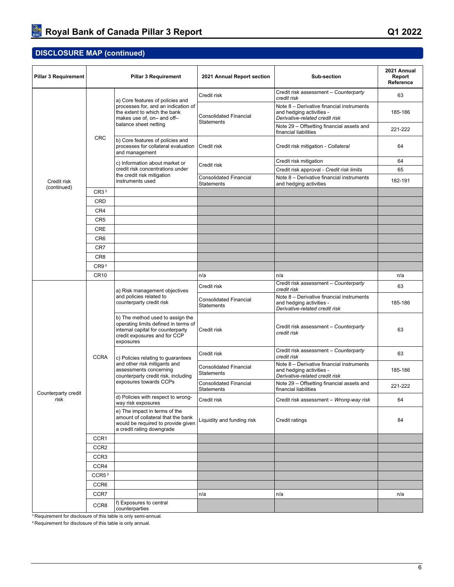| <b>Pillar 3 Requirement</b> |                   | <b>Pillar 3 Requirement</b>                                                                                                                                | 2021 Annual Report section                         | Sub-section                                                                                             | 2021 Annual<br>Report<br>Reference |
|-----------------------------|-------------------|------------------------------------------------------------------------------------------------------------------------------------------------------------|----------------------------------------------------|---------------------------------------------------------------------------------------------------------|------------------------------------|
|                             |                   | a) Core features of policies and                                                                                                                           | Credit risk                                        | Credit risk assessment - Counterparty<br>credit risk                                                    | 63                                 |
|                             |                   | processes for, and an indication of<br>the extent to which the bank<br>makes use of, on- and off-                                                          | <b>Consolidated Financial</b><br><b>Statements</b> | Note 8 - Derivative financial instruments<br>and hedging activities -<br>Derivative-related credit risk | 185-186                            |
|                             |                   | balance sheet netting                                                                                                                                      |                                                    | Note 29 - Offsetting financial assets and<br>financial liabilities                                      | 221-222                            |
|                             | <b>CRC</b>        | b) Core features of policies and<br>processes for collateral evaluation<br>and management                                                                  | Credit risk                                        | Credit risk mitigation - Collateral                                                                     | 64                                 |
|                             |                   | c) Information about market or                                                                                                                             | Credit risk                                        | Credit risk mitigation                                                                                  | 64                                 |
|                             |                   | credit risk concentrations under<br>the credit risk mitigation                                                                                             |                                                    | Credit risk approval - Credit risk limits                                                               | 65                                 |
| Credit risk<br>(continued)  |                   | instruments used                                                                                                                                           | <b>Consolidated Financial</b><br><b>Statements</b> | Note 8 - Derivative financial instruments<br>and hedging activities                                     | 182-191                            |
|                             | CR3 <sup>3</sup>  |                                                                                                                                                            |                                                    |                                                                                                         |                                    |
|                             | CRD               |                                                                                                                                                            |                                                    |                                                                                                         |                                    |
|                             | CR4               |                                                                                                                                                            |                                                    |                                                                                                         |                                    |
|                             | CR <sub>5</sub>   |                                                                                                                                                            |                                                    |                                                                                                         |                                    |
|                             | <b>CRE</b>        |                                                                                                                                                            |                                                    |                                                                                                         |                                    |
|                             | CR <sub>6</sub>   |                                                                                                                                                            |                                                    |                                                                                                         |                                    |
|                             | CR7               |                                                                                                                                                            |                                                    |                                                                                                         |                                    |
|                             | CR <sub>8</sub>   |                                                                                                                                                            |                                                    |                                                                                                         |                                    |
|                             | CR9 <sup>4</sup>  |                                                                                                                                                            |                                                    |                                                                                                         |                                    |
|                             | <b>CR10</b>       |                                                                                                                                                            | n/a                                                | n/a                                                                                                     | n/a                                |
|                             | <b>CCRA</b>       | a) Risk management objectives                                                                                                                              | Credit risk                                        | Credit risk assessment - Counterparty<br>credit risk                                                    | 63                                 |
|                             |                   | and policies related to<br>counterparty credit risk                                                                                                        | <b>Consolidated Financial</b><br><b>Statements</b> | Note 8 - Derivative financial instruments<br>and hedging activities -<br>Derivative-related credit risk | 185-186                            |
|                             |                   | b) The method used to assign the<br>operating limits defined in terms of<br>internal capital for counterparty<br>credit exposures and for CCP<br>exposures | Credit risk                                        | Credit risk assessment - Counterparty<br>credit risk                                                    | 63                                 |
|                             |                   | c) Policies relating to guarantees<br>and other risk mitigants and<br>assessments concerning<br>counterparty credit risk, including                        | Credit risk                                        | Credit risk assessment - Counterparty<br>credit risk                                                    | 63                                 |
|                             |                   |                                                                                                                                                            | <b>Consolidated Financial</b><br><b>Statements</b> | Note 8 - Derivative financial instruments<br>and hedging activities -<br>Derivative-related credit risk | 185-186                            |
| Counterparty credit         |                   | exposures towards CCPs                                                                                                                                     | <b>Consolidated Financial</b><br><b>Statements</b> | Note 29 - Offsetting financial assets and<br>financial liabilities                                      | 221-222                            |
| risk                        |                   | d) Policies with respect to wrong-<br>way risk exposures                                                                                                   | Credit risk                                        | Credit risk assessment - Wrong-way risk                                                                 | 64                                 |
|                             |                   | e) The impact in terms of the<br>amount of collateral that the bank<br>would be required to provide given<br>a credit rating downgrade                     | Liquidity and funding risk                         | Credit ratings                                                                                          | 84                                 |
|                             | CCR1              |                                                                                                                                                            |                                                    |                                                                                                         |                                    |
|                             | CCR <sub>2</sub>  |                                                                                                                                                            |                                                    |                                                                                                         |                                    |
|                             | CCR <sub>3</sub>  |                                                                                                                                                            |                                                    |                                                                                                         |                                    |
|                             | CCR4              |                                                                                                                                                            |                                                    |                                                                                                         |                                    |
|                             | CCR5 <sup>3</sup> |                                                                                                                                                            |                                                    |                                                                                                         |                                    |
|                             | CCR <sub>6</sub>  |                                                                                                                                                            |                                                    |                                                                                                         |                                    |
|                             | CCR7              |                                                                                                                                                            | n/a                                                | n/a                                                                                                     | n/a                                |
|                             | CCR <sub>8</sub>  | f) Exposures to central<br>counterparties                                                                                                                  |                                                    |                                                                                                         |                                    |

<sup>3</sup> Requirement for disclosure of this table is only semi-annual.

4 Requirement for disclosure of this table is only annual.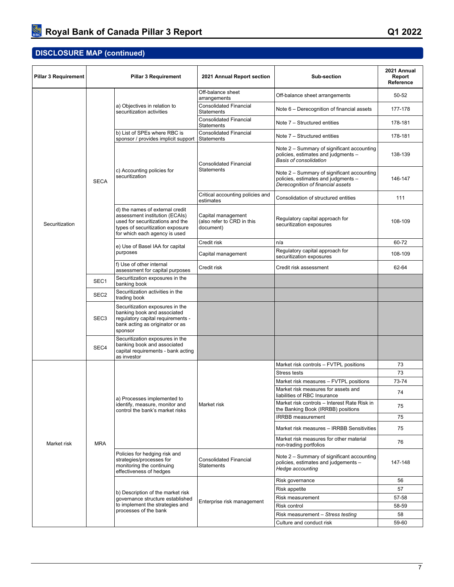| <b>Pillar 3 Requirement</b> |                  | <b>Pillar 3 Requirement</b>                                                                                                                                                | 2021 Annual Report section                                    | <b>Sub-section</b>                                                                                                     | 2021 Annual<br>Report<br>Reference |
|-----------------------------|------------------|----------------------------------------------------------------------------------------------------------------------------------------------------------------------------|---------------------------------------------------------------|------------------------------------------------------------------------------------------------------------------------|------------------------------------|
|                             |                  |                                                                                                                                                                            | Off-balance sheet<br>arrangements                             | Off-balance sheet arrangements                                                                                         | 50-52                              |
|                             |                  | a) Objectives in relation to<br>securitization activities                                                                                                                  | <b>Consolidated Financial</b><br><b>Statements</b>            | Note 6 - Derecognition of financial assets                                                                             | 177-178                            |
|                             |                  |                                                                                                                                                                            | <b>Consolidated Financial</b><br><b>Statements</b>            | Note 7 – Structured entities                                                                                           | 178-181                            |
|                             |                  | b) List of SPEs where RBC is<br>sponsor / provides implicit support                                                                                                        | <b>Consolidated Financial</b><br>Statements                   | Note 7 – Structured entities                                                                                           | 178-181                            |
|                             |                  |                                                                                                                                                                            | <b>Consolidated Financial</b>                                 | Note 2 – Summary of significant accounting<br>policies, estimates and judgments -<br><b>Basis of consolidation</b>     | 138-139                            |
|                             | <b>SECA</b>      | c) Accounting policies for<br>securitization                                                                                                                               | <b>Statements</b>                                             | Note 2 - Summary of significant accounting<br>policies, estimates and judgments -<br>Derecognition of financial assets | 146-147                            |
|                             |                  |                                                                                                                                                                            | Critical accounting policies and<br>estimates                 | Consolidation of structured entities                                                                                   | 111                                |
| Securitization              |                  | d) the names of external credit<br>assessment institution (ECAIs)<br>used for securitizations and the<br>types of securitization exposure<br>for which each agency is used | Capital management<br>(also refer to CRD in this<br>document) | Regulatory capital approach for<br>securitization exposures                                                            | 108-109                            |
|                             |                  | e) Use of Basel IAA for capital                                                                                                                                            | Credit risk                                                   | n/a                                                                                                                    | 60-72                              |
|                             |                  | purposes                                                                                                                                                                   | Capital management                                            | Regulatory capital approach for<br>securitization exposures                                                            | 108-109                            |
|                             |                  | f) Use of other internal<br>assessment for capital purposes                                                                                                                | Credit risk                                                   | Credit risk assessment                                                                                                 | 62-64                              |
|                             | SEC1             | Securitization exposures in the<br>banking book                                                                                                                            |                                                               |                                                                                                                        |                                    |
|                             | SEC <sub>2</sub> | Securitization activities in the<br>trading book                                                                                                                           |                                                               |                                                                                                                        |                                    |
|                             | SEC <sub>3</sub> | Securitization exposures in the<br>banking book and associated<br>regulatory capital requirements -<br>bank acting as originator or as<br>sponsor                          |                                                               |                                                                                                                        |                                    |
|                             | SEC4             | Securitization exposures in the<br>banking book and associated<br>capital requirements - bank acting<br>as investor                                                        |                                                               |                                                                                                                        |                                    |
|                             |                  |                                                                                                                                                                            |                                                               | Market risk controls - FVTPL positions                                                                                 | 73                                 |
|                             |                  |                                                                                                                                                                            |                                                               | Stress tests                                                                                                           | 73                                 |
|                             |                  |                                                                                                                                                                            |                                                               | Market risk measures - FVTPL positions                                                                                 | 73-74                              |
|                             |                  | a) Processes implemented to                                                                                                                                                |                                                               | Market risk measures for assets and<br>liabilities of RBC Insurance                                                    | 74                                 |
|                             |                  | identify, measure, monitor and<br>control the bank's market risks                                                                                                          | Market risk                                                   | Market risk controls - Interest Rate Risk in<br>the Banking Book (IRRBB) positions                                     | 75                                 |
|                             |                  |                                                                                                                                                                            |                                                               | <b>IRRBB</b> measurement                                                                                               | 75                                 |
|                             |                  |                                                                                                                                                                            |                                                               | Market risk measures - IRRBB Sensitivities                                                                             | 75                                 |
| Market risk                 | <b>MRA</b>       |                                                                                                                                                                            |                                                               | Market risk measures for other material<br>non-trading portfolios                                                      | 76                                 |
|                             |                  | Policies for hedging risk and<br>strategies/processes for<br>monitoring the continuing<br>effectiveness of hedges                                                          | <b>Consolidated Financial</b><br><b>Statements</b>            | Note 2 – Summary of significant accounting<br>policies, estimates and judgements -<br>Hedge accounting                 | 147-148                            |
|                             |                  |                                                                                                                                                                            |                                                               | Risk governance                                                                                                        | 56                                 |
|                             |                  | b) Description of the market risk                                                                                                                                          |                                                               | Risk appetite                                                                                                          | 57                                 |
|                             |                  | governance structure established                                                                                                                                           |                                                               | Risk measurement                                                                                                       | 57-58                              |
|                             |                  | to implement the strategies and                                                                                                                                            | Enterprise risk management                                    | Risk control                                                                                                           | 58-59                              |
|                             |                  | processes of the bank                                                                                                                                                      |                                                               | Risk measurement - Stress testing                                                                                      | 58                                 |
|                             |                  |                                                                                                                                                                            |                                                               | Culture and conduct risk                                                                                               | 59-60                              |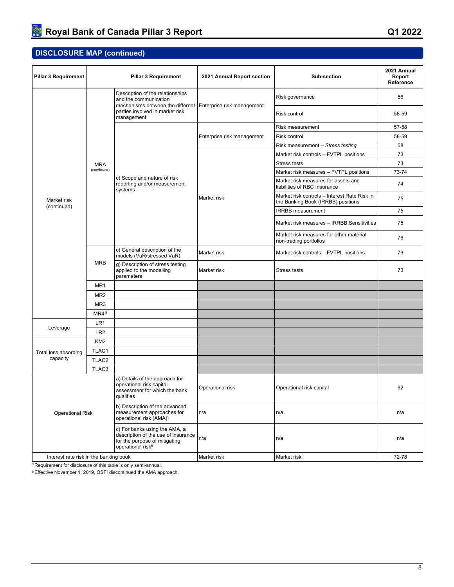| <b>Pillar 3 Requirement</b>                                                | <b>Pillar 3 Requirement</b> |                                                                                                                                        | 2021 Annual Report section | Sub-section                                                                        | 2021 Annual<br>Report<br>Reference |
|----------------------------------------------------------------------------|-----------------------------|----------------------------------------------------------------------------------------------------------------------------------------|----------------------------|------------------------------------------------------------------------------------|------------------------------------|
|                                                                            |                             | Description of the relationships<br>and the communication                                                                              |                            | Risk governance                                                                    | 56                                 |
|                                                                            |                             | mechanisms between the different Enterprise risk management<br>parties involved in market risk<br>management                           |                            | Risk control                                                                       | 58-59                              |
|                                                                            |                             |                                                                                                                                        |                            | Risk measurement                                                                   | 57-58                              |
|                                                                            |                             |                                                                                                                                        | Enterprise risk management | Risk control                                                                       | 58-59                              |
| Market risk<br>(continued)<br>Leverage<br>Total loss absorbing<br>capacity |                             |                                                                                                                                        |                            | Risk measurement - Stress testing                                                  | 58                                 |
|                                                                            |                             |                                                                                                                                        |                            | Market risk controls - FVTPL positions                                             | 73                                 |
|                                                                            | <b>MRA</b>                  |                                                                                                                                        |                            | <b>Stress tests</b>                                                                | 73                                 |
|                                                                            | (continued)                 |                                                                                                                                        |                            | Market risk measures - FVTPL positions                                             | 73-74                              |
|                                                                            |                             | c) Scope and nature of risk<br>reporting and/or measurement<br>systems                                                                 |                            | Market risk measures for assets and<br>liabilities of RBC Insurance                | 74                                 |
|                                                                            |                             |                                                                                                                                        | Market risk                | Market risk controls - Interest Rate Risk in<br>the Banking Book (IRRBB) positions | 75                                 |
|                                                                            |                             |                                                                                                                                        |                            | <b>IRRBB</b> measurement                                                           | 75                                 |
|                                                                            |                             |                                                                                                                                        |                            | Market risk measures - IRRBB Sensitivities                                         | 75                                 |
|                                                                            |                             |                                                                                                                                        |                            | Market risk measures for other material<br>non-trading portfolios                  | 76                                 |
|                                                                            |                             | c) General description of the<br>models (VaR/stressed VaR)                                                                             | Market risk                | Market risk controls - FVTPL positions                                             | 73                                 |
|                                                                            | <b>MRB</b>                  | g) Description of stress testing<br>applied to the modelling<br>parameters                                                             | Market risk                | <b>Stress tests</b>                                                                | 73                                 |
|                                                                            | MR <sub>1</sub>             |                                                                                                                                        |                            |                                                                                    |                                    |
|                                                                            | MR <sub>2</sub>             |                                                                                                                                        |                            |                                                                                    |                                    |
|                                                                            | MR <sub>3</sub>             |                                                                                                                                        |                            |                                                                                    |                                    |
|                                                                            | MR4 <sup>3</sup>            |                                                                                                                                        |                            |                                                                                    |                                    |
|                                                                            | LR1                         |                                                                                                                                        |                            |                                                                                    |                                    |
|                                                                            | LR <sub>2</sub>             |                                                                                                                                        |                            |                                                                                    |                                    |
|                                                                            | KM <sub>2</sub>             |                                                                                                                                        |                            |                                                                                    |                                    |
|                                                                            | TLAC1                       |                                                                                                                                        |                            |                                                                                    |                                    |
|                                                                            | TLAC <sub>2</sub>           |                                                                                                                                        |                            |                                                                                    |                                    |
|                                                                            | TLAC3                       |                                                                                                                                        |                            |                                                                                    |                                    |
|                                                                            |                             | a) Details of the approach for<br>operational risk capital<br>assessment for which the bank<br>qualifies                               | Operational risk           | Operational risk capital                                                           | 92                                 |
| <b>Operational Risk</b>                                                    |                             | b) Description of the advanced<br>measurement approaches for<br>operational risk (AMA) <sup>5</sup>                                    | n/a                        | n/a                                                                                | n/a                                |
|                                                                            |                             | c) For banks using the AMA, a<br>description of the use of insurance<br>for the purpose of mitigating<br>operational risk <sup>5</sup> | n/a                        | n/a                                                                                | n/a                                |
| Interest rate risk in the banking book                                     |                             |                                                                                                                                        | Market risk                | Market risk                                                                        | 72-78                              |

<sup>3</sup>Requirement for disclosure of this table is only semi-annual.

5 Effective November 1, 2019, OSFI discontinued the AMA approach.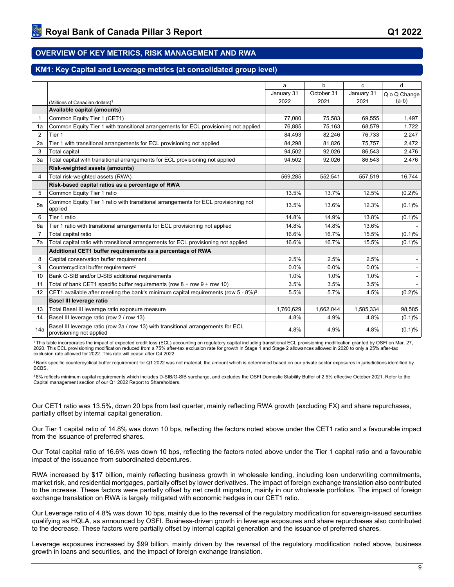## <span id="page-11-0"></span>**OVERVIEW OF KEY METRICS, RISK MANAGEMENT AND RWA**

### <span id="page-11-1"></span>**KM1: Key Capital and Leverage metrics (at consolidated group level)**

|                |                                                                                                               | a          | b          | C          | d            |
|----------------|---------------------------------------------------------------------------------------------------------------|------------|------------|------------|--------------|
|                |                                                                                                               | January 31 | October 31 | January 31 | Q o Q Change |
|                | (Millions of Canadian dollars) <sup>1</sup>                                                                   | 2022       | 2021       | 2021       | $(a-b)$      |
|                | Available capital (amounts)                                                                                   |            |            |            |              |
| 1              | Common Equity Tier 1 (CET1)                                                                                   | 77,080     | 75,583     | 69,555     | 1,497        |
| 1a             | Common Equity Tier 1 with transitional arrangements for ECL provisioning not applied                          | 76,885     | 75,163     | 68,579     | 1,722        |
| $\overline{2}$ | Tier 1                                                                                                        | 84,493     | 82,246     | 76,733     | 2,247        |
| 2a             | Tier 1 with transitional arrangements for ECL provisioning not applied                                        | 84,298     | 81,826     | 75,757     | 2,472        |
| 3              | <b>Total capital</b>                                                                                          | 94,502     | 92,026     | 86,543     | 2,476        |
| 3a             | Total capital with transitional arrangements for ECL provisioning not applied                                 | 94,502     | 92,026     | 86,543     | 2,476        |
|                | Risk-weighted assets (amounts)                                                                                |            |            |            |              |
| $\overline{4}$ | Total risk-weighted assets (RWA)                                                                              | 569,285    | 552,541    | 557,519    | 16,744       |
|                | Risk-based capital ratios as a percentage of RWA                                                              |            |            |            |              |
| 5              | Common Equity Tier 1 ratio                                                                                    | 13.5%      | 13.7%      | 12.5%      | (0.2)%       |
| 5a             | Common Equity Tier 1 ratio with transitional arrangements for ECL provisioning not<br>applied                 | 13.5%      | 13.6%      | 12.3%      | (0.1)%       |
| 6              | Tier 1 ratio                                                                                                  | 14.8%      | 14.9%      | 13.8%      | (0.1)%       |
| 6a             | Tier 1 ratio with transitional arrangements for ECL provisioning not applied                                  | 14.8%      | 14.8%      | 13.6%      |              |
| 7              | Total capital ratio                                                                                           | 16.6%      | 16.7%      | 15.5%      | (0.1)%       |
| 7a             | Total capital ratio with transitional arrangements for ECL provisioning not applied                           | 16.6%      | 16.7%      | 15.5%      | (0.1)%       |
|                | Additional CET1 buffer requirements as a percentage of RWA                                                    |            |            |            |              |
| 8              | Capital conservation buffer requirement                                                                       | 2.5%       | 2.5%       | 2.5%       |              |
| 9              | Countercyclical buffer requirement <sup>2</sup>                                                               | 0.0%       | 0.0%       | 0.0%       |              |
| 10             | Bank G-SIB and/or D-SIB additional requirements                                                               | 1.0%       | 1.0%       | 1.0%       |              |
| 11             | Total of bank CET1 specific buffer requirements (row $8 + row 9 + row 10$ )                                   | 3.5%       | 3.5%       | 3.5%       |              |
| 12             | CET1 available after meeting the bank's minimum capital requirements (row $5 - 8\%$ ) <sup>3</sup>            | 5.5%       | 5.7%       | 4.5%       | (0.2)%       |
|                | Basel III leverage ratio                                                                                      |            |            |            |              |
| 13             | Total Basel III leverage ratio exposure measure                                                               | 1,760,629  | 1,662,044  | 1,585,334  | 98,585       |
| 14             | Basel III leverage ratio (row 2 / row 13)                                                                     | 4.8%       | 4.9%       | 4.8%       | (0.1)%       |
| 14a            | Basel III leverage ratio (row 2a / row 13) with transitional arrangements for ECL<br>provisioning not applied | 4.8%       | 4.9%       | 4.8%       | (0.1)%       |

<sup>1</sup>This table incorporates the impact of expected credit loss (ECL) accounting on regulatory capital including transitional ECL provisioning modification granted by OSFI on Mar. 27, 2020. This ECL provisioning modification reduced from a 75% after-tax exclusion rate for growth in Stage 1 and Stage 2 allowances allowed in 2020 to only a 25% after-tax exclusion rate allowed for 2022. This rate will cease after Q4 2022.

<sup>2</sup>Bank specific countercyclical buffer requirement for Q1 2022 was not material, the amount which is determined based on our private sector exposures in jurisdictions identified by BCBS.

<sup>3</sup>8% reflects minimum capital requirements which includes D-SIB/G-SIB surcharge, and excludes the OSFI Domestic Stability Buffer of 2.5% effective October 2021. Refer to the Capital management section of our Q1 2022 Report to Shareholders.

Our CET1 ratio was 13.5%, down 20 bps from last quarter, mainly reflecting RWA growth (excluding FX) and share repurchases, partially offset by internal capital generation.

Our Tier 1 capital ratio of 14.8% was down 10 bps, reflecting the factors noted above under the CET1 ratio and a favourable impact from the issuance of preferred shares.

Our Total capital ratio of 16.6% was down 10 bps, reflecting the factors noted above under the Tier 1 capital ratio and a favourable impact of the issuance from subordinated debentures.

RWA increased by \$17 billion, mainly reflecting business growth in wholesale lending, including loan underwriting commitments, market risk, and residential mortgages, partially offset by lower derivatives. The impact of foreign exchange translation also contributed to the increase. These factors were partially offset by net credit migration, mainly in our wholesale portfolios. The impact of foreign exchange translation on RWA is largely mitigated with economic hedges in our CET1 ratio.

Our Leverage ratio of 4.8% was down 10 bps, mainly due to the reversal of the regulatory modification for sovereign-issued securities qualifying as HQLA, as announced by OSFI. Business-driven growth in leverage exposures and share repurchases also contributed to the decrease. These factors were partially offset by internal capital generation and the issuance of preferred shares.

Leverage exposures increased by \$99 billion, mainly driven by the reversal of the regulatory modification noted above, business growth in loans and securities, and the impact of foreign exchange translation.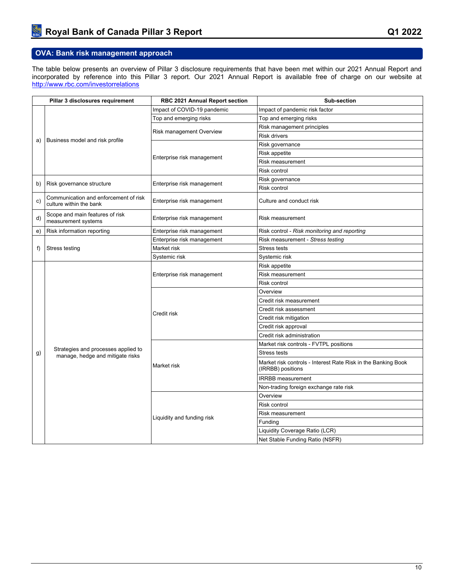## <span id="page-12-0"></span>**OVA: Bank risk management approach**

The table below presents an overview of Pillar 3 disclosure requirements that have been met within our 2021 Annual Report and incorporated by reference into this Pillar 3 report. Our 2021 Annual Report is available free of charge on our website at <http://www.rbc.com/investorrelations>

| Pillar 3 disclosures requirement |                                                                         | RBC 2021 Annual Report section | Sub-section                                                                        |  |  |  |
|----------------------------------|-------------------------------------------------------------------------|--------------------------------|------------------------------------------------------------------------------------|--|--|--|
|                                  |                                                                         | Impact of COVID-19 pandemic    | Impact of pandemic risk factor                                                     |  |  |  |
| a)                               |                                                                         | Top and emerging risks         | Top and emerging risks                                                             |  |  |  |
|                                  |                                                                         |                                | Risk management principles                                                         |  |  |  |
|                                  |                                                                         | Risk management Overview       | <b>Risk drivers</b>                                                                |  |  |  |
|                                  | Business model and risk profile                                         |                                | Risk governance                                                                    |  |  |  |
|                                  |                                                                         |                                | Risk appetite                                                                      |  |  |  |
|                                  |                                                                         | Enterprise risk management     | <b>Risk measurement</b>                                                            |  |  |  |
|                                  |                                                                         |                                | <b>Risk control</b>                                                                |  |  |  |
|                                  |                                                                         |                                | Risk governance                                                                    |  |  |  |
| b)                               | Risk governance structure                                               | Enterprise risk management     | <b>Risk control</b>                                                                |  |  |  |
| c)                               | Communication and enforcement of risk<br>culture within the bank        | Enterprise risk management     | Culture and conduct risk                                                           |  |  |  |
| d)                               | Scope and main features of risk<br>measurement systems                  | Enterprise risk management     | Risk measurement                                                                   |  |  |  |
| e)                               | Risk information reporting                                              | Enterprise risk management     | Risk control - Risk monitoring and reporting                                       |  |  |  |
|                                  |                                                                         | Enterprise risk management     | Risk measurement - Stress testing                                                  |  |  |  |
| f)                               | Stress testing                                                          | Market risk                    | <b>Stress tests</b>                                                                |  |  |  |
|                                  |                                                                         | Systemic risk                  | Systemic risk                                                                      |  |  |  |
|                                  |                                                                         |                                | Risk appetite                                                                      |  |  |  |
|                                  |                                                                         | Enterprise risk management     | <b>Risk measurement</b>                                                            |  |  |  |
|                                  |                                                                         |                                | Risk control                                                                       |  |  |  |
|                                  |                                                                         |                                | Overview                                                                           |  |  |  |
|                                  |                                                                         |                                | Credit risk measurement                                                            |  |  |  |
|                                  |                                                                         | Credit risk                    | Credit risk assessment                                                             |  |  |  |
|                                  |                                                                         |                                | Credit risk mitigation                                                             |  |  |  |
|                                  |                                                                         |                                | Credit risk approval                                                               |  |  |  |
|                                  |                                                                         |                                | Credit risk administration                                                         |  |  |  |
|                                  |                                                                         |                                | Market risk controls - FVTPL positions                                             |  |  |  |
| g)                               | Strategies and processes applied to<br>manage, hedge and mitigate risks |                                | Stress tests                                                                       |  |  |  |
|                                  |                                                                         | Market risk                    | Market risk controls - Interest Rate Risk in the Banking Book<br>(IRRBB) positions |  |  |  |
|                                  |                                                                         |                                | <b>IRRBB</b> measurement                                                           |  |  |  |
|                                  |                                                                         |                                | Non-trading foreign exchange rate risk                                             |  |  |  |
|                                  |                                                                         |                                | Overview                                                                           |  |  |  |
|                                  |                                                                         |                                | Risk control                                                                       |  |  |  |
|                                  |                                                                         |                                | Risk measurement                                                                   |  |  |  |
|                                  |                                                                         | Liquidity and funding risk     | Funding                                                                            |  |  |  |
|                                  |                                                                         |                                | Liquidity Coverage Ratio (LCR)                                                     |  |  |  |
|                                  |                                                                         |                                | Net Stable Funding Ratio (NSFR)                                                    |  |  |  |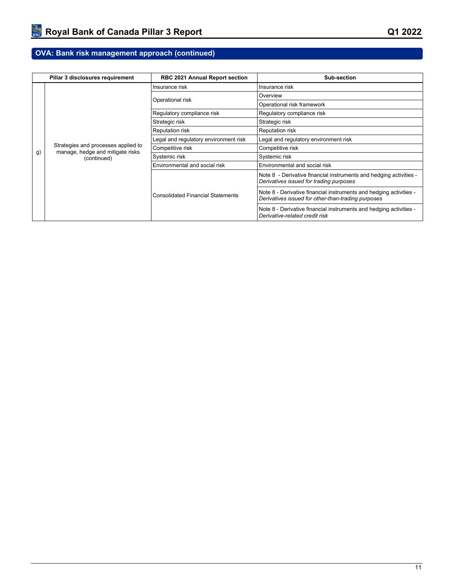## **OVA: Bank risk management approach (continued)**

|    | Pillar 3 disclosures requirement                                        | <b>RBC 2021 Annual Report section</b>    | Sub-section                                                                                                              |  |
|----|-------------------------------------------------------------------------|------------------------------------------|--------------------------------------------------------------------------------------------------------------------------|--|
|    |                                                                         | Insurance risk                           | Insurance risk                                                                                                           |  |
|    |                                                                         | Operational risk                         | Overview                                                                                                                 |  |
|    |                                                                         |                                          | Operational risk framework                                                                                               |  |
|    |                                                                         | Regulatory compliance risk               | Regulatory compliance risk                                                                                               |  |
|    |                                                                         | Strategic risk                           | Strategic risk                                                                                                           |  |
|    |                                                                         | Reputation risk                          | <b>Reputation risk</b>                                                                                                   |  |
|    |                                                                         | Legal and regulatory environment risk    | Legal and regulatory environment risk                                                                                    |  |
| g) | Strategies and processes applied to<br>manage, hedge and mitigate risks | Competitive risk                         | Competitive risk                                                                                                         |  |
|    | (continued)                                                             | Systemic risk                            | Systemic risk                                                                                                            |  |
|    |                                                                         | Environmental and social risk            | Environmental and social risk                                                                                            |  |
|    |                                                                         |                                          | Note 8 - Derivative financial instruments and hedging activities -<br>Derivatives issued for trading purposes            |  |
|    |                                                                         | <b>Consolidated Financial Statements</b> | Note 8 - Derivative financial instruments and hedging activities -<br>Derivatives issued for other-than-trading purposes |  |
|    |                                                                         |                                          | Note 8 - Derivative financial instruments and hedging activities -<br>Derivative-related credit risk                     |  |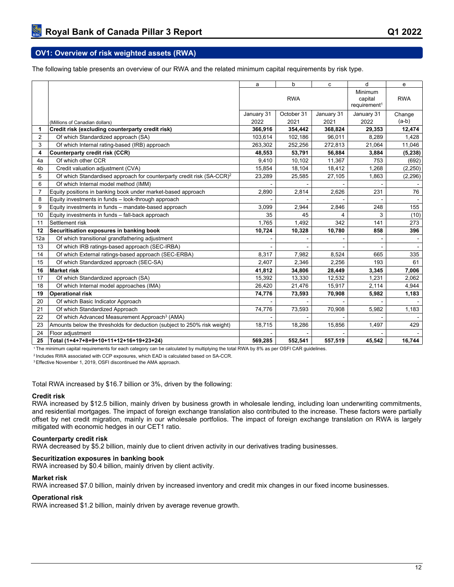### <span id="page-14-0"></span>**OV1: Overview of risk weighted assets (RWA)**

The following table presents an overview of our RWA and the related minimum capital requirements by risk type.

|                |                                                                                   | a          | b          | c          | d                                              | e          |
|----------------|-----------------------------------------------------------------------------------|------------|------------|------------|------------------------------------------------|------------|
|                |                                                                                   |            | <b>RWA</b> |            | Minimum<br>capital<br>requirement <sup>1</sup> | <b>RWA</b> |
|                |                                                                                   | January 31 | October 31 | January 31 | January 31                                     | Change     |
|                | (Millions of Canadian dollars)                                                    | 2022       | 2021       | 2021       | 2022                                           | $(a-b)$    |
| 1              | Credit risk (excluding counterparty credit risk)                                  | 366,916    | 354,442    | 368,824    | 29,353                                         | 12,474     |
| 2              | Of which Standardized approach (SA)                                               | 103,614    | 102,186    | 96,011     | 8,289                                          | 1,428      |
| 3              | Of which Internal rating-based (IRB) approach                                     | 263.302    | 252.256    | 272.813    | 21,064                                         | 11,046     |
| 4              | Counterparty credit risk (CCR)                                                    | 48,553     | 53,791     | 56,884     | 3,884                                          | (5, 238)   |
| 4a             | Of which other CCR                                                                | 9,410      | 10,102     | 11,367     | 753                                            | (692)      |
| 4 <sub>b</sub> | Credit valuation adjustment (CVA)                                                 | 15,854     | 18,104     | 18,412     | 1,268                                          | (2, 250)   |
| 5              | Of which Standardised approach for counterparty credit risk (SA-CCR) <sup>2</sup> | 23,289     | 25,585     | 27,105     | 1,863                                          | (2, 296)   |
| 6              | Of which Internal model method (IMM)                                              |            |            |            |                                                |            |
| $\overline{7}$ | Equity positions in banking book under market-based approach                      | 2,890      | 2,814      | 2,626      | 231                                            | 76         |
| 8              | Equity investments in funds - look-through approach                               |            |            |            |                                                |            |
| 9              | Equity investments in funds - mandate-based approach                              | 3,099      | 2,944      | 2,846      | 248                                            | 155        |
| 10             | Equity investments in funds - fall-back approach                                  | 35         | 45         | 4          | 3                                              | (10)       |
| 11             | Settlement risk                                                                   | 1.765      | 1,492      | 342        | 141                                            | 273        |
| 12             | Securitisation exposures in banking book                                          | 10,724     | 10,328     | 10,780     | 858                                            | 396        |
| 12a            | Of which transitional grandfathering adjustment                                   |            |            |            |                                                |            |
| 13             | Of which IRB ratings-based approach (SEC-IRBA)                                    |            |            |            |                                                |            |
| 14             | Of which External ratings-based approach (SEC-ERBA)                               | 8,317      | 7,982      | 8,524      | 665                                            | 335        |
| 15             | Of which Standardized approach (SEC-SA)                                           | 2,407      | 2,346      | 2,256      | 193                                            | 61         |
| 16             | <b>Market risk</b>                                                                | 41,812     | 34,806     | 28,449     | 3,345                                          | 7,006      |
| 17             | Of which Standardized approach (SA)                                               | 15,392     | 13,330     | 12,532     | 1,231                                          | 2,062      |
| 18             | Of which Internal model approaches (IMA)                                          | 26,420     | 21,476     | 15,917     | 2,114                                          | 4,944      |
| 19             | <b>Operational risk</b>                                                           | 74,776     | 73,593     | 70,908     | 5,982                                          | 1,183      |
| 20             | Of which Basic Indicator Approach                                                 |            |            |            |                                                |            |
| 21             | Of which Standardized Approach                                                    | 74,776     | 73,593     | 70,908     | 5,982                                          | 1,183      |
| 22             | Of which Advanced Measurement Approach <sup>3</sup> (AMA)                         |            |            |            |                                                |            |
| 23             | Amounts below the thresholds for deduction (subject to 250% risk weight)          | 18,715     | 18,286     | 15,856     | 1,497                                          | 429        |
| 24             | Floor adjustment                                                                  |            |            |            |                                                |            |
| 25             | Total (1+4+7+8+9+10+11+12+16+19+23+24)                                            | 569,285    | 552,541    | 557,519    | 45,542                                         | 16,744     |

<sup>1</sup>The minimum capital requirements for each category can be calculated by multiplying the total RWA by 8% as per OSFI CAR guidelines.

<sup>2</sup>Includes RWA associated with CCP exposures, which EAD is calculated based on SA-CCR.

<sup>3</sup>Effective November 1, 2019, OSFI discontinued the AMA approach.

Total RWA increased by \$16.7 billion or 3%, driven by the following:

#### **Credit risk**

RWA increased by \$12.5 billion, mainly driven by business growth in wholesale lending, including loan underwriting commitments, and residential mortgages. The impact of foreign exchange translation also contributed to the increase. These factors were partially offset by net credit migration, mainly in our wholesale portfolios. The impact of foreign exchange translation on RWA is largely mitigated with economic hedges in our CET1 ratio.

#### **Counterparty credit risk**

RWA decreased by \$5.2 billion, mainly due to client driven activity in our derivatives trading businesses.

#### **Securitization exposures in banking book**

RWA increased by \$0.4 billion, mainly driven by client activity.

#### **Market risk**

RWA increased \$7.0 billion, mainly driven by increased inventory and credit mix changes in our fixed income businesses.

#### **Operational risk**

RWA increased \$1.2 billion, mainly driven by average revenue growth.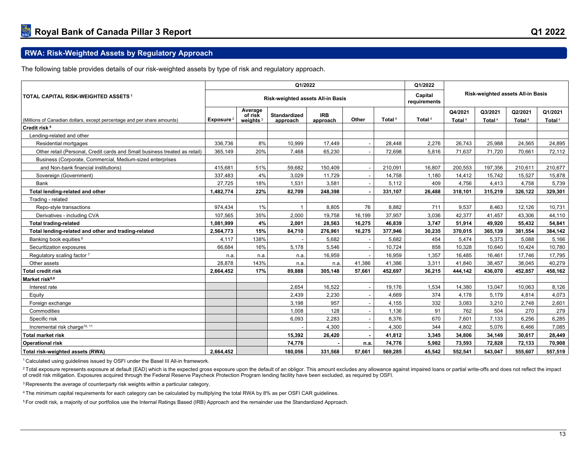## **RWA: Risk-Weighted Assets by Regulatory Approach**

The following table provides details of our risk-weighted assets by type of risk and regulatory approach.

<span id="page-15-0"></span>

|                                                                            | Q1/2022                           |                                   |                          |                        |                         | Q1/2022                           |                    |                               |                               |                               |                      |
|----------------------------------------------------------------------------|-----------------------------------|-----------------------------------|--------------------------|------------------------|-------------------------|-----------------------------------|--------------------|-------------------------------|-------------------------------|-------------------------------|----------------------|
| <b>TOTAL CAPITAL RISK-WEIGHTED ASSETS 1</b>                                | Risk-weighted assets All-in Basis |                                   |                          |                        | Capital<br>requirements | Risk-weighted assets All-in Basis |                    |                               |                               |                               |                      |
| (Millions of Canadian dollars, except percentage and per share amounts)    | Exposure <sup>2</sup>             | Average<br>of risk<br>weights $3$ | Standardized<br>approach | <b>IRB</b><br>approach | Other                   | Total <sup>4</sup>                | Total <sup>4</sup> | Q4/2021<br>Total <sup>4</sup> | Q3/2021<br>Total <sup>4</sup> | Q2/2021<br>Total <sup>4</sup> | Q1/2021<br>Total $4$ |
| Credit risk <sup>5</sup>                                                   |                                   |                                   |                          |                        |                         |                                   |                    |                               |                               |                               |                      |
| Lending-related and other                                                  |                                   |                                   |                          |                        |                         |                                   |                    |                               |                               |                               |                      |
| Residential mortgages                                                      | 336.736                           | 8%                                | 10.999                   | 17.449                 |                         | 28.448                            | 2,276              | 26,743                        | 25.988                        | 24.565                        | 24,895               |
| Other retail (Personal, Credit cards and Small business treated as retail) | 365,149                           | 20%                               | 7,468                    | 65,230                 |                         | 72,698                            | 5,816              | 71,637                        | 71,720                        | 70.661                        | 72,112               |
| Business (Corporate, Commercial, Medium-sized enterprises                  |                                   |                                   |                          |                        |                         |                                   |                    |                               |                               |                               |                      |
| and Non-bank financial institutions)                                       | 415,681                           | 51%                               | 59,682                   | 150,409                |                         | 210,091                           | 16,807             | 200,553                       | 197,356                       | 210,611                       | 210,677              |
| Sovereign (Government)                                                     | 337,483                           | 4%                                | 3,029                    | 11,729                 |                         | 14,758                            | 1,180              | 14,412                        | 15,742                        | 15,527                        | 15,878               |
| Bank                                                                       | 27,725                            | 18%                               | 1,531                    | 3,581                  |                         | 5,112                             | 409                | 4,756                         | 4,413                         | 4,758                         | 5,739                |
| Total lending-related and other                                            | 1,482,774                         | 22%                               | 82,709                   | 248,398                |                         | 331,107                           | 26,488             | 318,101                       | 315,219                       | 326,122                       | 329,301              |
| Trading - related                                                          |                                   |                                   |                          |                        |                         |                                   |                    |                               |                               |                               |                      |
| Repo-style transactions                                                    | 974,434                           | 1%                                | $\mathbf{1}$             | 8,805                  | 76                      | 8,882                             | 711                | 9,537                         | 8,463                         | 12,126                        | 10,731               |
| Derivatives - including CVA                                                | 107.565                           | 35%                               | 2.000                    | 19,758                 | 16,199                  | 37,957                            | 3,036              | 42,377                        | 41,457                        | 43,306                        | 44,110               |
| <b>Total trading-related</b>                                               | 1,081,999                         | 4%                                | 2.001                    | 28,563                 | 16,275                  | 46,839                            | 3,747              | 51,914                        | 49,920                        | 55,432                        | 54,841               |
| Total lending-related and other and trading-related                        | 2,564,773                         | 15%                               | 84,710                   | 276,961                | 16,275                  | 377,946                           | 30,235             | 370,015                       | 365,139                       | 381,554                       | 384,142              |
| Banking book equities <sup>6</sup>                                         | 4.117                             | 138%                              |                          | 5.682                  |                         | 5,682                             | 454                | 5.474                         | 5,373                         | 5,088                         | 5,166                |
| Securitization exposures                                                   | 66,684                            | 16%                               | 5,178                    | 5,546                  |                         | 10,724                            | 858                | 10,328                        | 10,640                        | 10,424                        | 10,780               |
| Regulatory scaling factor 7                                                | n.a.                              | n.a.                              | n.a.                     | 16,959                 |                         | 16,959                            | 1,357              | 16,485                        | 16,461                        | 17,746                        | 17,795               |
| Other assets                                                               | 28,878                            | 143%                              | n.a.                     | n.a.                   | 41,386                  | 41,386                            | 3,311              | 41,840                        | 38,457                        | 38,045                        | 40,279               |
| <b>Total credit risk</b>                                                   | 2,664,452                         | 17%                               | 89,888                   | 305,148                | 57,661                  | 452,697                           | 36,215             | 444,142                       | 436,070                       | 452,857                       | 458,162              |
| Market risk <sup>8,9</sup>                                                 |                                   |                                   |                          |                        |                         |                                   |                    |                               |                               |                               |                      |
| Interest rate                                                              |                                   |                                   | 2,654                    | 16,522                 |                         | 19,176                            | 1,534              | 14,380                        | 13,047                        | 10,063                        | 8,126                |
| Equity                                                                     |                                   |                                   | 2,439                    | 2,230                  |                         | 4,669                             | 374                | 4,178                         | 5,179                         | 4,814                         | 4,073                |
| Foreign exchange                                                           |                                   |                                   | 3,198                    | 957                    |                         | 4,155                             | 332                | 3,083                         | 3,210                         | 2,748                         | 2,601                |
| Commodities                                                                |                                   |                                   | 1.008                    | 128                    |                         | 1,136                             | 91                 | 762                           | 504                           | 270                           | 279                  |
| Specific risk                                                              |                                   |                                   | 6.093                    | 2,283                  |                         | 8,376                             | 670                | 7.601                         | 7.133                         | 6,256                         | 6,285                |
| Incremental risk charge <sup>10, 11</sup>                                  |                                   |                                   |                          | 4.300                  |                         | 4.300                             | 344                | 4.802                         | 5.076                         | 6.466                         | 7,085                |
| <b>Total market risk</b>                                                   |                                   |                                   | 15,392                   | 26,420                 |                         | 41,812                            | 3,345              | 34,806                        | 34,149                        | 30.617                        | 28,449               |
| <b>Operational risk</b>                                                    |                                   |                                   | 74,776                   |                        | n.a.                    | 74,776                            | 5,982              | 73,593                        | 72,828                        | 72,133                        | 70,908               |
| Total risk-weighted assets (RWA)                                           | 2,664,452                         |                                   | 180,056                  | 331.568                | 57.661                  | 569,285                           | 45,542             | 552,541                       | 543.047                       | 555.607                       | 557,519              |

<sup>1</sup>Calculated using guidelines issued by OSFI under the Basel III All-in framework.

<sup>2</sup> Total exposure represents exposure at default (EAD) which is the expected gross exposure upon the default of an obligor. This amount excludes any allowance against impaired loans or partial write-offs and does not refl of credit risk mitigation. Exposures acquired through the Federal Reserve Paycheck Protection Program lending facility have been excluded, as required by OSFI.

<sup>3</sup>Represents the average of counterparty risk weights within a particular category.

<sup>4</sup>The minimum capital requirements for each category can be calculated by multiplying the total RWA by 8% as per OSFI CAR guidelines.

5 For credit risk, a majority of our portfolios use the Internal Ratings Based (IRB) Approach and the remainder use the Standardized Approach.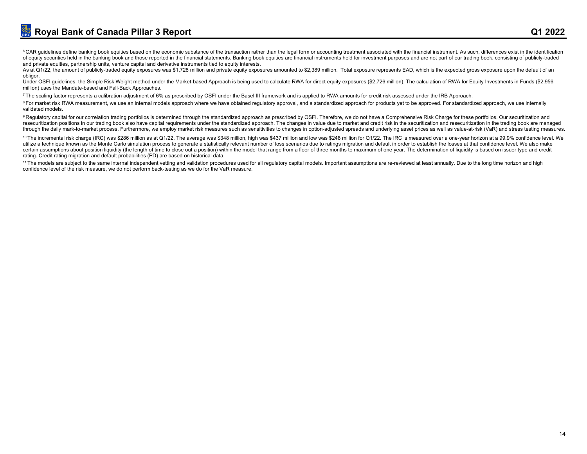<sup>6</sup> CAR guidelines define banking book equities based on the economic substance of the transaction rather than the legal form or accounting treatment associated with the financial instrument. As such, differences exist in of equity securities held in the banking book and those reported in the financial statements. Banking book equities are financial instruments held for investment purposes and are not part of our trading book, consisting of and private equities, partnership units, venture capital and derivative instruments tied to equity interests.

As at Q1/22, the amount of publicly-traded equity exposures was \$1.728 million and private equity exposures amounted to \$2,389 million. Total exposure represents EAD, which is the expected gross exposure upon the default o obligor.

Under OSFI guidelines, the Simple Risk Weight method under the Market-based Approach is being used to calculate RWA for direct equity exposures (\$2,726 million). The calculation of RWA for Equity Investments in Funds (\$2,9 million) uses the Mandate-based and Fall-Back Approaches.

7The scaling factor represents a calibration adjustment of 6% as prescribed by OSFI under the Basel III framework and is applied to RWA amounts for credit risk assessed under the IRB Approach.

<sup>8</sup>For market risk RWA measurement, we use an internal models approach where we have obtained regulatory approval, and a standardized approach for products vet to be approved. For standardized approach, we use internally validated models.

9 Regulatory capital for our correlation trading portfolios is determined through the standardized approach as prescribed by OSFI. Therefore, we do not have a Comprehensive Risk Charge for these portfolios. Our securitizat resecuritization positions in our trading book also have capital requirements under the standardized approach. The changes in value due to market and credit risk in the securitization and resecuritization in the trading bo through the daily mark-to-market process. Furthermore, we employ market risk measures such as sensitivities to changes in option-adjusted spreads and underlying asset prices as well as value-at-risk (VaR) and stress testin

<sup>10</sup> The incremental risk charge (IRC) was \$286 million as at Q1/22. The average was \$348 million, high was \$437 million and low was \$248 million for Q1/22. The IRC is measured over a one-vear horizon at a 99.9% confidence utilize a technique known as the Monte Carlo simulation process to generate a statistically relevant number of loss scenarios due to ratings migration and default in order to establish the losses at that confidence level. certain assumptions about position liquidity (the length of time to close out a position) within the model that range from a floor of three months to maximum of one year. The determination of liquidity is based on issuer t rating. Credit rating migration and default probabilities (PD) are based on historical data.

<sup>11</sup> The models are subject to the same internal independent vetting and validation procedures used for all regulatory capital models. Important assumptions are re-reviewed at least annually. Due to the long time horizon a confidence level of the risk measure, we do not perform back-testing as we do for the VaR measure.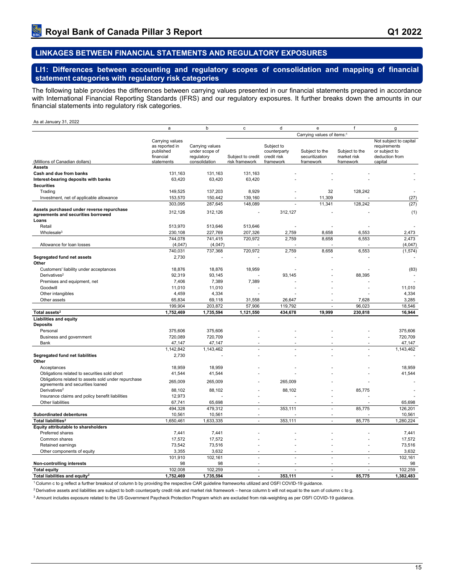## <span id="page-17-0"></span>**LINKAGES BETWEEN FINANCIAL STATEMENTS AND REGULATORY EXPOSURES**

<span id="page-17-1"></span>**LI1: Differences between accounting and regulatory scopes of consolidation and mapping of financial statement categories with regulatory risk categories**

The following table provides the differences between carrying values presented in our financial statements prepared in accordance with International Financial Reporting Standards (IFRS) and our regulatory exposures. It further breaks down the amounts in our financial statements into regulatory risk categories.

#### As at January 31, 2022

|                                                                                          | a                                                                         | b                                                                | c                                   | d                                                      | e                                             | f                                          | g                                                                                    |
|------------------------------------------------------------------------------------------|---------------------------------------------------------------------------|------------------------------------------------------------------|-------------------------------------|--------------------------------------------------------|-----------------------------------------------|--------------------------------------------|--------------------------------------------------------------------------------------|
|                                                                                          |                                                                           |                                                                  |                                     |                                                        | Carrying values of items: <sup>1</sup>        |                                            |                                                                                      |
| (Millions of Canadian dollars)                                                           | Carrying values<br>as reported in<br>published<br>financial<br>statements | Carrying values<br>under scope of<br>regulatory<br>consolidation | Subject to credit<br>risk framework | Subject to<br>counterparty<br>credit risk<br>framework | Subject to the<br>securitization<br>framework | Subject to the<br>market risk<br>framework | Not subject to capital<br>requirements<br>or subject to<br>deduction from<br>capital |
| <b>Assets</b>                                                                            |                                                                           |                                                                  |                                     |                                                        |                                               |                                            |                                                                                      |
| Cash and due from banks                                                                  | 131,163                                                                   | 131,163                                                          | 131,163                             |                                                        |                                               |                                            |                                                                                      |
| Interest-bearing deposits with banks                                                     | 63,420                                                                    | 63,420                                                           | 63,420                              |                                                        |                                               |                                            |                                                                                      |
| <b>Securities</b>                                                                        |                                                                           |                                                                  |                                     |                                                        |                                               |                                            |                                                                                      |
| Trading                                                                                  | 149,525                                                                   | 137,203                                                          | 8,929                               |                                                        | 32                                            | 128,242                                    |                                                                                      |
| Investment, net of applicable allowance                                                  | 153,570                                                                   | 150,442                                                          | 139,160                             |                                                        | 11,309                                        |                                            | (27)                                                                                 |
|                                                                                          | 303,095                                                                   | 287,645                                                          | 148,089                             |                                                        | 11,341                                        | 128,242                                    | (27)                                                                                 |
| Assets purchased under reverse repurchase<br>agreements and securities borrowed<br>Loans | 312,126                                                                   | 312,126                                                          |                                     | 312,127                                                |                                               |                                            | (1)                                                                                  |
| Retail                                                                                   | 513,970                                                                   | 513,646                                                          | 513,646                             |                                                        |                                               |                                            |                                                                                      |
| Wholesale <sup>3</sup>                                                                   | 230,108                                                                   | 227,769                                                          | 207,326                             | 2,759                                                  | 8.658                                         | 6.553                                      | 2,473                                                                                |
|                                                                                          | 744,078                                                                   | 741,415                                                          | 720,972                             | 2,759                                                  | 8,658                                         | 6,553                                      | 2,473                                                                                |
| Allowance for loan losses                                                                | (4,047)                                                                   | (4,047)                                                          |                                     |                                                        |                                               |                                            | (4,047)                                                                              |
|                                                                                          | 740,031                                                                   | 737,368                                                          | 720,972                             | 2,759                                                  | 8,658                                         | 6,553                                      | (1, 574)                                                                             |
| Segregated fund net assets<br>Other                                                      | 2,730                                                                     |                                                                  |                                     |                                                        |                                               |                                            |                                                                                      |
| Customers' liability under acceptances                                                   | 18,876                                                                    | 18,876                                                           | 18,959                              |                                                        |                                               |                                            | (83)                                                                                 |
| Derivatives <sup>2</sup>                                                                 | 92,319                                                                    | 93,145                                                           |                                     | 93,145                                                 |                                               | 88,395                                     |                                                                                      |
| Premises and equipment, net                                                              | 7,406                                                                     | 7,389                                                            | 7,389                               |                                                        |                                               |                                            |                                                                                      |
| Goodwill                                                                                 | 11,010                                                                    | 11,010                                                           |                                     |                                                        |                                               |                                            | 11,010                                                                               |
| Other intangibles                                                                        | 4,459                                                                     | 4,334                                                            |                                     |                                                        |                                               |                                            | 4,334                                                                                |
| Other assets                                                                             | 65,834                                                                    | 69,118                                                           | 31,558                              | 26.647                                                 |                                               | 7.628                                      | 3,285                                                                                |
|                                                                                          | 199,904                                                                   | 203,872                                                          | 57,906                              | 119,792                                                | L.                                            | 96,023                                     | 18,546                                                                               |
| Total assets <sup>2</sup>                                                                | 1,752,469                                                                 | 1,735,594                                                        | 1,121,550                           | 434,678                                                | 19,999                                        | 230,818                                    | 16,944                                                                               |
| <b>Liabilities and equity</b>                                                            |                                                                           |                                                                  |                                     |                                                        |                                               |                                            |                                                                                      |
| <b>Deposits</b>                                                                          |                                                                           |                                                                  |                                     |                                                        |                                               |                                            |                                                                                      |
| Personal<br>Business and government                                                      | 375,606<br>720,089                                                        | 375,606<br>720,709                                               |                                     |                                                        |                                               |                                            | 375,606<br>720,709                                                                   |
| Bank                                                                                     | 47,147                                                                    | 47,147                                                           |                                     |                                                        |                                               |                                            | 47,147                                                                               |
|                                                                                          | 1,142,842                                                                 | 1,143,462                                                        |                                     |                                                        | ä,                                            |                                            | 1,143,462                                                                            |
| Segregated fund net liabilities                                                          | 2,730                                                                     |                                                                  |                                     |                                                        |                                               |                                            |                                                                                      |
| Other                                                                                    |                                                                           |                                                                  |                                     |                                                        |                                               |                                            |                                                                                      |
| Acceptances                                                                              | 18,959                                                                    | 18,959                                                           |                                     |                                                        |                                               |                                            | 18,959                                                                               |
| Obligations related to securities sold short                                             | 41,544                                                                    | 41,544                                                           |                                     |                                                        |                                               |                                            | 41,544                                                                               |
| Obligations related to assets sold under repurchase                                      | 265,009                                                                   | 265,009                                                          |                                     | 265,009                                                |                                               |                                            |                                                                                      |
| agreements and securities loaned                                                         |                                                                           |                                                                  |                                     |                                                        |                                               |                                            |                                                                                      |
| Derivatives <sup>2</sup>                                                                 | 88,102                                                                    | 88,102                                                           |                                     | 88,102                                                 |                                               | 85,775                                     |                                                                                      |
| Insurance claims and policy benefit liabilities<br>Other liabilities                     | 12,973                                                                    |                                                                  |                                     |                                                        |                                               |                                            |                                                                                      |
|                                                                                          | 67,741<br>494,328                                                         | 65,698                                                           |                                     |                                                        |                                               |                                            | 65,698                                                                               |
| Subordinated debentures                                                                  | 10,561                                                                    | 479,312<br>10,561                                                |                                     | 353,111                                                | ä,<br>ä,                                      | 85,775                                     | 126,201<br>10,561                                                                    |
| Total liabilities <sup>2</sup>                                                           | 1,650,461                                                                 | 1,633,335                                                        | $\overline{\phantom{a}}$            | 353,111                                                | $\overline{\phantom{a}}$                      | 85,775                                     | 1,280,224                                                                            |
| Equity attributable to shareholders                                                      |                                                                           |                                                                  |                                     |                                                        |                                               |                                            |                                                                                      |
| Preferred shares                                                                         | 7,441                                                                     | 7,441                                                            |                                     |                                                        |                                               |                                            | 7,441                                                                                |
| Common shares                                                                            | 17,572                                                                    | 17,572                                                           |                                     |                                                        |                                               |                                            | 17,572                                                                               |
| Retained earnings                                                                        | 73,542                                                                    | 73,516                                                           |                                     |                                                        |                                               |                                            | 73,516                                                                               |
| Other components of equity                                                               | 3,355                                                                     | 3,632                                                            |                                     |                                                        |                                               |                                            | 3,632                                                                                |
|                                                                                          | 101,910                                                                   | 102,161                                                          |                                     |                                                        | L.                                            |                                            | 102,161                                                                              |
| Non-controlling interests                                                                | 98                                                                        | 98                                                               |                                     |                                                        | ä,                                            | ÷.                                         | 98                                                                                   |
| <b>Total equity</b>                                                                      | 102,008                                                                   | 102,259                                                          | $\sim$                              | $\overline{a}$                                         | ä,                                            | $\overline{a}$                             | 102,259                                                                              |
| Total liabilities and equity <sup>2</sup>                                                | 1,752,469                                                                 | 1,735,594                                                        |                                     | 353.111                                                |                                               | 85.775                                     | 1.382.483                                                                            |

<sup>1</sup>Column c to g reflect a further breakout of column b by providing the respective CAR guideline frameworks utilized and OSFI COVID-19 guidance.

<sup>2</sup> Derivative assets and liabilities are subject to both counterparty credit risk and market risk framework – hence column b will not equal to the sum of column c to g.

3 Amount includes exposure related to the US Government Paycheck Protection Program which are excluded from risk-weighting as per OSFI COVID-19 guidance.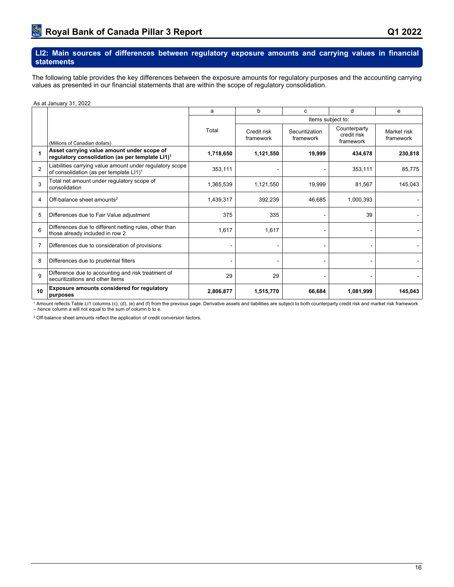#### <span id="page-18-0"></span>**LI2: Main sources of differences between regulatory exposure amounts and carrying values in financial statements**

The following table provides the key differences between the exposure amounts for regulatory purposes and the accounting carrying values as presented in our financial statements that are within the scope of regulatory consolidation.

As at January 31, 2022

|               |                                                                                                                 | a         | b                        | C                           | d                                        | e                        |
|---------------|-----------------------------------------------------------------------------------------------------------------|-----------|--------------------------|-----------------------------|------------------------------------------|--------------------------|
|               |                                                                                                                 |           |                          |                             | Items subject to:                        |                          |
|               | (Millions of Canadian dollars)                                                                                  | Total     | Credit risk<br>framework | Securitization<br>framework | Counterparty<br>credit risk<br>framework | Market risk<br>framework |
| 1             | Asset carrying value amount under scope of<br>regulatory consolidation (as per template LI1) <sup>1</sup>       | 1,718,650 | 1,121,550                | 19,999                      | 434,678                                  | 230,818                  |
| $\mathcal{P}$ | Liabilities carrying value amount under regulatory scope<br>of consolidation (as per template LI1) <sup>1</sup> | 353,111   |                          |                             | 353,111                                  | 85,775                   |
| 3             | Total net amount under regulatory scope of<br>consolidation                                                     | 1,365,539 | 1,121,550                | 19,999                      | 81,567                                   | 145,043                  |
| 4             | Off-balance sheet amounts <sup>2</sup>                                                                          | 1,439,317 | 392,239                  | 46,685                      | 1,000,393                                |                          |
| 5             | Differences due to Fair Value adjustment                                                                        | 375       | 335                      |                             | 39                                       |                          |
| 6             | Differences due to different netting rules, other than<br>those already included in row 2                       | 1,617     | 1,617                    |                             |                                          |                          |
| 7             | Differences due to consideration of provisions                                                                  |           |                          |                             |                                          |                          |
| 8             | Differences due to prudential filters                                                                           |           |                          |                             |                                          |                          |
| 9             | Difference due to accounting and risk treatment of<br>securitizations and other items                           | 29        | 29                       |                             |                                          |                          |
| 10            | Exposure amounts considered for regulatory<br>purposes                                                          | 2,806,877 | 1,515,770                | 66,684                      | 1,081,999                                | 145,043                  |

<sup>1</sup> Amount reflects Table LI1 columns (c), (d), (e) and (f) from the previous page. Derivative assets and liabilities are subject to both counterparty credit risk and market risk framework<br>– hence column a will not equal

<sup>2</sup> Off-balance sheet amounts reflect the application of credit conversion factors.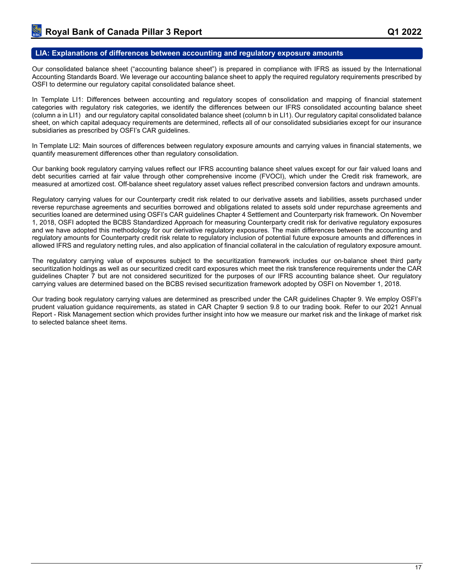#### <span id="page-19-0"></span>**LIA: Explanations of differences between accounting and regulatory exposure amounts**

Our consolidated balance sheet ("accounting balance sheet") is prepared in compliance with IFRS as issued by the International Accounting Standards Board. We leverage our accounting balance sheet to apply the required regulatory requirements prescribed by OSFI to determine our regulatory capital consolidated balance sheet.

In Template LI1: Differences between accounting and regulatory scopes of consolidation and mapping of financial statement categories with regulatory risk categories, we identify the differences between our IFRS consolidated accounting balance sheet (column a in LI1) and our regulatory capital consolidated balance sheet (column b in LI1). Our regulatory capital consolidated balance sheet, on which capital adequacy requirements are determined, reflects all of our consolidated subsidiaries except for our insurance subsidiaries as prescribed by OSFI's CAR guidelines.

In Template LI2: Main sources of differences between regulatory exposure amounts and carrying values in financial statements, we quantify measurement differences other than regulatory consolidation.

Our banking book regulatory carrying values reflect our IFRS accounting balance sheet values except for our fair valued loans and debt securities carried at fair value through other comprehensive income (FVOCI), which under the Credit risk framework, are measured at amortized cost. Off-balance sheet regulatory asset values reflect prescribed conversion factors and undrawn amounts.

Regulatory carrying values for our Counterparty credit risk related to our derivative assets and liabilities, assets purchased under reverse repurchase agreements and securities borrowed and obligations related to assets sold under repurchase agreements and securities loaned are determined using OSFI's CAR guidelines Chapter 4 Settlement and Counterparty risk framework. On November 1, 2018, OSFI adopted the BCBS Standardized Approach for measuring Counterparty credit risk for derivative regulatory exposures and we have adopted this methodology for our derivative regulatory exposures. The main differences between the accounting and regulatory amounts for Counterparty credit risk relate to regulatory inclusion of potential future exposure amounts and differences in allowed IFRS and regulatory netting rules, and also application of financial collateral in the calculation of regulatory exposure amount.

The regulatory carrying value of exposures subject to the securitization framework includes our on-balance sheet third party securitization holdings as well as our securitized credit card exposures which meet the risk transference requirements under the CAR guidelines Chapter 7 but are not considered securitized for the purposes of our IFRS accounting balance sheet. Our regulatory carrying values are determined based on the BCBS revised securitization framework adopted by OSFI on November 1, 2018.

Our trading book regulatory carrying values are determined as prescribed under the CAR guidelines Chapter 9. We employ OSFI's prudent valuation guidance requirements, as stated in CAR Chapter 9 section 9.8 to our trading book. Refer to our 2021 Annual Report - Risk Management section which provides further insight into how we measure our market risk and the linkage of market risk to selected balance sheet items.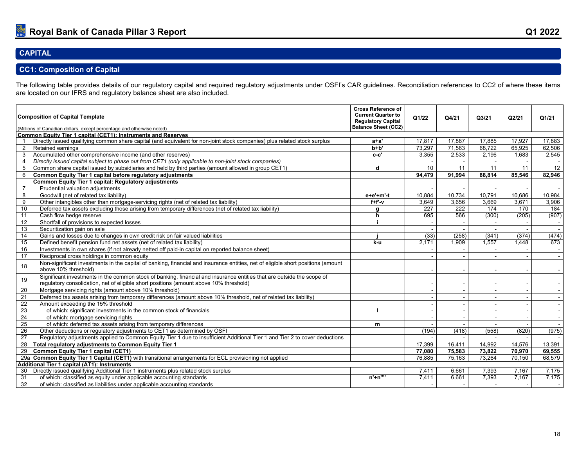## **CAPITAL**

## **CC1: Composition of Capital**

The following table provides details of our regulatory capital and required regulatory adjustments under OSFI's CAR guidelines. Reconciliation references to CC2 of where these items are located on our IFRS and regulatory balance sheet are also included.

<span id="page-20-1"></span><span id="page-20-0"></span>

|                 | <b>Composition of Capital Template</b><br>(Millions of Canadian dollars, except percentage and otherwise noted)                                                                                                  | <b>Cross Reference of</b><br><b>Current Quarter to</b><br><b>Regulatory Capital</b><br><b>Balance Sheet (CC2)</b> | Q1/22  | Q4/21                    | Q3/21                    | Q2/21                    | Q1/21                    |
|-----------------|------------------------------------------------------------------------------------------------------------------------------------------------------------------------------------------------------------------|-------------------------------------------------------------------------------------------------------------------|--------|--------------------------|--------------------------|--------------------------|--------------------------|
|                 | Common Equity Tier 1 capital (CET1): Instruments and Reserves                                                                                                                                                    |                                                                                                                   |        |                          |                          |                          |                          |
|                 | Directly issued qualifying common share capital (and equivalent for non-joint stock companies) plus related stock surplus                                                                                        | a+a'                                                                                                              | 17,817 | 17,887                   | 17,885                   | 17,927                   | 17,883                   |
| $\overline{2}$  | Retained earnings                                                                                                                                                                                                | b+b'                                                                                                              | 73,297 | 71,563                   | 68,722                   | 65,925                   | 62,506                   |
| 3               | Accumulated other comprehensive income (and other reserves)                                                                                                                                                      | $c-c'$                                                                                                            | 3,355  | 2,533                    | 2,196                    | 1.683                    | 2,545                    |
| $\overline{4}$  | Directly issued capital subject to phase out from CET1 (only applicable to non-joint stock companies)                                                                                                            |                                                                                                                   |        |                          |                          |                          |                          |
| 5               | Common share capital issued by subsidiaries and held by third parties (amount allowed in group CET1)                                                                                                             | d                                                                                                                 | 10     | 11                       | 11                       | 11                       | $\overline{12}$          |
| 6               | Common Equity Tier 1 capital before regulatory adjustments                                                                                                                                                       |                                                                                                                   | 94.479 | 91.994                   | 88.814                   | 85,546                   | 82.946                   |
|                 | <b>Common Equity Tier 1 capital: Regulatory adjustments</b>                                                                                                                                                      |                                                                                                                   |        |                          |                          |                          |                          |
| $\overline{7}$  | Prudential valuation adjustments                                                                                                                                                                                 |                                                                                                                   |        |                          |                          |                          |                          |
| 8               | Goodwill (net of related tax liability)                                                                                                                                                                          | $e+e'+m'-t$                                                                                                       | 10.884 | 10,734                   | 10,791                   | 10,686                   | 10,984                   |
| 9               | Other intangibles other than mortgage-servicing rights (net of related tax liability)                                                                                                                            | $f + f' - v$                                                                                                      | 3.649  | 3,656                    | 3,669                    | 3,671                    | 3,906                    |
| 10              | Deferred tax assets excluding those arising from temporary differences (net of related tax liability)                                                                                                            | a                                                                                                                 | 227    | $\overline{222}$         | 174                      | 170                      | 184                      |
| 11              | Cash flow hedge reserve                                                                                                                                                                                          | h                                                                                                                 | 695    | 566                      | (300)                    | (205)                    | (907)                    |
| 12              | Shortfall of provisions to expected losses                                                                                                                                                                       |                                                                                                                   |        |                          |                          |                          | $\sim$                   |
| 13              | Securitization gain on sale                                                                                                                                                                                      |                                                                                                                   |        |                          |                          |                          |                          |
| 14              | Gains and losses due to changes in own credit risk on fair valued liabilities                                                                                                                                    |                                                                                                                   | (33)   | (258)                    | (341)                    | (374)                    | (474)                    |
| 15              | Defined benefit pension fund net assets (net of related tax liability)                                                                                                                                           | k-u                                                                                                               | 2,171  | 1,909                    | 1.557                    | 1.448                    | 673                      |
| 16              | Investments in own shares (if not already netted off paid-in capital on reported balance sheet)                                                                                                                  |                                                                                                                   |        |                          |                          |                          | $\sim$                   |
| 17              | Reciprocal cross holdings in common equity                                                                                                                                                                       |                                                                                                                   |        |                          |                          |                          |                          |
| 18              | Non-significant investments in the capital of banking, financial and insurance entities, net of eligible short positions (amount<br>above 10% threshold)                                                         |                                                                                                                   |        |                          |                          |                          |                          |
| 19              | Significant investments in the common stock of banking, financial and insurance entities that are outside the scope of<br>regulatory consolidation, net of eligible short positions (amount above 10% threshold) |                                                                                                                   |        |                          |                          | $\overline{\phantom{a}}$ |                          |
| 20              | Mortgage servicing rights (amount above 10% threshold)                                                                                                                                                           |                                                                                                                   |        |                          |                          | $\blacksquare$           |                          |
| 21              | Deferred tax assets arising from temporary differences (amount above 10% threshold, net of related tax liability)                                                                                                |                                                                                                                   |        |                          |                          | $\overline{\phantom{a}}$ | $\overline{\phantom{a}}$ |
| 22              | Amount exceeding the 15% threshold                                                                                                                                                                               |                                                                                                                   |        |                          |                          |                          |                          |
| 23              | of which: significant investments in the common stock of financials                                                                                                                                              |                                                                                                                   |        |                          |                          |                          |                          |
| 24              | of which: mortgage servicing rights                                                                                                                                                                              |                                                                                                                   |        |                          |                          |                          | $\overline{\phantom{a}}$ |
| $\overline{25}$ | of which: deferred tax assets arising from temporary differences                                                                                                                                                 | m                                                                                                                 |        |                          |                          |                          |                          |
| 26              | Other deductions or regulatory adjustments to CET1 as determined by OSFI                                                                                                                                         |                                                                                                                   | (194)  | (418)                    | (558)                    | (820)                    | (975)                    |
| 27              | Regulatory adjustments applied to Common Equity Tier 1 due to insufficient Additional Tier 1 and Tier 2 to cover deductions                                                                                      |                                                                                                                   |        |                          |                          |                          |                          |
| $\overline{28}$ | Total regulatory adjustments to Common Equity Tier 1                                                                                                                                                             |                                                                                                                   | 17.399 | 16,411                   | 14,992                   | 14,576                   | 13,391                   |
| 29              | <b>Common Equity Tier 1 capital (CET1)</b>                                                                                                                                                                       |                                                                                                                   | 77,080 | 75,583                   | 73,822                   | 70,970                   | 69,555                   |
|                 | 29a Common Equity Tier 1 Capital (CET1) with transitional arrangements for ECL provisioning not applied                                                                                                          |                                                                                                                   | 76.885 | 75,163                   | 73,264                   | 70,150                   | 68,579                   |
|                 | Additional Tier 1 capital (AT1): Instruments                                                                                                                                                                     |                                                                                                                   |        |                          |                          |                          |                          |
| 30              | Directly issued qualifying Additional Tier 1 instruments plus related stock surplus                                                                                                                              |                                                                                                                   | 7,411  | 6.661                    | 7.393                    | 7,167                    | 7,175                    |
| 31              | of which: classified as equity under applicable accounting standards                                                                                                                                             | $n'+n'''$                                                                                                         | 7,411  | 6,661                    | 7,393                    | 7,167                    | 7,175                    |
| 32              | of which: classified as liabilities under applicable accounting standards                                                                                                                                        |                                                                                                                   |        | $\overline{\phantom{a}}$ | $\overline{\phantom{a}}$ |                          | $\overline{\phantom{a}}$ |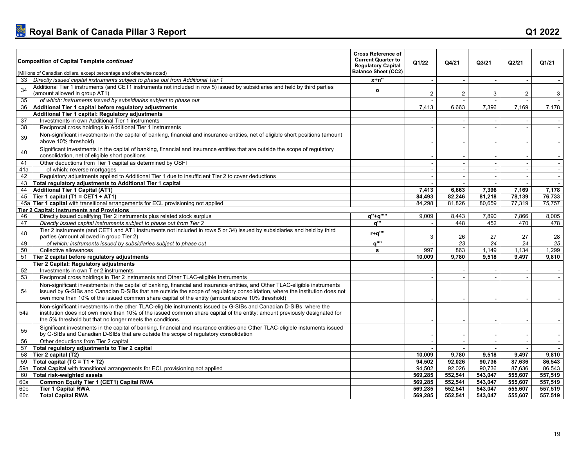| <b>Composition of Capital Template continued</b>                                                                                                                                                                                                                                                                                                                     | <b>Cross Reference of</b><br><b>Current Quarter to</b><br><b>Regulatory Capital</b><br><b>Balance Sheet (CC2)</b> | Q1/22          | Q4/21                    | Q3/21   | Q2/21                    | Q1/21                       |
|----------------------------------------------------------------------------------------------------------------------------------------------------------------------------------------------------------------------------------------------------------------------------------------------------------------------------------------------------------------------|-------------------------------------------------------------------------------------------------------------------|----------------|--------------------------|---------|--------------------------|-----------------------------|
| (Millions of Canadian dollars, except percentage and otherwise noted)                                                                                                                                                                                                                                                                                                |                                                                                                                   |                |                          |         |                          |                             |
| 33 Directly issued capital instruments subject to phase out from Additional Tier 1                                                                                                                                                                                                                                                                                   | $x+n$ "                                                                                                           |                | $\sim$                   | $\sim$  | $\sim$                   |                             |
| Additional Tier 1 instruments (and CET1 instruments not included in row 5) issued by subsidiaries and held by third parties<br>34<br>(amount allowed in group AT1)                                                                                                                                                                                                   | $\mathbf{o}$                                                                                                      | $\overline{2}$ | $\overline{2}$           | 3       | $\overline{2}$           | 3                           |
| of which: instruments issued by subsidiaries subject to phase out<br>35                                                                                                                                                                                                                                                                                              |                                                                                                                   |                |                          |         |                          |                             |
| Additional Tier 1 capital before regulatory adjustments<br>36                                                                                                                                                                                                                                                                                                        |                                                                                                                   | 7,413          | 6,663                    | 7,396   | 7,169                    | 7,178                       |
| Additional Tier 1 capital: Regulatory adjustments                                                                                                                                                                                                                                                                                                                    |                                                                                                                   |                |                          |         |                          |                             |
| Investments in own Additional Tier 1 instruments<br>37                                                                                                                                                                                                                                                                                                               |                                                                                                                   |                |                          |         | $\sim$                   | $\sim$                      |
| Reciprocal cross holdings in Additional Tier 1 instruments<br>38                                                                                                                                                                                                                                                                                                     |                                                                                                                   |                |                          |         |                          |                             |
| Non-significant investments in the capital of banking, financial and insurance entities, net of eligible short positions (amount<br>39<br>above 10% threshold)                                                                                                                                                                                                       |                                                                                                                   |                |                          |         |                          |                             |
| Significant investments in the capital of banking, financial and insurance entities that are outside the scope of regulatory<br>40<br>consolidation, net of eligible short positions                                                                                                                                                                                 |                                                                                                                   |                |                          |         |                          |                             |
| Other deductions from Tier 1 capital as determined by OSFI<br>41                                                                                                                                                                                                                                                                                                     |                                                                                                                   |                |                          |         | $\overline{\phantom{a}}$ |                             |
| 41a<br>of which: reverse mortgages                                                                                                                                                                                                                                                                                                                                   |                                                                                                                   |                |                          | $\sim$  | $\overline{\phantom{a}}$ | $\overline{\phantom{a}}$    |
| 42<br>Regulatory adjustments applied to Additional Tier 1 due to insufficient Tier 2 to cover deductions                                                                                                                                                                                                                                                             |                                                                                                                   |                | $\overline{\phantom{a}}$ | $\sim$  | $\sim$                   | $\sim$                      |
| Total regulatory adjustments to Additional Tier 1 capital<br>43                                                                                                                                                                                                                                                                                                      |                                                                                                                   |                |                          |         | $\overline{a}$           | $\sim$                      |
| <b>Additional Tier 1 Capital (AT1)</b><br>44                                                                                                                                                                                                                                                                                                                         |                                                                                                                   | 7.413          | 6,663                    | 7,396   | 7.169                    | 7,178                       |
| Tier 1 capital (T1 = CET1 + AT1)<br>45                                                                                                                                                                                                                                                                                                                               |                                                                                                                   | 84.493         | 82.246                   | 81.218  | 78.139                   | 76,733                      |
| 45a Tier 1 capital with transitional arrangements for ECL provisioning not applied                                                                                                                                                                                                                                                                                   |                                                                                                                   | 84,298         | 81,826                   | 80,659  | 77,319                   | 75,757                      |
| <b>Tier 2 Capital: Instruments and Provisions</b>                                                                                                                                                                                                                                                                                                                    |                                                                                                                   |                |                          |         |                          |                             |
| Directly issued qualifying Tier 2 instruments plus related stock surplus<br>46                                                                                                                                                                                                                                                                                       | q"+q"""                                                                                                           | 9,009          | 8,443                    | 7,890   | 7.866                    | 8,005                       |
| 47<br>Directly issued capital instruments subject to phase out from Tier 2                                                                                                                                                                                                                                                                                           | a'''                                                                                                              |                | 448                      | 452     | 470                      | 478                         |
| Tier 2 instruments (and CET1 and AT1 instruments not included in rows 5 or 34) issued by subsidiaries and held by third<br>48<br>parties (amount allowed in group Tier 2)                                                                                                                                                                                            | r+a""                                                                                                             | 3              | 26                       | 27      | 27                       | 28                          |
| 49<br>of which: instruments issued by subsidiaries subject to phase out                                                                                                                                                                                                                                                                                              | $\overline{q^{\cdots}}$                                                                                           |                | 23                       | 24      | 24                       | 25                          |
| Collective allowances<br>50                                                                                                                                                                                                                                                                                                                                          | s                                                                                                                 | 997            | 863                      | 1.149   | 1.134                    | 1,299                       |
| Tier 2 capital before regulatory adjustments<br>51                                                                                                                                                                                                                                                                                                                   |                                                                                                                   | 10,009         | 9,780                    | 9,518   | 9,497                    | 9,810                       |
| Tier 2 Capital: Regulatory adjustments                                                                                                                                                                                                                                                                                                                               |                                                                                                                   |                |                          |         |                          |                             |
| 52<br>Investments in own Tier 2 instruments                                                                                                                                                                                                                                                                                                                          |                                                                                                                   |                |                          |         |                          |                             |
| Reciprocal cross holdings in Tier 2 instruments and Other TLAC-eligible Instruments<br>53                                                                                                                                                                                                                                                                            |                                                                                                                   |                |                          |         |                          |                             |
| Non-significant investments in the capital of banking, financial and insurance entities, and Other TLAC-eligible instruments<br>54<br>issued by G-SIBs and Canadian D-SIBs that are outside the scope of regulatory consolidation, where the institution does not<br>own more than 10% of the issued common share capital of the entity (amount above 10% threshold) |                                                                                                                   |                |                          |         |                          |                             |
| Non-significant investments in the other TLAC-eligible instruments issued by G-SIBs and Canadian D-SIBs, where the<br>institution does not own more than 10% of the issued common share capital of the entity: amount previously designated for<br>54a<br>the 5% threshold but that no longer meets the conditions.                                                  |                                                                                                                   |                |                          |         |                          |                             |
| Significant investments in the capital of banking, financial and insurance entities and Other TLAC-eligible instuments issued<br>55<br>by G-SIBs and Canadian D-SIBs that are outside the scope of regulatory consolidation                                                                                                                                          |                                                                                                                   |                |                          |         |                          |                             |
| 56<br>Other deductions from Tier 2 capital                                                                                                                                                                                                                                                                                                                           |                                                                                                                   |                |                          | $\sim$  | $\sim$                   | $\mathcal{L}_{\mathcal{A}}$ |
| 57<br>Total regulatory adjustments to Tier 2 capital                                                                                                                                                                                                                                                                                                                 |                                                                                                                   |                |                          |         |                          |                             |
| 58<br>Tier 2 capital (T2)                                                                                                                                                                                                                                                                                                                                            |                                                                                                                   | 10.009         | 9,780                    | 9,518   | 9.497                    | 9,810                       |
| Total capital (TC = $T1 + T2$ )<br>59                                                                                                                                                                                                                                                                                                                                |                                                                                                                   | 94,502         | 92,026                   | 90,736  | 87,636                   | 86,543                      |
| Total Capital with transitional arrangements for ECL provisioning not applied<br>59a                                                                                                                                                                                                                                                                                 |                                                                                                                   | 94.502         | 92,026                   | 90,736  | 87,636                   | 86,543                      |
| 60<br><b>Total risk-weighted assets</b>                                                                                                                                                                                                                                                                                                                              |                                                                                                                   | 569.285        | 552,541                  | 543.047 | 555.607                  | 557.519                     |
| Common Equity Tier 1 (CET1) Capital RWA<br>60a                                                                                                                                                                                                                                                                                                                       |                                                                                                                   | 569,285        | 552,541                  | 543,047 | 555,607                  | 557,519                     |
| <b>Tier 1 Capital RWA</b><br>60b                                                                                                                                                                                                                                                                                                                                     |                                                                                                                   | 569.285        | 552.541                  | 543.047 | 555.607                  | 557,519                     |
| <b>Total Capital RWA</b><br>60c                                                                                                                                                                                                                                                                                                                                      |                                                                                                                   | 569.285        | 552,541                  | 543.047 | 555,607                  | 557,519                     |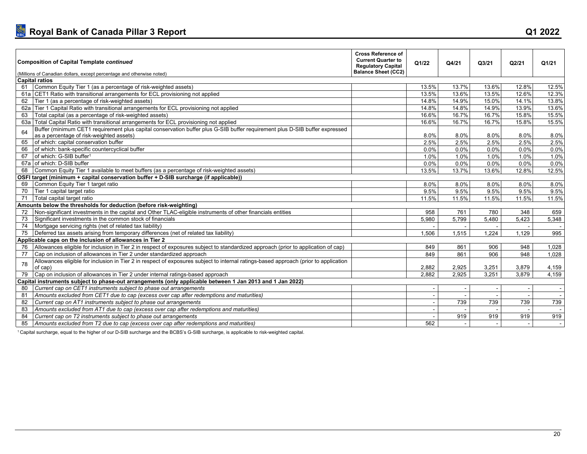| <b>Composition of Capital Template continued</b><br>(Millions of Canadian dollars, except percentage and otherwise noted)                                                     | <b>Cross Reference of</b><br><b>Current Quarter to</b><br><b>Regulatory Capital</b><br><b>Balance Sheet (CC2)</b> | Q1/22    | Q4/21 | Q3/21 | Q2/21   | Q1/21  |
|-------------------------------------------------------------------------------------------------------------------------------------------------------------------------------|-------------------------------------------------------------------------------------------------------------------|----------|-------|-------|---------|--------|
| <b>Capital ratios</b>                                                                                                                                                         |                                                                                                                   |          |       |       |         |        |
| Common Equity Tier 1 (as a percentage of risk-weighted assets)<br>61                                                                                                          |                                                                                                                   | 13.5%    | 13.7% | 13.6% | 12.8%   | 12.5%  |
| 61a CET1 Ratio with transitional arrangements for ECL provisioning not applied                                                                                                |                                                                                                                   | 13.5%    | 13.6% | 13.5% | 12.6%   | 12.3%  |
| Tier 1 (as a percentage of risk-weighted assets)<br>62                                                                                                                        |                                                                                                                   | $14.8\%$ | 14.9% | 15.0% | 14.1%   | 13.8%  |
| Tier 1 Capital Ratio with transitional arrangements for ECL provisioning not applied<br>62a                                                                                   |                                                                                                                   | 14.8%    | 14.8% | 14.9% | 13.9%   | 13.6%  |
| Total capital (as a percentage of risk-weighted assets)<br>63                                                                                                                 |                                                                                                                   | 16.6%    | 16.7% | 16.7% | 15.8%   | 15.5%  |
| Total Capital Ratio with transitional arrangements for ECL provisioning not applied<br>63а                                                                                    |                                                                                                                   | 16.6%    | 16.7% | 16.7% | 15.8%   | 15.5%  |
| Buffer (minimum CET1 requirement plus capital conservation buffer plus G-SIB buffer requirement plus D-SIB buffer expressed<br>64<br>as a percentage of risk-weighted assets) |                                                                                                                   | 8.0%     | 8.0%  | 8.0%  | 8.0%    | 8.0%   |
| of which: capital conservation buffer<br>65                                                                                                                                   |                                                                                                                   | 2.5%     | 2.5%  | 2.5%  | 2.5%    | 2.5%   |
| of which: bank-specific countercyclical buffer<br>66                                                                                                                          |                                                                                                                   | 0.0%     | 0.0%  | 0.0%  | $0.0\%$ | 0.0%   |
| of which: G-SIB buffer <sup>1</sup><br>67                                                                                                                                     |                                                                                                                   | 1.0%     | 1.0%  | 1.0%  | 1.0%    | 1.0%   |
| 67a of which: D-SIB buffer                                                                                                                                                    |                                                                                                                   | 0.0%     | 0.0%  | 0.0%  | 0.0%    | 0.0%   |
| Common Equity Tier 1 available to meet buffers (as a percentage of risk-weighted assets)<br>68                                                                                |                                                                                                                   | 13.5%    | 13.7% | 13.6% | 12.8%   | 12.5%  |
| OSFI target (minimum + capital conservation buffer + D-SIB surcharge (if applicable))                                                                                         |                                                                                                                   |          |       |       |         |        |
| Common Equity Tier 1 target ratio<br>69                                                                                                                                       |                                                                                                                   | 8.0%     | 8.0%  | 8.0%  | 8.0%    | 8.0%   |
| Tier 1 capital target ratio<br>70                                                                                                                                             |                                                                                                                   | 9.5%     | 9.5%  | 9.5%  | 9.5%    | 9.5%   |
| Total capital target ratio<br>71                                                                                                                                              |                                                                                                                   | 11.5%    | 11.5% | 11.5% | 11.5%   | 11.5%  |
| Amounts below the thresholds for deduction (before risk-weighting)                                                                                                            |                                                                                                                   |          |       |       |         |        |
| Non-significant investments in the capital and Other TLAC-eligible instruments of other financials entities<br>72                                                             |                                                                                                                   | 958      | 761   | 780   | 348     | 659    |
| Significant investments in the common stock of financials<br>73                                                                                                               |                                                                                                                   | 5.980    | 5,799 | 5,480 | 5.423   | 5,348  |
| Mortgage servicing rights (net of related tax liability)<br>74                                                                                                                |                                                                                                                   |          |       |       |         |        |
| Deferred tax assets arising from temporary differences (net of related tax liability)<br>75                                                                                   |                                                                                                                   | 1,506    | 1,515 | 1,224 | 1.129   | 995    |
| Applicable caps on the inclusion of allowances in Tier 2                                                                                                                      |                                                                                                                   |          |       |       |         |        |
| Allowances eligible for inclusion in Tier 2 in respect of exposures subject to standardized approach (prior to application of cap)<br>76                                      |                                                                                                                   | 849      | 861   | 906   | 948     | 1,028  |
| Cap on inclusion of allowances in Tier 2 under standardized approach<br>77                                                                                                    |                                                                                                                   | 849      | 861   | 906   | 948     | 1,028  |
| Allowances eligible for inclusion in Tier 2 in respect of exposures subject to internal ratings-based approach (prior to application<br>78<br>of cap)                         |                                                                                                                   | 2,882    | 2,925 | 3,251 | 3,879   | 4,159  |
| Cap on inclusion of allowances in Tier 2 under internal ratings-based approach<br>79                                                                                          |                                                                                                                   | 2,882    | 2,925 | 3,251 | 3,879   | 4,159  |
| Capital instruments subject to phase-out arrangements (only applicable between 1 Jan 2013 and 1 Jan 2022)                                                                     |                                                                                                                   |          |       |       |         |        |
| Current cap on CET1 instruments subject to phase out arrangements<br>80                                                                                                       |                                                                                                                   |          |       |       |         |        |
| Amounts excluded from CET1 due to cap (excess over cap after redemptions and maturities)<br>81                                                                                |                                                                                                                   |          |       |       |         | $\sim$ |
| Current cap on AT1 instruments subject to phase out arrangements<br>82                                                                                                        |                                                                                                                   |          | 739   | 739   | 739     | 739    |
| Amounts excluded from AT1 due to cap (excess over cap after redemptions and maturities)<br>83                                                                                 |                                                                                                                   |          |       |       |         |        |
| Current cap on T2 instruments subject to phase out arrangements<br>84                                                                                                         |                                                                                                                   |          | 919   | 919   | 919     | 919    |
| Amounts excluded from T2 due to cap (excess over cap after redemptions and maturities)<br>85                                                                                  |                                                                                                                   | 562      |       |       |         |        |

1 Capital surcharge, equal to the higher of our D-SIB surcharge and the BCBS's G-SIB surcharge, is applicable to risk-weighted capital.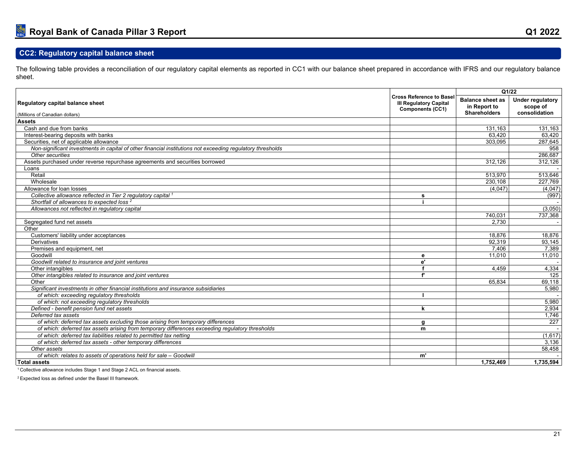## **CC2: Regulatory capital balance sheet**

The following table provides a reconciliation of our regulatory capital elements as reported in CC1 with our balance sheet prepared in accordance with IFRS and our regulatory balance sheet.

<span id="page-23-0"></span>

|                                                                                                            |                                                                                             | Q1/22                                                          |                                                      |  |  |
|------------------------------------------------------------------------------------------------------------|---------------------------------------------------------------------------------------------|----------------------------------------------------------------|------------------------------------------------------|--|--|
| Regulatory capital balance sheet<br>(Millions of Canadian dollars)                                         | <b>Cross Reference to Basel</b><br><b>III Regulatory Capital</b><br><b>Components (CC1)</b> | <b>Balance sheet as</b><br>in Report to<br><b>Shareholders</b> | <b>Under regulatory</b><br>scope of<br>consolidation |  |  |
| <b>Assets</b>                                                                                              |                                                                                             |                                                                |                                                      |  |  |
| Cash and due from banks                                                                                    |                                                                                             | 131.163                                                        | 131,163                                              |  |  |
| Interest-bearing deposits with banks                                                                       |                                                                                             | 63.420                                                         | 63.420                                               |  |  |
| Securities, net of applicable allowance                                                                    |                                                                                             | 303,095                                                        | 287,645                                              |  |  |
| Non-significant investments in capital of other financial institutions not exceeding regulatory thresholds |                                                                                             |                                                                | 958                                                  |  |  |
| Other securities                                                                                           |                                                                                             |                                                                | 286,687                                              |  |  |
| Assets purchased under reverse repurchase agreements and securities borrowed                               |                                                                                             | 312.126                                                        | 312.126                                              |  |  |
| Loans                                                                                                      |                                                                                             |                                                                |                                                      |  |  |
| Retail                                                                                                     |                                                                                             | 513.970                                                        | 513,646                                              |  |  |
| Wholesale                                                                                                  |                                                                                             | 230,108                                                        | 227,769                                              |  |  |
| Allowance for loan losses                                                                                  |                                                                                             | (4,047)                                                        | (4,047)                                              |  |  |
| Collective allowance reflected in Tier 2 regulatory capital 1                                              | s                                                                                           |                                                                | (997)                                                |  |  |
| Shortfall of allowances to expected loss <sup>2</sup>                                                      |                                                                                             |                                                                |                                                      |  |  |
| Allowances not reflected in requlatory capital                                                             |                                                                                             |                                                                | (3,050)                                              |  |  |
|                                                                                                            |                                                                                             | 740,031                                                        | 737,368                                              |  |  |
| Segregated fund net assets                                                                                 |                                                                                             | 2.730                                                          |                                                      |  |  |
| Other                                                                                                      |                                                                                             |                                                                |                                                      |  |  |
| Customers' liability under acceptances                                                                     |                                                                                             | 18.876                                                         | 18,876                                               |  |  |
| <b>Derivatives</b>                                                                                         |                                                                                             | 92.319                                                         | 93,145                                               |  |  |
| Premises and equipment, net                                                                                |                                                                                             | 7.406                                                          | 7,389                                                |  |  |
| Goodwill                                                                                                   | е                                                                                           | 11,010                                                         | 11,010                                               |  |  |
| Goodwill related to insurance and joint ventures                                                           | e'                                                                                          |                                                                |                                                      |  |  |
| Other intangibles                                                                                          |                                                                                             | 4.459                                                          | 4,334                                                |  |  |
| Other intangibles related to insurance and joint ventures                                                  | f                                                                                           |                                                                | 125                                                  |  |  |
| Other                                                                                                      |                                                                                             | 65,834                                                         | 69,118                                               |  |  |
| Significant investments in other financial institutions and insurance subsidiaries                         |                                                                                             |                                                                | 5,980                                                |  |  |
| of which: exceeding regulatory thresholds                                                                  |                                                                                             |                                                                |                                                      |  |  |
| of which: not exceeding regulatory thresholds                                                              |                                                                                             |                                                                | 5,980                                                |  |  |
| Defined - benefit pension fund net assets                                                                  | k                                                                                           |                                                                | 2,934                                                |  |  |
| Deferred tax assets                                                                                        |                                                                                             |                                                                | 1,746                                                |  |  |
| of which: deferred tax assets excluding those arising from temporary differences                           | q                                                                                           |                                                                | 227                                                  |  |  |
| of which: deferred tax assets arising from temporary differences exceeding regulatory thresholds           | m                                                                                           |                                                                |                                                      |  |  |
| of which: deferred tax liabilities related to permitted tax netting                                        |                                                                                             |                                                                | (1,617)                                              |  |  |
| of which: deferred tax assets - other temporary differences                                                |                                                                                             |                                                                | 3,136                                                |  |  |
| Other assets                                                                                               |                                                                                             |                                                                | 58,458                                               |  |  |
| of which: relates to assets of operations held for sale - Goodwill                                         | m'                                                                                          |                                                                |                                                      |  |  |
| <b>Total assets</b>                                                                                        |                                                                                             | 1.752.469                                                      | 1,735,594                                            |  |  |

<sup>1</sup> Collective allowance includes Stage 1 and Stage 2 ACL on financial assets.

2 Expected loss as defined under the Basel III framework.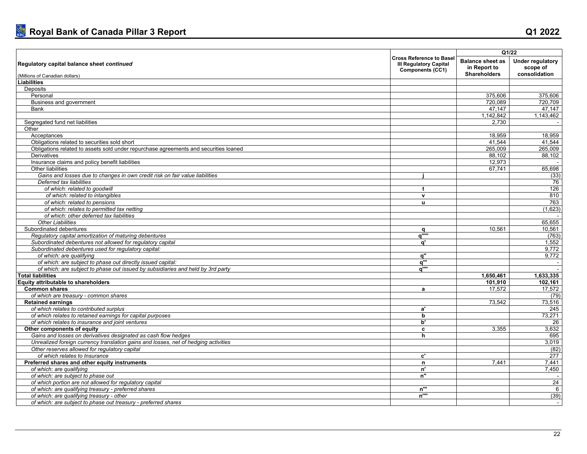|                                                                                      |                                                                                             |                                                                | Q1/22                                                |
|--------------------------------------------------------------------------------------|---------------------------------------------------------------------------------------------|----------------------------------------------------------------|------------------------------------------------------|
| Regulatory capital balance sheet continued<br>(Millions of Canadian dollars)         | <b>Cross Reference to Basel</b><br><b>III Regulatory Capital</b><br><b>Components (CC1)</b> | <b>Balance sheet as</b><br>in Report to<br><b>Shareholders</b> | <b>Under regulatory</b><br>scope of<br>consolidation |
| <b>Liabilities</b>                                                                   |                                                                                             |                                                                |                                                      |
| Deposits                                                                             |                                                                                             |                                                                |                                                      |
| Personal                                                                             |                                                                                             | 375.606                                                        | 375,606                                              |
| Business and government                                                              |                                                                                             | 720,089                                                        | 720,709                                              |
| Bank                                                                                 |                                                                                             | 47.147                                                         | 47.147                                               |
|                                                                                      |                                                                                             | 1,142,842                                                      | 1,143,462                                            |
| Segregated fund net liabilities                                                      |                                                                                             | 2,730                                                          | $\sim$                                               |
| Other                                                                                |                                                                                             |                                                                |                                                      |
| Acceptances                                                                          |                                                                                             | 18,959                                                         | 18,959                                               |
| Obligations related to securities sold short                                         |                                                                                             | 41,544                                                         | 41,544                                               |
| Obligations related to assets sold under repurchase agreements and securities loaned |                                                                                             | 265.009                                                        | 265,009                                              |
| <b>Derivatives</b>                                                                   |                                                                                             | 88.102                                                         | 88,102                                               |
| Insurance claims and policy benefit liabilities                                      |                                                                                             | 12,973                                                         |                                                      |
| Other liabilities                                                                    |                                                                                             | 67,741                                                         | 65,698                                               |
| Gains and losses due to changes in own credit risk on fair value liabilities         |                                                                                             |                                                                | (33)                                                 |
| Deferred tax liabilities                                                             |                                                                                             |                                                                | 76                                                   |
| of which: related to goodwill                                                        | $\mathbf{f}$                                                                                |                                                                | 126                                                  |
| of which: related to intangibles                                                     | $\mathbf v$                                                                                 |                                                                | 810                                                  |
| of which: related to pensions                                                        | u                                                                                           |                                                                | 763                                                  |
| of which: relates to permitted tax netting                                           |                                                                                             |                                                                | (1,623)                                              |
| of which: other deferred tax liabilities                                             |                                                                                             |                                                                |                                                      |
| <b>Other Liabilities</b>                                                             |                                                                                             |                                                                | 65,655                                               |
| Subordinated debentures                                                              | a                                                                                           | 10.561                                                         | 10,561                                               |
| Regulatory capital amortization of maturing debentures                               | a"""                                                                                        |                                                                | (763)                                                |
| Subordinated debentures not allowed for regulatory capital                           | ď                                                                                           |                                                                | 1,552                                                |
| Subordinated debentures used for regulatory capital:                                 |                                                                                             |                                                                | 9,772                                                |
| of which: are qualifying                                                             |                                                                                             |                                                                | 9,772                                                |
| of which: are subject to phase out directly issued capital:                          | q"<br>a'''                                                                                  |                                                                |                                                      |
| of which: are subject to phase out issued by subsidiaries and held by 3rd party      | a''"                                                                                        |                                                                |                                                      |
| <b>Total liabilities</b>                                                             |                                                                                             | 1,650,461                                                      | 1,633,335                                            |
|                                                                                      |                                                                                             | 101.910                                                        |                                                      |
| Equity attributable to shareholders<br><b>Common shares</b>                          |                                                                                             | 17,572                                                         | 102,161<br>17,572                                    |
|                                                                                      | a                                                                                           |                                                                |                                                      |
| of which are treasury - common shares                                                |                                                                                             |                                                                | (79)                                                 |
| <b>Retained earnings</b>                                                             |                                                                                             | 73,542                                                         | 73,516                                               |
| of which relates to contributed surplus                                              | a'                                                                                          |                                                                | 245                                                  |
| of which relates to retained earnings for capital purposes                           | b<br>b'                                                                                     |                                                                | 73,271                                               |
| of which relates to insurance and joint ventures                                     |                                                                                             |                                                                | 26                                                   |
| Other components of equity                                                           | c                                                                                           | 3,355                                                          | 3,632                                                |
| Gains and losses on derivatives designated as cash flow hedges                       | h                                                                                           |                                                                | 695                                                  |
| Unrealized foreign currency translation gains and losses, net of hedging activities  |                                                                                             |                                                                | 3.019                                                |
| Other reserves allowed for regulatory capital                                        |                                                                                             |                                                                | (82)                                                 |
| of which relates to Insurance                                                        | c'                                                                                          |                                                                | 277                                                  |
| Preferred shares and other equity instruments                                        | n                                                                                           | 7.441                                                          | 7.441                                                |
| of which: are qualifying                                                             | n'                                                                                          |                                                                | 7,450                                                |
| of which: are subject to phase out                                                   | n''                                                                                         |                                                                |                                                      |
| of which portion are not allowed for regulatory capital                              |                                                                                             |                                                                | 24                                                   |
| of which: are qualifying treasury - preferred shares                                 | n'"<br>$n^{\text{uu}}$                                                                      |                                                                | 6                                                    |
| of which: are qualifying treasury - other                                            |                                                                                             |                                                                | (39)                                                 |
| of which: are subject to phase out treasury - preferred shares                       |                                                                                             |                                                                | $\sim$                                               |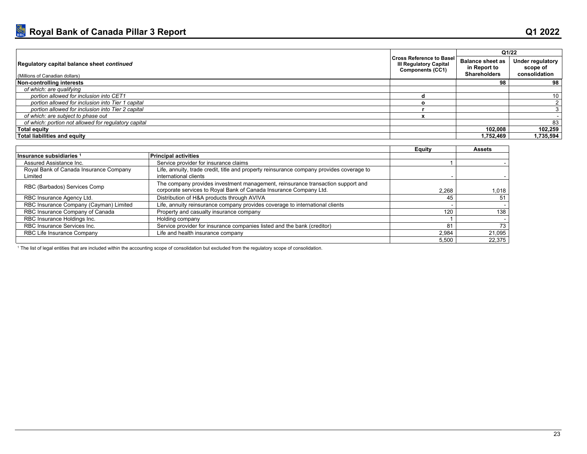|                                                                              |                                                   |                                                                | Q1/22                                         |
|------------------------------------------------------------------------------|---------------------------------------------------|----------------------------------------------------------------|-----------------------------------------------|
| Regulatory capital balance sheet continued<br>(Millions of Canadian dollars) | III Regulatory Capital<br><b>Components (CC1)</b> | <b>Balance sheet as</b><br>in Report to<br><b>Shareholders</b> | Under regulatory<br>scope of<br>consolidation |
| Non-controlling interests                                                    |                                                   | 98                                                             | 98                                            |
| of which: are qualifying                                                     |                                                   |                                                                |                                               |
| portion allowed for inclusion into CET1                                      |                                                   |                                                                |                                               |
| portion allowed for inclusion into Tier 1 capital                            |                                                   |                                                                |                                               |
| portion allowed for inclusion into Tier 2 capital                            |                                                   |                                                                |                                               |
| of which: are subject to phase out                                           |                                                   |                                                                |                                               |
| of which: portion not allowed for regulatory capital                         |                                                   |                                                                | 83                                            |
| Total equity                                                                 |                                                   | 102.008                                                        | 102,259                                       |
| Total liabilities and equity                                                 |                                                   | 1,752,469                                                      | 1.735.594                                     |

|                                                   |                                                                                                                                                      | <b>Equity</b> | <b>Assets</b> |
|---------------------------------------------------|------------------------------------------------------------------------------------------------------------------------------------------------------|---------------|---------------|
| Insurance subsidiaries 1                          | <b>Principal activities</b>                                                                                                                          |               |               |
| Assured Assistance Inc.                           | Service provider for insurance claims                                                                                                                |               |               |
| Royal Bank of Canada Insurance Company<br>Limited | Life, annuity, trade credit, title and property reinsurance company provides coverage to<br>international clients                                    |               |               |
| RBC (Barbados) Services Comp                      | The company provides investment management, reinsurance transaction support and<br>corporate services to Royal Bank of Canada Insurance Company Ltd. | 2.268         | 1.018         |
| RBC Insurance Agency Ltd.                         | Distribution of H&A products through AVIVA                                                                                                           | 45            | 51            |
| RBC Insurance Company (Cayman) Limited            | Life, annuity reinsurance company provides coverage to international clients                                                                         |               |               |
| RBC Insurance Company of Canada                   | Property and casualty insurance company                                                                                                              | 120           | 138           |
| RBC Insurance Holdings Inc.                       | Holding company                                                                                                                                      |               |               |
| RBC Insurance Services Inc.                       | Service provider for insurance companies listed and the bank (creditor)                                                                              | 81            | 73            |
| RBC Life Insurance Company                        | Life and health insurance company                                                                                                                    | 2.984         | 21.095        |
|                                                   |                                                                                                                                                      | 5,500         | 22.375        |

1 The list of legal entities that are included within the accounting scope of consolidation but excluded from the regulatory scope of consolidation.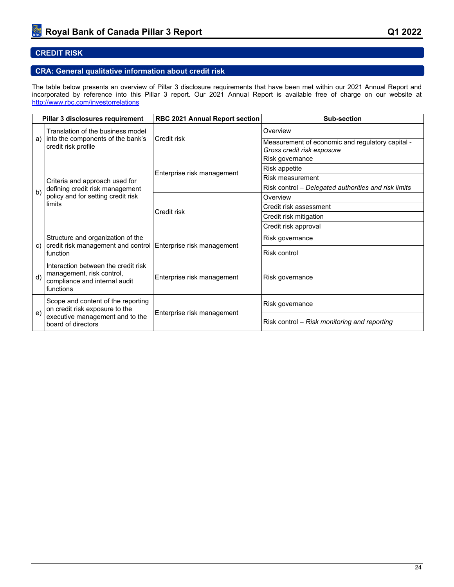## <span id="page-26-0"></span>**CREDIT RISK**

## <span id="page-26-1"></span>**CRA: General qualitative information about credit risk**

The table below presents an overview of Pillar 3 disclosure requirements that have been met within our 2021 Annual Report and incorporated by reference into this Pillar 3 report. Our 2021 Annual Report is available free of charge on our website at <http://www.rbc.com/investorrelations>

|              | Pillar 3 disclosures requirement                                                                               | RBC 2021 Annual Report section | Sub-section                                                                    |  |
|--------------|----------------------------------------------------------------------------------------------------------------|--------------------------------|--------------------------------------------------------------------------------|--|
|              | Translation of the business model                                                                              |                                | Overview                                                                       |  |
| a)           | into the components of the bank's<br>credit risk profile                                                       | Credit risk                    | Measurement of economic and regulatory capital -<br>Gross credit risk exposure |  |
|              |                                                                                                                |                                | Risk governance                                                                |  |
|              |                                                                                                                |                                | Risk appetite                                                                  |  |
|              | Criteria and approach used for                                                                                 | Enterprise risk management     | Risk measurement                                                               |  |
| b)           | defining credit risk management                                                                                |                                | Risk control - Delegated authorities and risk limits                           |  |
|              | policy and for setting credit risk                                                                             |                                | Overview                                                                       |  |
|              | limits                                                                                                         | Credit risk                    | Credit risk assessment                                                         |  |
|              |                                                                                                                |                                | Credit risk mitigation                                                         |  |
|              |                                                                                                                |                                | Credit risk approval                                                           |  |
| C)           | Structure and organization of the<br>credit risk management and control                                        | Enterprise risk management     | Risk governance                                                                |  |
|              | function                                                                                                       |                                | Risk control                                                                   |  |
| $\mathsf{d}$ | Interaction between the credit risk<br>management, risk control,<br>compliance and internal audit<br>functions | Enterprise risk management     | Risk governance                                                                |  |
| $\epsilon$   | Scope and content of the reporting<br>on credit risk exposure to the                                           | Enterprise risk management     | Risk governance                                                                |  |
|              | executive management and to the<br>board of directors                                                          |                                | Risk control – Risk monitoring and reporting                                   |  |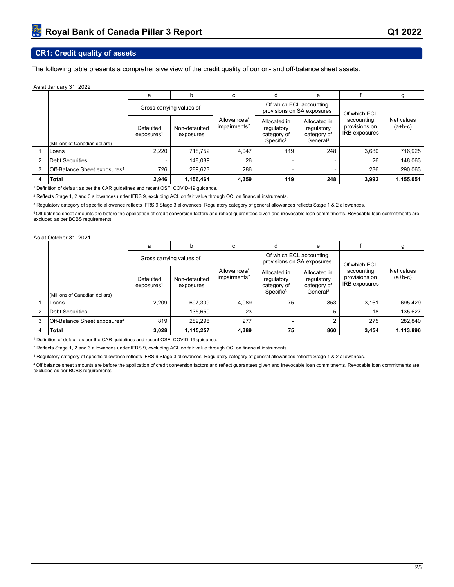## <span id="page-27-0"></span>**CR1: Credit quality of assets**

The following table presents a comprehensive view of the credit quality of our on- and off-balance sheet assets.

#### As at January 31, 2022

|                |                                          | a                                   | b                          | c                                       | d                                                                  | e                                                                 |                                              | g                       |
|----------------|------------------------------------------|-------------------------------------|----------------------------|-----------------------------------------|--------------------------------------------------------------------|-------------------------------------------------------------------|----------------------------------------------|-------------------------|
|                |                                          |                                     | Gross carrying values of   |                                         |                                                                    | Of which ECL accounting<br>provisions on SA exposures             | Of which ECL                                 |                         |
|                | (Millions of Canadian dollars)           | Defaulted<br>exposures <sup>1</sup> | Non-defaulted<br>exposures | Allowances/<br>impairments <sup>2</sup> | Allocated in<br>regulatory<br>category of<br>Specific <sup>3</sup> | Allocated in<br>regulatory<br>category of<br>General <sup>3</sup> | accounting<br>provisions on<br>IRB exposures | Net values<br>$(a+b-c)$ |
|                | Loans                                    | 2.220                               | 718,752                    | 4.047                                   | 119                                                                | 248                                                               | 3.680                                        | 716,925                 |
| $\overline{2}$ | <b>Debt Securities</b>                   |                                     | 148,089                    | 26                                      |                                                                    |                                                                   | 26                                           | 148,063                 |
| 3              | Off-Balance Sheet exposures <sup>4</sup> | 726                                 | 289,623                    | 286                                     |                                                                    |                                                                   | 286                                          | 290,063                 |
| 4              | <b>Total</b>                             | 2,946                               | 1,156,464                  | 4,359                                   | 119                                                                | 248                                                               | 3,992                                        | 1,155,051               |

1 Definition of default as per the CAR guidelines and recent OSFI COVID-19 guidance.

 $^{\rm 2}$  Reflects Stage 1, 2 and 3 allowances under IFRS 9, excluding ACL on fair value through OCI on financial instruments.

 $^{\rm 3}$  Regulatory category of specific allowance reflects IFRS 9 Stage 3 allowances. Regulatory category of general allowances reflects Stage 1 & 2 allowances.

<sup>4</sup>Off balance sheet amounts are before the application of credit conversion factors and reflect guarantees given and irrevocable loan commitments. Revocable loan commitments are excluded as per BCBS requirements.

#### As at October 31, 2021

|   |                                          | a                                   | b                          | c                                       | d                                                            | e                                                                 |                                              |                         |
|---|------------------------------------------|-------------------------------------|----------------------------|-----------------------------------------|--------------------------------------------------------------|-------------------------------------------------------------------|----------------------------------------------|-------------------------|
|   |                                          | Gross carrying values of            |                            |                                         |                                                              | Of which ECL accounting<br>provisions on SA exposures             | Of which ECL                                 |                         |
|   | (Millions of Canadian dollars)           | Defaulted<br>exposures <sup>1</sup> | Non-defaulted<br>exposures | Allowances/<br>impairments <sup>2</sup> | Allocated in<br>regulatory<br>category of<br>$S$ pecific $3$ | Allocated in<br>regulatory<br>category of<br>General <sup>3</sup> | accounting<br>provisions on<br>IRB exposures | Net values<br>$(a+b-c)$ |
|   | Loans                                    | 2.209                               | 697,309                    | 4.089                                   | 75                                                           | 853                                                               | 3.161                                        | 695,429                 |
| 2 | <b>Debt Securities</b>                   |                                     | 135.650                    | 23                                      |                                                              |                                                                   | 18                                           | 135.627                 |
| 3 | Off-Balance Sheet exposures <sup>4</sup> | 819                                 | 282,298                    | 277                                     | -                                                            |                                                                   | 275                                          | 282.840                 |
| 4 | <b>Total</b>                             | 3,028                               | 1,115,257                  | 4,389                                   | 75                                                           | 860                                                               | 3.454                                        | 1,113,896               |

1 Definition of default as per the CAR guidelines and recent OSFI COVID-19 guidance.

2 Reflects Stage 1, 2 and 3 allowances under IFRS 9, excluding ACL on fair value through OCI on financial instruments.

 $^{\rm 3}$  Regulatory category of specific allowance reflects IFRS 9 Stage 3 allowances. Regulatory category of general allowances reflects Stage 1 & 2 allowances.

<sup>4</sup>Off balance sheet amounts are before the application of credit conversion factors and reflect guarantees given and irrevocable loan commitments. Revocable loan commitments are excluded as per BCBS requirements.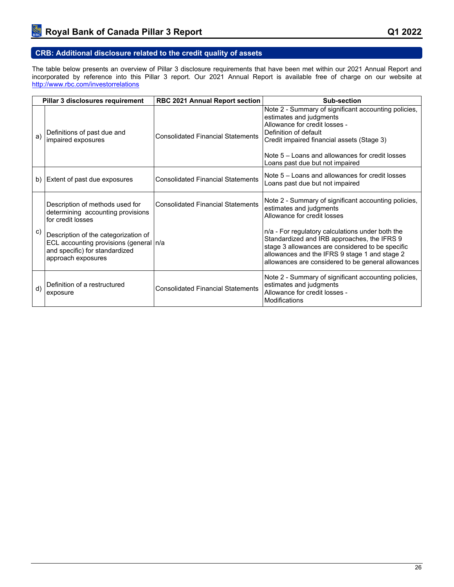<span id="page-28-0"></span>The table below presents an overview of Pillar 3 disclosure requirements that have been met within our 2021 Annual Report and incorporated by reference into this Pillar 3 report. Our 2021 Annual Report is available free of charge on our website at <http://www.rbc.com/investorrelations>

| Pillar 3 disclosures requirement |                                                                                                                                          | <b>RBC 2021 Annual Report section</b>    | Sub-section                                                                                                                                                                                                                                                                      |  |
|----------------------------------|------------------------------------------------------------------------------------------------------------------------------------------|------------------------------------------|----------------------------------------------------------------------------------------------------------------------------------------------------------------------------------------------------------------------------------------------------------------------------------|--|
| a)                               | Definitions of past due and<br>impaired exposures                                                                                        | <b>Consolidated Financial Statements</b> | Note 2 - Summary of significant accounting policies,<br>estimates and judgments<br>Allowance for credit losses -<br>Definition of default<br>Credit impaired financial assets (Stage 3)<br>Note $5 - 1$ pans and allowances for credit losses<br>Loans past due but not impaired |  |
| b)                               | Extent of past due exposures                                                                                                             | <b>Consolidated Financial Statements</b> | Note 5 – Loans and allowances for credit losses<br>Loans past due but not impaired                                                                                                                                                                                               |  |
|                                  | Description of methods used for<br>determining accounting provisions<br>for credit losses                                                | <b>Consolidated Financial Statements</b> | Note 2 - Summary of significant accounting policies,<br>estimates and judgments<br>Allowance for credit losses                                                                                                                                                                   |  |
| C)                               | Description of the categorization of<br>ECL accounting provisions (general   n/a<br>and specific) for standardized<br>approach exposures |                                          | n/a - For regulatory calculations under both the<br>Standardized and IRB approaches, the IFRS 9<br>stage 3 allowances are considered to be specific<br>allowances and the IFRS 9 stage 1 and stage 2<br>allowances are considered to be general allowances                       |  |
| d)                               | Definition of a restructured<br>exposure                                                                                                 | <b>Consolidated Financial Statements</b> | Note 2 - Summary of significant accounting policies,<br>estimates and judgments<br>Allowance for credit losses -<br>Modifications                                                                                                                                                |  |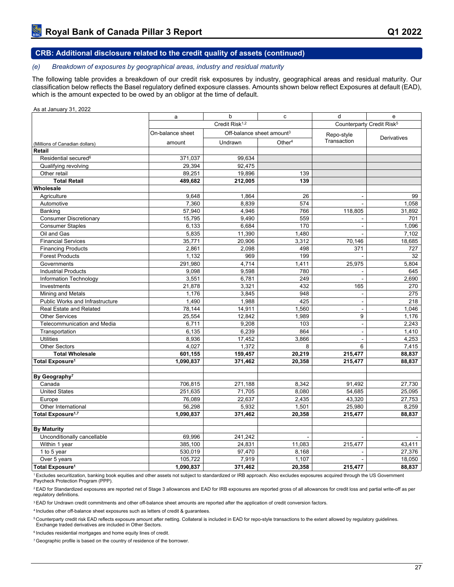#### *(e) Breakdown of exposures by geographical areas, industry and residual maturity*

The following table provides a breakdown of our credit risk exposures by industry, geographical areas and residual maturity. Our classification below reflects the Basel regulatory defined exposure classes. Amounts shown below reflect Exposures at default (EAD), which is the amount expected to be owed by an obligor at the time of default.

#### As at January 31, 2022

|                                                         | a                          | b                                     | c                  | d                                     | e              |
|---------------------------------------------------------|----------------------------|---------------------------------------|--------------------|---------------------------------------|----------------|
|                                                         | Credit Risk <sup>1,2</sup> |                                       |                    | Counterparty Credit Risk <sup>5</sup> |                |
|                                                         | On-balance sheet           | Off-balance sheet amount <sup>3</sup> |                    | Repo-style                            |                |
| (Millions of Canadian dollars)                          | amount                     | Undrawn                               | Other <sup>4</sup> | Transaction                           | Derivatives    |
| Retail                                                  |                            |                                       |                    |                                       |                |
| Residential secured <sup>6</sup>                        | 371,037                    | 99,634                                |                    |                                       |                |
| Qualifying revolving                                    | 29,394                     | 92,475                                |                    |                                       |                |
| Other retail                                            | 89,251                     | 19,896                                | 139                |                                       |                |
| <b>Total Retail</b>                                     | 489,682                    | 212,005                               | 139                |                                       |                |
| Wholesale                                               |                            |                                       |                    |                                       |                |
| Agriculture                                             | 9,648                      | 1,864                                 | 26                 | ä,                                    | 99             |
| Automotive                                              | 7,360                      | 8,839                                 | 574                |                                       | 1,058          |
| Banking                                                 | 57,940                     | 4,946                                 | 766                | 118,805                               | 31,892         |
| <b>Consumer Discretionary</b>                           | 15,795                     | 9,490                                 | 559                | $\overline{a}$                        | 701            |
| <b>Consumer Staples</b>                                 | 6,133                      | 6.684                                 | 170                | ÷,                                    | 1.096          |
| Oil and Gas                                             | 5,835                      | 11,390                                | 1,480              |                                       | 7,102          |
| <b>Financial Services</b>                               | 35,771                     | 20,906                                | 3,312              | 70,146                                | 18,685         |
| <b>Financing Products</b>                               | 2,861                      | 2,098                                 | 498                | 371                                   | 727            |
| <b>Forest Products</b>                                  | 1,132                      | 969                                   | 199                |                                       | 32             |
| Governments                                             | 291,980                    | 4,714                                 | 1,411              | 25,975                                | 5,804          |
| <b>Industrial Products</b>                              | 9,098                      | 9,598                                 | 780                | ÷                                     | 645            |
| <b>Information Technology</b>                           | 3,551                      | 6,781                                 | 249                | ä,                                    | 2,690          |
| Investments                                             | 21,878                     | 3,321                                 | 432                | 165                                   | 270            |
| Mining and Metals                                       | 1,176                      | 3.845                                 | 948                | ÷,                                    | 275            |
| <b>Public Works and Infrastructure</b>                  | 1,490                      | 1,988                                 | 425                | ÷,                                    | 218            |
| <b>Real Estate and Related</b><br><b>Other Services</b> | 78,144                     | 14,911                                | 1,560              | $\overline{a}$<br>9                   | 1,046          |
| Telecommunication and Media                             | 25,554                     | 12,842<br>9,208                       | 1,989<br>103       | ÷,                                    | 1,176<br>2,243 |
| Transportation                                          | 6,711<br>6,135             | 6.239                                 | 864                | $\overline{a}$                        | 1,410          |
| <b>Utilities</b>                                        | 8,936                      | 17,452                                | 3,866              | $\overline{a}$                        | 4,253          |
| <b>Other Sectors</b>                                    | 4,027                      | 1,372                                 | 8                  | 6                                     | 7,415          |
| <b>Total Wholesale</b>                                  | 601,155                    | 159,457                               | 20,219             | 215,477                               | 88,837         |
| Total Exposure <sup>1</sup>                             | 1,090,837                  | 371,462                               | 20,358             | 215,477                               | 88,837         |
|                                                         |                            |                                       |                    |                                       |                |
| By Geography <sup>7</sup>                               |                            |                                       |                    |                                       |                |
| Canada                                                  | 706,815                    | 271,188                               | 8.342              | 91,492                                | 27,730         |
| <b>United States</b>                                    | 251,635                    | 71,705                                | 8,080              | 54,685                                | 25,095         |
| Europe                                                  | 76.089                     | 22,637                                | 2.435              | 43,320                                | 27,753         |
| Other International                                     | 56,298                     | 5,932                                 | 1,501              | 25,980                                | 8,259          |
| Total Exposure <sup>1,7</sup>                           | 1,090,837                  | 371,462                               | 20,358             | 215,477                               | 88,837         |
|                                                         |                            |                                       |                    |                                       |                |
| <b>By Maturity</b>                                      |                            |                                       |                    |                                       |                |
| Unconditionally cancellable                             | 69,996                     | 241.242                               | $\blacksquare$     | $\overline{a}$                        | $\mathbf{r}$   |
| Within 1 year                                           | 385,100                    | 24,831                                | 11,083             | 215,477                               | 43,411         |
| 1 to 5 year                                             | 530,019                    | 97,470                                | 8,168              |                                       | 27,376         |
| Over 5 years                                            | 105,722                    | 7,919                                 | 1,107              | L,                                    | 18,050         |
| Total Exposure <sup>1</sup>                             | 1,090,837                  | 371,462                               | 20,358             | 215,477                               | 88,837         |

<sup>1</sup>Excludes securitization, banking book equities and other assets not subject to standardized or IRB approach. Also excludes exposures acquired through the US Government Paycheck Protection Program (PPP).

<sup>2</sup> EAD for Standardized exposures are reported net of Stage 3 allowances and EAD for IRB exposures are reported gross of all allowances for credit loss and partial write-off as per regulatory definitions.

<sup>3</sup> EAD for Undrawn credit commitments and other off-balance sheet amounts are reported after the application of credit conversion factors.

<sup>4</sup>Includes other off-balance sheet exposures such as letters of credit & guarantees.

<sup>5</sup>Counterparty credit risk EAD reflects exposure amount after netting. Collateral is included in EAD for repo-style transactions to the extent allowed by regulatory guidelines. Exchange traded derivatives are included in Other Sectors.

 $6$  Includes residential mortgages and home equity lines of credit.

<sup>7</sup> Geographic profile is based on the country of residence of the borrower.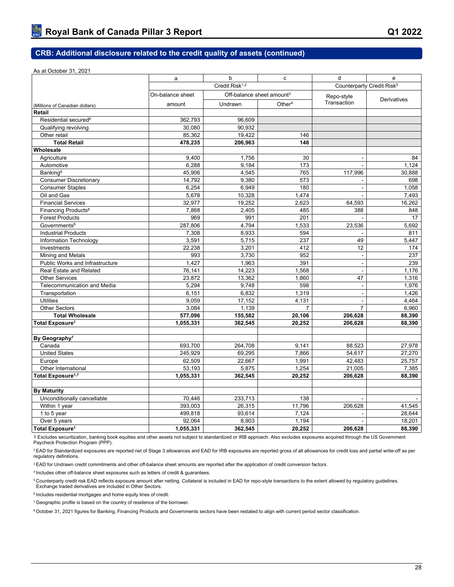#### As at October 31, 2021

|                                                             | a                | b                                     | c              | d                                     | e           |
|-------------------------------------------------------------|------------------|---------------------------------------|----------------|---------------------------------------|-------------|
|                                                             |                  | Credit Risk <sup>1,2</sup>            |                | Counterparty Credit Risk <sup>5</sup> |             |
|                                                             | On-balance sheet | Off-balance sheet amount <sup>3</sup> |                | Repo-style                            | Derivatives |
| (Millions of Canadian dollars)                              | amount           | Undrawn                               | Other $4$      | Transaction                           |             |
| Retail                                                      |                  |                                       |                |                                       |             |
| Residential secured <sup>6</sup>                            | 362,793          | 96,609                                |                |                                       |             |
| Qualifying revolving                                        | 30,080           | 90,932                                |                |                                       |             |
| Other retail                                                | 85,362           | 19,422                                | 146            |                                       |             |
| <b>Total Retail</b>                                         | 478,235          | 206,963                               | 146            |                                       |             |
| Wholesale                                                   |                  |                                       |                |                                       |             |
| Agriculture                                                 | 9,400            | 1,756                                 | 30             | $\overline{\phantom{a}}$              | 84          |
| Automotive                                                  | 6,288            | 9,184                                 | 173            |                                       | 1.124       |
| Banking <sup>8</sup>                                        | 45,906           | 4,545                                 | 765            | 117,996                               | 30,888      |
| <b>Consumer Discretionary</b>                               | 14,792           | 9,380                                 | 573            |                                       | 698         |
| <b>Consumer Staples</b>                                     | 6,254            | 6,949                                 | 180            | $\blacksquare$                        | 1.058       |
| Oil and Gas                                                 | 5,678            | 10,328                                | 1,474          |                                       | 7,493       |
| <b>Financial Services</b>                                   | 32,977           | 19,252                                | 2,623          | 64,593                                | 16,262      |
| Financing Products <sup>8</sup>                             | 7,868            | 2,405                                 | 485            | 388                                   | 848         |
| <b>Forest Products</b>                                      | 969              | 991                                   | 201            |                                       | 17          |
| Governments <sup>8</sup>                                    | 287,806          | 4,794                                 | 1,533          | 23,536                                | 5,692       |
| <b>Industrial Products</b>                                  | 7,308            | 8,933                                 | 594            |                                       | 811         |
| Information Technology                                      | 3,591            | 5,715                                 | 237            | 49                                    | 5.447       |
| Investments                                                 | 22,238<br>993    | 3,201<br>3,730                        | 412<br>952     | 12                                    | 174<br>237  |
| Mining and Metals<br><b>Public Works and Infrastructure</b> | 1,427            | 1,963                                 | 391            | $\blacksquare$<br>$\blacksquare$      | 239         |
| <b>Real Estate and Related</b>                              | 76,141           | 14,223                                | 1,568          | $\tilde{\phantom{a}}$                 | 1,176       |
| <b>Other Services</b>                                       | 23,872           | 13,362                                | 1,860          | 47                                    | 1,316       |
| <b>Telecommunication and Media</b>                          | 5,294            | 9,748                                 | 598            | $\sim$                                | 1,976       |
| Transportation                                              | 6,151            | 6,832                                 | 1,319          | $\blacksquare$                        | 1,426       |
| <b>Utilities</b>                                            | 9,059            | 17,152                                | 4,131          | $\overline{a}$                        | 4,464       |
| <b>Other Sectors</b>                                        | 3,084            | 1,139                                 | $\overline{7}$ | $\overline{7}$                        | 6,960       |
| <b>Total Wholesale</b>                                      | 577,096          | 155,582                               | 20,106         | 206,628                               | 88,390      |
| Total Exposure <sup>1</sup>                                 | 1,055,331        | 362,545                               | 20,252         | 206,628                               | 88,390      |
|                                                             |                  |                                       |                |                                       |             |
| By Geography <sup>7</sup>                                   |                  |                                       |                |                                       |             |
| Canada                                                      | 693,700          | 264,708                               | 9,141          | 88,523                                | 27,978      |
| <b>United States</b>                                        | 245,929          | 69,295                                | 7,866          | 54,617                                | 27,270      |
| Europe                                                      | 62.509           | 22,667                                | 1,991          | 42.483                                | 25,757      |
| Other International                                         | 53,193           | 5,875                                 | 1,254          | 21,005                                | 7,385       |
| Total Exposure <sup>1,7</sup>                               | 1,055,331        | 362,545                               | 20,252         | 206,628                               | 88,390      |
|                                                             |                  |                                       |                |                                       |             |
| <b>By Maturity</b>                                          |                  |                                       |                |                                       |             |
| Unconditionally cancellable                                 | 70,446           | 233,713                               | 138            |                                       |             |
| Within 1 year                                               | 393,003          | 26,315                                | 11,796         | 206.628                               | 41.545      |
| 1 to 5 year                                                 | 499,818          | 93,614                                | 7.124          |                                       | 28.644      |
| Over 5 years                                                | 92,064           | 8,903                                 | 1,194          | $\overline{\phantom{a}}$              | 18,201      |
| Total Exposure <sup>1</sup>                                 | 1,055,331        | 362,545                               | 20,252         | 206.628                               | 88,390      |

1 Excludes securitization, banking book equities and other assets not subject to standardized or IRB approach. Also excludes exposures acquired through the US Government Paycheck Protection Program (PPP).

<sup>2</sup> EAD for Standardized exposures are reported net of Stage 3 allowances and EAD for IRB exposures are reported gross of all allowances for credit loss and partial write-off as per regulatory definitions.

<sup>3</sup> EAD for Undrawn credit commitments and other off-balance sheet amounts are reported after the application of credit conversion factors.

<sup>4</sup>Includes other off-balance sheet exposures such as letters of credit & guarantees.

<sup>5</sup>Counterparty credit risk EAD reflects exposure amount after netting. Collateral is included in EAD for repo-style transactions to the extent allowed by regulatory guidelines. Exchange traded derivatives are included in Other Sectors.

 $6$  Includes residential mortgages and home equity lines of credit.

<sup>7</sup> Geographic profile is based on the country of residence of the borrower.

8 October 31, 2021 figures for Banking, Financing Products and Governments sectors have been restated to align with current period sector classification.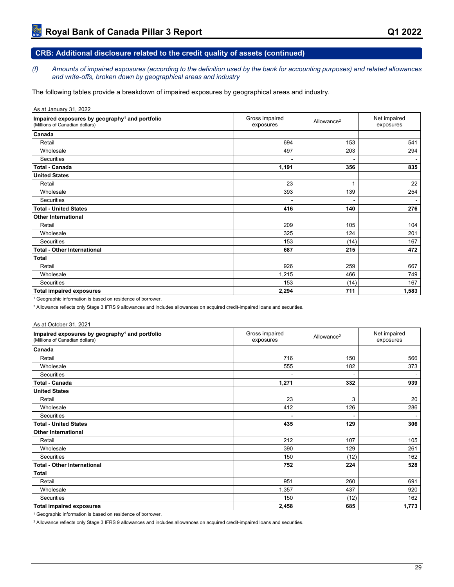*(f) Amounts of impaired exposures (according to the definition used by the bank for accounting purposes) and related allowances and write-offs, broken down by geographical areas and industry*

The following tables provide a breakdown of impaired exposures by geographical areas and industry.

As at January 31, 2022

| Impaired exposures by geography <sup>1</sup> and portfolio<br>(Millions of Canadian dollars) | Gross impaired<br>exposures | Allowance <sup>2</sup> | Net impaired<br>exposures |
|----------------------------------------------------------------------------------------------|-----------------------------|------------------------|---------------------------|
| Canada                                                                                       |                             |                        |                           |
| Retail                                                                                       | 694                         | 153                    | 541                       |
| Wholesale                                                                                    | 497                         | 203                    | 294                       |
| Securities                                                                                   |                             |                        |                           |
| <b>Total - Canada</b>                                                                        | 1,191                       | 356                    | 835                       |
| <b>United States</b>                                                                         |                             |                        |                           |
| Retail                                                                                       | 23                          | 1                      | 22                        |
| Wholesale                                                                                    | 393                         | 139                    | 254                       |
| Securities                                                                                   |                             |                        |                           |
| <b>Total - United States</b>                                                                 | 416                         | 140                    | 276                       |
| <b>Other International</b>                                                                   |                             |                        |                           |
| Retail                                                                                       | 209                         | 105                    | 104                       |
| Wholesale                                                                                    | 325                         | 124                    | 201                       |
| Securities                                                                                   | 153                         | (14)                   | 167                       |
| <b>Total - Other International</b>                                                           | 687                         | 215                    | 472                       |
| <b>Total</b>                                                                                 |                             |                        |                           |
| Retail                                                                                       | 926                         | 259                    | 667                       |
| Wholesale                                                                                    | 1,215                       | 466                    | 749                       |
| Securities                                                                                   | 153                         | (14)                   | 167                       |
| <b>Total impaired exposures</b>                                                              | 2,294                       | 711                    | 1,583                     |

<sup>1</sup> Geographic information is based on residence of borrower.

2 Allowance reflects only Stage 3 IFRS 9 allowances and includes allowances on acquired credit-impaired loans and securities.

#### As at October 31, 2021

| Impaired exposures by geography <sup>1</sup> and portfolio<br>(Millions of Canadian dollars) | Gross impaired<br>exposures | Allowance <sup>2</sup> | Net impaired<br>exposures |
|----------------------------------------------------------------------------------------------|-----------------------------|------------------------|---------------------------|
| Canada                                                                                       |                             |                        |                           |
| Retail                                                                                       | 716                         | 150                    | 566                       |
| Wholesale                                                                                    | 555                         | 182                    | 373                       |
| Securities                                                                                   |                             |                        |                           |
| <b>Total - Canada</b>                                                                        | 1,271                       | 332                    | 939                       |
| <b>United States</b>                                                                         |                             |                        |                           |
| Retail                                                                                       | 23                          | 3                      | 20                        |
| Wholesale                                                                                    | 412                         | 126                    | 286                       |
| Securities                                                                                   |                             |                        |                           |
| <b>Total - United States</b>                                                                 | 435                         | 129                    | 306                       |
| <b>Other International</b>                                                                   |                             |                        |                           |
| Retail                                                                                       | 212                         | 107                    | 105                       |
| Wholesale                                                                                    | 390                         | 129                    | 261                       |
| Securities                                                                                   | 150                         | (12)                   | 162                       |
| <b>Total - Other International</b>                                                           | 752                         | 224                    | 528                       |
| <b>Total</b>                                                                                 |                             |                        |                           |
| Retail                                                                                       | 951                         | 260                    | 691                       |
| Wholesale                                                                                    | 1,357                       | 437                    | 920                       |
| <b>Securities</b>                                                                            | 150                         | (12)                   | 162                       |
| <b>Total impaired exposures</b>                                                              | 2,458                       | 685                    | 1,773                     |

<sup>1</sup> Geographic information is based on residence of borrower.

2 Allowance reflects only Stage 3 IFRS 9 allowances and includes allowances on acquired credit-impaired loans and securities.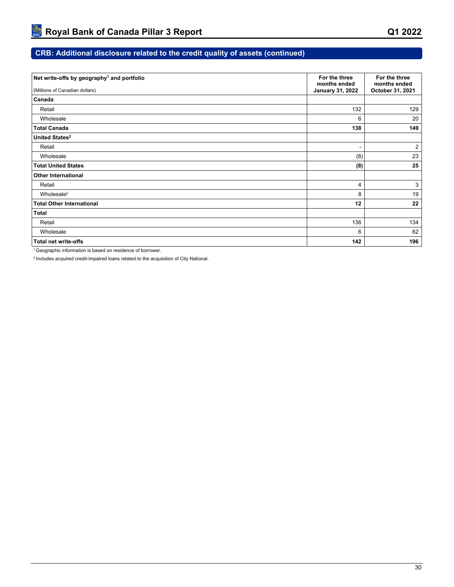| Net write-offs by geography <sup>1</sup> and portfolio | For the three<br>months ended | For the three<br>months ended |
|--------------------------------------------------------|-------------------------------|-------------------------------|
| (Millions of Canadian dollars)                         | <b>January 31, 2022</b>       | October 31, 2021              |
| Canada                                                 |                               |                               |
| Retail                                                 | 132                           | 129                           |
| Wholesale                                              | 6                             | 20                            |
| <b>Total Canada</b>                                    | 138                           | 149                           |
| United States <sup>2</sup>                             |                               |                               |
| Retail                                                 | $\blacksquare$                | $\overline{2}$                |
| Wholesale                                              | (8)                           | 23                            |
| <b>Total United States</b>                             | (8)                           | 25                            |
| <b>Other International</b>                             |                               |                               |
| Retail                                                 | 4                             | 3                             |
| Wholesale <sup>2</sup>                                 | 8                             | 19                            |
| <b>Total Other International</b>                       | 12                            | 22                            |
| Total                                                  |                               |                               |
| Retail                                                 | 136                           | 134                           |
| Wholesale                                              | 6                             | 62                            |
| <b>Total net write-offs</b>                            | 142                           | 196                           |

<sup>1</sup>Geographic information is based on residence of borrower.

2 Includes acquired credit-impaired loans related to the acquisition of City National.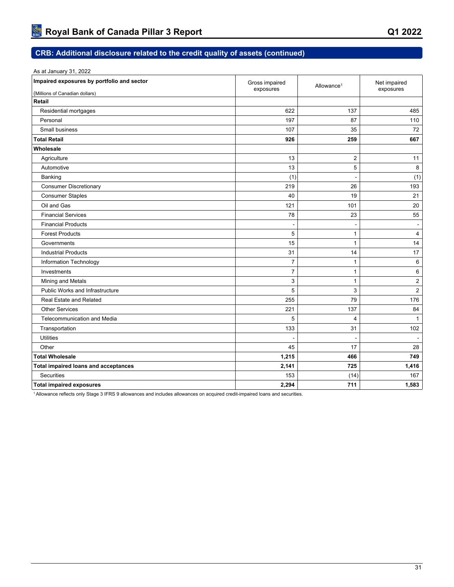| As at January 31, 2022                      |                             |                          |                           |
|---------------------------------------------|-----------------------------|--------------------------|---------------------------|
| Impaired exposures by portfolio and sector  | Gross impaired<br>exposures | Allowance <sup>1</sup>   | Net impaired<br>exposures |
| (Millions of Canadian dollars)              |                             |                          |                           |
| Retail                                      |                             |                          |                           |
| Residential mortgages                       | 622                         | 137                      | 485                       |
| Personal                                    | 197                         | 87                       | 110                       |
| Small business                              | 107                         | 35                       | 72                        |
| <b>Total Retail</b>                         | 926                         | 259                      | 667                       |
| Wholesale                                   |                             |                          |                           |
| Agriculture                                 | 13                          | $\mathbf{2}$             | 11                        |
| Automotive                                  | 13                          | 5                        | 8                         |
| Banking                                     | (1)                         | $\overline{a}$           | (1)                       |
| <b>Consumer Discretionary</b>               | 219                         | 26                       | 193                       |
| <b>Consumer Staples</b>                     | 40                          | 19                       | 21                        |
| Oil and Gas                                 | 121                         | 101                      | 20                        |
| <b>Financial Services</b>                   | 78                          | 23                       | 55                        |
| <b>Financial Products</b>                   | $\overline{\phantom{a}}$    | $\overline{a}$           | $\blacksquare$            |
| <b>Forest Products</b>                      | 5                           | $\mathbf{1}$             | 4                         |
| Governments                                 | 15                          | $\mathbf{1}$             | 14                        |
| <b>Industrial Products</b>                  | 31                          | 14                       | 17                        |
| Information Technology                      | $\overline{7}$              | 1                        | 6                         |
| Investments                                 | $\overline{7}$              | $\mathbf{1}$             | 6                         |
| Mining and Metals                           | 3                           | $\mathbf{1}$             | 2                         |
| <b>Public Works and Infrastructure</b>      | 5                           | 3                        | $\overline{2}$            |
| Real Estate and Related                     | 255                         | 79                       | 176                       |
| <b>Other Services</b>                       | 221                         | 137                      | 84                        |
| Telecommunication and Media                 | 5                           | $\overline{\mathbf{4}}$  | $\mathbf{1}$              |
| Transportation                              | 133                         | 31                       | 102                       |
| <b>Utilities</b>                            | $\overline{\phantom{a}}$    | $\overline{\phantom{a}}$ | $\blacksquare$            |
| Other                                       | 45                          | 17                       | 28                        |
| <b>Total Wholesale</b>                      | 1,215                       | 466                      | 749                       |
| <b>Total impaired loans and acceptances</b> | 2,141                       | 725                      | 1,416                     |
| <b>Securities</b>                           | 153                         | (14)                     | 167                       |
| <b>Total impaired exposures</b>             | 2,294                       | 711                      | 1,583                     |
|                                             |                             |                          |                           |

1 Allowance reflects only Stage 3 IFRS 9 allowances and includes allowances on acquired credit-impaired loans and securities.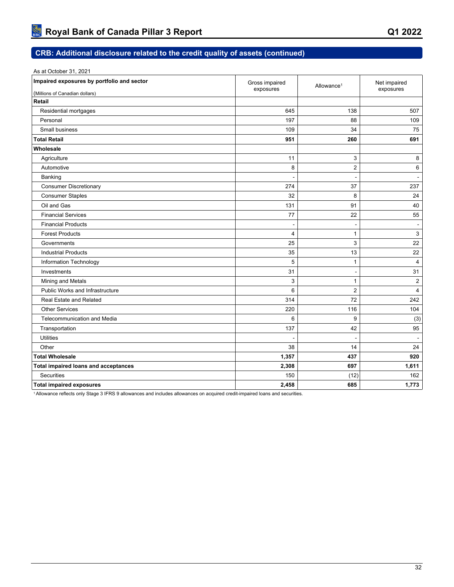| As at October 31, 2021                      |                             |                        |                           |
|---------------------------------------------|-----------------------------|------------------------|---------------------------|
| Impaired exposures by portfolio and sector  | Gross impaired<br>exposures | Allowance <sup>1</sup> | Net impaired<br>exposures |
| (Millions of Canadian dollars)              |                             |                        |                           |
| Retail                                      |                             |                        |                           |
| Residential mortgages                       | 645                         | 138                    | 507                       |
| Personal                                    | 197                         | 88                     | 109                       |
| Small business                              | 109                         | 34                     | 75                        |
| <b>Total Retail</b>                         | 951                         | 260                    | 691                       |
| Wholesale                                   |                             |                        |                           |
| Agriculture                                 | 11                          | 3                      | 8                         |
| Automotive                                  | 8                           | $\overline{2}$         | 6                         |
| Banking                                     |                             |                        | $\blacksquare$            |
| <b>Consumer Discretionary</b>               | 274                         | 37                     | 237                       |
| <b>Consumer Staples</b>                     | 32                          | 8                      | 24                        |
| Oil and Gas                                 | 131                         | 91                     | 40                        |
| <b>Financial Services</b>                   | 77                          | 22                     | 55                        |
| <b>Financial Products</b>                   | $\overline{\phantom{a}}$    | $\overline{a}$         | $\blacksquare$            |
| <b>Forest Products</b>                      | 4                           | $\mathbf{1}$           | 3                         |
| Governments                                 | 25                          | 3                      | 22                        |
| <b>Industrial Products</b>                  | 35                          | 13                     | 22                        |
| Information Technology                      | 5                           | 1                      | 4                         |
| Investments                                 | 31                          | $\overline{a}$         | 31                        |
| Mining and Metals                           | 3                           | $\mathbf{1}$           | $\overline{2}$            |
| <b>Public Works and Infrastructure</b>      | 6                           | $\overline{2}$         | 4                         |
| Real Estate and Related                     | 314                         | 72                     | 242                       |
| <b>Other Services</b>                       | 220                         | 116                    | 104                       |
| Telecommunication and Media                 | 6                           | 9                      | (3)                       |
| Transportation                              | 137                         | 42                     | 95                        |
| <b>Utilities</b>                            | $\overline{\phantom{a}}$    | $\blacksquare$         | $\blacksquare$            |
| Other                                       | 38                          | 14                     | 24                        |
| <b>Total Wholesale</b>                      | 1,357                       | 437                    | 920                       |
| <b>Total impaired loans and acceptances</b> | 2,308                       | 697                    | 1,611                     |
| <b>Securities</b>                           | 150                         | (12)                   | 162                       |
| <b>Total impaired exposures</b>             | 2,458                       | 685                    | 1,773                     |
|                                             |                             |                        |                           |

1 Allowance reflects only Stage 3 IFRS 9 allowances and includes allowances on acquired credit-impaired loans and securities.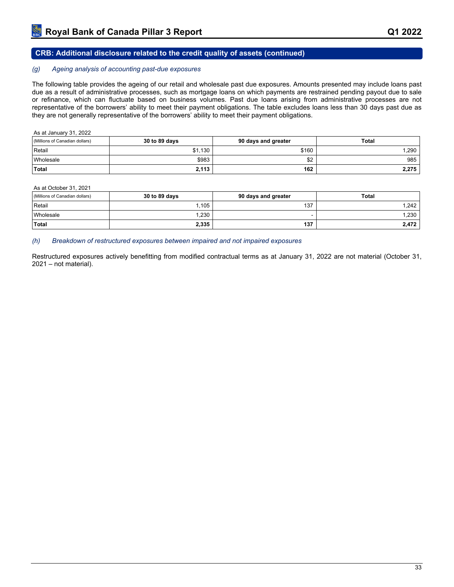#### *(g) Ageing analysis of accounting past-due exposures*

The following table provides the ageing of our retail and wholesale past due exposures. Amounts presented may include loans past due as a result of administrative processes, such as mortgage loans on which payments are restrained pending payout due to sale or refinance, which can fluctuate based on business volumes. Past due loans arising from administrative processes are not representative of the borrowers' ability to meet their payment obligations. The table excludes loans less than 30 days past due as they are not generally representative of the borrowers' ability to meet their payment obligations.

| As at January 31, 2022         |               |                     |              |  |  |  |  |
|--------------------------------|---------------|---------------------|--------------|--|--|--|--|
| (Millions of Canadian dollars) | 30 to 89 days | 90 days and greater | <b>Total</b> |  |  |  |  |
| Retail                         | \$1,130       | \$160               | 1.290        |  |  |  |  |
| <b>Wholesale</b>               | \$983         | \$2                 | 985          |  |  |  |  |
| Total                          | 2.113         | 162                 | 2,275        |  |  |  |  |

As at October 31, 2021

| (Millions of Canadian dollars) | 30 to 89 days | 90 days and greater | <b>Total</b> |
|--------------------------------|---------------|---------------------|--------------|
| Retail                         | ,105          | 137                 | .242         |
| <i><u><b>Nholesale</b></u></i> | 1,230         |                     | 1,230        |
| Total                          | 2,335         | 137                 | 2,472        |

#### *(h) Breakdown of restructured exposures between impaired and not impaired exposures*

Restructured exposures actively benefitting from modified contractual terms as at January 31, 2022 are not material (October 31, 2021 – not material).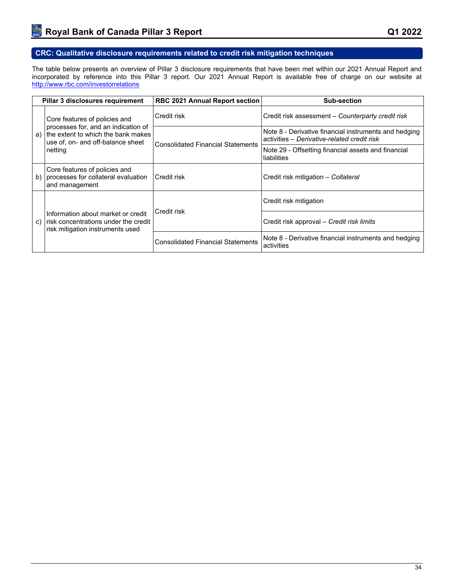## **CRC: Qualitative disclosure requirements related to credit risk mitigation techniques**

The table below presents an overview of Pillar 3 disclosure requirements that have been met within our 2021 Annual Report and incorporated by reference into this Pillar 3 report. Our 2021 Annual Report is available free of charge on our website at <http://www.rbc.com/investorrelations>

| Pillar 3 disclosures requirement                                                                                     | <b>RBC 2021 Annual Report section</b>    | Sub-section                                                                                          |
|----------------------------------------------------------------------------------------------------------------------|------------------------------------------|------------------------------------------------------------------------------------------------------|
| Core features of policies and                                                                                        | Credit risk                              | Credit risk assessment - Counterparty credit risk                                                    |
| processes for, and an indication of<br>the extent to which the bank makes<br>a)<br>use of, on- and off-balance sheet | <b>Consolidated Financial Statements</b> | Note 8 - Derivative financial instruments and hedging<br>activities - Derivative-related credit risk |
| netting                                                                                                              |                                          | Note 29 - Offsetting financial assets and financial<br>liabilities                                   |
| Core features of policies and<br>processes for collateral evaluation<br>b)<br>and management                         | Credit risk                              | Credit risk mitigation - Collateral                                                                  |
|                                                                                                                      | Credit risk                              | Credit risk mitigation                                                                               |
| Information about market or credit<br>risk concentrations under the credit<br>C)<br>risk mitigation instruments used |                                          | Credit risk approval - Credit risk limits                                                            |
|                                                                                                                      | <b>Consolidated Financial Statements</b> | Note 8 - Derivative financial instruments and hedging<br>activities                                  |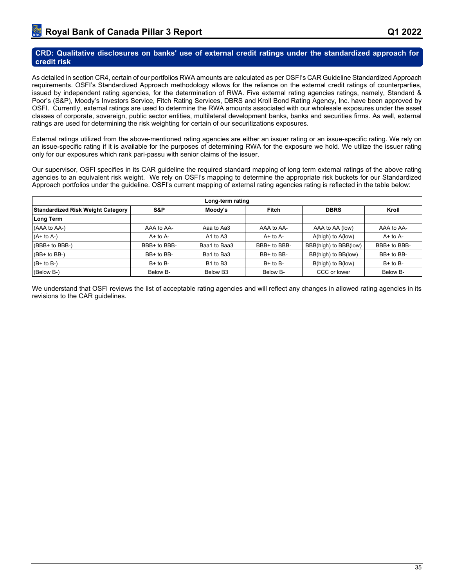## **CRD: Qualitative disclosures on banks' use of external credit ratings under the standardized approach for credit risk**

As detailed in section CR4, certain of our portfolios RWA amounts are calculated as per OSFI's CAR Guideline Standardized Approach requirements. OSFI's Standardized Approach methodology allows for the reliance on the external credit ratings of counterparties, issued by independent rating agencies, for the determination of RWA. Five external rating agencies ratings, namely, Standard & Poor's (S&P), Moody's Investors Service, Fitch Rating Services, DBRS and Kroll Bond Rating Agency, Inc. have been approved by OSFI. Currently, external ratings are used to determine the RWA amounts associated with our wholesale exposures under the asset classes of corporate, sovereign, public sector entities, multilateral development banks, banks and securities firms. As well, external ratings are used for determining the risk weighting for certain of our securitizations exposures.

External ratings utilized from the above-mentioned rating agencies are either an issuer rating or an issue-specific rating. We rely on an issue-specific rating if it is available for the purposes of determining RWA for the exposure we hold. We utilize the issuer rating only for our exposures which rank pari-passu with senior claims of the issuer.

Our supervisor, OSFI specifies in its CAR guideline the required standard mapping of long term external ratings of the above rating agencies to an equivalent risk weight. We rely on OSFI's mapping to determine the appropriate risk buckets for our Standardized Approach portfolios under the guideline. OSFI's current mapping of external rating agencies rating is reflected in the table below:

|                                          | Long-term rating |                                  |                |                       |              |  |  |  |  |  |  |  |  |
|------------------------------------------|------------------|----------------------------------|----------------|-----------------------|--------------|--|--|--|--|--|--|--|--|
| <b>Standardized Risk Weight Category</b> | S&P              | Moody's                          | <b>Fitch</b>   | <b>DBRS</b>           | Kroll        |  |  |  |  |  |  |  |  |
| Long Term                                |                  |                                  |                |                       |              |  |  |  |  |  |  |  |  |
| (AAA to AA-)                             | AAA to AA-       | Aaa to Aa3                       | AAA to AA-     | AAA to AA (low)       | AAA to AA-   |  |  |  |  |  |  |  |  |
| $(A + to A-)$                            | $A+$ to $A-$     | A1 to A3                         | $A+$ to $A-$   | A(high) to A(low)     | $A+$ to $A-$ |  |  |  |  |  |  |  |  |
| (BBB+ to BBB-)                           | BBB+ to BBB-     | Baa1 to Baa3                     | BBB+ to BBB-   | BBB(high) to BBB(low) | BBB+ to BBB- |  |  |  |  |  |  |  |  |
| $(BB+ to BB-)$                           | BB+ to BB-       | Ba1 to Ba3                       | $BB+$ to $BB-$ | BB(high) to BB(low)   | BB+ to BB-   |  |  |  |  |  |  |  |  |
| $(B + to B-)$                            | $B+$ to $B-$     | B <sub>1</sub> to B <sub>3</sub> | $B+$ to $B-$   | B(high) to B(low)     | $B+$ to $B-$ |  |  |  |  |  |  |  |  |
| (Below B-)                               | Below B-         | Below B <sub>3</sub>             | Below B-       | CCC or lower          | Below B-     |  |  |  |  |  |  |  |  |

We understand that OSFI reviews the list of acceptable rating agencies and will reflect any changes in allowed rating agencies in its revisions to the CAR guidelines.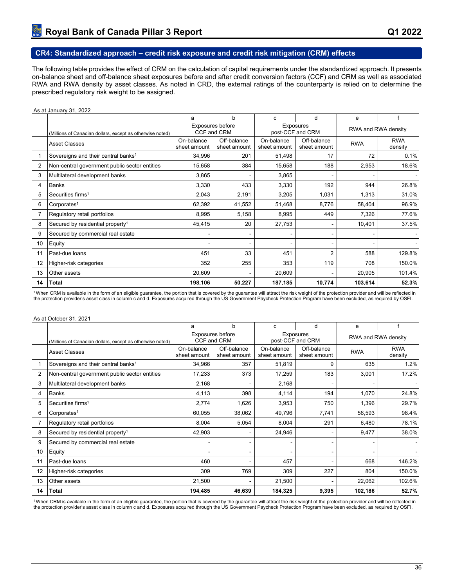## **CR4: Standardized approach – credit risk exposure and credit risk mitigation (CRM) effects**

The following table provides the effect of CRM on the calculation of capital requirements under the standardized approach. It presents on-balance sheet and off-balance sheet exposures before and after credit conversion factors (CCF) and CRM as well as associated RWA and RWA density by asset classes. As noted in CRD, the external ratings of the counterparty is relied on to determine the prescribed regulatory risk weight to be assigned.

#### As at January 31, 2022 a | b | c | d | e | f (Millions of Canadian dollars, except as otherwise noted) Exposures before CCF and CRM Exposures exposures<br>post-CCF and CRM RWA and RWA density Asset Classes **On-balance** sheet amount Off-balance sheet amount On-balance sheet amount Off-balance Off-balance RWA RWA<br>sheet amount RWA densit density 1 Sovereigns and their central banks<sup>1</sup> 34,996 201 201 51,498 17 22 0.1% 2 Non-central government public sector entities | 15,658 | 384 | 15,658 | 18.6% | 2,953 | 18.6% 3 Multilateral development banks 3,865 - 3,865 - - - 4 Banks 3,330 433 3,330 192 944 26.8% 5 Securities firms<sup>1</sup> 2,043 | 2,191 | 3,205 | 1,031 | 1,313 | 31.0% | 6 Corporates<sup>1</sup> 62,392 | 41,552 | 51,468 | 8,776 | 58,404 | 96.9% | 7 Regulatory retail portfolios (and the second of the second of the second of the second of the second of the second of the second of the second of the second of the second of the second of the second of the second of the 8 Secured by residential property<sup>1</sup>  $45,415$   $20$   $27,753$   $-1$   $10,401$  37.5% 9 Secured by commercial real estate - - - - - - 10 Equity - - - - - - 11 |Past-due loans | 451 | 33 | 451 | 2 | 588 | 129.8% | 12 Higher-risk categories 352 255 353 119 708 150.0% 13 Other assets 20,609 | - | 20,609 | - | 20,905 | 101.4% | **14 Total 198,106 50,227 187,185 10,774 103,614 52.3%**

<sup>1</sup>When CRM is available in the form of an eligible guarantee, the portion that is covered by the guarantee will attract the risk weight of the protection provider and will be reflected in the protection provider's asset class in column c and d. Exposures acquired through the US Government Paycheck Protection Program have been excluded, as required by OSFI.

#### As at October 31, 2021

|                |                                                           | a                          | b                               | d<br>c                     |                                      | e          |                       |
|----------------|-----------------------------------------------------------|----------------------------|---------------------------------|----------------------------|--------------------------------------|------------|-----------------------|
|                | (Millions of Canadian dollars, except as otherwise noted) |                            | Exposures before<br>CCF and CRM |                            | <b>Exposures</b><br>post-CCF and CRM |            | RWA and RWA density   |
|                | <b>Asset Classes</b>                                      | On-balance<br>sheet amount | Off-balance<br>sheet amount     | On-balance<br>sheet amount | Off-balance<br>sheet amount          | <b>RWA</b> | <b>RWA</b><br>density |
|                | Sovereigns and their central banks <sup>1</sup>           | 34,966                     | 357                             | 51,819                     | 9                                    | 635        | 1.2%                  |
| $\overline{2}$ | Non-central government public sector entities             | 17,233                     | 373                             | 17,259                     | 183                                  | 3,001      | 17.2%                 |
| 3              | Multilateral development banks                            | 2,168                      |                                 | 2,168                      |                                      |            |                       |
| 4              | <b>Banks</b>                                              | 4,113                      | 398                             | 4,114                      | 194                                  | 1,070      | 24.8%                 |
| 5              | Securities firms <sup>1</sup>                             | 2,774                      | 1,626                           | 3,953                      | 750                                  | 1,396      | 29.7%                 |
| 6              | Corporates <sup>1</sup>                                   | 60,055                     | 38,062                          | 49,796                     | 7,741                                | 56,593     | 98.4%                 |
|                | Regulatory retail portfolios                              | 8,004                      | 5,054                           | 8,004                      | 291                                  | 6,480      | 78.1%                 |
| 8              | Secured by residential property <sup>1</sup>              | 42,903                     |                                 | 24,946                     |                                      | 9,477      | 38.0%                 |
| 9              | Secured by commercial real estate                         |                            |                                 |                            |                                      |            |                       |
| 10             | Equity                                                    |                            | $\overline{\phantom{0}}$        |                            | ٠                                    |            |                       |
| 11             | Past-due loans                                            | 460                        |                                 | 457                        |                                      | 668        | 146.2%                |
| 12             | Higher-risk categories                                    | 309                        | 769                             | 309                        | 227                                  | 804        | 150.0%                |
| 13             | Other assets                                              | 21,500                     |                                 | 21,500                     |                                      | 22,062     | 102.6%                |
| 14             | <b>Total</b>                                              | 194,485                    | 46,639                          | 184,325                    | 9,395                                | 102,186    | 52.7%                 |

<sup>1</sup>When CRM is available in the form of an eligible guarantee, the portion that is covered by the guarantee will attract the risk weight of the protection provider and will be reflected in the protection provider's asset class in column c and d. Exposures acquired through the US Government Paycheck Protection Program have been excluded, as required by OSFI.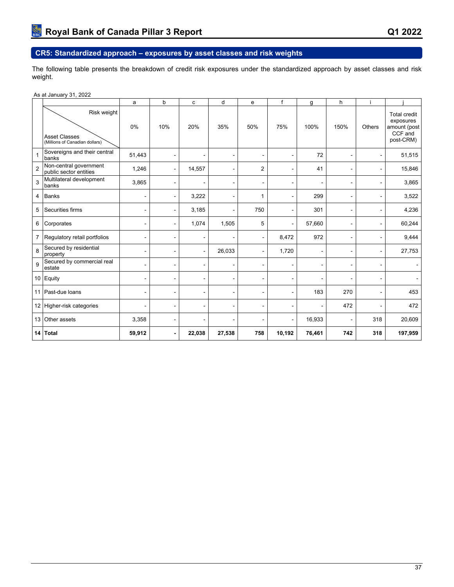## **CR5: Standardized approach – exposures by asset classes and risk weights**

The following table presents the breakdown of credit risk exposures under the standardized approach by asset classes and risk weight.

|                | As at January 31, 2022                                                |                |                          |        |                |                |                          |        |                          |        |                                                                          |
|----------------|-----------------------------------------------------------------------|----------------|--------------------------|--------|----------------|----------------|--------------------------|--------|--------------------------|--------|--------------------------------------------------------------------------|
|                |                                                                       | a              | b                        | c      | d              | $\mathbf e$    | f                        | g      | h                        |        |                                                                          |
|                | Risk weight<br><b>Asset Classes</b><br>(Millions of Canadian dollars) | 0%             | 10%                      | 20%    | 35%            | 50%            | 75%                      | 100%   | 150%                     | Others | <b>Total credit</b><br>exposures<br>amount (post<br>CCF and<br>post-CRM) |
| 1              | Sovereigns and their central<br>banks                                 | 51,443         | $\blacksquare$           | ۰      | $\sim$         | ۰              | $\blacksquare$           | 72     | $\blacksquare$           |        | 51,515                                                                   |
| $\overline{2}$ | Non-central government<br>public sector entities                      | 1,246          | ä,                       | 14,557 | $\sim$         | 2              | ٠                        | 41     | $\blacksquare$           |        | 15,846                                                                   |
| 3              | Multilateral development<br>banks                                     | 3,865          | $\overline{\phantom{0}}$ |        |                | ۰              | $\overline{a}$           |        | $\overline{a}$           |        | 3,865                                                                    |
| 4              | Banks                                                                 |                | $\overline{\phantom{0}}$ | 3,222  | ۰              | 1              | $\sim$                   | 299    | $\overline{\phantom{0}}$ |        | 3,522                                                                    |
| 5              | Securities firms                                                      | ۰              | ۰                        | 3,185  |                | 750            | $\sim$                   | 301    | $\sim$                   |        | 4,236                                                                    |
| 6              | Corporates                                                            | $\sim$         | $\blacksquare$           | 1,074  | 1,505          | 5              | $\blacksquare$           | 57,660 | $\blacksquare$           |        | 60,244                                                                   |
| $\overline{7}$ | Regulatory retail portfolios                                          |                | ۰                        |        |                | $\blacksquare$ | 8,472                    | 972    | $\blacksquare$           |        | 9,444                                                                    |
| 8              | Secured by residential<br>property                                    |                | ۰                        |        | 26,033         | ۰              | 1,720                    |        | ۰                        |        | 27,753                                                                   |
| 9              | Secured by commercial real<br>estate                                  |                | $\overline{a}$           |        | ٠              | ۰              |                          |        | $\blacksquare$           |        |                                                                          |
|                | 10 Equity                                                             | $\blacksquare$ | ۰                        |        | $\blacksquare$ | ۰              | $\overline{a}$           |        | ۰                        |        |                                                                          |
| 11             | Past-due loans                                                        | ۰              | $\overline{a}$           |        | $\overline{a}$ | ۰              | $\overline{\phantom{a}}$ | 183    | 270                      |        | 453                                                                      |
|                | 12 Higher-risk categories                                             |                | $\overline{a}$           |        |                | ٠              | $\blacksquare$           |        | 472                      |        | 472                                                                      |
|                | 13 Other assets                                                       | 3,358          | ۰                        |        |                | ۰              | $\blacksquare$           | 16,933 |                          | 318    | 20,609                                                                   |
|                | 14 Total                                                              | 59,912         | $\blacksquare$           | 22,038 | 27,538         | 758            | 10,192                   | 76,461 | 742                      | 318    | 197,959                                                                  |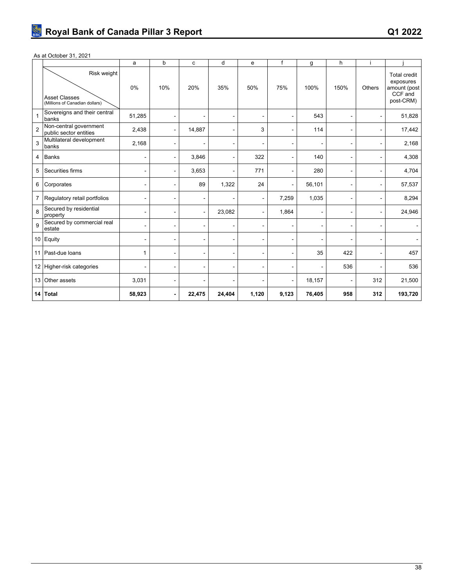### As at October 31, 2021

|                |                                                                       | a              | b                        | c      | d              | $\mathbf e$    | f                        | g      | h                        |        |                                                                   |
|----------------|-----------------------------------------------------------------------|----------------|--------------------------|--------|----------------|----------------|--------------------------|--------|--------------------------|--------|-------------------------------------------------------------------|
|                | Risk weight<br><b>Asset Classes</b><br>(Millions of Canadian dollars) | 0%             | 10%                      | 20%    | 35%            | 50%            | 75%                      | 100%   | 150%                     | Others | Total credit<br>exposures<br>amount (post<br>CCF and<br>post-CRM) |
| 1              | Sovereigns and their central<br>banks                                 | 51,285         | $\blacksquare$           |        |                | ۰              | $\blacksquare$           | 543    |                          |        | 51,828                                                            |
| $\overline{2}$ | Non-central government<br>public sector entities                      | 2,438          | $\overline{\phantom{a}}$ | 14,887 |                | 3              | $\overline{\phantom{a}}$ | 114    |                          |        | 17,442                                                            |
| 3              | Multilateral development<br>banks                                     | 2,168          | $\blacksquare$           |        | $\blacksquare$ | ۰              |                          |        | $\blacksquare$           |        | 2,168                                                             |
| 4              | Banks                                                                 |                | $\overline{\phantom{a}}$ | 3,846  | $\blacksquare$ | 322            | $\blacksquare$           | 140    | $\overline{\phantom{a}}$ |        | 4,308                                                             |
| 5              | Securities firms                                                      | ۰              | $\overline{a}$           | 3,653  | $\sim$         | 771            | $\blacksquare$           | 280    | $\sim$                   |        | 4,704                                                             |
| 6              | Corporates                                                            |                | $\blacksquare$           | 89     | 1,322          | 24             | $\blacksquare$           | 56,101 | $\blacksquare$           |        | 57,537                                                            |
| $\overline{7}$ | Regulatory retail portfolios                                          | ۰              | $\blacksquare$           | ۰      |                | $\blacksquare$ | 7,259                    | 1,035  | ۰                        |        | 8,294                                                             |
| 8              | Secured by residential<br>property                                    | $\blacksquare$ | $\blacksquare$           |        | 23,082         | ٠              | 1,864                    |        | ÷                        |        | 24,946                                                            |
| 9              | Secured by commercial real<br>estate                                  |                | $\blacksquare$           |        |                | ÷              | $\blacksquare$           |        | ۰                        |        |                                                                   |
|                | 10 Equity                                                             | ٠              | $\blacksquare$           |        | ٠              | ÷              | $\blacksquare$           |        | $\blacksquare$           |        | ä,                                                                |
| 11             | Past-due loans                                                        | $\mathbf{1}$   | $\overline{\phantom{0}}$ | ۰      | $\blacksquare$ | ۰              | $\overline{\phantom{a}}$ | 35     | 422                      |        | 457                                                               |
|                | 12 Higher-risk categories                                             | $\blacksquare$ | $\blacksquare$           |        | $\blacksquare$ | ۰              |                          |        | 536                      |        | 536                                                               |
| 13             | Other assets                                                          | 3,031          | $\overline{\phantom{a}}$ |        | $\blacksquare$ | ۰              | $\blacksquare$           | 18,157 | $\blacksquare$           | 312    | 21,500                                                            |
|                | 14 Total                                                              | 58,923         | $\blacksquare$           | 22,475 | 24,404         | 1,120          | 9,123                    | 76,405 | 958                      | 312    | 193,720                                                           |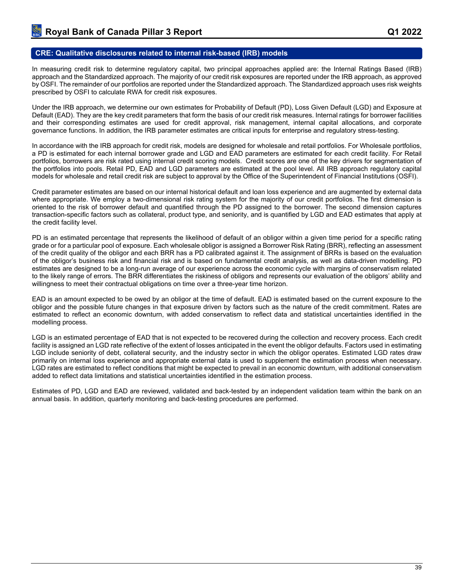#### **CRE: Qualitative disclosures related to internal risk-based (IRB) models**

In measuring credit risk to determine regulatory capital, two principal approaches applied are: the Internal Ratings Based (IRB) approach and the Standardized approach. The majority of our credit risk exposures are reported under the IRB approach, as approved by OSFI. The remainder of our portfolios are reported under the Standardized approach. The Standardized approach uses risk weights prescribed by OSFI to calculate RWA for credit risk exposures.

Under the IRB approach, we determine our own estimates for Probability of Default (PD), Loss Given Default (LGD) and Exposure at Default (EAD). They are the key credit parameters that form the basis of our credit risk measures. Internal ratings for borrower facilities and their corresponding estimates are used for credit approval, risk management, internal capital allocations, and corporate governance functions. In addition, the IRB parameter estimates are critical inputs for enterprise and regulatory stress-testing.

In accordance with the IRB approach for credit risk, models are designed for wholesale and retail portfolios. For Wholesale portfolios, a PD is estimated for each internal borrower grade and LGD and EAD parameters are estimated for each credit facility. For Retail portfolios, borrowers are risk rated using internal credit scoring models. Credit scores are one of the key drivers for segmentation of the portfolios into pools. Retail PD, EAD and LGD parameters are estimated at the pool level. All IRB approach regulatory capital models for wholesale and retail credit risk are subject to approval by the Office of the Superintendent of Financial Institutions (OSFI).

Credit parameter estimates are based on our internal historical default and loan loss experience and are augmented by external data where appropriate. We employ a two-dimensional risk rating system for the majority of our credit portfolios. The first dimension is oriented to the risk of borrower default and quantified through the PD assigned to the borrower. The second dimension captures transaction-specific factors such as collateral, product type, and seniority, and is quantified by LGD and EAD estimates that apply at the credit facility level.

PD is an estimated percentage that represents the likelihood of default of an obligor within a given time period for a specific rating grade or for a particular pool of exposure. Each wholesale obligor is assigned a Borrower Risk Rating (BRR), reflecting an assessment of the credit quality of the obligor and each BRR has a PD calibrated against it. The assignment of BRRs is based on the evaluation of the obligor's business risk and financial risk and is based on fundamental credit analysis, as well as data-driven modelling. PD estimates are designed to be a long-run average of our experience across the economic cycle with margins of conservatism related to the likely range of errors. The BRR differentiates the riskiness of obligors and represents our evaluation of the obligors' ability and willingness to meet their contractual obligations on time over a three-year time horizon.

EAD is an amount expected to be owed by an obligor at the time of default. EAD is estimated based on the current exposure to the obligor and the possible future changes in that exposure driven by factors such as the nature of the credit commitment. Rates are estimated to reflect an economic downturn, with added conservatism to reflect data and statistical uncertainties identified in the modelling process.

LGD is an estimated percentage of EAD that is not expected to be recovered during the collection and recovery process. Each credit facility is assigned an LGD rate reflective of the extent of losses anticipated in the event the obligor defaults. Factors used in estimating LGD include seniority of debt, collateral security, and the industry sector in which the obligor operates. Estimated LGD rates draw primarily on internal loss experience and appropriate external data is used to supplement the estimation process when necessary. LGD rates are estimated to reflect conditions that might be expected to prevail in an economic downturn, with additional conservatism added to reflect data limitations and statistical uncertainties identified in the estimation process.

Estimates of PD, LGD and EAD are reviewed, validated and back-tested by an independent validation team within the bank on an annual basis. In addition, quarterly monitoring and back-testing procedures are performed.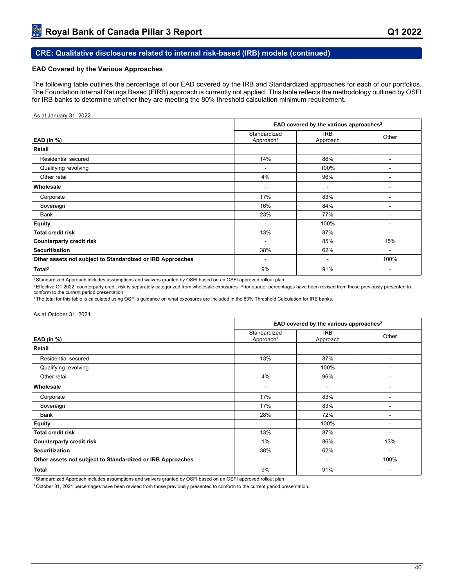## **CRE: Qualitative disclosures related to internal risk-based (IRB) models (continued)**

### **EAD Covered by the Various Approaches**

The following table outlines the percentage of our EAD covered by the IRB and Standardized approaches for each of our portfolios. The Foundation Internal Ratings Based (FIRB) approach is currently not applied. This table reflects the methodology outlined by OSFI for IRB banks to determine whether they are meeting the 80% threshold calculation minimum requirement.

#### As at January 31, 2022

|                                                            |                                       | EAD covered by the various approaches <sup>2</sup> |                |
|------------------------------------------------------------|---------------------------------------|----------------------------------------------------|----------------|
| EAD (in $%$ )                                              | Standardized<br>Approach <sup>1</sup> | <b>IRB</b><br>Approach                             | Other          |
| Retail                                                     |                                       |                                                    |                |
| Residential secured                                        | 14%                                   | 86%                                                |                |
| Qualifying revolving                                       | ۰                                     | 100%                                               |                |
| Other retail                                               | 4%                                    | 96%                                                |                |
| Wholesale                                                  | ۰                                     | $\overline{\phantom{a}}$                           |                |
| Corporate                                                  | 17%                                   | 83%                                                | -              |
| Sovereign                                                  | 16%                                   | 84%                                                |                |
| Bank                                                       | 23%                                   | 77%                                                |                |
| <b>Equity</b>                                              | ۰                                     | 100%                                               |                |
| <b>Total credit risk</b>                                   | 13%                                   | 87%                                                | ۰              |
| <b>Counterparty credit risk</b>                            | ۰                                     | 85%                                                | 15%            |
| <b>Securitization</b>                                      | 38%                                   | 62%                                                | $\blacksquare$ |
| Other assets not subject to Standardized or IRB Approaches | $\qquad \qquad \blacksquare$          |                                                    | 100%           |
| Total <sup>3</sup>                                         | 9%                                    | 91%                                                | ۰              |

<sup>1</sup>Standardized Approach includes assumptions and waivers granted by OSFI based on an OSFI approved rollout plan.

<sup>2</sup> Effective Q1 2022, counterparty credit risk is separately categorized from wholesale exposures. Prior quarter percentages have been revised from those previously presented to conform to the current period presentation.

<sup>3</sup> The total for this table is calculated using OSFI's guidance on what exposures are included in the 80% Threshold Calculation for IRB banks.

#### As at October 31, 2021

|                                                            | EAD covered by the various approaches <sup>2</sup> |                          |                          |  |  |  |  |  |
|------------------------------------------------------------|----------------------------------------------------|--------------------------|--------------------------|--|--|--|--|--|
| EAD (in $%$ )                                              | Standardized<br>Approach <sup>1</sup>              | <b>IRB</b><br>Approach   | Other                    |  |  |  |  |  |
| Retail                                                     |                                                    |                          |                          |  |  |  |  |  |
| Residential secured                                        | 13%                                                | 87%                      |                          |  |  |  |  |  |
| Qualifying revolving                                       |                                                    | 100%                     |                          |  |  |  |  |  |
| Other retail                                               | 4%                                                 | 96%                      |                          |  |  |  |  |  |
| Wholesale                                                  |                                                    | ٠                        |                          |  |  |  |  |  |
| Corporate                                                  | 17%                                                | 83%                      |                          |  |  |  |  |  |
| Sovereign                                                  | 17%                                                | 83%                      | $\overline{\phantom{a}}$ |  |  |  |  |  |
| <b>Bank</b>                                                | 28%                                                | 72%                      | $\overline{\phantom{a}}$ |  |  |  |  |  |
| Equity                                                     | $\sim$                                             | 100%                     | $\overline{\phantom{a}}$ |  |  |  |  |  |
| <b>Total credit risk</b>                                   | 13%                                                | 87%                      |                          |  |  |  |  |  |
| <b>Counterparty credit risk</b>                            | 1%                                                 | 86%                      | 13%                      |  |  |  |  |  |
| <b>Securitization</b>                                      | 38%                                                | 62%                      |                          |  |  |  |  |  |
| Other assets not subject to Standardized or IRB Approaches | $\overline{\phantom{a}}$                           | $\overline{\phantom{a}}$ | 100%                     |  |  |  |  |  |
| <b>Total</b>                                               | 9%                                                 | 91%                      | $\overline{\phantom{a}}$ |  |  |  |  |  |

<sup>1</sup>Standardized Approach includes assumptions and waivers granted by OSFI based on an OSFI approved rollout plan.

2 October 31, 2021 percentages have been revised from those previously presented to conform to the current period presentation.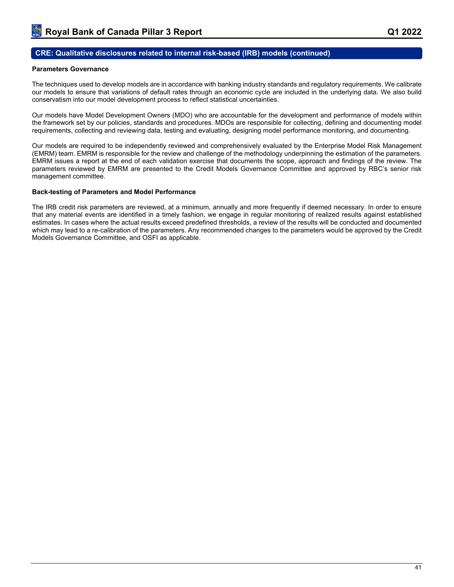## **CRE: Qualitative disclosures related to internal risk-based (IRB) models (continued)**

### **Parameters Governance**

The techniques used to develop models are in accordance with banking industry standards and regulatory requirements. We calibrate our models to ensure that variations of default rates through an economic cycle are included in the underlying data. We also build conservatism into our model development process to reflect statistical uncertainties.

Our models have Model Development Owners (MDO) who are accountable for the development and performance of models within the framework set by our policies, standards and procedures. MDOs are responsible for collecting, defining and documenting model requirements, collecting and reviewing data, testing and evaluating, designing model performance monitoring, and documenting.

Our models are required to be independently reviewed and comprehensively evaluated by the Enterprise Model Risk Management (EMRM) team. EMRM is responsible for the review and challenge of the methodology underpinning the estimation of the parameters. EMRM issues a report at the end of each validation exercise that documents the scope, approach and findings of the review. The parameters reviewed by EMRM are presented to the Credit Models Governance Committee and approved by RBC's senior risk management committee.

#### **Back-testing of Parameters and Model Performance**

The IRB credit risk parameters are reviewed, at a minimum, annually and more frequently if deemed necessary. In order to ensure that any material events are identified in a timely fashion, we engage in regular monitoring of realized results against established estimates. In cases where the actual results exceed predefined thresholds, a review of the results will be conducted and documented which may lead to a re-calibration of the parameters. Any recommended changes to the parameters would be approved by the Credit Models Governance Committee, and OSFI as applicable.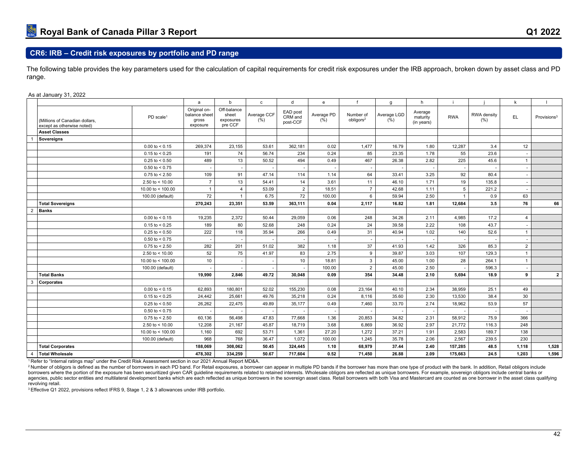The following table provides the key parameters used for the calculation of capital requirements for credit risk exposures under the IRB approach, broken down by asset class and PD range.

#### As at January 31, 2022

|   |                                                              |                         | a                                                  | b                                            | $\mathtt{c}$        | d                               | e                              |                                    | g                           | h                                 |              |                     | k              |                         |
|---|--------------------------------------------------------------|-------------------------|----------------------------------------------------|----------------------------------------------|---------------------|---------------------------------|--------------------------------|------------------------------------|-----------------------------|-----------------------------------|--------------|---------------------|----------------|-------------------------|
|   | (Millions of Canadian dollars,<br>except as otherwise noted) | PD scale <sup>1</sup>   | Original on-<br>balance sheet<br>gross<br>exposure | Off-balance<br>sheet<br>exposures<br>pre CCF | Average CCF<br>(% ) | EAD post<br>CRM and<br>post-CCF | Average PD<br>$(\frac{96}{6})$ | Number of<br>obligors <sup>2</sup> | Average LGD<br>$(\bar{\%})$ | Average<br>maturity<br>(in years) | <b>RWA</b>   | RWA density<br>(% ) | EL.            | Provisions <sup>3</sup> |
|   | <b>Asset Classes</b>                                         |                         |                                                    |                                              |                     |                                 |                                |                                    |                             |                                   |              |                     |                |                         |
|   | Sovereigns                                                   |                         |                                                    |                                              |                     |                                 |                                |                                    |                             |                                   |              |                     |                |                         |
|   |                                                              | $0.00$ to $< 0.15$      | 269,374                                            | 23,155                                       | 53.61               | 362,181                         | 0.02                           | 1,477                              | 16.79                       | 1.80                              | 12,287       | 3.4                 | 12             |                         |
|   |                                                              | $0.15$ to < 0.25        | 191                                                | 74                                           | 56.74               | 234                             | 0.24                           | 85                                 | 23.35                       | 1.78                              | 55           | 23.6                |                |                         |
|   |                                                              | $0.25$ to < 0.50        | 489                                                | 13                                           | 50.52               | 494                             | 0.49                           | 467                                | 26.38                       | 2.82                              | 225          | 45.6                | -1             |                         |
|   |                                                              | $0.50$ to < 0.75        |                                                    |                                              |                     |                                 |                                |                                    |                             |                                   |              |                     |                |                         |
|   |                                                              | $0.75$ to < 2.50        | 109                                                | 91                                           | 47.14               | 114                             | 1.14                           | 64                                 | 33.41                       | 3.25                              | 92           | 80.4                |                |                         |
|   |                                                              | 2.50 to $< 10.00$       | $\overline{7}$                                     | 13                                           | 54.41               | 14                              | 3.61                           | 11                                 | 46.10                       | 1.71                              | 19           | 135.8               |                |                         |
|   |                                                              | 10.00 to $<$ 100.00     | $\overline{1}$                                     | $\overline{4}$                               | 53.09               | 2                               | 18.51                          | $\overline{7}$                     | 42.68                       | 1.11                              | 5            | 221.2               |                |                         |
|   |                                                              | 100.00 (default)        | 72                                                 |                                              | 6.75                | 72                              | 100.00                         | 6                                  | 59.94                       | 2.50                              | $\mathbf{1}$ | 0.9                 | 63             |                         |
|   | <b>Total Sovereigns</b>                                      |                         | 270,243                                            | 23,351                                       | 53.59               | 363,111                         | 0.04                           | 2,117                              | 16.82                       | 1.81                              | 12,684       | 3.5                 | 76             | 66                      |
| 2 | <b>Banks</b>                                                 |                         |                                                    |                                              |                     |                                 |                                |                                    |                             |                                   |              |                     |                |                         |
|   |                                                              | $0.00 \text{ to } 5.15$ | 19,235                                             | 2,372                                        | 50.44               | 29,059                          | 0.06                           | 248                                | 34.26                       | 2.11                              | 4,985        | 17.2                | $\overline{4}$ |                         |
|   |                                                              | $0.15$ to < 0.25        | 189                                                | 80                                           | 52.68               | 248                             | 0.24                           | 24                                 | 39.58                       | 2.22                              | 108          | 43.7                |                |                         |
|   |                                                              | $0.25$ to < 0.50        | 222                                                | 118                                          | 35.94               | 266                             | 0.49                           | 31                                 | 40.94                       | 1.02                              | 140          | 52.6                |                |                         |
|   |                                                              | $0.50$ to < 0.75        | $\overline{\phantom{a}}$                           |                                              |                     |                                 |                                |                                    |                             |                                   |              | $\sim$              | ٠              |                         |
|   |                                                              | $0.75$ to < 2.50        | 282                                                | 201                                          | 51.02               | 382                             | 1.18                           | 37                                 | 41.93                       | 1.42                              | 326          | 85.3                | $\overline{2}$ |                         |
|   |                                                              | 2.50 to $< 10.00$       | 52                                                 | 75                                           | 41.97               | 83                              | 2.75                           | 9                                  | 39.87                       | 3.03                              | 107          | 129.3               |                |                         |
|   |                                                              | 10.00 to $<$ 100.00     | 10                                                 |                                              |                     | 10                              | 18.81                          | 3                                  | 45.00                       | 1.00                              | 28           | 264.1               |                |                         |
|   |                                                              | 100.00 (default)        |                                                    |                                              |                     |                                 | 100.00                         | 2                                  | 45.00                       | 2.50                              |              | 596.3               |                |                         |
|   | <b>Total Banks</b>                                           |                         | 19,990                                             | 2,846                                        | 49.72               | 30,048                          | 0.09                           | 354                                | 34.48                       | 2.10                              | 5,694        | 18.9                | 9              | $\overline{2}$          |
| 3 | Corporates                                                   |                         |                                                    |                                              |                     |                                 |                                |                                    |                             |                                   |              |                     |                |                         |
|   |                                                              | $0.00$ to < 0.15        | 62,893                                             | 180,801                                      | 52.02               | 155,230                         | 0.08                           | 23,164                             | 40.10                       | 2.34                              | 38,959       | 25.1                | 49             |                         |
|   |                                                              | $0.15$ to < 0.25        | 24,442                                             | 25,661                                       | 49.76               | 35,218                          | 0.24                           | 8,116                              | 35.60                       | 2.30                              | 13,530       | 38.4                | 30             |                         |
|   |                                                              | $0.25$ to < 0.50        | 26,262                                             | 22,475                                       | 49.89               | 35,177                          | 0.49                           | 7,460                              | 33.70                       | 2.74                              | 18,962       | 53.9                | 57             |                         |
|   |                                                              | $0.50$ to < 0.75        |                                                    |                                              |                     |                                 |                                |                                    |                             |                                   |              |                     |                |                         |
|   |                                                              | $0.75$ to $< 2.50$      | 60,136                                             | 56,498                                       | 47.83               | 77.668                          | 1.36                           | 20,853                             | 34.82                       | 2.31                              | 58,912       | 75.9                | 366            |                         |
|   |                                                              | 2.50 to $< 10.00$       | 12,208                                             | 21,167                                       | 45.87               | 18.719                          | 3.68                           | 6,869                              | 36.92                       | 2.97                              | 21,772       | 116.3               | 248            |                         |
|   |                                                              | 10.00 to < $100.00$     | 1,160                                              | 692                                          | 53.71               | 1,361                           | 27.20                          | 1,272                              | 37.21                       | 1.91                              | 2,583        | 189.7               | 138            |                         |
|   |                                                              | 100.00 (default)        | 968                                                | 768                                          | 36.47               | 1.072                           | 100.00                         | 1,245                              | 35.78                       | 2.06                              | 2,567        | 239.5               | 230            |                         |
|   | <b>Total Corporates</b>                                      |                         | 188,069                                            | 308,062                                      | 50.45               | 324,445                         | 1.10                           | 68,979                             | 37.44                       | 2.40                              | 157,285      | 48.5                | 1.118          | 1,528                   |
| 4 | <b>Total Wholesale</b>                                       |                         | 478,302                                            | 334,259                                      | 50.67               | 717,604                         | 0.52                           | 71,450                             | 26.88                       | 2.09                              | 175,663      | 24.5                | 1,203          | 1,596                   |

<sup>1</sup>Refer to "Internal ratings map" under the Credit Risk Assessment section in our 2021 Annual Report MD&A.

<sup>2</sup> Number of obligors is defined as the number of borrowers in each PD band. For Retail exposures, a borrower can appear in multiple PD bands if the borrower has more than one type of product with the bank. In addition, R borrowers where the portion of the exposure has been securitized given CAR guideline requirements related to retained interests. Wholesale obligors are reflected as unique borrowers. For example, sovereign obligors include agencies, public sector entities and multilateral development banks which are each reflected as unique borrowers in the sovereign asset class. Retail borrowers with both Visa and Mastercard are counted as one borrower in t revolving retail.

<sup>3</sup> Effective Q1 2022, provisions reflect IFRS 9, Stage 1, 2 & 3 allowances under IRB portfolio.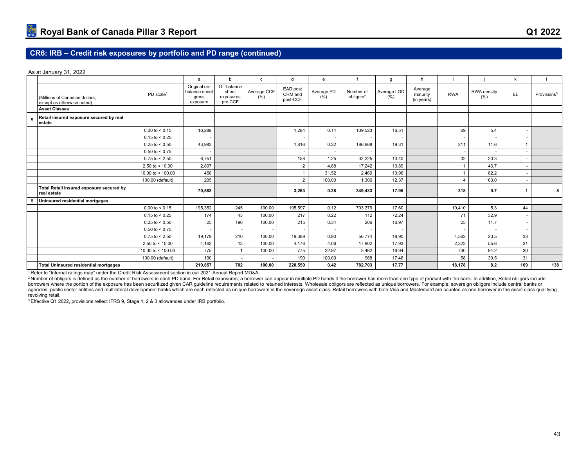As at January 31, 2022

|                                                              |                         | a                                                  | $\mathbf b$                                  | $\mathbf{C}$        | d                               | $\mathbf{e}$                  |                                    | g                   | h                                 |            |                           | k                        |                         |
|--------------------------------------------------------------|-------------------------|----------------------------------------------------|----------------------------------------------|---------------------|---------------------------------|-------------------------------|------------------------------------|---------------------|-----------------------------------|------------|---------------------------|--------------------------|-------------------------|
| (Millions of Canadian dollars,<br>except as otherwise noted) | PD scale <sup>1</sup>   | Original on-<br>balance sheet<br>gross<br>exposure | Off-balance<br>sheet<br>exposures<br>pre CCF | Average CCF<br>(% ) | EAD post<br>CRM and<br>post-CCF | Average PD<br>$(\frac{6}{6})$ | Number of<br>obligors <sup>2</sup> | Average LGD<br>(% ) | Average<br>maturity<br>(in years) | <b>RWA</b> | <b>RWA</b> density<br>(%) | EL                       | Provisions <sup>3</sup> |
| <b>Asset Classes</b>                                         |                         |                                                    |                                              |                     |                                 |                               |                                    |                     |                                   |            |                           |                          |                         |
| Retail insured exposure secured by real<br>estate            |                         |                                                    |                                              |                     |                                 |                               |                                    |                     |                                   |            |                           |                          |                         |
|                                                              | $0.00$ to $< 0.15$      | 16,289                                             |                                              |                     | 1,284                           | 0.14                          | 109,523                            | 16.51               |                                   | 69         | 5.4                       | ٠                        |                         |
|                                                              | $0.15$ to < 0.25        |                                                    |                                              |                     |                                 |                               |                                    |                     |                                   |            |                           |                          |                         |
|                                                              | $0.25$ to < 0.50        | 43.983                                             |                                              |                     | 1.816                           | 0.32                          | 186.668                            | 19.31               |                                   | 211        | 11.6                      | $\mathbf{1}$             |                         |
|                                                              | $0.50$ to < 0.75        |                                                    |                                              |                     |                                 |                               |                                    |                     |                                   |            |                           |                          |                         |
|                                                              | $0.75$ to < 2.50        | 6.751                                              |                                              |                     | 158                             | 1.25                          | 32,225                             | 13.40               |                                   | 32         | 20.3                      | ٠                        |                         |
|                                                              | 2.50 to $<$ 10.00       | 2,897                                              |                                              |                     | $\overline{2}$                  | 4.88                          | 17,242                             | 13.89               |                                   |            | 46.7                      |                          |                         |
|                                                              | 10.00 to $<$ 100.00     | 458                                                |                                              |                     |                                 | 31.52                         | 2.469                              | 13.96               |                                   |            | 82.2                      | ٠                        |                         |
|                                                              | 100.00 (default)        | 205                                                |                                              |                     | $\overline{2}$                  | 100.00                        | 1,306                              | 12.37               |                                   | $\Delta$   | 163.0                     | $\overline{a}$           |                         |
| Total Retail insured exposure secured by<br>real estate      |                         | 70,583                                             |                                              |                     | 3.263                           | 0.38                          | 349.433                            | 17.95               |                                   | 318        | 9.7                       | 1                        | 8                       |
| Uninsured residential mortgages                              |                         |                                                    |                                              |                     |                                 |                               |                                    |                     |                                   |            |                           |                          |                         |
|                                                              | $0.00 \text{ to } 5.15$ | 195,352                                            | 245                                          | 100.00              | 195,597                         | 0.12                          | 703,379                            | 17.60               |                                   | 10,410     | 5.3                       | 44                       |                         |
|                                                              | $0.15$ to < 0.25        | 174                                                | 43                                           | 100.00              | 217                             | 0.22                          | 112                                | 72.24               |                                   | 71         | 32.9                      | $\sim$                   |                         |
|                                                              | $0.25$ to < 0.50        | 25                                                 | 190                                          | 100.00              | 215                             | 0.34                          | 206                                | 16.97               |                                   | 25         | 11.7                      | $\overline{\phantom{a}}$ |                         |
|                                                              | $0.50$ to < 0.75        |                                                    |                                              |                     |                                 |                               |                                    |                     |                                   |            |                           |                          |                         |
|                                                              | $0.75$ to < 2.50        | 19,179                                             | 210                                          | 100.00              | 19,389                          | 0.90                          | 56,774                             | 18.90               |                                   | 4.562      | 23.5                      | 33                       |                         |
|                                                              | 2.50 to $<$ 10.00       | 4,162                                              | 13                                           | 100.00              | 4.176                           | 4.06                          | 17,802                             | 17.93               |                                   | 2,322      | 55.6                      | 31                       |                         |
|                                                              | 10.00 to $<$ 100.00     | 775                                                | $\overline{1}$                               | 100.00              | 775                             | 22.97                         | 3.462                              | 16.94               |                                   | 730        | 94.2                      | 30                       |                         |
|                                                              | 100.00 (default)        | 190                                                | <b>.</b>                                     | $\sim$              | 190                             | 100.00                        | 968                                | 17.46               |                                   | 58         | 30.5                      | 31                       |                         |
| <b>Total Uninsured residential mortgages</b>                 |                         | 219,857                                            | 702                                          | 100.00              | 220,559                         | 0.42                          | 782,703                            | 17.77               |                                   | 18.178     | 8.2                       | 169                      | 138                     |

<sup>1</sup>Refer to "Internal ratings map" under the Credit Risk Assessment section in our 2021 Annual Report MD&A.

<sup>2</sup> Number of obligors is defined as the number of borrowers in each PD band. For Retail exposures, a borrower can appear in multiple PD bands if the borrower has more than one type of product with the bank. In addition, R borrowers where the portion of the exposure has been securitized given CAR guideline requirements related to retained interests. Wholesale obligors are reflected as unique borrowers. For example, sovereign obligors include agencies, public sector entities and multilateral development banks which are each reflected as unique borrowers in the sovereign asset class. Retail borrowers with both Visa and Mastercard are counted as one borrower in t revolving retail.

3 Effective Q1 2022, provisions reflect IFRS 9, Stage 1, 2 & 3 allowances under IRB portfolio.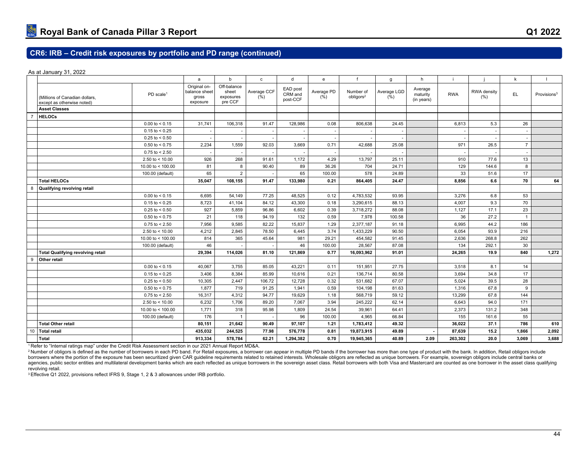As at January 31, 2022

| Original on-<br>Off-balance<br>EAD post<br>Average<br>Average CCF<br>Average PD<br>Average LGD<br>sheet<br>Number of<br>RWA density<br>balance sheet<br>EL.<br>CRM and<br><b>RWA</b><br>PD scale <sup>1</sup><br>maturity<br>Provisions <sup>3</sup><br>$(\bar{\%})$<br>$(\frac{6}{6})$<br>obligors <sup>2</sup><br>$(\bar{\%})$<br>(% )<br>exposures<br>gross<br>(Millions of Canadian dollars,<br>post-CCF<br>(in years)<br>pre CCF<br>exposure<br>except as otherwise noted)<br><b>Asset Classes</b><br><b>HELOCs</b><br>$\overline{7}$<br>106,318<br>91.47<br>128,986<br>806,638<br>5.3<br>$0.00 \text{ to } 5.15$<br>31,741<br>0.08<br>24.45<br>6,813<br>26<br>$0.15$ to < 0.25<br>$\overline{\phantom{a}}$<br>$\overline{\phantom{a}}$<br>٠<br>$0.25$ to < 0.50<br>$\overline{\phantom{a}}$<br>$\overline{\phantom{a}}$<br>$\overline{\phantom{a}}$<br>1,559<br>92.03<br>$0.50$ to < 0.75<br>2,234<br>3,669<br>0.71<br>42,688<br>25.08<br>971<br>26.5<br>$\overline{7}$<br>$0.75$ to $< 2.50$<br>268<br>91.61<br>4.29<br>13,797<br>2.50 to $< 10.00$<br>926<br>1,172<br>25.11<br>910<br>77.6<br>13<br>8<br>10.00 to < $100.00$<br>704<br>129<br>8<br>81<br>90.40<br>89<br>36.26<br>24.71<br>144.6<br>$\overline{2}$<br>65<br>578<br>65<br>33<br>51.6<br>17<br>100.00<br>24.89<br>100.00 (default)<br><b>Total HELOCs</b><br>35,047<br>108,155<br>91.47<br>864,405<br>24.47<br>6.6<br>70<br>133.980<br>0.21<br>8.856<br>8<br>Qualifying revolving retail<br>4,783,532<br>$0.00 \text{ to } 0.15$<br>6.695<br>54.149<br>77.25<br>48.525<br>0.12<br>93.95<br>3,276<br>53<br>6.8<br>$0.15$ to < 0.25<br>41,104<br>84.12<br>43,300<br>0.18<br>3,290,615<br>88.13<br>4,007<br>9.3<br>70<br>8,723<br>$0.25$ to < 0.50<br>927<br>5,859<br>96.86<br>6,602<br>0.39<br>3,718,272<br>88.08<br>1,127<br>17.1<br>23<br>$0.50$ to < 0.75<br>21<br>118<br>94.19<br>132<br>0.59<br>7,978<br>100.58<br>36<br>27.2<br>$\overline{1}$<br>$0.75$ to $< 2.50$<br>7,956<br>9,585<br>82.22<br>15,837<br>1.29<br>2,377,187<br>6,995<br>44.2<br>91.18<br>186<br>2,845<br>78.50<br>3.74<br>2.50 to $< 10.00$<br>4,212<br>6,445<br>1,433,229<br>90.50<br>6,054<br>93.9<br>216<br>365<br>10.00 to $<$ 100.00<br>814<br>45.64<br>981<br>29.21<br>454,582<br>91.45<br>2,636<br>268.8<br>262<br>46<br>28.567<br>46<br>87.08<br>134<br>292.1<br>30<br>100.00 (default)<br>100.00<br>114,026<br>0.77<br>1,272<br><b>Total Qualifying revolving retail</b><br>29,394<br>81.10<br>121,869<br>16,093,962<br>91.01<br>24,265<br>19.9<br>840<br>9<br>Other retail<br>3,755<br>85.05<br>43,221<br>151,951<br>27.75<br>$0.00 \text{ to } 5.15$<br>40,067<br>0.11<br>3,518<br>8.1<br>14<br>80.58<br>$0.15$ to < 0.25<br>3,406<br>8,384<br>85.99<br>10,616<br>0.21<br>136,714<br>3,694<br>34.8<br>17<br>2,447<br>106.72<br>67.07<br>39.5<br>$0.25$ to < 0.50<br>10,305<br>12,728<br>0.32<br>531,682<br>5,024<br>28<br>719<br>$0.50$ to < 0.75<br>1,877<br>91.25<br>1,941<br>0.59<br>104,198<br>81.63<br>67.8<br>9<br>1,316<br>4,312<br>94.77<br>19,629<br>1.18<br>568,719<br>59.12<br>67.8<br>144<br>$0.75$ to < 2.50<br>16,317<br>13,299<br>1,706<br>7,067<br>3.94<br>245,222<br>62.14<br>94.0<br>171<br>2.50 to < $10.00$<br>6,232<br>89.20<br>6,643<br>318<br>24.54<br>39,961<br>10.00 to < 100.00<br>1,771<br>95.98<br>1,809<br>64.41<br>2,373<br>131.2<br>348<br>176<br>96<br>4,965<br>155<br>66.84<br>161.6<br>55<br>100.00<br>100.00 (default)<br>21,642<br>90.49<br>97,107<br>49.32<br>37.1<br>786<br>610<br><b>Total Other retail</b><br>80,151<br>1.21<br>1,783,412<br>36.022<br>10<br><b>Total retail</b><br>435,032<br>244,525<br>77.98<br>576,778<br>0.81<br>19,873,915<br>49.89<br>87,639<br>15.2<br>1,866<br>2,092<br><b>Total</b><br>913,334<br>578,784<br>62.21<br>1,294,382<br>0.70<br>19,945,365<br>40.89<br>2.09<br>3,069<br>3,688<br>263,302<br>20.0 |  | a | b | $\mathbf{c}$ | d | e | g | h |  | k |    |
|--------------------------------------------------------------------------------------------------------------------------------------------------------------------------------------------------------------------------------------------------------------------------------------------------------------------------------------------------------------------------------------------------------------------------------------------------------------------------------------------------------------------------------------------------------------------------------------------------------------------------------------------------------------------------------------------------------------------------------------------------------------------------------------------------------------------------------------------------------------------------------------------------------------------------------------------------------------------------------------------------------------------------------------------------------------------------------------------------------------------------------------------------------------------------------------------------------------------------------------------------------------------------------------------------------------------------------------------------------------------------------------------------------------------------------------------------------------------------------------------------------------------------------------------------------------------------------------------------------------------------------------------------------------------------------------------------------------------------------------------------------------------------------------------------------------------------------------------------------------------------------------------------------------------------------------------------------------------------------------------------------------------------------------------------------------------------------------------------------------------------------------------------------------------------------------------------------------------------------------------------------------------------------------------------------------------------------------------------------------------------------------------------------------------------------------------------------------------------------------------------------------------------------------------------------------------------------------------------------------------------------------------------------------------------------------------------------------------------------------------------------------------------------------------------------------------------------------------------------------------------------------------------------------------------------------------------------------------------------------------------------------------------------------------------------------------------------------------------------------------------------------------------------------------------------------------------------------------------------------------------------------------------------------------------------------------------------------------------------------------------------------------------------------------------------------------------------------------------------------------------------------------------------------------------------------------------------------------------------------------------------------------------------------------------------------------------------------------------------------------------------------------------------------------------------------------------------------|--|---|---|--------------|---|---|---|---|--|---|----|
|                                                                                                                                                                                                                                                                                                                                                                                                                                                                                                                                                                                                                                                                                                                                                                                                                                                                                                                                                                                                                                                                                                                                                                                                                                                                                                                                                                                                                                                                                                                                                                                                                                                                                                                                                                                                                                                                                                                                                                                                                                                                                                                                                                                                                                                                                                                                                                                                                                                                                                                                                                                                                                                                                                                                                                                                                                                                                                                                                                                                                                                                                                                                                                                                                                                                                                                                                                                                                                                                                                                                                                                                                                                                                                                                                                                                                                      |  |   |   |              |   |   |   |   |  |   |    |
|                                                                                                                                                                                                                                                                                                                                                                                                                                                                                                                                                                                                                                                                                                                                                                                                                                                                                                                                                                                                                                                                                                                                                                                                                                                                                                                                                                                                                                                                                                                                                                                                                                                                                                                                                                                                                                                                                                                                                                                                                                                                                                                                                                                                                                                                                                                                                                                                                                                                                                                                                                                                                                                                                                                                                                                                                                                                                                                                                                                                                                                                                                                                                                                                                                                                                                                                                                                                                                                                                                                                                                                                                                                                                                                                                                                                                                      |  |   |   |              |   |   |   |   |  |   |    |
|                                                                                                                                                                                                                                                                                                                                                                                                                                                                                                                                                                                                                                                                                                                                                                                                                                                                                                                                                                                                                                                                                                                                                                                                                                                                                                                                                                                                                                                                                                                                                                                                                                                                                                                                                                                                                                                                                                                                                                                                                                                                                                                                                                                                                                                                                                                                                                                                                                                                                                                                                                                                                                                                                                                                                                                                                                                                                                                                                                                                                                                                                                                                                                                                                                                                                                                                                                                                                                                                                                                                                                                                                                                                                                                                                                                                                                      |  |   |   |              |   |   |   |   |  |   |    |
|                                                                                                                                                                                                                                                                                                                                                                                                                                                                                                                                                                                                                                                                                                                                                                                                                                                                                                                                                                                                                                                                                                                                                                                                                                                                                                                                                                                                                                                                                                                                                                                                                                                                                                                                                                                                                                                                                                                                                                                                                                                                                                                                                                                                                                                                                                                                                                                                                                                                                                                                                                                                                                                                                                                                                                                                                                                                                                                                                                                                                                                                                                                                                                                                                                                                                                                                                                                                                                                                                                                                                                                                                                                                                                                                                                                                                                      |  |   |   |              |   |   |   |   |  |   |    |
|                                                                                                                                                                                                                                                                                                                                                                                                                                                                                                                                                                                                                                                                                                                                                                                                                                                                                                                                                                                                                                                                                                                                                                                                                                                                                                                                                                                                                                                                                                                                                                                                                                                                                                                                                                                                                                                                                                                                                                                                                                                                                                                                                                                                                                                                                                                                                                                                                                                                                                                                                                                                                                                                                                                                                                                                                                                                                                                                                                                                                                                                                                                                                                                                                                                                                                                                                                                                                                                                                                                                                                                                                                                                                                                                                                                                                                      |  |   |   |              |   |   |   |   |  |   |    |
|                                                                                                                                                                                                                                                                                                                                                                                                                                                                                                                                                                                                                                                                                                                                                                                                                                                                                                                                                                                                                                                                                                                                                                                                                                                                                                                                                                                                                                                                                                                                                                                                                                                                                                                                                                                                                                                                                                                                                                                                                                                                                                                                                                                                                                                                                                                                                                                                                                                                                                                                                                                                                                                                                                                                                                                                                                                                                                                                                                                                                                                                                                                                                                                                                                                                                                                                                                                                                                                                                                                                                                                                                                                                                                                                                                                                                                      |  |   |   |              |   |   |   |   |  |   |    |
|                                                                                                                                                                                                                                                                                                                                                                                                                                                                                                                                                                                                                                                                                                                                                                                                                                                                                                                                                                                                                                                                                                                                                                                                                                                                                                                                                                                                                                                                                                                                                                                                                                                                                                                                                                                                                                                                                                                                                                                                                                                                                                                                                                                                                                                                                                                                                                                                                                                                                                                                                                                                                                                                                                                                                                                                                                                                                                                                                                                                                                                                                                                                                                                                                                                                                                                                                                                                                                                                                                                                                                                                                                                                                                                                                                                                                                      |  |   |   |              |   |   |   |   |  |   |    |
|                                                                                                                                                                                                                                                                                                                                                                                                                                                                                                                                                                                                                                                                                                                                                                                                                                                                                                                                                                                                                                                                                                                                                                                                                                                                                                                                                                                                                                                                                                                                                                                                                                                                                                                                                                                                                                                                                                                                                                                                                                                                                                                                                                                                                                                                                                                                                                                                                                                                                                                                                                                                                                                                                                                                                                                                                                                                                                                                                                                                                                                                                                                                                                                                                                                                                                                                                                                                                                                                                                                                                                                                                                                                                                                                                                                                                                      |  |   |   |              |   |   |   |   |  |   |    |
|                                                                                                                                                                                                                                                                                                                                                                                                                                                                                                                                                                                                                                                                                                                                                                                                                                                                                                                                                                                                                                                                                                                                                                                                                                                                                                                                                                                                                                                                                                                                                                                                                                                                                                                                                                                                                                                                                                                                                                                                                                                                                                                                                                                                                                                                                                                                                                                                                                                                                                                                                                                                                                                                                                                                                                                                                                                                                                                                                                                                                                                                                                                                                                                                                                                                                                                                                                                                                                                                                                                                                                                                                                                                                                                                                                                                                                      |  |   |   |              |   |   |   |   |  |   |    |
|                                                                                                                                                                                                                                                                                                                                                                                                                                                                                                                                                                                                                                                                                                                                                                                                                                                                                                                                                                                                                                                                                                                                                                                                                                                                                                                                                                                                                                                                                                                                                                                                                                                                                                                                                                                                                                                                                                                                                                                                                                                                                                                                                                                                                                                                                                                                                                                                                                                                                                                                                                                                                                                                                                                                                                                                                                                                                                                                                                                                                                                                                                                                                                                                                                                                                                                                                                                                                                                                                                                                                                                                                                                                                                                                                                                                                                      |  |   |   |              |   |   |   |   |  |   |    |
|                                                                                                                                                                                                                                                                                                                                                                                                                                                                                                                                                                                                                                                                                                                                                                                                                                                                                                                                                                                                                                                                                                                                                                                                                                                                                                                                                                                                                                                                                                                                                                                                                                                                                                                                                                                                                                                                                                                                                                                                                                                                                                                                                                                                                                                                                                                                                                                                                                                                                                                                                                                                                                                                                                                                                                                                                                                                                                                                                                                                                                                                                                                                                                                                                                                                                                                                                                                                                                                                                                                                                                                                                                                                                                                                                                                                                                      |  |   |   |              |   |   |   |   |  |   |    |
|                                                                                                                                                                                                                                                                                                                                                                                                                                                                                                                                                                                                                                                                                                                                                                                                                                                                                                                                                                                                                                                                                                                                                                                                                                                                                                                                                                                                                                                                                                                                                                                                                                                                                                                                                                                                                                                                                                                                                                                                                                                                                                                                                                                                                                                                                                                                                                                                                                                                                                                                                                                                                                                                                                                                                                                                                                                                                                                                                                                                                                                                                                                                                                                                                                                                                                                                                                                                                                                                                                                                                                                                                                                                                                                                                                                                                                      |  |   |   |              |   |   |   |   |  |   | 64 |
|                                                                                                                                                                                                                                                                                                                                                                                                                                                                                                                                                                                                                                                                                                                                                                                                                                                                                                                                                                                                                                                                                                                                                                                                                                                                                                                                                                                                                                                                                                                                                                                                                                                                                                                                                                                                                                                                                                                                                                                                                                                                                                                                                                                                                                                                                                                                                                                                                                                                                                                                                                                                                                                                                                                                                                                                                                                                                                                                                                                                                                                                                                                                                                                                                                                                                                                                                                                                                                                                                                                                                                                                                                                                                                                                                                                                                                      |  |   |   |              |   |   |   |   |  |   |    |
|                                                                                                                                                                                                                                                                                                                                                                                                                                                                                                                                                                                                                                                                                                                                                                                                                                                                                                                                                                                                                                                                                                                                                                                                                                                                                                                                                                                                                                                                                                                                                                                                                                                                                                                                                                                                                                                                                                                                                                                                                                                                                                                                                                                                                                                                                                                                                                                                                                                                                                                                                                                                                                                                                                                                                                                                                                                                                                                                                                                                                                                                                                                                                                                                                                                                                                                                                                                                                                                                                                                                                                                                                                                                                                                                                                                                                                      |  |   |   |              |   |   |   |   |  |   |    |
|                                                                                                                                                                                                                                                                                                                                                                                                                                                                                                                                                                                                                                                                                                                                                                                                                                                                                                                                                                                                                                                                                                                                                                                                                                                                                                                                                                                                                                                                                                                                                                                                                                                                                                                                                                                                                                                                                                                                                                                                                                                                                                                                                                                                                                                                                                                                                                                                                                                                                                                                                                                                                                                                                                                                                                                                                                                                                                                                                                                                                                                                                                                                                                                                                                                                                                                                                                                                                                                                                                                                                                                                                                                                                                                                                                                                                                      |  |   |   |              |   |   |   |   |  |   |    |
|                                                                                                                                                                                                                                                                                                                                                                                                                                                                                                                                                                                                                                                                                                                                                                                                                                                                                                                                                                                                                                                                                                                                                                                                                                                                                                                                                                                                                                                                                                                                                                                                                                                                                                                                                                                                                                                                                                                                                                                                                                                                                                                                                                                                                                                                                                                                                                                                                                                                                                                                                                                                                                                                                                                                                                                                                                                                                                                                                                                                                                                                                                                                                                                                                                                                                                                                                                                                                                                                                                                                                                                                                                                                                                                                                                                                                                      |  |   |   |              |   |   |   |   |  |   |    |
|                                                                                                                                                                                                                                                                                                                                                                                                                                                                                                                                                                                                                                                                                                                                                                                                                                                                                                                                                                                                                                                                                                                                                                                                                                                                                                                                                                                                                                                                                                                                                                                                                                                                                                                                                                                                                                                                                                                                                                                                                                                                                                                                                                                                                                                                                                                                                                                                                                                                                                                                                                                                                                                                                                                                                                                                                                                                                                                                                                                                                                                                                                                                                                                                                                                                                                                                                                                                                                                                                                                                                                                                                                                                                                                                                                                                                                      |  |   |   |              |   |   |   |   |  |   |    |
|                                                                                                                                                                                                                                                                                                                                                                                                                                                                                                                                                                                                                                                                                                                                                                                                                                                                                                                                                                                                                                                                                                                                                                                                                                                                                                                                                                                                                                                                                                                                                                                                                                                                                                                                                                                                                                                                                                                                                                                                                                                                                                                                                                                                                                                                                                                                                                                                                                                                                                                                                                                                                                                                                                                                                                                                                                                                                                                                                                                                                                                                                                                                                                                                                                                                                                                                                                                                                                                                                                                                                                                                                                                                                                                                                                                                                                      |  |   |   |              |   |   |   |   |  |   |    |
|                                                                                                                                                                                                                                                                                                                                                                                                                                                                                                                                                                                                                                                                                                                                                                                                                                                                                                                                                                                                                                                                                                                                                                                                                                                                                                                                                                                                                                                                                                                                                                                                                                                                                                                                                                                                                                                                                                                                                                                                                                                                                                                                                                                                                                                                                                                                                                                                                                                                                                                                                                                                                                                                                                                                                                                                                                                                                                                                                                                                                                                                                                                                                                                                                                                                                                                                                                                                                                                                                                                                                                                                                                                                                                                                                                                                                                      |  |   |   |              |   |   |   |   |  |   |    |
|                                                                                                                                                                                                                                                                                                                                                                                                                                                                                                                                                                                                                                                                                                                                                                                                                                                                                                                                                                                                                                                                                                                                                                                                                                                                                                                                                                                                                                                                                                                                                                                                                                                                                                                                                                                                                                                                                                                                                                                                                                                                                                                                                                                                                                                                                                                                                                                                                                                                                                                                                                                                                                                                                                                                                                                                                                                                                                                                                                                                                                                                                                                                                                                                                                                                                                                                                                                                                                                                                                                                                                                                                                                                                                                                                                                                                                      |  |   |   |              |   |   |   |   |  |   |    |
|                                                                                                                                                                                                                                                                                                                                                                                                                                                                                                                                                                                                                                                                                                                                                                                                                                                                                                                                                                                                                                                                                                                                                                                                                                                                                                                                                                                                                                                                                                                                                                                                                                                                                                                                                                                                                                                                                                                                                                                                                                                                                                                                                                                                                                                                                                                                                                                                                                                                                                                                                                                                                                                                                                                                                                                                                                                                                                                                                                                                                                                                                                                                                                                                                                                                                                                                                                                                                                                                                                                                                                                                                                                                                                                                                                                                                                      |  |   |   |              |   |   |   |   |  |   |    |
|                                                                                                                                                                                                                                                                                                                                                                                                                                                                                                                                                                                                                                                                                                                                                                                                                                                                                                                                                                                                                                                                                                                                                                                                                                                                                                                                                                                                                                                                                                                                                                                                                                                                                                                                                                                                                                                                                                                                                                                                                                                                                                                                                                                                                                                                                                                                                                                                                                                                                                                                                                                                                                                                                                                                                                                                                                                                                                                                                                                                                                                                                                                                                                                                                                                                                                                                                                                                                                                                                                                                                                                                                                                                                                                                                                                                                                      |  |   |   |              |   |   |   |   |  |   |    |
|                                                                                                                                                                                                                                                                                                                                                                                                                                                                                                                                                                                                                                                                                                                                                                                                                                                                                                                                                                                                                                                                                                                                                                                                                                                                                                                                                                                                                                                                                                                                                                                                                                                                                                                                                                                                                                                                                                                                                                                                                                                                                                                                                                                                                                                                                                                                                                                                                                                                                                                                                                                                                                                                                                                                                                                                                                                                                                                                                                                                                                                                                                                                                                                                                                                                                                                                                                                                                                                                                                                                                                                                                                                                                                                                                                                                                                      |  |   |   |              |   |   |   |   |  |   |    |
|                                                                                                                                                                                                                                                                                                                                                                                                                                                                                                                                                                                                                                                                                                                                                                                                                                                                                                                                                                                                                                                                                                                                                                                                                                                                                                                                                                                                                                                                                                                                                                                                                                                                                                                                                                                                                                                                                                                                                                                                                                                                                                                                                                                                                                                                                                                                                                                                                                                                                                                                                                                                                                                                                                                                                                                                                                                                                                                                                                                                                                                                                                                                                                                                                                                                                                                                                                                                                                                                                                                                                                                                                                                                                                                                                                                                                                      |  |   |   |              |   |   |   |   |  |   |    |
|                                                                                                                                                                                                                                                                                                                                                                                                                                                                                                                                                                                                                                                                                                                                                                                                                                                                                                                                                                                                                                                                                                                                                                                                                                                                                                                                                                                                                                                                                                                                                                                                                                                                                                                                                                                                                                                                                                                                                                                                                                                                                                                                                                                                                                                                                                                                                                                                                                                                                                                                                                                                                                                                                                                                                                                                                                                                                                                                                                                                                                                                                                                                                                                                                                                                                                                                                                                                                                                                                                                                                                                                                                                                                                                                                                                                                                      |  |   |   |              |   |   |   |   |  |   |    |
|                                                                                                                                                                                                                                                                                                                                                                                                                                                                                                                                                                                                                                                                                                                                                                                                                                                                                                                                                                                                                                                                                                                                                                                                                                                                                                                                                                                                                                                                                                                                                                                                                                                                                                                                                                                                                                                                                                                                                                                                                                                                                                                                                                                                                                                                                                                                                                                                                                                                                                                                                                                                                                                                                                                                                                                                                                                                                                                                                                                                                                                                                                                                                                                                                                                                                                                                                                                                                                                                                                                                                                                                                                                                                                                                                                                                                                      |  |   |   |              |   |   |   |   |  |   |    |
|                                                                                                                                                                                                                                                                                                                                                                                                                                                                                                                                                                                                                                                                                                                                                                                                                                                                                                                                                                                                                                                                                                                                                                                                                                                                                                                                                                                                                                                                                                                                                                                                                                                                                                                                                                                                                                                                                                                                                                                                                                                                                                                                                                                                                                                                                                                                                                                                                                                                                                                                                                                                                                                                                                                                                                                                                                                                                                                                                                                                                                                                                                                                                                                                                                                                                                                                                                                                                                                                                                                                                                                                                                                                                                                                                                                                                                      |  |   |   |              |   |   |   |   |  |   |    |
|                                                                                                                                                                                                                                                                                                                                                                                                                                                                                                                                                                                                                                                                                                                                                                                                                                                                                                                                                                                                                                                                                                                                                                                                                                                                                                                                                                                                                                                                                                                                                                                                                                                                                                                                                                                                                                                                                                                                                                                                                                                                                                                                                                                                                                                                                                                                                                                                                                                                                                                                                                                                                                                                                                                                                                                                                                                                                                                                                                                                                                                                                                                                                                                                                                                                                                                                                                                                                                                                                                                                                                                                                                                                                                                                                                                                                                      |  |   |   |              |   |   |   |   |  |   |    |
|                                                                                                                                                                                                                                                                                                                                                                                                                                                                                                                                                                                                                                                                                                                                                                                                                                                                                                                                                                                                                                                                                                                                                                                                                                                                                                                                                                                                                                                                                                                                                                                                                                                                                                                                                                                                                                                                                                                                                                                                                                                                                                                                                                                                                                                                                                                                                                                                                                                                                                                                                                                                                                                                                                                                                                                                                                                                                                                                                                                                                                                                                                                                                                                                                                                                                                                                                                                                                                                                                                                                                                                                                                                                                                                                                                                                                                      |  |   |   |              |   |   |   |   |  |   |    |
|                                                                                                                                                                                                                                                                                                                                                                                                                                                                                                                                                                                                                                                                                                                                                                                                                                                                                                                                                                                                                                                                                                                                                                                                                                                                                                                                                                                                                                                                                                                                                                                                                                                                                                                                                                                                                                                                                                                                                                                                                                                                                                                                                                                                                                                                                                                                                                                                                                                                                                                                                                                                                                                                                                                                                                                                                                                                                                                                                                                                                                                                                                                                                                                                                                                                                                                                                                                                                                                                                                                                                                                                                                                                                                                                                                                                                                      |  |   |   |              |   |   |   |   |  |   |    |
|                                                                                                                                                                                                                                                                                                                                                                                                                                                                                                                                                                                                                                                                                                                                                                                                                                                                                                                                                                                                                                                                                                                                                                                                                                                                                                                                                                                                                                                                                                                                                                                                                                                                                                                                                                                                                                                                                                                                                                                                                                                                                                                                                                                                                                                                                                                                                                                                                                                                                                                                                                                                                                                                                                                                                                                                                                                                                                                                                                                                                                                                                                                                                                                                                                                                                                                                                                                                                                                                                                                                                                                                                                                                                                                                                                                                                                      |  |   |   |              |   |   |   |   |  |   |    |
|                                                                                                                                                                                                                                                                                                                                                                                                                                                                                                                                                                                                                                                                                                                                                                                                                                                                                                                                                                                                                                                                                                                                                                                                                                                                                                                                                                                                                                                                                                                                                                                                                                                                                                                                                                                                                                                                                                                                                                                                                                                                                                                                                                                                                                                                                                                                                                                                                                                                                                                                                                                                                                                                                                                                                                                                                                                                                                                                                                                                                                                                                                                                                                                                                                                                                                                                                                                                                                                                                                                                                                                                                                                                                                                                                                                                                                      |  |   |   |              |   |   |   |   |  |   |    |
|                                                                                                                                                                                                                                                                                                                                                                                                                                                                                                                                                                                                                                                                                                                                                                                                                                                                                                                                                                                                                                                                                                                                                                                                                                                                                                                                                                                                                                                                                                                                                                                                                                                                                                                                                                                                                                                                                                                                                                                                                                                                                                                                                                                                                                                                                                                                                                                                                                                                                                                                                                                                                                                                                                                                                                                                                                                                                                                                                                                                                                                                                                                                                                                                                                                                                                                                                                                                                                                                                                                                                                                                                                                                                                                                                                                                                                      |  |   |   |              |   |   |   |   |  |   |    |
|                                                                                                                                                                                                                                                                                                                                                                                                                                                                                                                                                                                                                                                                                                                                                                                                                                                                                                                                                                                                                                                                                                                                                                                                                                                                                                                                                                                                                                                                                                                                                                                                                                                                                                                                                                                                                                                                                                                                                                                                                                                                                                                                                                                                                                                                                                                                                                                                                                                                                                                                                                                                                                                                                                                                                                                                                                                                                                                                                                                                                                                                                                                                                                                                                                                                                                                                                                                                                                                                                                                                                                                                                                                                                                                                                                                                                                      |  |   |   |              |   |   |   |   |  |   |    |

<sup>1</sup>Refer to "Internal ratings map" under the Credit Risk Assessment section in our 2021 Annual Report MD&A.

<sup>2</sup> Number of obligors is defined as the number of borrowers in each PD band. For Retail exposures, a borrower can appear in multiple PD bands if the borrower has more than one type of product with the bank. In addition, R borrowers where the portion of the exposure has been securitized given CAR guideline requirements related to retained interests. Wholesale obligors are reflected as unique borrowers. For example, sovereign obligors include agencies, public sector entities and multilateral development banks which are each reflected as unique borrowers in the sovereign asset class. Retail borrowers with both Visa and Mastercard are counted as one borrower in t revolving retail.

3 Effective Q1 2022, provisions reflect IFRS 9, Stage 1, 2 & 3 allowances under IRB portfolio.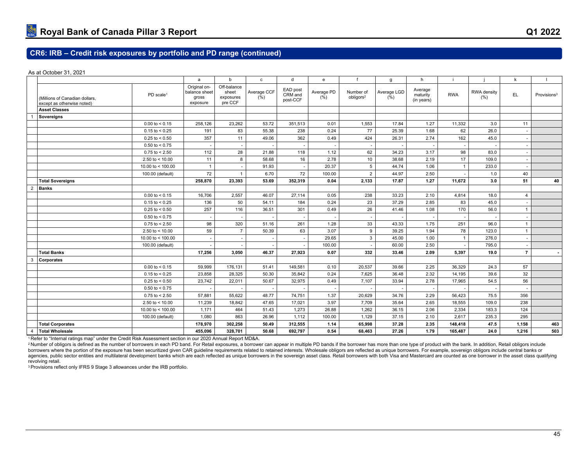As at October 31, 2021

|                |                                                              |                         | a                                                  | $\mathsf{b}$                                 | c                   | $\mathsf{d}$                    | $\mathsf{e}\,$                | $\mathbf f$                        | g                   | h                                 |                |                    | k              | $\mathbf{I}$            |
|----------------|--------------------------------------------------------------|-------------------------|----------------------------------------------------|----------------------------------------------|---------------------|---------------------------------|-------------------------------|------------------------------------|---------------------|-----------------------------------|----------------|--------------------|----------------|-------------------------|
|                | (Millions of Canadian dollars,<br>except as otherwise noted) | PD scale <sup>1</sup>   | Original on-<br>balance sheet<br>gross<br>exposure | Off-balance<br>sheet<br>exposures<br>pre CCF | Average CCF<br>(% ) | EAD post<br>CRM and<br>post-CCF | Average PD<br>$(\frac{6}{6})$ | Number of<br>obligors <sup>2</sup> | Average LGD<br>(% ) | Average<br>maturity<br>(in years) | <b>RWA</b>     | RWA density<br>(%) | EL.            | Provisions <sup>3</sup> |
|                | <b>Asset Classes</b>                                         |                         |                                                    |                                              |                     |                                 |                               |                                    |                     |                                   |                |                    |                |                         |
|                | Sovereigns                                                   |                         |                                                    |                                              |                     |                                 |                               |                                    |                     |                                   |                |                    |                |                         |
|                |                                                              | $0.00 \text{ to } 5.15$ | 258,126                                            | 23,262                                       | 53.72               | 351,513                         | 0.01                          | 1,553                              | 17.84               | 1.27                              | 11,332         | 3.0                | 11             |                         |
|                |                                                              | $0.15$ to < 0.25        | 191                                                | 83                                           | 55.38               | 238                             | 0.24                          | 77                                 | 25.39               | 1.68                              | 62             | 26.0               |                |                         |
|                |                                                              | $0.25$ to < 0.50        | 357                                                | 11                                           | 49.06               | 362                             | 0.49                          | 424                                | 26.31               | 2.74                              | 162            | 45.0               |                |                         |
|                |                                                              | $0.50$ to < 0.75        |                                                    |                                              |                     |                                 |                               |                                    |                     |                                   |                |                    |                |                         |
|                |                                                              | $0.75$ to $< 2.50$      | 112                                                | 28                                           | 21.88               | 118                             | 1.12                          | 62                                 | 34.23               | 3.17                              | 98             | 83.0               |                |                         |
|                |                                                              | 2.50 to $< 10.00$       | 11                                                 | 8                                            | 58.68               | 16                              | 2.78                          | 10                                 | 38.68               | 2.19                              | 17             | 109.0              |                |                         |
|                |                                                              | 10.00 to $<$ 100.00     | $\overline{1}$                                     |                                              | 91.93               |                                 | 20.37                         | $\overline{5}$                     | 44.74               | 1.06                              | $\mathbf{1}$   | 233.0              |                |                         |
|                |                                                              | 100.00 (default)        | 72                                                 | $\overline{1}$                               | 6.70                | 72                              | 100.00                        | $\overline{2}$                     | 44.97               | 2.50                              |                | 1.0                | 40             |                         |
|                | <b>Total Sovereigns</b>                                      |                         | 258,870                                            | 23,393                                       | 53.69               | 352,319                         | 0.04                          | 2,133                              | 17.87               | 1.27                              | 11,672         | 3.0                | 51             | 40                      |
| $\overline{2}$ | <b>Banks</b>                                                 |                         |                                                    |                                              |                     |                                 |                               |                                    |                     |                                   |                |                    |                |                         |
|                |                                                              | $0.00 \text{ to } 5.15$ | 16,706                                             | 2,557                                        | 46.07               | 27.114                          | 0.05                          | 238                                | 33.23               | 2.10                              | 4,814          | 18.0               | $\overline{4}$ |                         |
|                |                                                              | $0.15$ to < 0.25        | 136                                                | 50                                           | 54.11               | 184                             | 0.24                          | 23                                 | 37.29               | 2.85                              | 83             | 45.0               |                |                         |
|                |                                                              | $0.25$ to < 0.50        | 257                                                | 116                                          | 36.51               | 301                             | 0.49                          | 26                                 | 41.46               | 1.08                              | 170            | 56.0               | $\mathbf{1}$   |                         |
|                |                                                              | $0.50 \text{ to } 0.75$ |                                                    |                                              |                     |                                 |                               |                                    |                     |                                   |                |                    |                |                         |
|                |                                                              | $0.75$ to $< 2.50$      | 98                                                 | 320                                          | 51.16               | 261                             | 1.28                          | 33                                 | 43.33               | 1.75                              | 251            | 96.0               | $\overline{1}$ |                         |
|                |                                                              | 2.50 to $<$ 10.00       | 59                                                 | $\overline{7}$                               | 50.39               | 63                              | 3.07                          | 9                                  | 39.25               | 1.94                              | 78             | 123.0              | $\overline{1}$ |                         |
|                |                                                              | 10.00 to $<$ 100.00     |                                                    |                                              |                     |                                 | 29.65                         | 3                                  | 45.00               | 1.00                              | $\overline{1}$ | 276.0              |                |                         |
|                |                                                              | 100.00 (default)        |                                                    |                                              |                     |                                 | 100.00                        |                                    | 60.00               | 2.50                              |                | 795.0              |                |                         |
|                | <b>Total Banks</b>                                           |                         | 17,256                                             | 3,050                                        | 46.37               | 27,923                          | 0.07                          | 332                                | 33.46               | 2.09                              | 5,397          | 19.0               | $\overline{7}$ |                         |
| 3              | <b>Corporates</b>                                            |                         |                                                    |                                              |                     |                                 |                               |                                    |                     |                                   |                |                    |                |                         |
|                |                                                              | $0.00$ to $< 0.15$      | 59,999                                             | 176,131                                      | 51.41               | 149.581                         | 0.10                          | 20,537                             | 39.66               | 2.25                              | 36,329         | 24.3               | 57             |                         |
|                |                                                              | $0.15$ to < 0.25        | 23,858                                             | 28,325                                       | 50.30               | 35,842                          | 0.24                          | 7,625                              | 36.48               | 2.32                              | 14,195         | 39.6               | 32             |                         |
|                |                                                              | $0.25$ to < 0.50        | 23,742                                             | 22,011                                       | 50.67               | 32,975                          | 0.49                          | 7,107                              | 33.94               | 2.78                              | 17,965         | 54.5               | 56             |                         |
|                |                                                              | $0.50$ to < 0.75        |                                                    |                                              |                     |                                 |                               |                                    |                     |                                   |                |                    |                |                         |
|                |                                                              | $0.75$ to < 2.50        | 57,881                                             | 55,622                                       | 48.77               | 74,751                          | 1.37                          | 20,629                             | 34.76               | 2.29                              | 56,423         | 75.5               | 356            |                         |
|                |                                                              | 2.50 to $< 10.00$       | 11,239                                             | 18,842                                       | 47.65               | 17,021                          | 3.97                          | 7,709                              | 35.64               | 2.65                              | 18,555         | 109.0              | 238            |                         |
|                |                                                              | 10.00 to $<$ 100.00     | 1,171                                              | 464                                          | 51.43               | 1.273                           | 26.88                         | 1,262                              | 36.15               | 2.06                              | 2.334          | 183.3              | 124            |                         |
|                |                                                              | 100.00 (default)        | 1,080                                              | 863                                          | 26.96               | 1,112                           | 100.00                        | 1,129                              | 37.15               | 2.10                              | 2.617          | 235.3              | 295            |                         |
|                | <b>Total Corporates</b>                                      |                         | 178,970                                            | 302,258                                      | 50.49               | 312,555                         | 1.14                          | 65,998                             | 37.28               | 2.35                              | 148,418        | 47.5               | 1,158          | 463                     |
| $\overline{4}$ | <b>Total Wholesale</b>                                       |                         | 455,096                                            | 328,701                                      | 50.68               | 692,797                         | 0.54                          | 68,463                             | 27.26               | 1.79                              | 165,487        | 24.0               | 1,216          | 503                     |

<sup>1</sup>Refer to "Internal ratings map" under the Credit Risk Assessment section in our 2020 Annual Report MD&A.

<sup>2</sup> Number of obligors is defined as the number of borrowers in each PD band. For Retail exposures, a borrower can appear in multiple PD bands if the borrower has more than one type of product with the bank. In addition, R borrowers where the portion of the exposure has been securitized given CAR guideline requirements related to retained interests. Wholesale obligors are reflected as unique borrowers. For example, sovereign obligors include agencies, public sector entities and multilateral development banks which are each reflected as unique borrowers in the sovereign asset class. Retail borrowers with both Visa and Mastercard are counted as one borrower in t revolving retail.

3 Provisions reflect only IFRS 9 Stage 3 allowances under the IRB portfolio.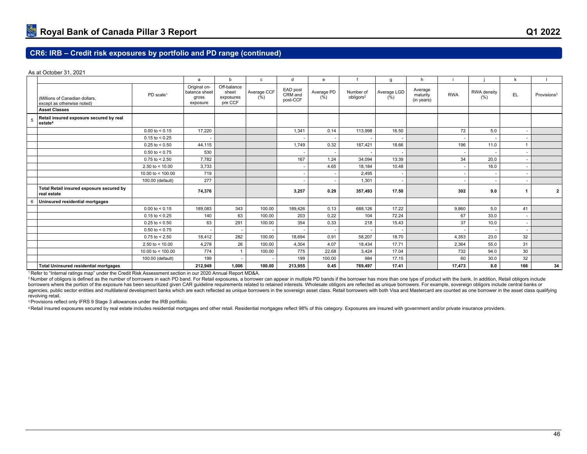As at October 31, 2021

|   |                                                                |                       | a                                                  | b                                            | $\mathbf{c}$        | d                               | $\mathbf{e}$                  |                                    | g                        | h                                 |            |                     | k                        |                         |
|---|----------------------------------------------------------------|-----------------------|----------------------------------------------------|----------------------------------------------|---------------------|---------------------------------|-------------------------------|------------------------------------|--------------------------|-----------------------------------|------------|---------------------|--------------------------|-------------------------|
|   | (Millions of Canadian dollars,<br>except as otherwise noted)   | PD scale <sup>1</sup> | Original on-<br>balance sheet<br>gross<br>exposure | Off-balance<br>sheet<br>exposures<br>pre CCF | Average CCF<br>(% ) | EAD post<br>CRM and<br>post-CCF | Average PD<br>$(\frac{6}{6})$ | Number of<br>obligors <sup>2</sup> | Average LGD<br>(% )      | Average<br>maturity<br>(in years) | <b>RWA</b> | RWA density<br>(% ) | EL                       | Provisions <sup>3</sup> |
|   | <b>Asset Classes</b>                                           |                       |                                                    |                                              |                     |                                 |                               |                                    |                          |                                   |            |                     |                          |                         |
|   | Retail insured exposure secured by real<br>estate <sup>4</sup> |                       |                                                    |                                              |                     |                                 |                               |                                    |                          |                                   |            |                     |                          |                         |
|   |                                                                | $0.00$ to $< 0.15$    | 17,220                                             |                                              |                     | 1,341                           | 0.14                          | 113,998                            | 16.50                    |                                   | 72         | 5.0                 | ٠                        |                         |
|   |                                                                | $0.15$ to < 0.25      |                                                    |                                              |                     |                                 |                               |                                    |                          |                                   |            |                     |                          |                         |
|   |                                                                | $0.25$ to < 0.50      | 44,115                                             |                                              |                     | 1.749                           | 0.32                          | 187.421                            | 18.66                    |                                   | 196        | 11.0                | $\mathbf{1}$             |                         |
|   |                                                                | $0.50$ to < 0.75      | 530                                                |                                              |                     |                                 |                               |                                    |                          |                                   |            |                     |                          |                         |
|   |                                                                | $0.75$ to < 2.50      | 7,782                                              |                                              |                     | 167                             | 1.24                          | 34,094                             | 13.39                    |                                   | 34         | 20.0                | ٠                        |                         |
|   |                                                                | 2.50 to $<$ 10.00     | 3,733                                              |                                              |                     |                                 | 4.65                          | 18,184                             | 10.48                    |                                   |            | 16.0                |                          |                         |
|   |                                                                | 10.00 to $<$ 100.00   | 719                                                |                                              |                     |                                 |                               | 2,495                              | $\overline{\phantom{a}}$ |                                   |            |                     | $\overline{\phantom{a}}$ |                         |
|   |                                                                | 100.00 (default)      | 277                                                |                                              |                     |                                 |                               | 1,301                              | $\overline{\phantom{a}}$ |                                   |            |                     |                          |                         |
|   | Total Retail insured exposure secured by<br>real estate        |                       | 74,376                                             |                                              |                     | 3,257                           | 0.29                          | 357,493                            | 17.50                    |                                   | 302        | 9.0                 | 1                        | $\overline{2}$          |
| 6 | Uninsured residential mortgages                                |                       |                                                    |                                              |                     |                                 |                               |                                    |                          |                                   |            |                     |                          |                         |
|   |                                                                | $0.00$ to $< 0.15$    | 189,083                                            | 343                                          | 100.00              | 189.426                         | 0.13                          | 688.126                            | 17.22                    |                                   | 9.860      | 5.0                 | 41                       |                         |
|   |                                                                | $0.15$ to < 0.25      | 140                                                | 63                                           | 100.00              | 203                             | 0.22                          | 104                                | 72.24                    |                                   | 67         | 33.0                | $\overline{\phantom{a}}$ |                         |
|   |                                                                | $0.25$ to < 0.50      | 63                                                 | 291                                          | 100.00              | 354                             | 0.33                          | 218                                | 15.43                    |                                   | 37         | 10.0                | $\sim$                   |                         |
|   |                                                                | $0.50$ to < 0.75      |                                                    |                                              | ٠                   |                                 |                               |                                    | ٠.                       |                                   |            |                     |                          |                         |
|   |                                                                | $0.75$ to < 2.50      | 18,412                                             | 282                                          | 100.00              | 18,694                          | 0.91                          | 58,207                             | 18.70                    |                                   | 4,353      | 23.0                | 32                       |                         |
|   |                                                                | 2.50 to $<$ 10.00     | 4,278                                              | 26                                           | 100.00              | 4,304                           | 4.07                          | 18,434                             | 17.71                    |                                   | 2.364      | 55.0                | 31                       |                         |
|   |                                                                | 10.00 to $<$ 100.00   | 774                                                | $\overline{1}$                               | 100.00              | 775                             | 22.68                         | 3.424                              | 17.04                    |                                   | 732        | 94.0                | 30                       |                         |
|   |                                                                | 100.00 (default)      | 199                                                |                                              |                     | 199                             | 100.00                        | 984                                | 17.15                    |                                   | 60         | 30.0                | 32                       |                         |
|   | <b>Total Uninsured residential mortgages</b>                   |                       | 212,949                                            | 1,006                                        | 100.00              | 213,955                         | 0.45                          | 769,497                            | 17.41                    |                                   | 17,473     | 8.0                 | 166                      | 34                      |

<sup>1</sup>Refer to "Internal ratings map" under the Credit Risk Assessment section in our 2020 Annual Report MD&A.

<sup>2</sup> Number of obligors is defined as the number of borrowers in each PD band. For Retail exposures, a borrower can appear in multiple PD bands if the borrower has more than one type of product with the bank. In addition, R borrowers where the portion of the exposure has been securitized given CAR guideline requirements related to retained interests. Wholesale obligors are reflected as unique borrowers. For example, sovereign obligors include agencies, public sector entities and multilateral development banks which are each reflected as unique borrowers in the sovereign asset class. Retail borrowers with both Visa and Mastercard are counted as one borrower in t revolving retail.

<sup>3</sup>Provisions reflect only IFRS 9 Stage 3 allowances under the IRB portfolio.

4 Retail insured exposures secured by real estate includes residential mortgages and other retail. Residential mortgages reflect 98% of this category. Exposures are insured with government and/or private insurance providers.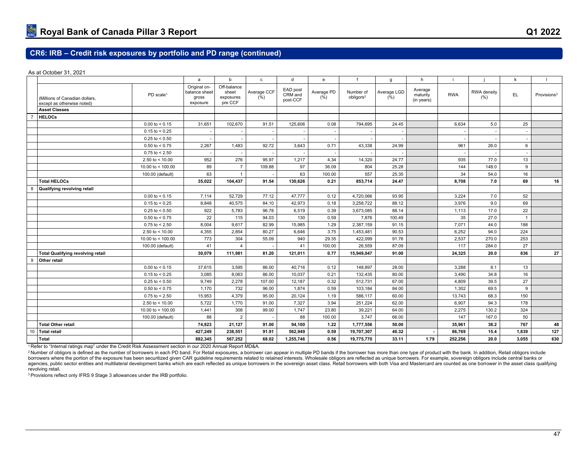As at October 31, 2021

|    |                                                              |                         | a                                                  | b                                            | $\mathbf c$                 | $\mathsf{d}$                    | $\mathbf{e}$                  | f                                  | g                           | h                                 |                          |                     | k              |                         |
|----|--------------------------------------------------------------|-------------------------|----------------------------------------------------|----------------------------------------------|-----------------------------|---------------------------------|-------------------------------|------------------------------------|-----------------------------|-----------------------------------|--------------------------|---------------------|----------------|-------------------------|
|    | (Millions of Canadian dollars,<br>except as otherwise noted) | PD scale <sup>1</sup>   | Original on-<br>balance sheet<br>gross<br>exposure | Off-balance<br>sheet<br>exposures<br>pre CCF | Average CCF<br>$(\bar{\%})$ | EAD post<br>CRM and<br>post-CCF | Average PD<br>$(\frac{6}{6})$ | Number of<br>obligors <sup>2</sup> | Average LGD<br>$(\bar{\%})$ | Average<br>maturity<br>(in years) | <b>RWA</b>               | RWA density<br>(% ) | EL.            | Provisions <sup>3</sup> |
|    | <b>Asset Classes</b>                                         |                         |                                                    |                                              |                             |                                 |                               |                                    |                             |                                   |                          |                     |                |                         |
|    | <b>HELOCs</b>                                                |                         |                                                    |                                              |                             |                                 |                               |                                    |                             |                                   |                          |                     |                |                         |
|    |                                                              | $0.00 \text{ to } 5.15$ | 31,651                                             | 102,670                                      | 91.51                       | 125,606                         | 0.08                          | 794,695                            | 24.45                       |                                   | 6,634                    | 5.0                 | 25             |                         |
|    |                                                              | $0.15$ to < 0.25        |                                                    |                                              | $\overline{\phantom{a}}$    |                                 |                               |                                    | ٠.                          |                                   |                          | ٠.                  |                |                         |
|    |                                                              | $0.25$ to < 0.50        |                                                    | $\overline{\phantom{a}}$                     | $\sim$                      |                                 |                               |                                    | $\overline{\phantom{a}}$    |                                   | $\overline{\phantom{a}}$ | $\sim$              | $\sim$         |                         |
|    |                                                              | $0.50 \text{ to } 0.75$ | 2,267                                              | 1,483                                        | 92.72                       | 3,643                           | 0.71                          | 43,338                             | 24.99                       |                                   | 961                      | 26.0                | 6              |                         |
|    |                                                              | $0.75$ to < 2.50        |                                                    |                                              |                             |                                 |                               |                                    |                             |                                   |                          |                     |                |                         |
|    |                                                              | 2.50 to $< 10.00$       | 952                                                | 276                                          | 95.97                       | 1,217                           | 4.34                          | 14,320                             | 24.77                       |                                   | 935                      | 77.0                | 13             |                         |
|    |                                                              | 10.00 to $<$ 100.00     | 89                                                 | $\overline{7}$                               | 109.88                      | 97                              | 36.09                         | 804                                | 25.28                       |                                   | 144                      | 148.0               | 9              |                         |
|    |                                                              | 100.00 (default)        | 63                                                 | $\mathbf{1}$                                 |                             | 63                              | 100.00                        | 557                                | 25.35                       |                                   | 34                       | 54.0                | 16             |                         |
|    | <b>Total HELOCs</b>                                          |                         | 35,022                                             | 104,437                                      | 91.54                       | 130,626                         | 0.21                          | 853,714                            | 24.47                       |                                   | 8,708                    | 7.0                 | 69             | 16                      |
| 8  | Qualifying revolving retail                                  |                         |                                                    |                                              |                             |                                 |                               |                                    |                             |                                   |                          |                     |                |                         |
|    |                                                              | $0.00$ to < 0.15        | 7,114                                              | 52,729                                       | 77.12                       | 47,777                          | 0.12                          | 4,720,066                          | 93.95                       |                                   | 3,224                    | 7.0                 | 52             |                         |
|    |                                                              | $0.15$ to < 0.25        | 8,848                                              | 40,575                                       | 84.10                       | 42,973                          | 0.18                          | 3,258,722                          | 88.12                       |                                   | 3,976                    | 9.0                 | 69             |                         |
|    |                                                              | $0.25$ to < 0.50        | 922                                                | 5,783                                        | 96.78                       | 6,519                           | 0.39                          | 3,673,085                          | 88.14                       |                                   | 1,113                    | 17.0                | 22             |                         |
|    |                                                              | $0.50 \text{ to } 0.75$ | 22                                                 | 115                                          | 94.03                       | 130                             | 0.59                          | 7,876                              | 100.49                      |                                   | 35                       | 27.0                | $\overline{1}$ |                         |
|    |                                                              | $0.75$ to $< 2.50$      | 8,004                                              | 9,617                                        | 82.99                       | 15,985                          | 1.29                          | 2,387,159                          | 91.15                       |                                   | 7,071                    | 44.0                | 188            |                         |
|    |                                                              | 2.50 to $< 10.00$       | 4,355                                              | 2,854                                        | 80.27                       | 6,646                           | 3.75                          | 1,453,481                          | 90.53                       |                                   | 6,252                    | 94.0                | 224            |                         |
|    |                                                              | 10.00 to < $100.00$     | 773                                                | 304                                          | 55.09                       | 940                             | 29.35                         | 422,099                            | 91.76                       |                                   | 2,537                    | 270.0               | 253            |                         |
|    |                                                              | 100.00 (default)        | 41                                                 | $\overline{a}$                               |                             | 41                              | 100.00                        | 26,559                             | 87.09                       |                                   | 117                      | 284.0               | 27             |                         |
|    | <b>Total Qualifying revolving retail</b>                     |                         | 30,079                                             | 111,981                                      | 81.20                       | 121,011                         | 0.77                          | 15,949,047                         | 91.00                       |                                   | 24,325                   | 20.0                | 836            | 27                      |
| 9  | Other retail                                                 |                         |                                                    |                                              |                             |                                 |                               |                                    |                             |                                   |                          |                     |                |                         |
|    |                                                              | $0.00$ to < 0.15        | 37,615                                             | 3,595                                        | 86.00                       | 40,716                          | 0.12                          | 148,897                            | 28.00                       |                                   | 3,288                    | 8.1                 | 13             |                         |
|    |                                                              | $0.15$ to < 0.25        | 3,085                                              | 8,063                                        | 86.00                       | 10,037                          | 0.21                          | 132,435                            | 80.00                       |                                   | 3,490                    | 34.8                | 16             |                         |
|    |                                                              | $0.25$ to < 0.50        | 9,749                                              | 2,278                                        | 107.00                      | 12,187                          | 0.32                          | 512,731                            | 67.00                       |                                   | 4,809                    | 39.5                | 27             |                         |
|    |                                                              | $0.50$ to < 0.75        | 1,170                                              | 732                                          | 96.00                       | 1,874                           | 0.59                          | 103,184                            | 84.00                       |                                   | 1,302                    | 69.5                | 9              |                         |
|    |                                                              | $0.75$ to $< 2.50$      | 15,953                                             | 4,379                                        | 95.00                       | 20.124                          | 1.19                          | 586,117                            | 60.00                       |                                   | 13,743                   | 68.3                | 150            |                         |
|    |                                                              | 2.50 to $<$ 10.00       | 5,722                                              | 1,770                                        | 91.00                       | 7,327                           | 3.94                          | 251,224                            | 62.00                       |                                   | 6,907                    | 94.3                | 178            |                         |
|    |                                                              | 10.00 to < $100.00$     | 1,441                                              | 308                                          | 99.00                       | 1,747                           | 23.80                         | 39,221                             | 64.00                       |                                   | 2,275                    | 130.2               | 324            |                         |
|    |                                                              | 100.00 (default)        | 88                                                 | $\overline{2}$                               |                             | 88                              | 100.00                        | 3,747                              | 66.00                       |                                   | 147                      | 167.0               | 50             |                         |
|    | <b>Total Other retail</b>                                    |                         | 74,823                                             | 21,127                                       | 91.00                       | 94.100                          | 1.22                          | 1,777,556                          | 50.00                       |                                   | 35.961                   | 38.2                | 767            | 48                      |
| 10 | Total retail                                                 |                         | 427,249                                            | 238,551                                      | 91.91                       | 562,949                         | 0.59                          | 19,707,307                         | 40.32                       |                                   | 86,769                   | 15.4                | 1,839          | 127                     |
|    | <b>Total</b>                                                 |                         | 882.345                                            | 567,252                                      | 68.02                       | 1,255,746                       | 0.56                          | 19,775,770                         | 33.11                       | 1.79                              | 252.256                  | 20.0                | 3.055          | 630                     |

<sup>1</sup>Refer to "Internal ratings map" under the Credit Risk Assessment section in our 2020 Annual Report MD&A.

<sup>2</sup> Number of obligors is defined as the number of borrowers in each PD band. For Retail exposures, a borrower can appear in multiple PD bands if the borrower has more than one type of product with the bank. In addition, R borrowers where the portion of the exposure has been securitized given CAR guideline requirements related to retained interests. Wholesale obligors are reflected as unique borrowers. For example, sovereign obligors include agencies, public sector entities and multilateral development banks which are each reflected as unique borrowers in the sovereign asset class. Retail borrowers with both Visa and Mastercard are counted as one borrower in t revolving retail.

3 Provisions reflect only IFRS 9 Stage 3 allowances under the IRB portfolio.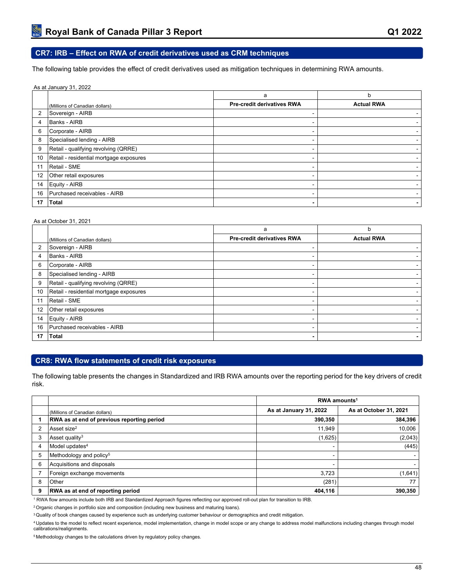## **CR7: IRB – Effect on RWA of credit derivatives used as CRM techniques**

The following table provides the effect of credit derivatives used as mitigation techniques in determining RWA amounts.

|    | As at January 31, 2022                  |                                   |                   |
|----|-----------------------------------------|-----------------------------------|-------------------|
|    |                                         | a                                 | h                 |
|    | (Millions of Canadian dollars)          | <b>Pre-credit derivatives RWA</b> | <b>Actual RWA</b> |
| 2  | Sovereign - AIRB                        | ۰                                 |                   |
| 4  | <b>Banks - AIRB</b>                     | -                                 |                   |
| 6  | Corporate - AIRB                        | ۰                                 |                   |
| 8  | Specialised lending - AIRB              | -                                 |                   |
| 9  | Retail - qualifying revolving (QRRE)    | ۰                                 |                   |
| 10 | Retail - residential mortgage exposures | -                                 |                   |
| 11 | Retail - SME                            | -                                 |                   |
| 12 | Other retail exposures                  | ۰                                 |                   |
| 14 | Equity - AIRB                           | -                                 |                   |
| 16 | Purchased receivables - AIRB            | ۰                                 |                   |
| 17 | <b>Total</b>                            | $\blacksquare$                    |                   |

#### As at October 31, 2021

|                |                                         | a                                 | b                 |
|----------------|-----------------------------------------|-----------------------------------|-------------------|
|                | (Millions of Canadian dollars)          | <b>Pre-credit derivatives RWA</b> | <b>Actual RWA</b> |
| $\overline{2}$ | Sovereign - AIRB                        |                                   |                   |
| 4              | Banks - AIRB                            |                                   |                   |
| 6              | Corporate - AIRB                        |                                   |                   |
| 8              | Specialised lending - AIRB              | -                                 |                   |
| 9              | Retail - qualifying revolving (QRRE)    |                                   |                   |
| 10             | Retail - residential mortgage exposures |                                   |                   |
| 11             | Retail - SME                            | ۰.                                |                   |
| 12             | Other retail exposures                  | -                                 |                   |
| 14             | Equity - AIRB                           | ۰.                                |                   |
| 16             | Purchased receivables - AIRB            |                                   |                   |
| 17             | <b>Total</b>                            | $\blacksquare$                    |                   |

## **CR8: RWA flow statements of credit risk exposures**

The following table presents the changes in Standardized and IRB RWA amounts over the reporting period for the key drivers of credit risk.

|   |                                                   | RWA amounts <sup>1</sup> |                        |  |  |  |
|---|---------------------------------------------------|--------------------------|------------------------|--|--|--|
|   | (Millions of Canadian dollars)                    | As at January 31, 2022   | As at October 31, 2021 |  |  |  |
|   | <b>RWA as at end of previous reporting period</b> | 390,350                  | 384,396                |  |  |  |
|   | Asset size <sup>2</sup>                           | 11,949                   | 10,006                 |  |  |  |
| 3 | Asset quality <sup>3</sup>                        | (1,625)                  | (2,043)                |  |  |  |
| 4 | Model updates <sup>4</sup>                        |                          | (445)                  |  |  |  |
| 5 | Methodology and policy <sup>5</sup>               | -                        |                        |  |  |  |
| 6 | Acquisitions and disposals                        | -                        |                        |  |  |  |
|   | Foreign exchange movements                        | 3.723                    | (1,641)                |  |  |  |
| 8 | Other                                             | (281)                    | 77                     |  |  |  |
| 9 | <b>RWA as at end of reporting period</b>          | 404,116                  | 390,350                |  |  |  |

RWA flow amounts include both IRB and Standardized Approach figures reflecting our approved roll-out plan for transition to IRB.

<sup>2</sup> Organic changes in portfolio size and composition (including new business and maturing loans).

<sup>3</sup> Quality of book changes caused by experience such as underlying customer behaviour or demographics and credit mitigation.

Updates to the model to reflect recent experience, model implementation, change in model scope or any change to address model malfunctions including changes through model calibrations/realignments.

Methodology changes to the calculations driven by regulatory policy changes.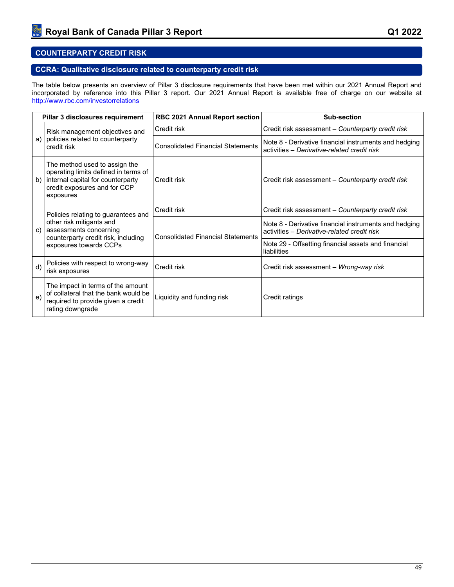## **COUNTERPARTY CREDIT RISK**

## **CCRA: Qualitative disclosure related to counterparty credit risk**

The table below presents an overview of Pillar 3 disclosure requirements that have been met within our 2021 Annual Report and incorporated by reference into this Pillar 3 report. Our 2021 Annual Report is available free of charge on our website at <http://www.rbc.com/investorrelations>

| Pillar 3 disclosures requirement |                                                                                                                                                         | <b>RBC 2021 Annual Report section</b>    | Sub-section                                                                                          |  |  |
|----------------------------------|---------------------------------------------------------------------------------------------------------------------------------------------------------|------------------------------------------|------------------------------------------------------------------------------------------------------|--|--|
|                                  | Risk management objectives and                                                                                                                          | Credit risk                              | Credit risk assessment - Counterparty credit risk                                                    |  |  |
| a)                               | policies related to counterparty<br>credit risk                                                                                                         | <b>Consolidated Financial Statements</b> | Note 8 - Derivative financial instruments and hedging<br>activities - Derivative-related credit risk |  |  |
| b)                               | The method used to assign the<br>operating limits defined in terms of<br>internal capital for counterparty<br>credit exposures and for CCP<br>exposures | Credit risk                              | Credit risk assessment - Counterparty credit risk                                                    |  |  |
|                                  | Policies relating to guarantees and                                                                                                                     | Credit risk                              | Credit risk assessment - Counterparty credit risk                                                    |  |  |
| c)                               | other risk mitigants and<br>assessments concerning<br>counterparty credit risk, including                                                               | <b>Consolidated Financial Statements</b> | Note 8 - Derivative financial instruments and hedging<br>activities - Derivative-related credit risk |  |  |
|                                  | exposures towards CCPs                                                                                                                                  |                                          | Note 29 - Offsetting financial assets and financial<br>liabilities                                   |  |  |
| d)                               | Policies with respect to wrong-way<br>risk exposures                                                                                                    | Credit risk                              | Credit risk assessment - Wrong-way risk                                                              |  |  |
| e)                               | The impact in terms of the amount<br>of collateral that the bank would be<br>required to provide given a credit<br>rating downgrade                     | Liquidity and funding risk               | Credit ratings                                                                                       |  |  |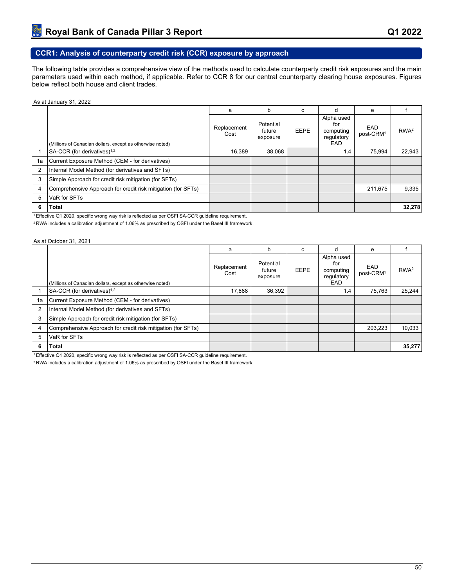# **CCR1: Analysis of counterparty credit risk (CCR) exposure by approach**

The following table provides a comprehensive view of the methods used to calculate counterparty credit risk exposures and the main parameters used within each method, if applicable. Refer to CCR 8 for our central counterparty clearing house exposures. Figures below reflect both house and client trades.

#### As at January 31, 2022

|    |                                                              | a                   | b                               | C           | d                                                          | e                            |                  |
|----|--------------------------------------------------------------|---------------------|---------------------------------|-------------|------------------------------------------------------------|------------------------------|------------------|
|    | (Millions of Canadian dollars, except as otherwise noted)    | Replacement<br>Cost | Potential<br>future<br>exposure | <b>EEPE</b> | Alpha used<br>for<br>computing<br>regulatory<br><b>EAD</b> | EAD<br>post-CRM <sup>1</sup> | RWA <sup>2</sup> |
|    | SA-CCR (for derivatives) <sup>1,2</sup>                      | 16,389              | 38,068                          |             | 1.4                                                        | 75,994                       | 22.943           |
| 1a | Current Exposure Method (CEM - for derivatives)              |                     |                                 |             |                                                            |                              |                  |
| 2  | Internal Model Method (for derivatives and SFTs)             |                     |                                 |             |                                                            |                              |                  |
| 3  | Simple Approach for credit risk mitigation (for SFTs)        |                     |                                 |             |                                                            |                              |                  |
| 4  | Comprehensive Approach for credit risk mitigation (for SFTs) |                     |                                 |             |                                                            | 211,675                      | 9,335            |
| 5  | VaR for SFTs                                                 |                     |                                 |             |                                                            |                              |                  |
| 6  | <b>Total</b>                                                 |                     |                                 |             |                                                            |                              | 32,278           |

<sup>1</sup>Effective Q1 2020, specific wrong way risk is reflected as per OSFI SA-CCR guideline requirement.

<sup>2</sup>RWA includes a calibration adjustment of 1.06% as prescribed by OSFI under the Basel III framework.

#### As at October 31, 2021

|    |                                                              | a                   | b                               | C           | d                                                          | e                                   |                  |
|----|--------------------------------------------------------------|---------------------|---------------------------------|-------------|------------------------------------------------------------|-------------------------------------|------------------|
|    | (Millions of Canadian dollars, except as otherwise noted)    | Replacement<br>Cost | Potential<br>future<br>exposure | <b>EEPE</b> | Alpha used<br>for<br>computing<br>regulatory<br><b>EAD</b> | <b>EAD</b><br>post-CRM <sup>1</sup> | RWA <sup>2</sup> |
|    | SA-CCR (for derivatives) <sup>1,2</sup>                      | 17.888              | 36.392                          |             | 1.4                                                        | 75.763                              | 25.244           |
| 1a | Current Exposure Method (CEM - for derivatives)              |                     |                                 |             |                                                            |                                     |                  |
| 2  | Internal Model Method (for derivatives and SFTs)             |                     |                                 |             |                                                            |                                     |                  |
| 3  | Simple Approach for credit risk mitigation (for SFTs)        |                     |                                 |             |                                                            |                                     |                  |
| 4  | Comprehensive Approach for credit risk mitigation (for SFTs) |                     |                                 |             |                                                            | 203.223                             | 10.033           |
| 5  | VaR for SFTs                                                 |                     |                                 |             |                                                            |                                     |                  |
| 6  | Total                                                        |                     |                                 |             |                                                            |                                     | 35,277           |

<sup>1</sup>Effective Q1 2020, specific wrong way risk is reflected as per OSFI SA-CCR guideline requirement.

2 RWA includes a calibration adjustment of 1.06% as prescribed by OSFI under the Basel III framework.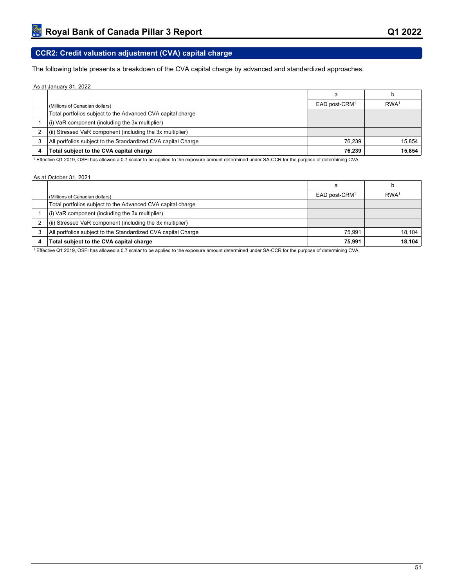# **CCR2: Credit valuation adjustment (CVA) capital charge**

The following table presents a breakdown of the CVA capital charge by advanced and standardized approaches.

#### As at January 31, 2022

|                                                               | a                         |                  |
|---------------------------------------------------------------|---------------------------|------------------|
| (Millions of Canadian dollars)                                | EAD post-CRM <sup>1</sup> | RWA <sup>1</sup> |
| Total portfolios subject to the Advanced CVA capital charge   |                           |                  |
| $(i)$ VaR component (including the 3x multiplier)             |                           |                  |
| $(iii)$ Stressed VaR component (including the 3x multiplier)  |                           |                  |
| All portfolios subject to the Standardized CVA capital Charge | 76.239                    | 15.854           |
| Total subject to the CVA capital charge                       | 76,239                    | 15,854           |

1 Effective Q1 2019, OSFI has allowed a 0.7 scalar to be applied to the exposure amount determined under SA-CCR for the purpose of determining CVA.

#### As at October 31, 2021

|                                                               | a                         |                  |
|---------------------------------------------------------------|---------------------------|------------------|
| (Millions of Canadian dollars)                                | EAD post-CRM <sup>1</sup> | RWA <sup>1</sup> |
| Total portfolios subject to the Advanced CVA capital charge   |                           |                  |
| $(i)$ VaR component (including the 3x multiplier)             |                           |                  |
| (ii) Stressed VaR component (including the 3x multiplier)     |                           |                  |
| All portfolios subject to the Standardized CVA capital Charge | 75.991                    | 18.104           |
| Total subject to the CVA capital charge                       | 75.991                    | 18,104           |

1 Effective Q1 2019, OSFI has allowed a 0.7 scalar to be applied to the exposure amount determined under SA-CCR for the purpose of determining CVA.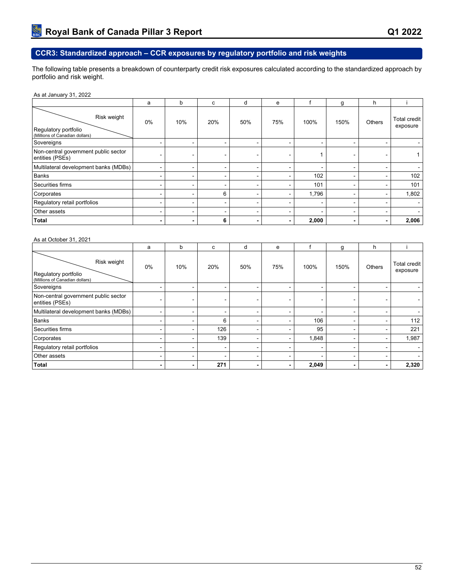# **CCR3: Standardized approach – CCR exposures by regulatory portfolio and risk weights**

The following table presents a breakdown of counterparty credit risk exposures calculated according to the standardized approach by portfolio and risk weight.

| As at January 31, 2022 |
|------------------------|
|------------------------|

|                                                                       | a                        | b                        | c   | d   | e                        |       | g                        | h                        |                                 |
|-----------------------------------------------------------------------|--------------------------|--------------------------|-----|-----|--------------------------|-------|--------------------------|--------------------------|---------------------------------|
| Risk weight<br>Regulatory portfolio<br>(Millions of Canadian dollars) | $0\%$                    | 10%                      | 20% | 50% | 75%                      | 100%  | 150%                     | Others                   | <b>Total credit</b><br>exposure |
| Sovereigns                                                            |                          | -                        | ۰   |     | -                        | -     | -                        | $\sim$                   |                                 |
| Non-central government public sector<br>entities (PSEs)               |                          | $\overline{\phantom{0}}$ |     |     |                          |       |                          | $\,$                     |                                 |
| Multilateral development banks (MDBs)                                 |                          | $\overline{\phantom{0}}$ | ۰   |     | $\overline{\phantom{0}}$ | ۰     | ۰                        | $\overline{\phantom{0}}$ |                                 |
| <b>Banks</b>                                                          |                          | ۰                        | ۰   |     |                          | 102   | -                        | ۰.                       | 102                             |
| Securities firms                                                      |                          | $\blacksquare$           | ۰   |     |                          | 101   | $\overline{\phantom{0}}$ | -                        | 101                             |
| Corporates                                                            |                          | $\blacksquare$           | 6   |     | $\,$ $\,$                | 1,796 |                          | ۰                        | 1,802                           |
| Regulatory retail portfolios                                          |                          | -                        | -   |     | -                        | -     | ۰.                       | -                        |                                 |
| Other assets                                                          |                          | $\sim$                   | ۰.  | -   | $\overline{\phantom{0}}$ | ۰     | ۰.                       | $\sim$                   |                                 |
| <b>Total</b>                                                          | $\overline{\phantom{0}}$ | $\blacksquare$           | 6   |     | $\blacksquare$           | 2,000 | $\blacksquare$           | $\blacksquare$           | 2,006                           |

#### As at October 31, 2021

|                                                                       | a                        | b   | c   | d   | e              |       | g              | h                        |                          |
|-----------------------------------------------------------------------|--------------------------|-----|-----|-----|----------------|-------|----------------|--------------------------|--------------------------|
| Risk weight<br>Regulatory portfolio<br>(Millions of Canadian dollars) | $0\%$                    | 10% | 20% | 50% | 75%            | 100%  | 150%           | Others                   | Total credit<br>exposure |
| Sovereigns                                                            |                          |     |     |     | ۰.             | -     |                |                          |                          |
| Non-central government public sector<br>entities (PSEs)               |                          | -   | ۰   |     | ۰              | ۰     |                |                          |                          |
| Multilateral development banks (MDBs)                                 | $\overline{\phantom{0}}$ | -   | -   |     | $\sim$         | -     | <b>-</b>       | -                        |                          |
| Banks                                                                 |                          |     | 6   |     |                | 106   |                |                          | 112                      |
| Securities firms                                                      | -                        |     | 126 |     | ۰.             | 95    | -              |                          | 221                      |
| Corporates                                                            |                          |     | 139 |     | $\sim$         | 1,848 | -              |                          | 1,987                    |
| Regulatory retail portfolios                                          |                          | -   | ۰   |     | ۰              |       | $\blacksquare$ | -                        |                          |
| Other assets                                                          | -                        | -   | -   |     | $\sim$         | -     | $\blacksquare$ | -                        |                          |
| Total                                                                 | $\blacksquare$           |     | 271 |     | $\blacksquare$ | 2,049 |                | $\overline{\phantom{a}}$ | 2,320                    |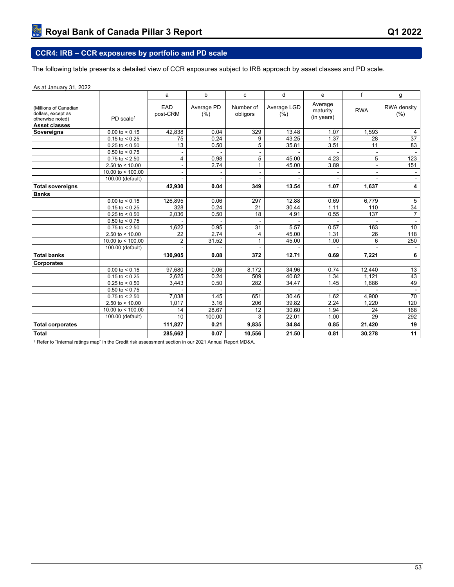# **CCR4: IRB – CCR exposures by portfolio and PD scale**

The following table presents a detailed view of CCR exposures subject to IRB approach by asset classes and PD scale.

| As at January 31, 2022                                          |                       |                 |                    |                       |                     |                                   |                |                     |
|-----------------------------------------------------------------|-----------------------|-----------------|--------------------|-----------------------|---------------------|-----------------------------------|----------------|---------------------|
|                                                                 |                       | a               | b                  | c                     | d                   | e                                 | f              | g                   |
| (Millions of Canadian<br>dollars, except as<br>otherwise noted) | PD scale <sup>1</sup> | EAD<br>post-CRM | Average PD<br>(% ) | Number of<br>obligors | Average LGD<br>(% ) | Average<br>maturity<br>(in years) | <b>RWA</b>     | RWA density<br>(% ) |
| Asset classes                                                   |                       |                 |                    |                       |                     |                                   |                |                     |
| <b>Sovereigns</b>                                               | $0.00$ to < 0.15      | 42,838          | 0.04               | 329                   | 13.48               | 1.07                              | 1,593          | 4                   |
|                                                                 | $0.15$ to < 0.25      | 75              | 0.24               | 9                     | 43.25               | 1.37                              | 28             | $\overline{37}$     |
|                                                                 | $0.25$ to < 0.50      | 13              | 0.50               | $\overline{5}$        | 35.81               | 3.51                              | 11             | 83                  |
|                                                                 | $0.50$ to < 0.75      |                 |                    |                       |                     |                                   |                |                     |
|                                                                 | $0.75$ to < 2.50      | 4               | 0.98               | 5                     | 45.00               | 4.23                              | 5              | 123                 |
|                                                                 | 2.50 to $< 10.00$     |                 | 2.74               | $\mathbf{1}$          | 45.00               | 3.89                              | $\blacksquare$ | 151                 |
|                                                                 | 10.00 to $<$ 100.00   |                 |                    |                       |                     |                                   |                |                     |
|                                                                 | 100.00 (default)      |                 |                    |                       |                     |                                   |                |                     |
| <b>Total sovereigns</b>                                         |                       | 42,930          | 0.04               | 349                   | 13.54               | 1.07                              | 1,637          | 4                   |
| <b>Banks</b>                                                    |                       |                 |                    |                       |                     |                                   |                |                     |
|                                                                 | $0.00$ to < 0.15      | 126,895         | 0.06               | 297                   | 12.88               | 0.69                              | 6,779          | $\overline{5}$      |
|                                                                 | $0.15$ to < 0.25      | 328             | 0.24               | 21                    | 30.44               | 1.11                              | 110            | 34                  |
|                                                                 | $0.25$ to < 0.50      | 2,036           | 0.50               | 18                    | 4.91                | 0.55                              | 137            | $\overline{7}$      |
|                                                                 | $0.50$ to < 0.75      |                 |                    |                       |                     |                                   |                | $\blacksquare$      |
|                                                                 | $0.75$ to < 2.50      | 1,622           | 0.95               | 31                    | 5.57                | 0.57                              | 163            | 10                  |
|                                                                 | 2.50 to $<$ 10.00     | 22              | 2.74               | 4                     | 45.00               | 1.31                              | 26             | 118                 |
|                                                                 | 10.00 to $<$ 100.00   | $\overline{2}$  | 31.52              | $\mathbf{1}$          | 45.00               | 1.00                              | 6              | 250                 |
|                                                                 | 100.00 (default)      |                 |                    |                       |                     |                                   |                |                     |
| <b>Total banks</b>                                              |                       | 130,905         | 0.08               | 372                   | 12.71               | 0.69                              | 7,221          | 6                   |
| Corporates                                                      |                       |                 |                    |                       |                     |                                   |                |                     |
|                                                                 | $0.00$ to < 0.15      | 97,680          | 0.06               | 8,172                 | 34.96               | 0.74                              | 12,440         | 13                  |
|                                                                 | $0.15$ to < 0.25      | 2,625           | 0.24               | 509                   | 40.82               | 1.34                              | 1,121          | 43                  |
|                                                                 | $0.25$ to < 0.50      | 3,443           | 0.50               | 282                   | 34.47               | 1.45                              | 1,686          | 49                  |
|                                                                 | $0.50$ to < 0.75      |                 |                    |                       |                     |                                   |                |                     |
|                                                                 | $0.75$ to < 2.50      | 7,038           | 1.45               | 651                   | 30.46               | 1.62                              | 4,900          | 70                  |
|                                                                 | 2.50 to $< 10.00$     | 1,017           | 3.16               | 206                   | 39.82               | 2.24                              | 1,220          | 120                 |
|                                                                 | 10.00 to < 100.00     | 14              | 28.67              | 12                    | 30.60               | 1.94                              | 24             | 168                 |
|                                                                 | 100.00 (default)      | 10              | 100.00             | 3                     | 22.01               | 1.00                              | 29             | 292                 |
| <b>Total corporates</b>                                         |                       | 111,827         | 0.21               | 9,835                 | 34.84               | 0.85                              | 21,420         | 19                  |
| <b>Total</b>                                                    |                       | 285,662         | 0.07               | 10,556                | 21.50               | 0.81                              | 30,278         | 11                  |

1 Refer to "Internal ratings map" in the Credit risk assessment section in our 2021 Annual Report MD&A.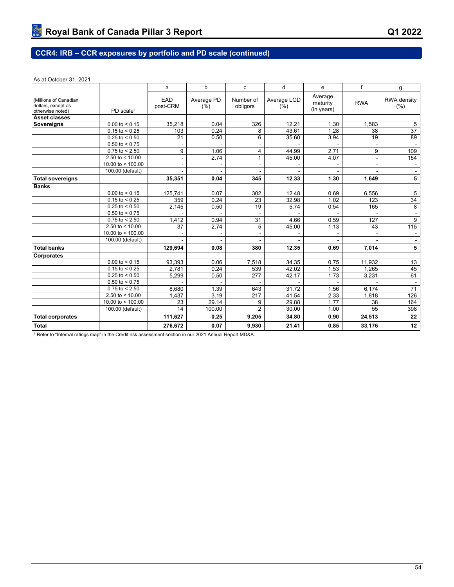# **CCR4: IRB – CCR exposures by portfolio and PD scale (continued)**

#### As at October 31, 2021

|                                                                                          |                     | a               | $\mathbf b$        | c                     | d                   | e                                 | f                        | g                   |
|------------------------------------------------------------------------------------------|---------------------|-----------------|--------------------|-----------------------|---------------------|-----------------------------------|--------------------------|---------------------|
| (Millions of Canadian<br>dollars, except as<br>PD scale <sup>1</sup><br>otherwise noted) |                     | EAD<br>post-CRM | Average PD<br>(% ) | Number of<br>obligors | Average LGD<br>(% ) | Average<br>maturity<br>(in years) | <b>RWA</b>               | RWA density<br>(% ) |
| <b>Asset classes</b>                                                                     |                     |                 |                    |                       |                     |                                   |                          |                     |
| Sovereigns                                                                               | $0.00$ to $< 0.15$  | 35,218          | 0.04               | 326                   | 12.21               | 1.30                              | 1.583                    | 5                   |
|                                                                                          | $0.15$ to < 0.25    | 103             | 0.24               | 8                     | 43.61               | 1.28                              | 38                       | $\overline{37}$     |
|                                                                                          | $0.25$ to < 0.50    | 21              | 0.50               | 6                     | 35.60               | 3.94                              | 19                       | 89                  |
|                                                                                          | $0.50$ to < 0.75    | $\blacksquare$  |                    | $\blacksquare$        |                     |                                   | $\overline{\phantom{a}}$ | $\sim$              |
|                                                                                          | $0.75$ to $< 2.50$  | 9               | 1.06               | 4                     | 44.99               | 2.71                              | 9                        | 109                 |
|                                                                                          | 2.50 to $<$ 10.00   | ä,              | 2.74               | $\mathbf{1}$          | 45.00               | 4.07                              | $\overline{a}$           | 154                 |
|                                                                                          | 10.00 to $<$ 100.00 |                 | ä,                 | ۰                     |                     |                                   | $\blacksquare$           | $\sim$              |
|                                                                                          | 100.00 (default)    |                 |                    |                       |                     |                                   |                          | $\sim$              |
| <b>Total sovereigns</b>                                                                  |                     | 35,351          | 0.04               | 345                   | 12.33               | 1.30                              | 1,649                    | 5                   |
| <b>Banks</b>                                                                             |                     |                 |                    |                       |                     |                                   |                          |                     |
|                                                                                          | $0.00$ to $< 0.15$  | 125.741         | 0.07               | 302                   | 12.48               | 0.69                              | 6,556                    | 5                   |
|                                                                                          | $0.15$ to $< 0.25$  | 359             | 0.24               | 23                    | 32.98               | 1.02                              | 123                      | 34                  |
|                                                                                          | $0.25$ to $< 0.50$  | 2,145           | 0.50               | 19                    | 5.74                | 0.54                              | 165                      | 8                   |
|                                                                                          | $0.50$ to < 0.75    |                 |                    |                       |                     |                                   |                          | $\blacksquare$      |
|                                                                                          | $0.75$ to $< 2.50$  | 1,412           | 0.94               | 31                    | 4.66                | 0.59                              | 127                      | $\overline{9}$      |
|                                                                                          | 2.50 to $< 10.00$   | 37              | 2.74               | 5                     | 45.00               | 1.13                              | 43                       | $\frac{115}{115}$   |
|                                                                                          | 10.00 to $<$ 100.00 |                 | $\blacksquare$     |                       |                     |                                   | $\blacksquare$           | $\sim$              |
|                                                                                          | 100.00 (default)    |                 |                    |                       |                     |                                   |                          | $\sim$              |
| <b>Total banks</b>                                                                       |                     | 129,694         | 0.08               | 380                   | 12.35               | 0.69                              | 7,014                    | 5                   |
| Corporates                                                                               |                     |                 |                    |                       |                     |                                   |                          |                     |
|                                                                                          | $0.00$ to $< 0.15$  | 93,393          | 0.06               | 7,518                 | 34.35               | 0.75                              | 11,932                   | 13                  |
|                                                                                          | $0.15$ to $< 0.25$  | 2,781           | 0.24               | 539                   | 42.02               | 1.53                              | 1,265                    | 45                  |
|                                                                                          | $0.25$ to $< 0.50$  | 5,299           | 0.50               | 277                   | 42.17               | 1.73                              | 3,231                    | 61                  |
|                                                                                          | $0.50$ to < 0.75    |                 |                    |                       |                     |                                   |                          |                     |
|                                                                                          | $0.75$ to $< 2.50$  | 8.680           | 1.39               | 643                   | 31.72               | 1.56                              | 6,174                    | 71                  |
|                                                                                          | 2.50 to $<$ 10.00   | 1,437           | 3.19               | 217                   | 41.54               | 2.33                              | 1,818                    | 126                 |
|                                                                                          | 10.00 to < 100.00   | 23              | 29.14              | 9                     | 29.88               | 1.77                              | 38                       | 164                 |
|                                                                                          | 100.00 (default)    | 14              | 100.00             | $\overline{2}$        | 30.00               | 1.00                              | 55                       | 398                 |
| <b>Total corporates</b>                                                                  |                     | 111,627         | 0.25               | 9,205                 | 34.80               | 0.90                              | 24,513                   | 22                  |
| <b>Total</b>                                                                             |                     | 276,672         | 0.07               | 9,930                 | 21.41               | 0.85                              | 33,176                   | 12                  |

1 Refer to "Internal ratings map" in the Credit risk assessment section in our 2021 Annual Report MD&A.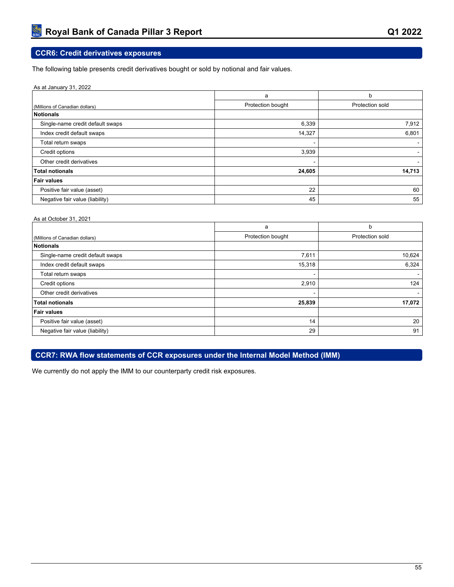# **CCR6: Credit derivatives exposures**

The following table presents credit derivatives bought or sold by notional and fair values.

| As at January 31, 2022           |                          |                 |
|----------------------------------|--------------------------|-----------------|
|                                  | a                        | b               |
| (Millions of Canadian dollars)   | Protection bought        | Protection sold |
| Notionals                        |                          |                 |
| Single-name credit default swaps | 6,339                    | 7,912           |
| Index credit default swaps       | 14,327                   | 6,801           |
| Total return swaps               | $\overline{\phantom{0}}$ |                 |
| Credit options                   | 3,939                    |                 |
| Other credit derivatives         | -                        |                 |
| <b>Total notionals</b>           | 24,605                   | 14,713          |
| <b>Fair values</b>               |                          |                 |
| Positive fair value (asset)      | 22                       | 60              |
| Negative fair value (liability)  | 45                       | 55              |

#### As at October 31, 2021

|                                  | a                 | b               |
|----------------------------------|-------------------|-----------------|
| (Millions of Canadian dollars)   | Protection bought | Protection sold |
| Notionals                        |                   |                 |
| Single-name credit default swaps | 7,611             | 10,624          |
| Index credit default swaps       | 15,318            | 6,324           |
| Total return swaps               | $\,$              |                 |
| Credit options                   | 2,910             | 124             |
| Other credit derivatives         |                   |                 |
| <b>Total notionals</b>           | 25,839            | 17,072          |
| <b>Fair values</b>               |                   |                 |
| Positive fair value (asset)      | 14                | 20              |
| Negative fair value (liability)  | 29                | 91              |

## **CCR7: RWA flow statements of CCR exposures under the Internal Model Method (IMM)**

We currently do not apply the IMM to our counterparty credit risk exposures.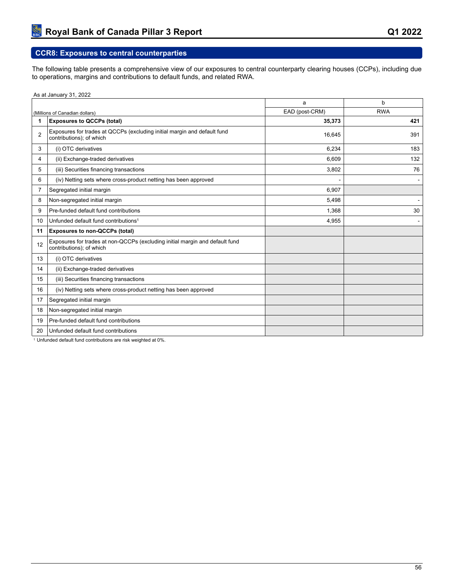# **CCR8: Exposures to central counterparties**

The following table presents a comprehensive view of our exposures to central counterparty clearing houses (CCPs), including due to operations, margins and contributions to default funds, and related RWA.

As at January 31, 2022

|                |                                                                                                          | a              | b          |
|----------------|----------------------------------------------------------------------------------------------------------|----------------|------------|
|                | (Millions of Canadian dollars)                                                                           | EAD (post-CRM) | <b>RWA</b> |
| 1              | <b>Exposures to QCCPs (total)</b>                                                                        | 35,373         | 421        |
| $\overline{2}$ | Exposures for trades at QCCPs (excluding initial margin and default fund<br>contributions); of which     | 16,645         | 391        |
| 3              | (i) OTC derivatives                                                                                      | 6,234          | 183        |
| 4              | (ii) Exchange-traded derivatives                                                                         | 6,609          | 132        |
| 5              | (iii) Securities financing transactions                                                                  | 3,802          | 76         |
| 6              | (iv) Netting sets where cross-product netting has been approved                                          |                |            |
| 7              | Segregated initial margin                                                                                | 6,907          |            |
| 8              | Non-segregated initial margin                                                                            | 5,498          |            |
| 9              | Pre-funded default fund contributions                                                                    | 1,368          | 30         |
| 10             | Unfunded default fund contributions <sup>1</sup>                                                         | 4,955          |            |
| 11             | <b>Exposures to non-QCCPs (total)</b>                                                                    |                |            |
| 12             | Exposures for trades at non-QCCPs (excluding initial margin and default fund<br>contributions); of which |                |            |
| 13             | (i) OTC derivatives                                                                                      |                |            |
| 14             | (ii) Exchange-traded derivatives                                                                         |                |            |
| 15             | (iii) Securities financing transactions                                                                  |                |            |
| 16             | (iv) Netting sets where cross-product netting has been approved                                          |                |            |
| 17             | Segregated initial margin                                                                                |                |            |
| 18             | Non-segregated initial margin                                                                            |                |            |
| 19             | Pre-funded default fund contributions                                                                    |                |            |
| 20             | Unfunded default fund contributions                                                                      |                |            |

Unfunded default fund contributions are risk weighted at 0%.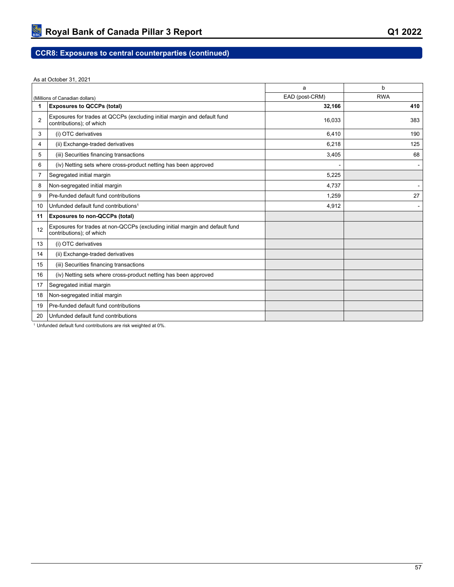As at October 31, 2021

|                |                                                                                                          | a              | b          |
|----------------|----------------------------------------------------------------------------------------------------------|----------------|------------|
|                | (Millions of Canadian dollars)                                                                           | EAD (post-CRM) | <b>RWA</b> |
| 1              | <b>Exposures to QCCPs (total)</b>                                                                        | 32,166         | 410        |
| $\overline{2}$ | Exposures for trades at QCCPs (excluding initial margin and default fund<br>contributions); of which     | 16,033         | 383        |
| 3              | (i) OTC derivatives                                                                                      | 6,410          | 190        |
| 4              | (ii) Exchange-traded derivatives                                                                         | 6,218          | 125        |
| 5              | (iii) Securities financing transactions                                                                  | 3,405          | 68         |
| 6              | (iv) Netting sets where cross-product netting has been approved                                          |                |            |
| 7              | Segregated initial margin                                                                                | 5,225          |            |
| 8              | Non-segregated initial margin                                                                            | 4,737          |            |
| 9              | Pre-funded default fund contributions                                                                    | 1,259          | 27         |
| 10             | Unfunded default fund contributions <sup>1</sup>                                                         | 4,912          |            |
| 11             | <b>Exposures to non-QCCPs (total)</b>                                                                    |                |            |
| 12             | Exposures for trades at non-QCCPs (excluding initial margin and default fund<br>contributions); of which |                |            |
| 13             | (i) OTC derivatives                                                                                      |                |            |
| 14             | (ii) Exchange-traded derivatives                                                                         |                |            |
| 15             | (iii) Securities financing transactions                                                                  |                |            |
| 16             | (iv) Netting sets where cross-product netting has been approved                                          |                |            |
| 17             | Segregated initial margin                                                                                |                |            |
| 18             | Non-segregated initial margin                                                                            |                |            |
| 19             | Pre-funded default fund contributions                                                                    |                |            |
| 20             | Unfunded default fund contributions                                                                      |                |            |

Unfunded default fund contributions are risk weighted at 0%.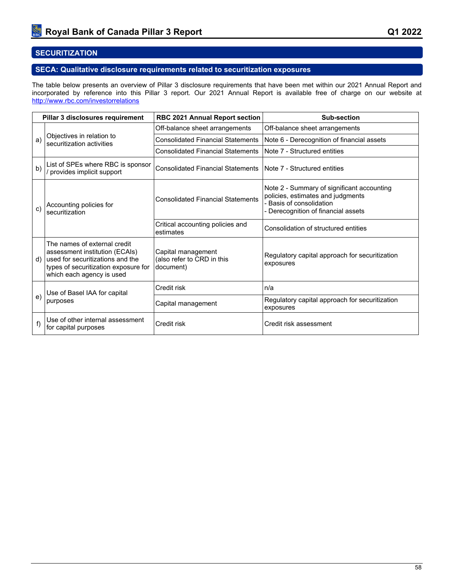# **SECURITIZATION**

## **SECA: Qualitative disclosure requirements related to securitization exposures**

The table below presents an overview of Pillar 3 disclosure requirements that have been met within our 2021 Annual Report and incorporated by reference into this Pillar 3 report. Our 2021 Annual Report is available free of charge on our website at <http://www.rbc.com/investorrelations>

|    | Pillar 3 disclosures requirement                                                                                                                                        | <b>RBC 2021 Annual Report section</b>                         | Sub-section                                                                                                                                        |  |  |  |  |
|----|-------------------------------------------------------------------------------------------------------------------------------------------------------------------------|---------------------------------------------------------------|----------------------------------------------------------------------------------------------------------------------------------------------------|--|--|--|--|
|    |                                                                                                                                                                         | Off-balance sheet arrangements                                | Off-balance sheet arrangements                                                                                                                     |  |  |  |  |
| a) | Objectives in relation to<br>securitization activities                                                                                                                  | <b>Consolidated Financial Statements</b>                      | Note 6 - Derecognition of financial assets                                                                                                         |  |  |  |  |
|    |                                                                                                                                                                         | <b>Consolidated Financial Statements</b>                      | Note 7 - Structured entities                                                                                                                       |  |  |  |  |
| b) | List of SPEs where RBC is sponsor<br>/ provides implicit support                                                                                                        | <b>Consolidated Financial Statements</b>                      | Note 7 - Structured entities                                                                                                                       |  |  |  |  |
| C) | Accounting policies for<br>securitization                                                                                                                               | <b>Consolidated Financial Statements</b>                      | Note 2 - Summary of significant accounting<br>policies, estimates and judgments<br>- Basis of consolidation<br>- Derecognition of financial assets |  |  |  |  |
|    |                                                                                                                                                                         | Critical accounting policies and<br>estimates                 | Consolidation of structured entities                                                                                                               |  |  |  |  |
| d) | The names of external credit<br>assessment institution (ECAIs)<br>used for securitizations and the<br>types of securitization exposure for<br>which each agency is used | Capital management<br>(also refer to CRD in this<br>document) | Regulatory capital approach for securitization<br>exposures                                                                                        |  |  |  |  |
|    | Use of Basel IAA for capital                                                                                                                                            | Credit risk                                                   | n/a                                                                                                                                                |  |  |  |  |
| e) | purposes                                                                                                                                                                | Capital management                                            | Regulatory capital approach for securitization<br>exposures                                                                                        |  |  |  |  |
| f) | Use of other internal assessment<br>for capital purposes                                                                                                                | Credit risk                                                   | Credit risk assessment                                                                                                                             |  |  |  |  |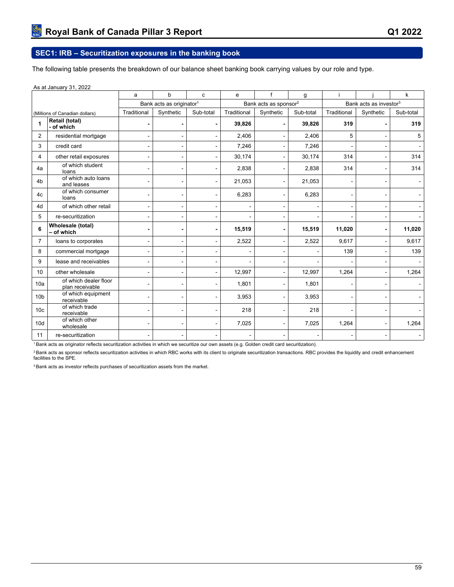# **SEC1: IRB – Securitization exposures in the banking book**

The following table presents the breakdown of our balance sheet banking book carrying values by our role and type.

|                 | As at January 31, 2022                   |                |                                      |                |             |                                   |           |                                    |                          |           |  |
|-----------------|------------------------------------------|----------------|--------------------------------------|----------------|-------------|-----------------------------------|-----------|------------------------------------|--------------------------|-----------|--|
|                 |                                          | a              | b                                    | $\mathbf{C}$   | e           | $\mathbf{f}$                      | g         |                                    |                          | k         |  |
|                 |                                          |                | Bank acts as originator <sup>1</sup> |                |             | Bank acts as sponsor <sup>2</sup> |           | Bank acts as investor <sup>3</sup> |                          |           |  |
|                 | (Millions of Canadian dollars)           | Traditional    | Synthetic                            | Sub-total      | Traditional | Synthetic                         | Sub-total | Traditional                        | Synthetic                | Sub-total |  |
|                 | Retail (total)<br>- of which             | $\blacksquare$ |                                      | $\blacksquare$ | 39,826      |                                   | 39,826    | 319                                |                          | 319       |  |
| 2               | residential mortgage                     | ٠              |                                      |                | 2,406       |                                   | 2,406     | 5                                  |                          | 5         |  |
| 3               | credit card                              | ٠              |                                      |                | 7,246       |                                   | 7,246     |                                    |                          |           |  |
| 4               | other retail exposures                   | ۰              |                                      |                | 30,174      |                                   | 30,174    | 314                                |                          | 314       |  |
| 4a              | of which student<br>loans                | ۰              |                                      |                | 2,838       |                                   | 2,838     | 314                                | $\blacksquare$           | 314       |  |
| 4 <sub>b</sub>  | of which auto loans<br>and leases        | ۰              | $\blacksquare$                       |                | 21,053      | $\blacksquare$                    | 21,053    |                                    | $\overline{a}$           |           |  |
| 4c              | of which consumer<br>loans               | ٠              | Ĭ.                                   |                | 6,283       | ÷                                 | 6,283     |                                    | $\blacksquare$           |           |  |
| 4d              | of which other retail                    | ۰              |                                      |                |             |                                   |           |                                    | $\blacksquare$           |           |  |
| 5               | re-securitization                        |                |                                      |                |             |                                   |           |                                    |                          |           |  |
| 6               | Wholesale (total)<br>- of which          | $\blacksquare$ |                                      | $\blacksquare$ | 15,519      | $\blacksquare$                    | 15,519    | 11,020                             | $\overline{\phantom{a}}$ | 11,020    |  |
| $\overline{7}$  | loans to corporates                      | ٠              |                                      |                | 2,522       |                                   | 2,522     | 9,617                              |                          | 9,617     |  |
| 8               | commercial mortgage                      | ۰              |                                      |                |             |                                   |           | 139                                |                          | 139       |  |
| 9               | lease and receivables                    | ۰              |                                      |                |             |                                   |           |                                    |                          |           |  |
| 10              | other wholesale                          |                |                                      |                | 12,997      |                                   | 12,997    | 1,264                              |                          | 1,264     |  |
| 10a             | of which dealer floor<br>plan receivable | ٠              |                                      |                | 1,801       |                                   | 1,801     |                                    |                          |           |  |
| 10 <sub>b</sub> | of which equipment<br>receivable         | ۰              |                                      |                | 3,953       | $\blacksquare$                    | 3,953     |                                    |                          |           |  |
| 10 <sub>c</sub> | of which trade<br>receivable             | -              |                                      |                | 218         | $\blacksquare$                    | 218       |                                    | $\blacksquare$           |           |  |
| 10d             | of which other<br>wholesale              | ٠              |                                      |                | 7,025       |                                   | 7,025     | 1,264                              | $\blacksquare$           | 1,264     |  |
| 11              | re-securitization                        |                |                                      |                |             |                                   |           |                                    |                          |           |  |

<sup>1</sup>Bank acts as originator reflects securitization activities in which we securitize our own assets (e.g. Golden credit card securitization).

<sup>2</sup> Bank acts as sponsor reflects securitization activities in which RBC works with its client to originate securitization transactions. RBC provides the liquidity and credit enhancement facilities to the SPE.

<sup>3</sup> Bank acts as investor reflects purchases of securitization assets from the market.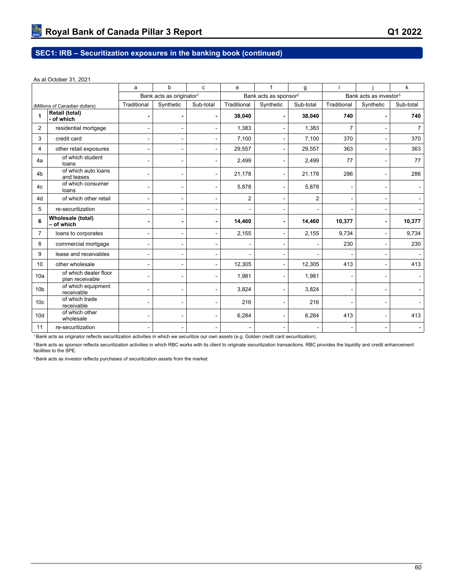#### As at October 31, 2021

|                                          |                                          | a              | b                                    | c              | e              | f                                 | g              |                |                                    | k              |  |  |
|------------------------------------------|------------------------------------------|----------------|--------------------------------------|----------------|----------------|-----------------------------------|----------------|----------------|------------------------------------|----------------|--|--|
|                                          |                                          |                | Bank acts as originator <sup>1</sup> |                |                | Bank acts as sponsor <sup>2</sup> |                |                | Bank acts as investor <sup>3</sup> |                |  |  |
|                                          | (Millions of Canadian dollars)           | Traditional    | Synthetic                            | Sub-total      | Traditional    | Synthetic                         | Sub-total      | Traditional    | Synthetic                          | Sub-total      |  |  |
| <b>Retail (total)</b><br>1<br>- of which |                                          | $\blacksquare$ |                                      | $\blacksquare$ | 38,040         |                                   | 38,040         | 740            |                                    | 740            |  |  |
| 2                                        | residential mortgage                     | ۰              | ۰                                    |                | 1,383          | $\blacksquare$                    | 1.383          | $\overline{7}$ |                                    | $\overline{7}$ |  |  |
| 3                                        | credit card                              | $\blacksquare$ | $\blacksquare$                       |                | 7,100          | $\blacksquare$                    | 7,100          | 370            | $\blacksquare$                     | 370            |  |  |
| 4                                        | other retail exposures                   | ۰              | -                                    |                | 29,557         | $\blacksquare$                    | 29,557         | 363            | $\blacksquare$                     | 363            |  |  |
| 4a                                       | of which student<br>loans                | $\blacksquare$ | $\blacksquare$                       |                | 2,499          | $\overline{\phantom{a}}$          | 2,499          | 77             | $\blacksquare$                     | 77             |  |  |
| 4 <sub>b</sub>                           | of which auto loans<br>and leases        | ۰              | ۰                                    |                | 21,178         | $\blacksquare$                    | 21,178         | 286            | $\blacksquare$                     | 286            |  |  |
| 4c                                       | of which consumer<br>loans               | ۰              | ۰                                    |                | 5,878          | $\blacksquare$                    | 5,878          |                | $\overline{a}$                     |                |  |  |
| 4d                                       | of which other retail                    | $\frac{1}{2}$  | $\qquad \qquad \blacksquare$         | Ĭ.             | $\overline{2}$ | $\overline{\phantom{a}}$          | $\overline{2}$ |                | $\qquad \qquad \blacksquare$       |                |  |  |
| 5                                        | re-securitization                        |                |                                      |                |                |                                   |                |                | $\blacksquare$                     |                |  |  |
| 6                                        | Wholesale (total)<br>- of which          | $\blacksquare$ |                                      |                | 14,460         |                                   | 14,460         | 10,377         | $\blacksquare$                     | 10,377         |  |  |
| $\overline{7}$                           | loans to corporates                      | ۰              | ۰                                    | ۰              | 2,155          | $\blacksquare$                    | 2,155          | 9,734          | $\blacksquare$                     | 9,734          |  |  |
| 8                                        | commercial mortgage                      | $\frac{1}{2}$  | $\overline{a}$                       | $\overline{a}$ |                | $\overline{a}$                    | $\overline{a}$ | 230            | $\blacksquare$                     | 230            |  |  |
| 9                                        | lease and receivables                    | $\blacksquare$ | $\blacksquare$                       | $\blacksquare$ |                | $\overline{a}$                    |                |                |                                    |                |  |  |
| 10                                       | other wholesale                          | ۰              | ۰                                    |                | 12,305         | $\overline{a}$                    | 12,305         | 413            | $\blacksquare$                     | 413            |  |  |
| 10a                                      | of which dealer floor<br>plan receivable |                |                                      |                | 1,981          |                                   | 1,981          |                |                                    |                |  |  |
| 10 <sub>b</sub>                          | of which equipment<br>receivable         | ۰              |                                      |                | 3,824          |                                   | 3,824          |                | $\blacksquare$                     |                |  |  |
| 10 <sub>c</sub>                          | of which trade<br>receivable             | $\blacksquare$ |                                      |                | 216            |                                   | 216            |                |                                    |                |  |  |
| 10 <sub>d</sub>                          | of which other<br>wholesale              |                |                                      |                | 6,284          |                                   | 6,284          | 413            | $\blacksquare$                     | 413            |  |  |
| 11                                       | re-securitization                        |                |                                      |                |                |                                   |                |                |                                    |                |  |  |

<sup>1</sup>Bank acts as originator reflects securitization activities in which we securitize our own assets (e.g. Golden credit card securitization).

<sup>2</sup> Bank acts as sponsor reflects securitization activities in which RBC works with its client to originate securitization transactions. RBC provides the liquidity and credit enhancement facilities to the SPE.

3 Bank acts as investor reflects purchases of securitization assets from the market.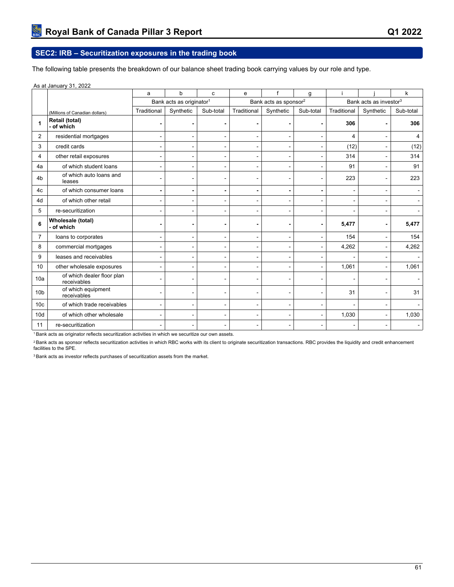# **SEC2: IRB – Securitization exposures in the trading book**

The following table presents the breakdown of our balance sheet trading book carrying values by our role and type.

#### As at January 31, 2022

|                 |                                           | h<br>a<br>C    |                                      | e              |                | g                                 |                          |             | k                                  |           |  |  |
|-----------------|-------------------------------------------|----------------|--------------------------------------|----------------|----------------|-----------------------------------|--------------------------|-------------|------------------------------------|-----------|--|--|
|                 |                                           |                | Bank acts as originator <sup>1</sup> |                |                | Bank acts as sponsor <sup>2</sup> |                          |             | Bank acts as investor <sup>3</sup> |           |  |  |
|                 | (Millions of Canadian dollars)            | Traditional    | Synthetic                            | Sub-total      | Traditional    | Synthetic                         | Sub-total                | Traditional | Synthetic                          | Sub-total |  |  |
| 1               | Retail (total)<br>- of which              |                |                                      |                |                |                                   |                          | 306         |                                    | 306       |  |  |
| $\overline{2}$  | residential mortgages                     | $\blacksquare$ | $\blacksquare$                       | $\frac{1}{2}$  | $\blacksquare$ | $\blacksquare$                    | $\blacksquare$           | 4           |                                    | 4         |  |  |
| 3               | credit cards                              |                |                                      | $\blacksquare$ | $\blacksquare$ | ۰                                 |                          | (12)        |                                    | (12)      |  |  |
| 4               | other retail exposures                    |                |                                      | $\blacksquare$ |                | $\blacksquare$                    |                          | 314         |                                    | 314       |  |  |
| 4a              | of which student loans                    |                |                                      |                |                |                                   |                          | 91          |                                    | 91        |  |  |
| 4 <sub>b</sub>  | of which auto loans and<br>leases         |                |                                      |                |                | ۰                                 |                          | 223         |                                    | 223       |  |  |
| 4c              | of which consumer loans                   | $\blacksquare$ |                                      |                | $\blacksquare$ | $\blacksquare$                    | $\blacksquare$           |             |                                    |           |  |  |
| 4d              | of which other retail                     | $\blacksquare$ | $\blacksquare$                       | $\blacksquare$ | $\blacksquare$ | $\overline{a}$                    | $\overline{a}$           | $\equiv$    |                                    |           |  |  |
| 5               | re-securitization                         |                |                                      |                |                |                                   |                          |             |                                    |           |  |  |
| 6               | Wholesale (total)<br>- of which           |                |                                      |                |                |                                   |                          | 5,477       |                                    | 5,477     |  |  |
| $\overline{7}$  | loans to corporates                       |                |                                      | $\blacksquare$ |                |                                   | $\blacksquare$           | 154         |                                    | 154       |  |  |
| 8               | commercial mortgages                      |                |                                      |                |                |                                   |                          | 4,262       |                                    | 4,262     |  |  |
| 9               | leases and receivables                    |                |                                      |                |                |                                   |                          |             |                                    |           |  |  |
| 10              | other wholesale exposures                 |                |                                      |                |                |                                   |                          | 1,061       |                                    | 1,061     |  |  |
| 10a             | of which dealer floor plan<br>receivables |                |                                      |                |                |                                   |                          |             |                                    |           |  |  |
| 10 <sub>b</sub> | of which equipment<br>receivables         |                |                                      |                |                |                                   |                          | 31          |                                    | 31        |  |  |
| 10 <sub>c</sub> | of which trade receivables                |                |                                      |                |                |                                   |                          |             |                                    |           |  |  |
| 10d             | of which other wholesale                  |                |                                      | $\blacksquare$ |                | $\overline{\phantom{a}}$          | $\overline{\phantom{a}}$ | 1,030       |                                    | 1,030     |  |  |
| 11              | re-securitization                         |                |                                      |                |                |                                   |                          |             |                                    |           |  |  |

<sup>1</sup>Bank acts as originator reflects securitization activities in which we securitize our own assets.

<sup>2</sup> Bank acts as sponsor reflects securitization activities in which RBC works with its client to originate securitization transactions. RBC provides the liquidity and credit enhancement facilities to the SPE.

<sup>3</sup> Bank acts as investor reflects purchases of securitization assets from the market.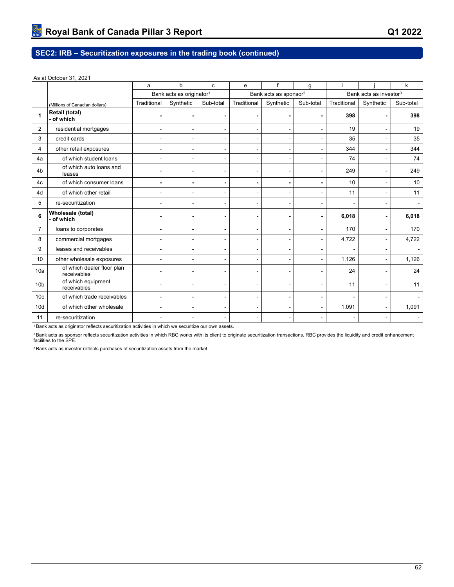# **SEC2: IRB – Securitization exposures in the trading book (continued)**

#### As at October 31, 2021

|                 |                                           | a              | b                                    |           | e              |                                   |                          |             |                                    | k         |  |
|-----------------|-------------------------------------------|----------------|--------------------------------------|-----------|----------------|-----------------------------------|--------------------------|-------------|------------------------------------|-----------|--|
|                 |                                           |                | Bank acts as originator <sup>1</sup> |           |                | Bank acts as sponsor <sup>2</sup> |                          |             | Bank acts as investor <sup>3</sup> |           |  |
|                 | (Millions of Canadian dollars)            | Traditional    | Synthetic                            | Sub-total | Traditional    | Synthetic                         | Sub-total                | Traditional | Synthetic                          | Sub-total |  |
| 1               | Retail (total)<br>- of which              |                | $\blacksquare$                       |           |                |                                   |                          | 398         |                                    | 398       |  |
| $\overline{2}$  | residential mortgages                     | ۰              |                                      |           |                |                                   | ٠                        | 19          |                                    | 19        |  |
| 3               | credit cards                              |                |                                      |           |                |                                   | $\blacksquare$           | 35          |                                    | 35        |  |
| 4               | other retail exposures                    | ٠              |                                      |           |                |                                   | $\blacksquare$           | 344         |                                    | 344       |  |
| 4a              | of which student loans                    |                |                                      |           |                |                                   |                          | 74          |                                    | 74        |  |
| 4 <sub>b</sub>  | of which auto loans and<br>leases         |                | $\blacksquare$                       |           |                | $\blacksquare$                    | $\overline{\phantom{a}}$ | 249         |                                    | 249       |  |
| 4c              | of which consumer loans                   | $\blacksquare$ | $\overline{a}$                       |           | $\blacksquare$ | $\blacksquare$                    | $\overline{\phantom{a}}$ | 10          |                                    | 10        |  |
| 4d              | of which other retail                     | ٠              |                                      |           |                |                                   |                          | 11          |                                    | 11        |  |
| 5               | re-securitization                         |                |                                      |           |                |                                   |                          |             |                                    |           |  |
| 6               | Wholesale (total)<br>- of which           |                |                                      |           |                |                                   |                          | 6,018       |                                    | 6,018     |  |
| $\overline{7}$  | loans to corporates                       |                | $\blacksquare$                       |           |                | $\blacksquare$                    |                          | 170         |                                    | 170       |  |
| 8               | commercial mortgages                      | ٠              |                                      |           |                |                                   |                          | 4,722       | ä,                                 | 4,722     |  |
| 9               | leases and receivables                    | ٠              | $\overline{a}$                       |           |                | $\blacksquare$                    | $\blacksquare$           |             | $\blacksquare$                     |           |  |
| 10              | other wholesale exposures                 | ٠              | $\overline{a}$                       |           |                |                                   | $\overline{a}$           | 1,126       |                                    | 1,126     |  |
| 10a             | of which dealer floor plan<br>receivables |                |                                      |           |                |                                   |                          | 24          |                                    | 24        |  |
| 10 <sub>b</sub> | of which equipment<br>receivables         | ٠              |                                      |           |                |                                   | $\blacksquare$           | 11          |                                    | 11        |  |
| 10 <sub>c</sub> | of which trade receivables                |                |                                      |           |                |                                   | $\overline{\phantom{a}}$ |             |                                    |           |  |
| 10 <sub>d</sub> | of which other wholesale                  | ٠              | $\blacksquare$                       |           | ۰              | $\blacksquare$                    | $\blacksquare$           | 1,091       | ۰                                  | 1,091     |  |
| 11              | re-securitization                         |                |                                      |           |                |                                   |                          |             |                                    |           |  |

<sup>1</sup>Bank acts as originator reflects securitization activities in which we securitize our own assets.

<sup>2</sup> Bank acts as sponsor reflects securitization activities in which RBC works with its client to originate securitization transactions. RBC provides the liquidity and credit enhancement<br>facilities to the SPE.

3 Bank acts as investor reflects purchases of securitization assets from the market.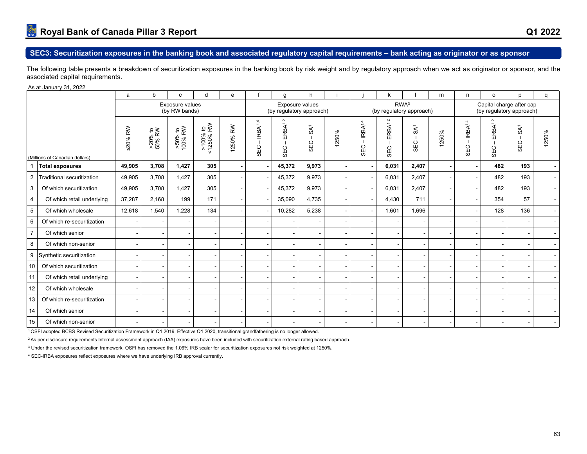The following table presents a breakdown of securitization exposures in the banking book by risk weight and by regulatory approach when we act as originator or sponsor, and the associated capital requirements.

#### As at January 31, 2022

|                                |                            | a                        | b                    | C.                               | d                            | $\mathbf{e}$                       |                                            | g                          | h                                           |      |                                      |                                              |                        | m              | n                          | $\circ$                           | p                                                    |                          |
|--------------------------------|----------------------------|--------------------------|----------------------|----------------------------------|------------------------------|------------------------------------|--------------------------------------------|----------------------------|---------------------------------------------|------|--------------------------------------|----------------------------------------------|------------------------|----------------|----------------------------|-----------------------------------|------------------------------------------------------|--------------------------|
|                                |                            |                          |                      | Exposure values<br>(by RW bands) |                              |                                    |                                            |                            | Exposure values<br>(by regulatory approach) |      |                                      | RWA <sup>3</sup><br>(by regulatory approach) |                        |                |                            |                                   | Capital charge after cap<br>(by regulatory approach) |                          |
| (Millions of Canadian dollars) |                            | ≤20% RW                  | $>20\%$ to<br>50% RW | $>50\%$ to $100\%$ RW            | e<br>R∕<br>>100%<br>:1250% l | $\mathop{\rm RN}\nolimits$<br>250% | $\overline{4}$<br>IRBA <sup>-</sup><br>SEC | ERBA <sup>1,2</sup><br>SEC | SA <sup>1</sup><br>$\circ$<br>₩,            | 250% | IRBA <sup>1,4</sup><br>$\circ$<br>ΘĚ | J.<br>ERBA <sup>1</sup><br>SEC               | SA <sup>1</sup><br>SEC | 250%           | IRBA <sup>1,4</sup><br>SEC | ERBA <sup>1,2</sup><br><b>SEC</b> | SA <sup>1</sup><br>SEC                               | 250%                     |
| 1                              | <b>Total exposures</b>     | 49,905                   | 3,708                | 1,427                            | 305                          |                                    |                                            | 45,372                     | 9,973                                       |      | $\overline{\phantom{a}}$             | 6,031                                        | 2,407                  | $\blacksquare$ |                            | 482                               | 193                                                  | $\overline{\phantom{0}}$ |
| $\overline{2}$                 | Traditional securitization | 49,905                   | 3,708                | 1,427                            | 305                          |                                    |                                            | 45,372                     | 9,973                                       |      |                                      | 6,031                                        | 2.407                  |                |                            | 482                               | 193                                                  | $\sim$ 1                 |
| 3                              | Of which securitization    | 49,905                   | 3,708                | 1,427                            | 305                          |                                    |                                            | 45,372                     | 9,973                                       |      |                                      | 6,031                                        | 2,407                  |                |                            | 482                               | 193                                                  |                          |
| 4                              | Of which retail underlying | 37,287                   | 2,168                | 199                              | 171                          |                                    |                                            | 35,090                     | 4,735                                       |      |                                      | 4,430                                        | 711                    |                |                            | 354                               | 57                                                   |                          |
| 5                              | Of which wholesale         | 12,618                   | 1,540                | 1,228                            | 134                          |                                    |                                            | 10,282                     | 5,238                                       |      |                                      | 1,601                                        | 1,696                  |                |                            | 128                               | 136                                                  |                          |
| 6                              | Of which re-securitization |                          |                      |                                  | $\overline{\phantom{a}}$     |                                    |                                            |                            |                                             |      |                                      |                                              |                        |                |                            |                                   |                                                      |                          |
| $\overline{7}$                 | Of which senior            |                          |                      |                                  | $\overline{\phantom{a}}$     |                                    |                                            |                            |                                             |      |                                      |                                              |                        |                |                            |                                   |                                                      |                          |
| 8                              | Of which non-senior        | $\overline{\phantom{a}}$ |                      |                                  | $\overline{\phantom{a}}$     |                                    |                                            |                            |                                             |      | $\blacksquare$                       |                                              |                        |                |                            |                                   |                                                      |                          |
| 9                              | Synthetic securitization   | $\overline{\phantom{a}}$ |                      |                                  | $\overline{\phantom{a}}$     |                                    |                                            |                            |                                             |      |                                      |                                              |                        |                |                            |                                   |                                                      |                          |
| 10                             | Of which securitization    | $\overline{\phantom{a}}$ |                      |                                  | $\overline{\phantom{a}}$     |                                    |                                            |                            |                                             |      |                                      |                                              |                        |                |                            |                                   |                                                      |                          |
| 11                             | Of which retail underlying | $\overline{\phantom{a}}$ |                      |                                  | $\overline{\phantom{a}}$     |                                    |                                            |                            |                                             |      |                                      |                                              |                        |                |                            |                                   |                                                      |                          |
| 12                             | Of which wholesale         | $\overline{\phantom{a}}$ |                      |                                  | $\overline{\phantom{a}}$     |                                    |                                            |                            |                                             |      | $\blacksquare$                       |                                              |                        |                |                            |                                   | $\overline{\phantom{a}}$                             |                          |
| 13                             | Of which re-securitization | $\overline{\phantom{a}}$ |                      |                                  | $\overline{\phantom{a}}$     |                                    |                                            |                            |                                             |      | $\blacksquare$                       |                                              |                        |                |                            |                                   | $\blacksquare$                                       |                          |
| 14                             | Of which senior            | $\overline{\phantom{a}}$ |                      |                                  | $\overline{\phantom{a}}$     |                                    |                                            |                            |                                             |      |                                      |                                              |                        |                |                            |                                   |                                                      |                          |
| 15                             | Of which non-senior        | $\blacksquare$           |                      |                                  |                              |                                    |                                            |                            |                                             |      |                                      |                                              |                        |                |                            |                                   |                                                      |                          |

<sup>1</sup>OSFI adopted BCBS Revised Securitization Framework in Q1 2019. Effective Q1 2020, transitional grandfathering is no longer allowed.

<sup>2</sup>As per disclosure requirements Internal assessment approach (IAA) exposures have been included with securitization external rating based approach.

 $^{\rm 3}$  Under the revised securitization framework, OSFI has removed the 1.06% IRB scalar for securitization exposures not risk weighted at 1250%.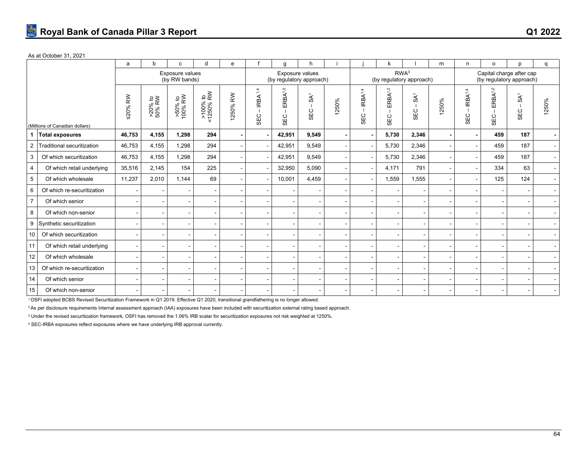#### As at October 31, 2021

|                 |                                | a                        | b                 | C                                | d                                  | e          |                                       | g                          | h.                     |       |                                      |                                              |                        | m                        | n                          | $\Omega$                          | p                                                    | q                        |
|-----------------|--------------------------------|--------------------------|-------------------|----------------------------------|------------------------------------|------------|---------------------------------------|----------------------------|------------------------|-------|--------------------------------------|----------------------------------------------|------------------------|--------------------------|----------------------------|-----------------------------------|------------------------------------------------------|--------------------------|
|                 |                                |                          |                   | Exposure values<br>(by RW bands) |                                    |            |                                       | (by regulatory approach)   | Exposure values        |       |                                      | RWA <sup>3</sup><br>(by regulatory approach) |                        |                          |                            |                                   | Capital charge after cap<br>(by regulatory approach) |                          |
|                 | (Millions of Canadian dollars) | ≤20% RW                  | >20% to<br>50% RW | $>50\%$ to $100\%$ RW            | $\frac{1}{2}$<br>>100%<br><1250% F | RW<br>250% | $\dot{4}$<br>IRBA <sup>-</sup><br>SEC | ERBA <sup>1,2</sup><br>SEC | SA <sup>1</sup><br>SEC | 1250% | IRBA <sup>1,4</sup><br>$\circ$<br>ЭЭ | ERBA <sup>1,2</sup><br>SEC                   | SA <sup>1</sup><br>SEC | 1250%                    | IRBA <sup>1,4</sup><br>SEC | ERBA <sup>1,2</sup><br><b>SEC</b> | $\tilde{S}$<br>SEC                                   | 1250%                    |
|                 | <b>Total exposures</b>         | 46,753                   | 4,155             | 1,298                            | 294                                |            |                                       | 42,951                     | 9,549                  |       | $\overline{\phantom{a}}$             | 5,730                                        | 2,346                  | $\overline{\phantom{a}}$ |                            | 459                               | 187                                                  | $\blacksquare$           |
| $\overline{2}$  | Traditional securitization     | 46,753                   | 4,155             | 1,298                            | 294                                |            |                                       | 42,951                     | 9,549                  |       | $\blacksquare$                       | 5,730                                        | 2,346                  | $\sim$                   |                            | 459                               | 187                                                  | $\sim$                   |
| 3               | Of which securitization        | 46,753                   | 4,155             | 1,298                            | 294                                |            |                                       | 42,951                     | 9,549                  |       | $\blacksquare$                       | 5,730                                        | 2,346                  | $\overline{\phantom{a}}$ |                            | 459                               | 187                                                  | $\sim$                   |
| 4               | Of which retail underlying     | 35,516                   | 2,145             | 154                              | 225                                |            |                                       | 32,950                     | 5,090                  |       | $\blacksquare$                       | 4,171                                        | 791                    | $\sim$                   |                            | 334                               | 63                                                   | $\sim$                   |
| $5\phantom{.0}$ | Of which wholesale             | 11,237                   | 2,010             | 1.144                            | 69                                 |            |                                       | 10,001                     | 4,459                  |       | $\blacksquare$                       | 1,559                                        | 1,555                  | $\overline{\phantom{a}}$ |                            | 125                               | 124                                                  | $\sim$                   |
| 6               | Of which re-securitization     |                          |                   |                                  | $\overline{\phantom{a}}$           |            |                                       |                            |                        |       | $\blacksquare$                       |                                              |                        | $\overline{\phantom{a}}$ |                            |                                   | $\overline{\phantom{a}}$                             | $\sim$                   |
| $\overline{7}$  | Of which senior                |                          |                   |                                  | $\overline{\phantom{a}}$           |            |                                       |                            |                        |       | $\overline{\phantom{a}}$             |                                              |                        |                          |                            |                                   | $\overline{\phantom{a}}$                             |                          |
| 8               | Of which non-senior            |                          |                   |                                  | $\blacksquare$                     |            |                                       |                            |                        |       | $\blacksquare$                       |                                              |                        | $\overline{\phantom{a}}$ |                            |                                   | $\sim$                                               |                          |
| 9               | Synthetic securitization       |                          |                   |                                  | $\overline{\phantom{a}}$           |            |                                       | $\overline{\phantom{a}}$   |                        |       | $\overline{\phantom{a}}$             |                                              |                        | $\overline{\phantom{a}}$ |                            |                                   | $\overline{\phantom{a}}$                             |                          |
| 10              | Of which securitization        |                          |                   |                                  | $\blacksquare$                     |            |                                       | $\overline{\phantom{a}}$   |                        |       | $\blacksquare$                       |                                              |                        | $\blacksquare$           |                            |                                   | $\overline{\phantom{a}}$                             | $\sim$                   |
| 11              | Of which retail underlying     |                          |                   |                                  | $\blacksquare$                     |            |                                       |                            |                        |       | $\overline{\phantom{a}}$             |                                              |                        |                          |                            |                                   |                                                      |                          |
| 12              | Of which wholesale             |                          |                   |                                  | $\blacksquare$                     |            |                                       |                            |                        |       | $\overline{\phantom{a}}$             |                                              |                        | $\blacksquare$           |                            |                                   | $\overline{\phantom{a}}$                             | $\overline{\phantom{a}}$ |
| 13              | Of which re-securitization     | $\overline{\phantom{a}}$ |                   |                                  | $\blacksquare$                     |            |                                       | $\overline{\phantom{a}}$   |                        |       | $\blacksquare$                       |                                              |                        | $\overline{\phantom{a}}$ |                            |                                   | $\overline{\phantom{a}}$                             |                          |
| 14              | Of which senior                |                          |                   |                                  | $\overline{\phantom{a}}$           |            |                                       | $\overline{\phantom{a}}$   |                        |       | $\overline{\phantom{a}}$             |                                              |                        | $\overline{\phantom{a}}$ |                            |                                   | $\overline{\phantom{a}}$                             | $\overline{\phantom{a}}$ |
| 15              | Of which non-senior            |                          |                   |                                  | $\overline{\phantom{a}}$           |            |                                       | $\overline{\phantom{a}}$   |                        |       | $\overline{\phantom{a}}$             |                                              |                        | $\overline{\phantom{a}}$ |                            |                                   |                                                      |                          |

<sup>1</sup>OSFI adopted BCBS Revised Securitization Framework in Q1 2019. Effective Q1 2020, transitional grandfathering is no longer allowed.

<sup>2</sup>As per disclosure requirements Internal assessment approach (IAA) exposures have been included with securitization external rating based approach.

 $^{\rm 3}$  Under the revised securitization framework, OSFI has removed the 1.06% IRB scalar for securitization exposures not risk weighted at 1250%.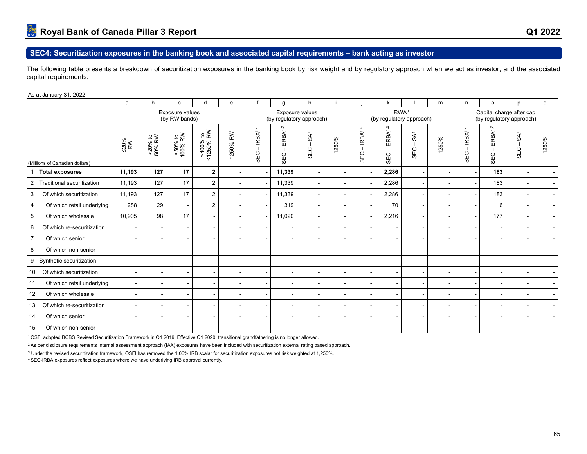## **SEC4: Securitization exposures in the banking book and associated capital requirements – bank acting as investor**

The following table presents a breakdown of securitization exposures in the banking book by risk weight and by regulatory approach when we act as investor, and the associated capital requirements.

As at January 31, 2022

|                |                                | a                 | h                    | C                                | d                     | e                         |                                              | g                                          |                        |      |                            | k                          |                        | m     | n.                         | O                          | n                                                    | q     |
|----------------|--------------------------------|-------------------|----------------------|----------------------------------|-----------------------|---------------------------|----------------------------------------------|--------------------------------------------|------------------------|------|----------------------------|----------------------------|------------------------|-------|----------------------------|----------------------------|------------------------------------------------------|-------|
|                |                                |                   |                      | Exposure values<br>(by RW bands) |                       |                           |                                              | (by regulatory approach)                   | Exposure values        |      |                            | (by regulatory approach)   | RWA <sup>3</sup>       |       |                            |                            | Capital charge after cap<br>(by regulatory approach) |       |
|                | (Millions of Canadian dollars) | $\frac{50\%}{RW}$ | $>20\%$ to<br>50% RW | $>50\%$ to $100\%$ RW            | >100% to<br><1250% RW | 250% RW<br>$\overline{ }$ | IRBA <sup>1,4</sup><br>$\blacksquare$<br>SEC | ERBA <sup>1,2</sup><br>$\mathbf{L}$<br>SEC | SA <sup>1</sup><br>SEC | 250% | IRBA <sup>1,4</sup><br>SEC | ERBA <sup>1,2</sup><br>SEC | SA <sup>1</sup><br>SEC | 1250% | IRBA <sup>1,4</sup><br>SEC | ERBA <sup>1,2</sup><br>SEC | SA <sup>1</sup><br>SEC                               | 1250% |
|                | <b>Total exposures</b>         | 11,193            | 127                  | 17                               | $\mathbf{2}$          |                           |                                              | 11,339                                     |                        |      |                            | 2,286                      |                        |       |                            | 183                        |                                                      |       |
| $\overline{2}$ | Traditional securitization     | 11,193            | 127                  | 17                               | 2                     |                           |                                              | 11,339                                     |                        |      |                            | 2,286                      |                        |       |                            | 183                        |                                                      |       |
| 3              | Of which securitization        | 11,193            | 127                  | 17                               | 2                     |                           |                                              | 11,339                                     |                        |      |                            | 2,286                      |                        |       |                            | 183                        |                                                      |       |
| $\overline{4}$ | Of which retail underlying     | 288               | 29                   | $\overline{\phantom{a}}$         | 2                     |                           |                                              | 319                                        |                        |      |                            | 70                         |                        |       |                            | 6                          |                                                      |       |
| $\overline{5}$ | Of which wholesale             | 10,905            | 98                   | 17                               |                       |                           |                                              | 11,020                                     |                        |      |                            | 2,216                      |                        |       | $\overline{\phantom{a}}$   | 177                        |                                                      |       |
| 6              | Of which re-securitization     |                   |                      |                                  |                       |                           |                                              |                                            |                        |      |                            |                            |                        |       |                            |                            |                                                      |       |
| $\overline{7}$ | Of which senior                |                   |                      |                                  |                       |                           |                                              |                                            |                        |      |                            |                            |                        |       |                            |                            |                                                      |       |
| 8              | Of which non-senior            |                   |                      |                                  |                       |                           |                                              |                                            |                        |      |                            |                            |                        |       |                            |                            |                                                      |       |
| 9              | Synthetic securitization       |                   |                      |                                  |                       |                           |                                              |                                            |                        |      |                            |                            |                        |       |                            |                            |                                                      |       |
| 10             | Of which securitization        |                   |                      |                                  |                       |                           |                                              |                                            |                        |      |                            |                            |                        |       |                            |                            |                                                      |       |
| 11             | Of which retail underlying     |                   |                      |                                  |                       |                           |                                              |                                            |                        |      |                            |                            |                        |       |                            |                            |                                                      |       |
| 12             | Of which wholesale             |                   |                      |                                  |                       |                           |                                              |                                            |                        |      |                            | $\,$ $\,$                  |                        |       |                            |                            |                                                      |       |
| 13             | Of which re-securitization     |                   |                      |                                  |                       |                           |                                              |                                            |                        |      |                            |                            |                        |       |                            |                            |                                                      |       |
| 14             | Of which senior                |                   |                      |                                  |                       |                           |                                              |                                            |                        |      |                            |                            |                        |       |                            |                            |                                                      |       |
| 15             | Of which non-senior            |                   |                      |                                  |                       |                           |                                              |                                            |                        |      |                            |                            |                        |       |                            |                            |                                                      |       |

<sup>1</sup>OSFI adopted BCBS Revised Securitization Framework in Q1 2019. Effective Q1 2020, transitional grandfathering is no longer allowed.

<sup>2</sup>As per disclosure requirements Internal assessment approach (IAA) exposures have been included with securitization external rating based approach.

 $^{\rm 3}$  Under the revised securitization framework, OSFI has removed the 1.06% IRB scalar for securitization exposures not risk weighted at 1,250%.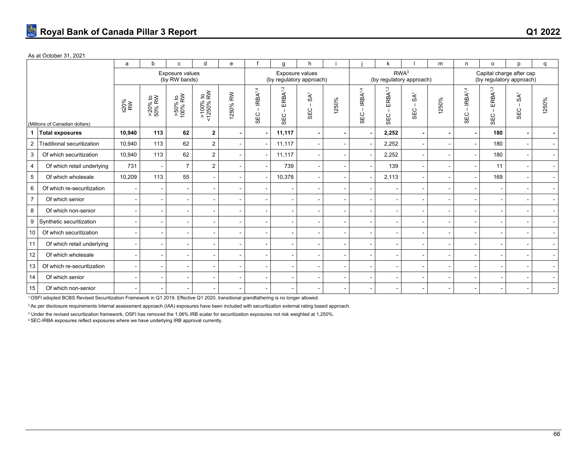#### As at October 31, 2021

|                 |                                | a              | b                        | c                                | d                                               | e       |                                              | g                         | h.                                          |       |                            |                                                                  |                               | m     | n                          | $\circ$                                              | D                      | q                        |
|-----------------|--------------------------------|----------------|--------------------------|----------------------------------|-------------------------------------------------|---------|----------------------------------------------|---------------------------|---------------------------------------------|-------|----------------------------|------------------------------------------------------------------|-------------------------------|-------|----------------------------|------------------------------------------------------|------------------------|--------------------------|
|                 |                                |                |                          | Exposure values<br>(by RW bands) |                                                 |         |                                              |                           | Exposure values<br>(by regulatory approach) |       |                            | RWA <sup>3</sup><br>(by regulatory approach)                     |                               |       |                            | Capital charge after cap<br>(by regulatory approach) |                        |                          |
|                 | (Millions of Canadian dollars) | $\leq 20\%$ RW | $>20\%$ to<br>50% RW     | $\frac{>50\%}{100\%}$ RW         | $\frac{\omega}{\Omega}$<br>$>100\%$<br><1250% I | 250% RW | IRBA <sup>1,4</sup><br>$\overline{1}$<br>SEC | ERBA <sup>12</sup><br>SEC | S A <sup>1</sup><br>SEC                     | 1250% | IRBA <sup>1,4</sup><br>SEC | RBA <sup>1,2</sup><br>靣<br>$\circ$<br>шī.<br>$\overline{\omega}$ | SA <sup>1</sup><br><b>SEC</b> | 1250% | IRBA <sup>1,4</sup><br>SEC | ERBA <sup>1,2</sup><br>SEC                           | SA <sup>1</sup><br>SEC | 1250%                    |
|                 | <b>Total exposures</b>         | 10,940         | 113                      | 62                               | $\overline{2}$                                  |         |                                              | 11,117                    |                                             |       |                            | 2,252                                                            |                               |       |                            | 180                                                  |                        | $\overline{\phantom{0}}$ |
| $\overline{2}$  | Traditional securitization     | 10,940         | 113                      | 62                               | $\overline{2}$                                  |         |                                              | 11,117                    |                                             |       |                            | 2,252                                                            |                               |       |                            | 180                                                  |                        | $\sim$                   |
| 3               | Of which securitization        | 10,940         | 113                      | 62                               | $\overline{2}$                                  |         |                                              | 11,117                    |                                             |       |                            | 2,252                                                            |                               |       |                            | 180                                                  |                        |                          |
| $\overline{4}$  | Of which retail underlying     | 731            |                          | $\overline{7}$                   | $\overline{2}$                                  |         |                                              | 739                       |                                             |       |                            | 139                                                              |                               |       |                            | 11                                                   |                        | $\blacksquare$           |
| $5\phantom{.0}$ | Of which wholesale             | 10,209         | 113                      | 55                               | $\sim$                                          |         |                                              | 10,378                    |                                             |       |                            | 2,113                                                            |                               |       |                            | 169                                                  |                        | $\sim$                   |
| 6               | Of which re-securitization     |                |                          |                                  |                                                 |         |                                              |                           |                                             |       |                            |                                                                  |                               |       |                            |                                                      |                        | $\blacksquare$           |
| $\overline{7}$  | Of which senior                |                |                          |                                  |                                                 |         |                                              |                           |                                             |       | $\overline{\phantom{a}}$   |                                                                  |                               |       |                            |                                                      |                        | $\sim$                   |
| 8               | Of which non-senior            |                | $\blacksquare$           |                                  | ۰                                               |         |                                              | $\blacksquare$            |                                             |       | $\overline{\phantom{a}}$   |                                                                  |                               |       |                            |                                                      |                        | $\blacksquare$           |
| 9               | Synthetic securitization       |                | $\overline{\phantom{a}}$ |                                  | $\overline{\phantom{a}}$                        |         |                                              | $\overline{\phantom{a}}$  |                                             |       | $\overline{\phantom{a}}$   |                                                                  |                               |       |                            |                                                      |                        | $\sim$                   |
| 10              | Of which securitization        |                |                          |                                  | ۰.                                              |         |                                              |                           |                                             |       | $\blacksquare$             |                                                                  |                               |       |                            |                                                      |                        | $\sim$                   |
| 11              | Of which retail underlying     |                |                          |                                  | $\sim$                                          |         |                                              |                           |                                             |       | $\blacksquare$             |                                                                  |                               |       |                            |                                                      |                        | $\sim$                   |
| 12              | Of which wholesale             |                |                          |                                  | $\sim$                                          |         |                                              |                           |                                             |       | $\blacksquare$             |                                                                  |                               |       |                            |                                                      |                        | $\sim$                   |
| 13              | Of which re-securitization     |                |                          |                                  | ۰                                               |         |                                              | ۰                         |                                             |       | $\blacksquare$             |                                                                  |                               |       |                            |                                                      |                        | $\sim$                   |
| 14              | Of which senior                |                |                          |                                  |                                                 |         |                                              |                           |                                             |       |                            |                                                                  |                               |       |                            |                                                      |                        | $\sim$                   |
| 15              | Of which non-senior            |                |                          |                                  |                                                 |         |                                              |                           |                                             |       |                            |                                                                  |                               |       |                            |                                                      |                        | $\sim$                   |

<sup>1</sup>OSFI adopted BCBS Revised Securitization Framework in Q1 2019. Effective Q1 2020, transitional grandfathering is no longer allowed.

<sup>2</sup>As per disclosure requirements Internal assessment approach (IAA) exposures have been included with securitization external rating based approach.

 $^{\rm 3}$  Under the revised securitization framework, OSFI has removed the 1.06% IRB scalar for securitization exposures not risk weighted at 1,250%.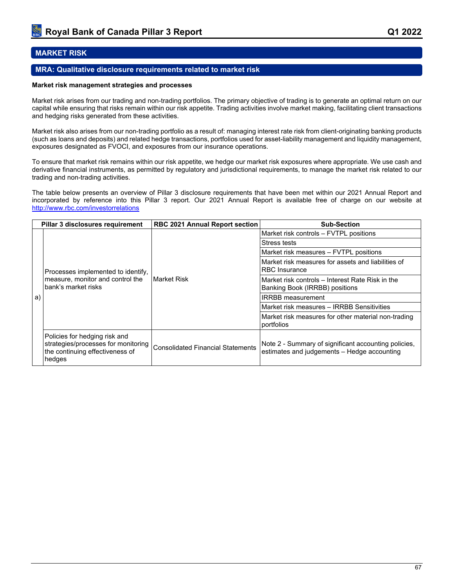## **MARKET RISK**

## **MRA: Qualitative disclosure requirements related to market risk**

#### **Market risk management strategies and processes**

Market risk arises from our trading and non-trading portfolios. The primary objective of trading is to generate an optimal return on our capital while ensuring that risks remain within our risk appetite. Trading activities involve market making, facilitating client transactions and hedging risks generated from these activities.

Market risk also arises from our non-trading portfolio as a result of: managing interest rate risk from client-originating banking products (such as loans and deposits) and related hedge transactions, portfolios used for asset-liability management and liquidity management, exposures designated as FVOCI, and exposures from our insurance operations.

To ensure that market risk remains within our risk appetite, we hedge our market risk exposures where appropriate. We use cash and derivative financial instruments, as permitted by regulatory and jurisdictional requirements, to manage the market risk related to our trading and non-trading activities.

The table below presents an overview of Pillar 3 disclosure requirements that have been met within our 2021 Annual Report and incorporated by reference into this Pillar 3 report. Our 2021 Annual Report is available free of charge on our website at <http://www.rbc.com/investorrelations>

|    | Pillar 3 disclosures requirement                                                                                  | <b>RBC 2021 Annual Report section</b>    | <b>Sub-Section</b>                                                                                  |  |  |  |  |
|----|-------------------------------------------------------------------------------------------------------------------|------------------------------------------|-----------------------------------------------------------------------------------------------------|--|--|--|--|
|    |                                                                                                                   |                                          | Market risk controls – FVTPL positions                                                              |  |  |  |  |
|    |                                                                                                                   |                                          | Stress tests                                                                                        |  |  |  |  |
|    |                                                                                                                   |                                          | Market risk measures - FVTPL positions                                                              |  |  |  |  |
|    | Processes implemented to identify,<br>measure, monitor and control the<br>bank's market risks                     |                                          | Market risk measures for assets and liabilities of<br><b>RBC</b> Insurance                          |  |  |  |  |
| a) |                                                                                                                   | ⊺Market Risk                             | Market risk controls – Interest Rate Risk in the<br>Banking Book (IRRBB) positions                  |  |  |  |  |
|    |                                                                                                                   |                                          | <b>IRRBB</b> measurement                                                                            |  |  |  |  |
|    |                                                                                                                   |                                          | Market risk measures - IRRBB Sensitivities                                                          |  |  |  |  |
|    |                                                                                                                   |                                          | Market risk measures for other material non-trading<br>portfolios                                   |  |  |  |  |
|    | Policies for hedging risk and<br>strategies/processes for monitoring<br>the continuing effectiveness of<br>hedges | <b>Consolidated Financial Statements</b> | Note 2 - Summary of significant accounting policies,<br>estimates and judgements - Hedge accounting |  |  |  |  |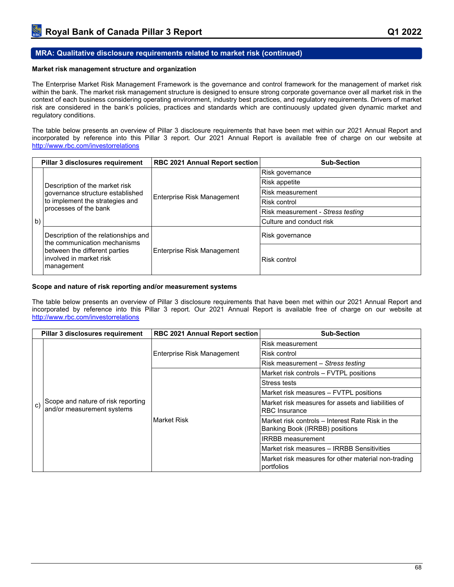## **MRA: Qualitative disclosure requirements related to market risk (continued)**

#### **Market risk management structure and organization**

The Enterprise Market Risk Management Framework is the governance and control framework for the management of market risk within the bank. The market risk management structure is designed to ensure strong corporate governance over all market risk in the context of each business considering operating environment, industry best practices, and regulatory requirements. Drivers of market risk are considered in the bank's policies, practices and standards which are continuously updated given dynamic market and regulatory conditions.

The table below presents an overview of Pillar 3 disclosure requirements that have been met within our 2021 Annual Report and incorporated by reference into this Pillar 3 report. Our 2021 Annual Report is available free of charge on our website at <http://www.rbc.com/investorrelations>

|    | Pillar 3 disclosures requirement                                        | RBC 2021 Annual Report section | <b>Sub-Section</b>                |
|----|-------------------------------------------------------------------------|--------------------------------|-----------------------------------|
|    |                                                                         |                                | Risk governance                   |
|    | Description of the market risk                                          |                                | Risk appetite                     |
|    | governance structure established                                        | Enterprise Risk Management     | Risk measurement                  |
|    | to implement the strategies and                                         |                                | Risk control                      |
|    | processes of the bank                                                   |                                | Risk measurement - Stress testing |
| b) |                                                                         |                                | Culture and conduct risk          |
|    | Description of the relationships and<br>the communication mechanisms    |                                | Risk governance                   |
|    | between the different parties<br>Involved in market risk<br> management | Enterprise Risk Management     | Risk control                      |

#### **Scope and nature of risk reporting and/or measurement systems**

The table below presents an overview of Pillar 3 disclosure requirements that have been met within our 2021 Annual Report and incorporated by reference into this Pillar 3 report. Our 2021 Annual Report is available free of charge on our website at <http://www.rbc.com/investorrelations>

|              | Pillar 3 disclosures requirement                                 | <b>RBC 2021 Annual Report section</b> | <b>Sub-Section</b>                                                                 |  |  |  |  |
|--------------|------------------------------------------------------------------|---------------------------------------|------------------------------------------------------------------------------------|--|--|--|--|
|              |                                                                  |                                       | Risk measurement                                                                   |  |  |  |  |
|              |                                                                  | Enterprise Risk Management            | Risk control                                                                       |  |  |  |  |
|              |                                                                  |                                       | Risk measurement - Stress testing                                                  |  |  |  |  |
|              |                                                                  |                                       | Market risk controls – FVTPL positions                                             |  |  |  |  |
|              |                                                                  |                                       | Stress tests                                                                       |  |  |  |  |
|              |                                                                  |                                       | Market risk measures – FVTPL positions                                             |  |  |  |  |
| $\mathbf{c}$ | Scope and nature of risk reporting<br>and/or measurement systems |                                       | Market risk measures for assets and liabilities of<br><b>RBC</b> Insurance         |  |  |  |  |
|              |                                                                  | Market Risk                           | Market risk controls – Interest Rate Risk in the<br>Banking Book (IRRBB) positions |  |  |  |  |
|              |                                                                  |                                       | <b>IRRBB</b> measurement                                                           |  |  |  |  |
|              |                                                                  |                                       | Market risk measures - IRRBB Sensitivities                                         |  |  |  |  |
|              |                                                                  |                                       | Market risk measures for other material non-trading<br>portfolios                  |  |  |  |  |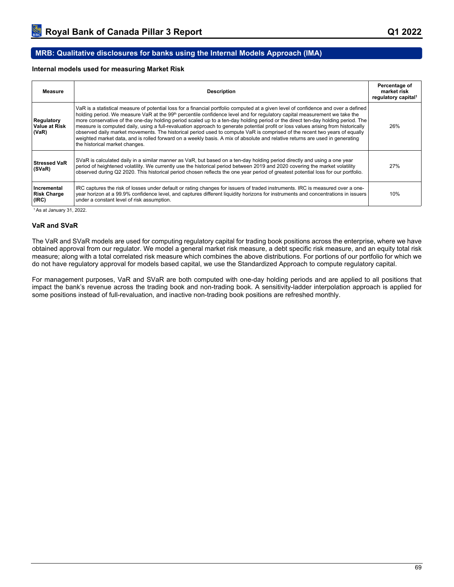## **MRB: Qualitative disclosures for banks using the Internal Models Approach (IMA)**

### **Internal models used for measuring Market Risk**

| Measure                                     | <b>Description</b>                                                                                                                                                                                                                                                                                                                                                                                                                                                                                                                                                                                                                                                                                                                                                                                                                                    | Percentage of<br>market risk<br>regulatory capital <sup>1</sup> |
|---------------------------------------------|-------------------------------------------------------------------------------------------------------------------------------------------------------------------------------------------------------------------------------------------------------------------------------------------------------------------------------------------------------------------------------------------------------------------------------------------------------------------------------------------------------------------------------------------------------------------------------------------------------------------------------------------------------------------------------------------------------------------------------------------------------------------------------------------------------------------------------------------------------|-----------------------------------------------------------------|
| Regulatory<br><b>Value at Risk</b><br>(VaR) | VaR is a statistical measure of potential loss for a financial portfolio computed at a given level of confidence and over a defined<br>holding period. We measure VaR at the 99 <sup>th</sup> percentile confidence level and for regulatory capital measurement we take the<br>more conservative of the one-day holding period scaled up to a ten-day holding period or the direct ten-day holding period. The<br>measure is computed daily, using a full-revaluation approach to generate potential profit or loss values arising from historically<br>observed daily market movements. The historical period used to compute VaR is comprised of the recent two years of equally<br>weighted market data, and is rolled forward on a weekly basis. A mix of absolute and relative returns are used in generating<br>the historical market changes. | 26%                                                             |
| <b>Stressed VaR</b><br>(SVaR)               | SVaR is calculated daily in a similar manner as VaR, but based on a ten-day holding period directly and using a one year<br>period of heightened volatility. We currently use the historical period between 2019 and 2020 covering the market volatility<br>observed during Q2 2020. This historical period chosen reflects the one year period of greatest potential loss for our portfolio.                                                                                                                                                                                                                                                                                                                                                                                                                                                         | 27%                                                             |
| Incremental<br><b>Risk Charge</b><br>(IRC)  | IRC captures the risk of losses under default or rating changes for issuers of traded instruments. IRC is measured over a one-<br>year horizon at a 99.9% confidence level, and captures different liquidity horizons for instruments and concentrations in issuers<br>under a constant level of risk assumption.                                                                                                                                                                                                                                                                                                                                                                                                                                                                                                                                     | 10%                                                             |

<sup>1</sup>As at January 31, 2022.

#### **VaR and SVaR**

The VaR and SVaR models are used for computing regulatory capital for trading book positions across the enterprise, where we have obtained approval from our regulator. We model a general market risk measure, a debt specific risk measure, and an equity total risk measure; along with a total correlated risk measure which combines the above distributions. For portions of our portfolio for which we do not have regulatory approval for models based capital, we use the Standardized Approach to compute regulatory capital.

For management purposes, VaR and SVaR are both computed with one-day holding periods and are applied to all positions that impact the bank's revenue across the trading book and non-trading book. A sensitivity-ladder interpolation approach is applied for some positions instead of full-revaluation, and inactive non-trading book positions are refreshed monthly.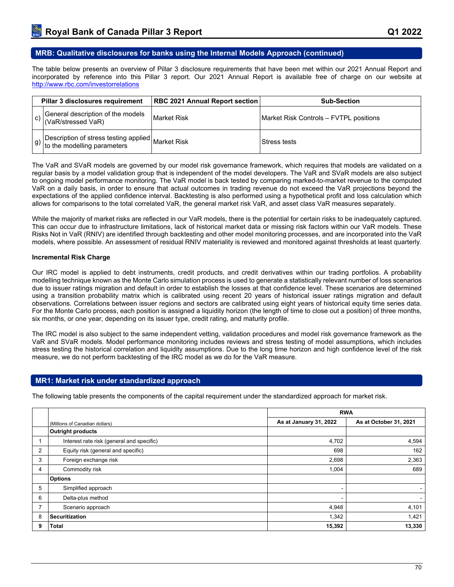### **MRB: Qualitative disclosures for banks using the Internal Models Approach (continued)**

The table below presents an overview of Pillar 3 disclosure requirements that have been met within our 2021 Annual Report and incorporated by reference into this Pillar 3 report. Our 2021 Annual Report is available free of charge on our website at <http://www.rbc.com/investorrelations>

| Pillar 3 disclosures requirement                                           | <b>RBC 2021 Annual Report section</b> | <b>Sub-Section</b>                     |
|----------------------------------------------------------------------------|---------------------------------------|----------------------------------------|
| General description of the models<br>(VaR/stressed VaR)                    | Market Risk                           | Market Risk Controls - FVTPL positions |
| Description of stress testing applied<br>to the modelling parameters<br>g) |                                       | Stress tests                           |

The VaR and SVaR models are governed by our model risk governance framework, which requires that models are validated on a regular basis by a model validation group that is independent of the model developers. The VaR and SVaR models are also subject to ongoing model performance monitoring. The VaR model is back tested by comparing marked-to-market revenue to the computed VaR on a daily basis, in order to ensure that actual outcomes in trading revenue do not exceed the VaR projections beyond the expectations of the applied confidence interval. Backtesting is also performed using a hypothetical profit and loss calculation which allows for comparisons to the total correlated VaR, the general market risk VaR, and asset class VaR measures separately.

While the majority of market risks are reflected in our VaR models, there is the potential for certain risks to be inadequately captured. This can occur due to infrastructure limitations, lack of historical market data or missing risk factors within our VaR models. These Risks Not in VaR (RNIV) are identified through backtesting and other model monitoring processes, and are incorporated into the VaR models, where possible. An assessment of residual RNIV materiality is reviewed and monitored against thresholds at least quarterly.

#### **Incremental Risk Charge**

Our IRC model is applied to debt instruments, credit products, and credit derivatives within our trading portfolios. A probability modelling technique known as the Monte Carlo simulation process is used to generate a statistically relevant number of loss scenarios due to issuer ratings migration and default in order to establish the losses at that confidence level. These scenarios are determined using a transition probability matrix which is calibrated using recent 20 years of historical issuer ratings migration and default observations. Correlations between issuer regions and sectors are calibrated using eight years of historical equity time series data. For the Monte Carlo process, each position is assigned a liquidity horizon (the length of time to close out a position) of three months, six months, or one year, depending on its issuer type, credit rating, and maturity profile.

The IRC model is also subject to the same independent vetting, validation procedures and model risk governance framework as the VaR and SVaR models. Model performance monitoring includes reviews and stress testing of model assumptions, which includes stress testing the historical correlation and liquidity assumptions. Due to the long time horizon and high confidence level of the risk measure, we do not perform backtesting of the IRC model as we do for the VaR measure.

### **MR1: Market risk under standardized approach**

The following table presents the components of the capital requirement under the standardized approach for market risk.

|   |                                           | <b>RWA</b>             |                        |
|---|-------------------------------------------|------------------------|------------------------|
|   | (Millions of Canadian dollars)            | As at January 31, 2022 | As at October 31, 2021 |
|   | Outright products                         |                        |                        |
|   | Interest rate risk (general and specific) | 4,702                  | 4,594                  |
| 2 | Equity risk (general and specific)        | 698                    | 162                    |
| 3 | Foreign exchange risk                     | 2,698                  | 2,363                  |
| 4 | Commodity risk                            | 1,004                  | 689                    |
|   | <b>Options</b>                            |                        |                        |
| 5 | Simplified approach                       |                        | ۰.                     |
| 6 | Delta-plus method                         | ۰                      | ٠                      |
|   | Scenario approach                         | 4,948                  | 4,101                  |
| 8 | Securitization                            | 1,342                  | 1,421                  |
| 9 | <b>Total</b>                              | 15,392                 | 13,330                 |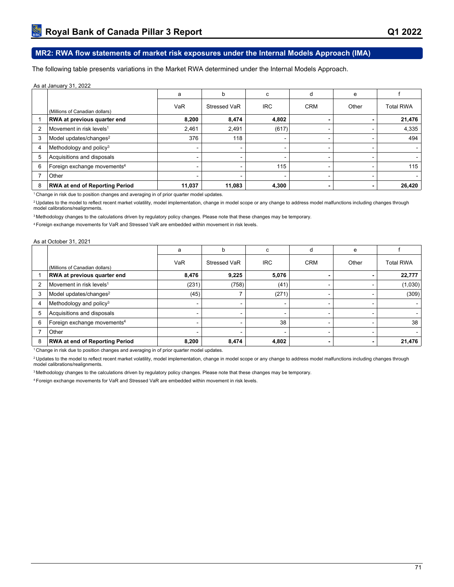# **MR2: RWA flow statements of market risk exposures under the Internal Models Approach (IMA)**

The following table presents variations in the Market RWA determined under the Internal Models Approach.

#### As at January 31, 2022

|                |                                         | a      | b            | C                        | d          | e     |                  |
|----------------|-----------------------------------------|--------|--------------|--------------------------|------------|-------|------------------|
|                | (Millions of Canadian dollars)          | VaR    | Stressed VaR | <b>IRC</b>               | <b>CRM</b> | Other | <b>Total RWA</b> |
|                | RWA at previous quarter end             | 8,200  | 8,474        | 4,802                    |            |       | 21,476           |
| $\overline{2}$ | Movement in risk levels <sup>1</sup>    | 2,461  | 2,491        | (617)                    |            |       | 4,335            |
| 3              | Model updates/changes <sup>2</sup>      | 376    | 118          | $\overline{\phantom{0}}$ |            |       | 494              |
| 4              | Methodology and policy $3$              |        | $\sim$       |                          |            | -     |                  |
| 5              | Acquisitions and disposals              |        | -            |                          |            |       |                  |
| 6              | Foreign exchange movements <sup>4</sup> |        |              | 115                      |            |       | 115              |
|                | Other                                   |        |              |                          |            |       |                  |
| 8              | <b>RWA at end of Reporting Period</b>   | 11,037 | 11,083       | 4,300                    |            |       | 26,420           |

<sup>1</sup> Change in risk due to position changes and averaging in of prior quarter model updates.

<sup>2</sup> Updates to the model to reflect recent market volatility, model implementation, change in model scope or any change to address model malfunctions including changes through model calibrations/realignments.

<sup>3</sup> Methodology changes to the calculations driven by regulatory policy changes. Please note that these changes may be temporary.

<sup>4</sup>Foreign exchange movements for VaR and Stressed VaR are embedded within movement in risk levels.

#### As at October 31, 2021

|   |                                         | a     | b                        | C                        | d          | е     |                  |
|---|-----------------------------------------|-------|--------------------------|--------------------------|------------|-------|------------------|
|   | (Millions of Canadian dollars)          | VaR   | Stressed VaR             | <b>IRC</b>               | <b>CRM</b> | Other | <b>Total RWA</b> |
|   | RWA at previous quarter end             | 8,476 | 9,225                    | 5,076                    |            |       | 22,777           |
| 2 | $\sf I$ Movement in risk levels $^1$    | (231) | (758)                    | (41)                     |            |       | (1,030)          |
| 3 | Model updates/changes <sup>2</sup>      | (45)  | 7                        | (271)                    |            |       | (309)            |
| 4 | Methodology and policy <sup>3</sup>     |       | $\overline{\phantom{0}}$ | $\blacksquare$           |            |       |                  |
| 5 | Acquisitions and disposals              |       | -                        | $\overline{\phantom{0}}$ |            |       |                  |
| 6 | Foreign exchange movements <sup>4</sup> |       |                          | 38                       |            |       | 38               |
|   | Other                                   |       |                          | $\overline{\phantom{0}}$ |            | -     |                  |
| 8 | <b>RWA at end of Reporting Period</b>   | 8,200 | 8,474                    | 4,802                    |            |       | 21,476           |

<sup>1</sup> Change in risk due to position changes and averaging in of prior quarter model updates.

<sup>2</sup> Updates to the model to reflect recent market volatility, model implementation, change in model scope or any change to address model malfunctions including changes through model calibrations/realignments.

<sup>3</sup>Methodology changes to the calculations driven by regulatory policy changes. Please note that these changes may be temporary.

4 Foreign exchange movements for VaR and Stressed VaR are embedded within movement in risk levels.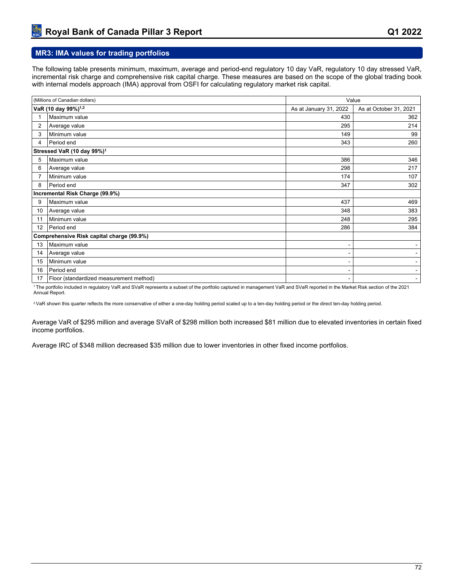## **MR3: IMA values for trading portfolios**

The following table presents minimum, maximum, average and period-end regulatory 10 day VaR, regulatory 10 day stressed VaR, incremental risk charge and comprehensive risk capital charge. These measures are based on the scope of the global trading book with internal models approach (IMA) approval from OSFI for calculating regulatory market risk capital.

|                | (Millions of Canadian dollars)            | Value                  |                        |  |
|----------------|-------------------------------------------|------------------------|------------------------|--|
|                | VaR (10 day 99%) <sup>1,2</sup>           | As at January 31, 2022 | As at October 31, 2021 |  |
|                | Maximum value                             | 430                    | 362                    |  |
| $\overline{2}$ | Average value                             | 295                    | 214                    |  |
| 3              | Minimum value                             | 149                    | 99                     |  |
| 4              | Period end                                | 343                    | 260                    |  |
|                | Stressed VaR (10 day 99%) <sup>1</sup>    |                        |                        |  |
| 5              | Maximum value                             | 386                    | 346                    |  |
| 6              | Average value                             | 298                    | 217                    |  |
| 7              | Minimum value                             | 174                    | 107                    |  |
| 8              | Period end                                | 347                    | 302                    |  |
|                | Incremental Risk Charge (99.9%)           |                        |                        |  |
| 9              | Maximum value                             | 437                    | 469                    |  |
| 10             | Average value                             | 348                    | 383                    |  |
| 11             | Minimum value                             | 248                    | 295                    |  |
| 12             | Period end                                | 286                    | 384                    |  |
|                | Comprehensive Risk capital charge (99.9%) |                        |                        |  |
| 13             | Maximum value                             |                        |                        |  |
| 14             | Average value                             |                        |                        |  |
| 15             | Minimum value                             |                        | -                      |  |
| 16             | Period end                                |                        | ۰.                     |  |
| 17             | Floor (standardized measurement method)   |                        | $\blacksquare$         |  |

<sup>1</sup>The portfolio included in regulatory VaR and SVaR represents a subset of the portfolio captured in management VaR and SVaR reported in the Market Risk section of the 2021 Annual Report.

<sup>2</sup>VaR shown this quarter reflects the more conservative of either a one-day holding period scaled up to a ten-day holding period or the direct ten-day holding period.

Average VaR of \$295 million and average SVaR of \$298 million both increased \$81 million due to elevated inventories in certain fixed income portfolios.

Average IRC of \$348 million decreased \$35 million due to lower inventories in other fixed income portfolios.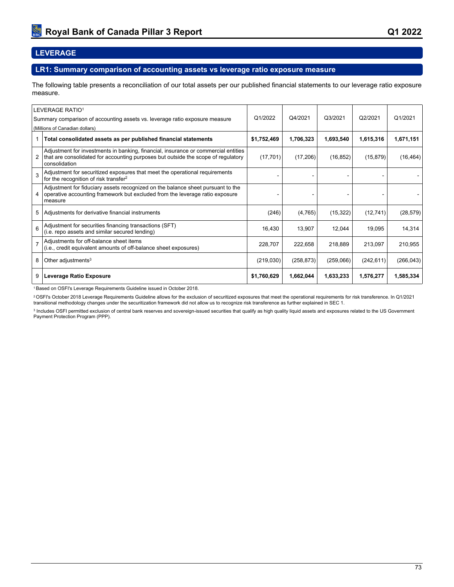# **LEVERAGE**

### **LR1: Summary comparison of accounting assets vs leverage ratio exposure measure**

The following table presents a reconciliation of our total assets per our published financial statements to our leverage ratio exposure measure.

|   | LEVERAGE RATIO1                                                                                                                                                                          |             |            |           |            |            |
|---|------------------------------------------------------------------------------------------------------------------------------------------------------------------------------------------|-------------|------------|-----------|------------|------------|
|   | Summary comparison of accounting assets vs. leverage ratio exposure measure                                                                                                              | Q1/2022     | Q4/2021    | Q3/2021   | Q2/2021    | Q1/2021    |
|   | (Millions of Canadian dollars)                                                                                                                                                           |             |            |           |            |            |
|   | Total consolidated assets as per published financial statements                                                                                                                          | \$1,752,469 | 1,706,323  | 1,693,540 | 1,615,316  | 1,671,151  |
| 2 | Adjustment for investments in banking, financial, insurance or commercial entities<br>that are consolidated for accounting purposes but outside the scope of regulatory<br>consolidation | (17, 701)   | (17,206)   | (16, 852) | (15, 879)  | (16, 464)  |
| 3 | Adjustment for securitized exposures that meet the operational requirements<br>for the recognition of risk transfer <sup>2</sup>                                                         |             |            |           |            |            |
| 4 | Adjustment for fiduciary assets recognized on the balance sheet pursuant to the<br>operative accounting framework but excluded from the leverage ratio exposure<br>measure               |             |            |           |            |            |
| 5 | Adjustments for derivative financial instruments                                                                                                                                         | (246)       | (4,765)    | (15, 322) | (12, 741)  | (28, 579)  |
| 6 | Adjustment for securities financing transactions (SFT)<br>(i.e. repo assets and similar secured lending)                                                                                 | 16,430      | 13,907     | 12,044    | 19,095     | 14,314     |
|   | Adjustments for off-balance sheet items<br>(i.e., credit equivalent amounts of off-balance sheet exposures)                                                                              | 228,707     | 222,658    | 218,889   | 213,097    | 210,955    |
| 8 | Other adjustments $3$                                                                                                                                                                    | (219,030)   | (258, 873) | (259,066) | (242, 611) | (266, 043) |
| 9 | Leverage Ratio Exposure                                                                                                                                                                  | \$1,760,629 | 1,662,044  | 1,633,233 | 1,576,277  | 1,585,334  |

<sup>1</sup>Based on OSFI's Leverage Requirements Guideline issued in October 2018.

<sup>2</sup> OSFI's October 2018 Leverage Requirements Guideline allows for the exclusion of securitized exposures that meet the operational requirements for risk transference. In Q1/2021 transitional methodology changes under the securitization framework did not allow us to recognize risk transference as further explained in SEC 1.

<sup>3</sup> Includes OSFI permitted exclusion of central bank reserves and sovereign-issued securities that qualify as high quality liquid assets and exposures related to the US Government Payment Protection Program (PPP).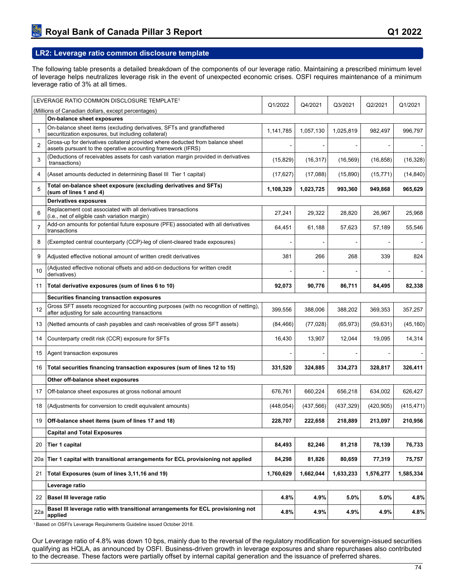## **LR2: Leverage ratio common disclosure template**

The following table presents a detailed breakdown of the components of our leverage ratio. Maintaining a prescribed minimum level of leverage helps neutralizes leverage risk in the event of unexpected economic crises. OSFI requires maintenance of a minimum leverage ratio of 3% at all times.

|                | LEVERAGE RATIO COMMON DISCLOSURE TEMPLATE <sup>1</sup>                                                                                         | Q1/2022    | Q4/2021    | Q3/2021   | Q2/2021    | Q1/2021        |
|----------------|------------------------------------------------------------------------------------------------------------------------------------------------|------------|------------|-----------|------------|----------------|
|                | (Millions of Canadian dollars, except percentages)                                                                                             |            |            |           |            |                |
|                | On-balance sheet exposures                                                                                                                     |            |            |           |            |                |
| $\mathbf{1}$   | On-balance sheet items (excluding derivatives, SFTs and grandfathered<br>securitization exposures, but including collateral)                   | 1,141,785  | 1,057,130  | 1,025,819 | 982,497    | 996,797        |
| $\overline{2}$ | Gross-up for derivatives collateral provided where deducted from balance sheet<br>assets pursuant to the operative accounting framework (IFRS) |            |            |           |            |                |
| 3              | (Deductions of receivables assets for cash variation margin provided in derivatives<br>transactions)                                           | (15, 829)  | (16, 317)  | (16, 569) | (16, 858)  | (16, 328)      |
| 4              | (Asset amounts deducted in determining Basel III Tier 1 capital)                                                                               | (17, 627)  | (17,088)   | (15, 890) | (15, 771)  | (14, 840)      |
| 5              | Total on-balance sheet exposure (excluding derivatives and SFTs)<br>(sum of lines 1 and 4)                                                     | 1,108,329  | 1,023,725  | 993,360   | 949,868    | 965,629        |
|                | <b>Derivatives exposures</b>                                                                                                                   |            |            |           |            |                |
| 6              | Replacement cost associated with all derivatives transactions<br>(i.e., net of eligible cash variation margin)                                 | 27,241     | 29,322     | 28,820    | 26,967     | 25,968         |
| $\overline{7}$ | Add-on amounts for potential future exposure (PFE) associated with all derivatives<br>transactions                                             | 64,451     | 61,188     | 57,623    | 57,189     | 55,546         |
| 8              | (Exempted central counterparty (CCP)-leg of client-cleared trade exposures)                                                                    |            |            |           |            | $\blacksquare$ |
| 9              | Adjusted effective notional amount of written credit derivatives                                                                               | 381        | 266        | 268       | 339        | 824            |
| 10             | (Adjusted effective notional offsets and add-on deductions for written credit<br>derivatives)                                                  |            |            |           |            |                |
| 11             | Total derivative exposures (sum of lines 6 to 10)                                                                                              | 92,073     | 90,776     | 86,711    | 84,495     | 82,338         |
|                | Securities financing transaction exposures                                                                                                     |            |            |           |            |                |
| 12             | Gross SFT assets recognized for accounting purposes (with no recognition of netting),<br>after adjusting for sale accounting transactions      | 399,556    | 388,006    | 388,202   | 369,353    | 357,257        |
| 13             | (Netted amounts of cash payables and cash receivables of gross SFT assets)                                                                     | (84, 466)  | (77, 028)  | (65, 973) | (59, 631)  | (45, 160)      |
| 14             | Counterparty credit risk (CCR) exposure for SFTs                                                                                               | 16,430     | 13,907     | 12,044    | 19,095     | 14,314         |
| 15             | Agent transaction exposures                                                                                                                    |            |            |           |            |                |
| 16             | Total securities financing transaction exposures (sum of lines 12 to 15)                                                                       | 331,520    | 324,885    | 334,273   | 328,817    | 326,411        |
|                | Other off-balance sheet exposures                                                                                                              |            |            |           |            |                |
| 17             | Off-balance sheet exposures at gross notional amount                                                                                           | 676,761    | 660,224    | 656,218   | 634,002    | 626,427        |
| 18             | (Adjustments for conversion to credit equivalent amounts)                                                                                      | (448, 054) | (437, 566) | (437,329) | (420, 905) | (415, 471)     |
| 19             | Off-balance sheet items (sum of lines 17 and 18)                                                                                               | 228,707    | 222,658    | 218,889   | 213,097    | 210,956        |
|                | <b>Capital and Total Exposures</b>                                                                                                             |            |            |           |            |                |
| 20             | Tier 1 capital                                                                                                                                 | 84,493     | 82,246     | 81,218    | 78,139     | 76,733         |
| 20a            | Tier 1 capital with transitional arrangements for ECL provisioning not applied                                                                 | 84,298     | 81,826     | 80,659    | 77,319     | 75,757         |
| 21             | Total Exposures (sum of lines 3,11,16 and 19)                                                                                                  | 1,760,629  | 1,662,044  | 1,633,233 | 1,576,277  | 1,585,334      |
|                | Leverage ratio                                                                                                                                 |            |            |           |            |                |
| 22             | Basel III leverage ratio                                                                                                                       | 4.8%       | 4.9%       | 5.0%      | 5.0%       | 4.8%           |
| 22a            | Basel III leverage ratio with transitional arrangements for ECL provisioning not<br>applied                                                    | 4.8%       | 4.9%       | 4.9%      | 4.9%       | 4.8%           |

<sup>1</sup>Based on OSFI's Leverage Requirements Guideline issued October 2018.

Our Leverage ratio of 4.8% was down 10 bps, mainly due to the reversal of the regulatory modification for sovereign-issued securities qualifying as HQLA, as announced by OSFI. Business-driven growth in leverage exposures and share repurchases also contributed to the decrease. These factors were partially offset by internal capital generation and the issuance of preferred shares.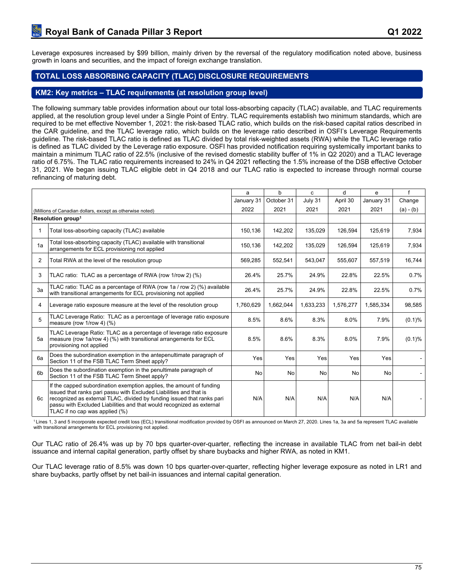## **TOTAL LOSS ABSORBING CAPACITY (TLAC) DISCLOSURE REQUIREMENTS**

## **KM2: Key metrics – TLAC requirements (at resolution group level)**

The following summary table provides information about our total loss-absorbing capacity (TLAC) available, and TLAC requirements applied, at the resolution group level under a Single Point of Entry. TLAC requirements establish two minimum standards, which are required to be met effective November 1, 2021: the risk-based TLAC ratio, which builds on the risk-based capital ratios described in the CAR guideline, and the TLAC leverage ratio, which builds on the leverage ratio described in OSFI's Leverage Requirements guideline. The risk-based TLAC ratio is defined as TLAC divided by total risk-weighted assets (RWA) while the TLAC leverage ratio is defined as TLAC divided by the Leverage ratio exposure. OSFI has provided notification requiring systemically important banks to maintain a minimum TLAC ratio of 22.5% (inclusive of the revised domestic stability buffer of 1% in Q2 2020) and a TLAC leverage ratio of 6.75%. The TLAC ratio requirements increased to 24% in Q4 2021 reflecting the 1.5% increase of the DSB effective October 31, 2021. We began issuing TLAC eligible debt in Q4 2018 and our TLAC ratio is expected to increase through normal course refinancing of maturing debt.

|                |                                                                                                                                                                                                                                                                                                                                 | a          | $\mathbf b$ | C.        | d         | e          | $\mathbf{f}$ |
|----------------|---------------------------------------------------------------------------------------------------------------------------------------------------------------------------------------------------------------------------------------------------------------------------------------------------------------------------------|------------|-------------|-----------|-----------|------------|--------------|
|                |                                                                                                                                                                                                                                                                                                                                 | January 31 | October 31  | July 31   | April 30  | January 31 | Change       |
|                | (Millions of Canadian dollars, except as otherwise noted)                                                                                                                                                                                                                                                                       | 2022       | 2021        | 2021      | 2021      | 2021       | $(a) - (b)$  |
|                | Resolution group <sup>1</sup>                                                                                                                                                                                                                                                                                                   |            |             |           |           |            |              |
|                | Total loss-absorbing capacity (TLAC) available                                                                                                                                                                                                                                                                                  | 150,136    | 142,202     | 135,029   | 126,594   | 125,619    | 7,934        |
| 1a             | Total loss-absorbing capacity (TLAC) available with transitional<br>arrangements for ECL provisioning not applied                                                                                                                                                                                                               | 150,136    | 142,202     | 135,029   | 126,594   | 125,619    | 7,934        |
| $\overline{2}$ | Total RWA at the level of the resolution group                                                                                                                                                                                                                                                                                  | 569,285    | 552,541     | 543,047   | 555,607   | 557,519    | 16,744       |
| 3              | TLAC ratio: TLAC as a percentage of RWA (row 1/row 2) (%)                                                                                                                                                                                                                                                                       | 26.4%      | 25.7%       | 24.9%     | 22.8%     | 22.5%      | 0.7%         |
| 3a             | TLAC ratio: TLAC as a percentage of RWA (row 1a / row 2) (%) available<br>with transitional arrangements for ECL provisioning not applied                                                                                                                                                                                       | 26.4%      | 25.7%       | 24.9%     | 22.8%     | 22.5%      | 0.7%         |
| 4              | Leverage ratio exposure measure at the level of the resolution group                                                                                                                                                                                                                                                            | 1,760,629  | 1,662,044   | 1,633,233 | 1,576,277 | 1,585,334  | 98,585       |
| 5              | TLAC Leverage Ratio: TLAC as a percentage of leverage ratio exposure<br>measure (row $1$ /row $4$ ) (%)                                                                                                                                                                                                                         | 8.5%       | 8.6%        | 8.3%      | 8.0%      | 7.9%       | (0.1)%       |
| 5a             | TLAC Leverage Ratio: TLAC as a percentage of leverage ratio exposure<br>measure (row 1a/row 4) (%) with transitional arrangements for ECL<br>provisioning not applied                                                                                                                                                           | 8.5%       | 8.6%        | 8.3%      | 8.0%      | 7.9%       | (0.1)%       |
| 6a             | Does the subordination exemption in the antepenultimate paragraph of<br>Section 11 of the FSB TLAC Term Sheet apply?                                                                                                                                                                                                            | Yes        | Yes         | Yes       | Yes       | Yes        |              |
| 6 <sub>b</sub> | Does the subordination exemption in the penultimate paragraph of<br>Section 11 of the FSB TLAC Term Sheet apply?                                                                                                                                                                                                                | No         | No          | No        | No        | No         |              |
| 6с             | If the capped subordination exemption applies, the amount of funding<br>issued that ranks pari passu with Excluded Liabilities and that is<br>recognized as external TLAC, divided by funding issued that ranks pari<br>passu with Excluded Liabilities and that would recognized as external<br>TLAC if no cap was applied (%) | N/A        | N/A         | N/A       | N/A       | N/A        |              |

<sup>1</sup>Lines 1, 3 and 5 incorporate expected credit loss (ECL) transitional modification provided by OSFI as announced on March 27, 2020. Lines 1a, 3a and 5a represent TLAC available with transitional arrangements for ECL provisioning not applied.

Our TLAC ratio of 26.4% was up by 70 bps quarter-over-quarter, reflecting the increase in available TLAC from net bail-in debt issuance and internal capital generation, partly offset by share buybacks and higher RWA, as noted in KM1.

Our TLAC leverage ratio of 8.5% was down 10 bps quarter-over-quarter, reflecting higher leverage exposure as noted in LR1 and share buybacks, partly offset by net bail-in issuances and internal capital generation.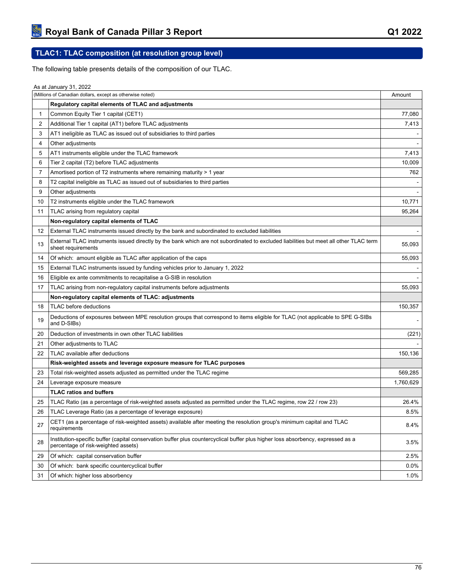# **TLAC1: TLAC composition (at resolution group level)**

The following table presents details of the composition of our TLAC.

| (Millions of Canadian dollars, except as otherwise noted)<br>Amount<br>Regulatory capital elements of TLAC and adjustments<br>Common Equity Tier 1 capital (CET1)<br>77,080<br>$\mathbf{1}$<br>Additional Tier 1 capital (AT1) before TLAC adjustments<br>$\overline{2}$<br>7,413<br>AT1 ineligible as TLAC as issued out of subsidiaries to third parties<br>3<br>Other adjustments<br>4<br>AT1 instruments eligible under the TLAC framework<br>7,413<br>5<br>6<br>Tier 2 capital (T2) before TLAC adjustments<br>10,009<br>7<br>Amortised portion of T2 instruments where remaining maturity > 1 year<br>762<br>T2 capital ineligible as TLAC as issued out of subsidiaries to third parties<br>8<br>9<br>Other adjustments<br>10,771<br>T2 instruments eligible under the TLAC framework<br>10<br>TLAC arising from regulatory capital<br>95,264<br>11<br>Non-regulatory capital elements of TLAC<br>External TLAC instruments issued directly by the bank and subordinated to excluded liabilities<br>12<br>$\blacksquare$<br>External TLAC instruments issued directly by the bank which are not subordinated to excluded liabilities but meet all other TLAC term<br>55,093<br>13<br>sheet requirements<br>55,093<br>Of which: amount eligible as TLAC after application of the caps<br>14<br>External TLAC instruments issued by funding vehicles prior to January 1, 2022<br>15<br>Eligible ex ante commitments to recapitalise a G-SIB in resolution<br>16<br>TLAC arising from non-regulatory capital instruments before adjustments<br>55,093<br>17<br>Non-regulatory capital elements of TLAC: adjustments<br>TLAC before deductions<br>150,357<br>18<br>Deductions of exposures between MPE resolution groups that correspond to items eligible for TLAC (not applicable to SPE G-SIBs<br>19<br>and D-SIBs)<br>(221)<br>Deduction of investments in own other TLAC liabilities<br>20<br>Other adjustments to TLAC<br>21<br>TLAC available after deductions<br>150,136<br>22<br>Risk-weighted assets and leverage exposure measure for TLAC purposes<br>23<br>Total risk-weighted assets adjusted as permitted under the TLAC regime<br>569,285<br>1,760,629<br>24<br>Leverage exposure measure<br><b>TLAC ratios and buffers</b><br>TLAC Ratio (as a percentage of risk-weighted assets adjusted as permitted under the TLAC regime, row 22 / row 23)<br>25<br>26.4%<br>8.5%<br>26<br>TLAC Leverage Ratio (as a percentage of leverage exposure)<br>CET1 (as a percentage of risk-weighted assets) available after meeting the resolution group's minimum capital and TLAC<br>27<br>8.4%<br>requirements<br>Institution-specific buffer (capital conservation buffer plus countercyclical buffer plus higher loss absorbency, expressed as a<br>3.5%<br>28<br>percentage of risk-weighted assets)<br>29<br>Of which: capital conservation buffer<br>2.5%<br>Of which: bank specific countercyclical buffer<br>$0.0\%$<br>30<br>1.0%<br>31<br>Of which: higher loss absorbency | As at January 31, 2022 |  |
|---------------------------------------------------------------------------------------------------------------------------------------------------------------------------------------------------------------------------------------------------------------------------------------------------------------------------------------------------------------------------------------------------------------------------------------------------------------------------------------------------------------------------------------------------------------------------------------------------------------------------------------------------------------------------------------------------------------------------------------------------------------------------------------------------------------------------------------------------------------------------------------------------------------------------------------------------------------------------------------------------------------------------------------------------------------------------------------------------------------------------------------------------------------------------------------------------------------------------------------------------------------------------------------------------------------------------------------------------------------------------------------------------------------------------------------------------------------------------------------------------------------------------------------------------------------------------------------------------------------------------------------------------------------------------------------------------------------------------------------------------------------------------------------------------------------------------------------------------------------------------------------------------------------------------------------------------------------------------------------------------------------------------------------------------------------------------------------------------------------------------------------------------------------------------------------------------------------------------------------------------------------------------------------------------------------------------------------------------------------------------------------------------------------------------------------------------------------------------------------------------------------------------------------------------------------------------------------------------------------------------------------------------------------------------------------------------------------------------------------------------------------------------------------------------------------------------------------------------------------------------------------------------------------------------------------------------------------------------------------------|------------------------|--|
|                                                                                                                                                                                                                                                                                                                                                                                                                                                                                                                                                                                                                                                                                                                                                                                                                                                                                                                                                                                                                                                                                                                                                                                                                                                                                                                                                                                                                                                                                                                                                                                                                                                                                                                                                                                                                                                                                                                                                                                                                                                                                                                                                                                                                                                                                                                                                                                                                                                                                                                                                                                                                                                                                                                                                                                                                                                                                                                                                                                             |                        |  |
|                                                                                                                                                                                                                                                                                                                                                                                                                                                                                                                                                                                                                                                                                                                                                                                                                                                                                                                                                                                                                                                                                                                                                                                                                                                                                                                                                                                                                                                                                                                                                                                                                                                                                                                                                                                                                                                                                                                                                                                                                                                                                                                                                                                                                                                                                                                                                                                                                                                                                                                                                                                                                                                                                                                                                                                                                                                                                                                                                                                             |                        |  |
|                                                                                                                                                                                                                                                                                                                                                                                                                                                                                                                                                                                                                                                                                                                                                                                                                                                                                                                                                                                                                                                                                                                                                                                                                                                                                                                                                                                                                                                                                                                                                                                                                                                                                                                                                                                                                                                                                                                                                                                                                                                                                                                                                                                                                                                                                                                                                                                                                                                                                                                                                                                                                                                                                                                                                                                                                                                                                                                                                                                             |                        |  |
|                                                                                                                                                                                                                                                                                                                                                                                                                                                                                                                                                                                                                                                                                                                                                                                                                                                                                                                                                                                                                                                                                                                                                                                                                                                                                                                                                                                                                                                                                                                                                                                                                                                                                                                                                                                                                                                                                                                                                                                                                                                                                                                                                                                                                                                                                                                                                                                                                                                                                                                                                                                                                                                                                                                                                                                                                                                                                                                                                                                             |                        |  |
|                                                                                                                                                                                                                                                                                                                                                                                                                                                                                                                                                                                                                                                                                                                                                                                                                                                                                                                                                                                                                                                                                                                                                                                                                                                                                                                                                                                                                                                                                                                                                                                                                                                                                                                                                                                                                                                                                                                                                                                                                                                                                                                                                                                                                                                                                                                                                                                                                                                                                                                                                                                                                                                                                                                                                                                                                                                                                                                                                                                             |                        |  |
|                                                                                                                                                                                                                                                                                                                                                                                                                                                                                                                                                                                                                                                                                                                                                                                                                                                                                                                                                                                                                                                                                                                                                                                                                                                                                                                                                                                                                                                                                                                                                                                                                                                                                                                                                                                                                                                                                                                                                                                                                                                                                                                                                                                                                                                                                                                                                                                                                                                                                                                                                                                                                                                                                                                                                                                                                                                                                                                                                                                             |                        |  |
|                                                                                                                                                                                                                                                                                                                                                                                                                                                                                                                                                                                                                                                                                                                                                                                                                                                                                                                                                                                                                                                                                                                                                                                                                                                                                                                                                                                                                                                                                                                                                                                                                                                                                                                                                                                                                                                                                                                                                                                                                                                                                                                                                                                                                                                                                                                                                                                                                                                                                                                                                                                                                                                                                                                                                                                                                                                                                                                                                                                             |                        |  |
|                                                                                                                                                                                                                                                                                                                                                                                                                                                                                                                                                                                                                                                                                                                                                                                                                                                                                                                                                                                                                                                                                                                                                                                                                                                                                                                                                                                                                                                                                                                                                                                                                                                                                                                                                                                                                                                                                                                                                                                                                                                                                                                                                                                                                                                                                                                                                                                                                                                                                                                                                                                                                                                                                                                                                                                                                                                                                                                                                                                             |                        |  |
|                                                                                                                                                                                                                                                                                                                                                                                                                                                                                                                                                                                                                                                                                                                                                                                                                                                                                                                                                                                                                                                                                                                                                                                                                                                                                                                                                                                                                                                                                                                                                                                                                                                                                                                                                                                                                                                                                                                                                                                                                                                                                                                                                                                                                                                                                                                                                                                                                                                                                                                                                                                                                                                                                                                                                                                                                                                                                                                                                                                             |                        |  |
|                                                                                                                                                                                                                                                                                                                                                                                                                                                                                                                                                                                                                                                                                                                                                                                                                                                                                                                                                                                                                                                                                                                                                                                                                                                                                                                                                                                                                                                                                                                                                                                                                                                                                                                                                                                                                                                                                                                                                                                                                                                                                                                                                                                                                                                                                                                                                                                                                                                                                                                                                                                                                                                                                                                                                                                                                                                                                                                                                                                             |                        |  |
|                                                                                                                                                                                                                                                                                                                                                                                                                                                                                                                                                                                                                                                                                                                                                                                                                                                                                                                                                                                                                                                                                                                                                                                                                                                                                                                                                                                                                                                                                                                                                                                                                                                                                                                                                                                                                                                                                                                                                                                                                                                                                                                                                                                                                                                                                                                                                                                                                                                                                                                                                                                                                                                                                                                                                                                                                                                                                                                                                                                             |                        |  |
|                                                                                                                                                                                                                                                                                                                                                                                                                                                                                                                                                                                                                                                                                                                                                                                                                                                                                                                                                                                                                                                                                                                                                                                                                                                                                                                                                                                                                                                                                                                                                                                                                                                                                                                                                                                                                                                                                                                                                                                                                                                                                                                                                                                                                                                                                                                                                                                                                                                                                                                                                                                                                                                                                                                                                                                                                                                                                                                                                                                             |                        |  |
|                                                                                                                                                                                                                                                                                                                                                                                                                                                                                                                                                                                                                                                                                                                                                                                                                                                                                                                                                                                                                                                                                                                                                                                                                                                                                                                                                                                                                                                                                                                                                                                                                                                                                                                                                                                                                                                                                                                                                                                                                                                                                                                                                                                                                                                                                                                                                                                                                                                                                                                                                                                                                                                                                                                                                                                                                                                                                                                                                                                             |                        |  |
|                                                                                                                                                                                                                                                                                                                                                                                                                                                                                                                                                                                                                                                                                                                                                                                                                                                                                                                                                                                                                                                                                                                                                                                                                                                                                                                                                                                                                                                                                                                                                                                                                                                                                                                                                                                                                                                                                                                                                                                                                                                                                                                                                                                                                                                                                                                                                                                                                                                                                                                                                                                                                                                                                                                                                                                                                                                                                                                                                                                             |                        |  |
|                                                                                                                                                                                                                                                                                                                                                                                                                                                                                                                                                                                                                                                                                                                                                                                                                                                                                                                                                                                                                                                                                                                                                                                                                                                                                                                                                                                                                                                                                                                                                                                                                                                                                                                                                                                                                                                                                                                                                                                                                                                                                                                                                                                                                                                                                                                                                                                                                                                                                                                                                                                                                                                                                                                                                                                                                                                                                                                                                                                             |                        |  |
|                                                                                                                                                                                                                                                                                                                                                                                                                                                                                                                                                                                                                                                                                                                                                                                                                                                                                                                                                                                                                                                                                                                                                                                                                                                                                                                                                                                                                                                                                                                                                                                                                                                                                                                                                                                                                                                                                                                                                                                                                                                                                                                                                                                                                                                                                                                                                                                                                                                                                                                                                                                                                                                                                                                                                                                                                                                                                                                                                                                             |                        |  |
|                                                                                                                                                                                                                                                                                                                                                                                                                                                                                                                                                                                                                                                                                                                                                                                                                                                                                                                                                                                                                                                                                                                                                                                                                                                                                                                                                                                                                                                                                                                                                                                                                                                                                                                                                                                                                                                                                                                                                                                                                                                                                                                                                                                                                                                                                                                                                                                                                                                                                                                                                                                                                                                                                                                                                                                                                                                                                                                                                                                             |                        |  |
|                                                                                                                                                                                                                                                                                                                                                                                                                                                                                                                                                                                                                                                                                                                                                                                                                                                                                                                                                                                                                                                                                                                                                                                                                                                                                                                                                                                                                                                                                                                                                                                                                                                                                                                                                                                                                                                                                                                                                                                                                                                                                                                                                                                                                                                                                                                                                                                                                                                                                                                                                                                                                                                                                                                                                                                                                                                                                                                                                                                             |                        |  |
|                                                                                                                                                                                                                                                                                                                                                                                                                                                                                                                                                                                                                                                                                                                                                                                                                                                                                                                                                                                                                                                                                                                                                                                                                                                                                                                                                                                                                                                                                                                                                                                                                                                                                                                                                                                                                                                                                                                                                                                                                                                                                                                                                                                                                                                                                                                                                                                                                                                                                                                                                                                                                                                                                                                                                                                                                                                                                                                                                                                             |                        |  |
|                                                                                                                                                                                                                                                                                                                                                                                                                                                                                                                                                                                                                                                                                                                                                                                                                                                                                                                                                                                                                                                                                                                                                                                                                                                                                                                                                                                                                                                                                                                                                                                                                                                                                                                                                                                                                                                                                                                                                                                                                                                                                                                                                                                                                                                                                                                                                                                                                                                                                                                                                                                                                                                                                                                                                                                                                                                                                                                                                                                             |                        |  |
|                                                                                                                                                                                                                                                                                                                                                                                                                                                                                                                                                                                                                                                                                                                                                                                                                                                                                                                                                                                                                                                                                                                                                                                                                                                                                                                                                                                                                                                                                                                                                                                                                                                                                                                                                                                                                                                                                                                                                                                                                                                                                                                                                                                                                                                                                                                                                                                                                                                                                                                                                                                                                                                                                                                                                                                                                                                                                                                                                                                             |                        |  |
|                                                                                                                                                                                                                                                                                                                                                                                                                                                                                                                                                                                                                                                                                                                                                                                                                                                                                                                                                                                                                                                                                                                                                                                                                                                                                                                                                                                                                                                                                                                                                                                                                                                                                                                                                                                                                                                                                                                                                                                                                                                                                                                                                                                                                                                                                                                                                                                                                                                                                                                                                                                                                                                                                                                                                                                                                                                                                                                                                                                             |                        |  |
|                                                                                                                                                                                                                                                                                                                                                                                                                                                                                                                                                                                                                                                                                                                                                                                                                                                                                                                                                                                                                                                                                                                                                                                                                                                                                                                                                                                                                                                                                                                                                                                                                                                                                                                                                                                                                                                                                                                                                                                                                                                                                                                                                                                                                                                                                                                                                                                                                                                                                                                                                                                                                                                                                                                                                                                                                                                                                                                                                                                             |                        |  |
|                                                                                                                                                                                                                                                                                                                                                                                                                                                                                                                                                                                                                                                                                                                                                                                                                                                                                                                                                                                                                                                                                                                                                                                                                                                                                                                                                                                                                                                                                                                                                                                                                                                                                                                                                                                                                                                                                                                                                                                                                                                                                                                                                                                                                                                                                                                                                                                                                                                                                                                                                                                                                                                                                                                                                                                                                                                                                                                                                                                             |                        |  |
|                                                                                                                                                                                                                                                                                                                                                                                                                                                                                                                                                                                                                                                                                                                                                                                                                                                                                                                                                                                                                                                                                                                                                                                                                                                                                                                                                                                                                                                                                                                                                                                                                                                                                                                                                                                                                                                                                                                                                                                                                                                                                                                                                                                                                                                                                                                                                                                                                                                                                                                                                                                                                                                                                                                                                                                                                                                                                                                                                                                             |                        |  |
|                                                                                                                                                                                                                                                                                                                                                                                                                                                                                                                                                                                                                                                                                                                                                                                                                                                                                                                                                                                                                                                                                                                                                                                                                                                                                                                                                                                                                                                                                                                                                                                                                                                                                                                                                                                                                                                                                                                                                                                                                                                                                                                                                                                                                                                                                                                                                                                                                                                                                                                                                                                                                                                                                                                                                                                                                                                                                                                                                                                             |                        |  |
|                                                                                                                                                                                                                                                                                                                                                                                                                                                                                                                                                                                                                                                                                                                                                                                                                                                                                                                                                                                                                                                                                                                                                                                                                                                                                                                                                                                                                                                                                                                                                                                                                                                                                                                                                                                                                                                                                                                                                                                                                                                                                                                                                                                                                                                                                                                                                                                                                                                                                                                                                                                                                                                                                                                                                                                                                                                                                                                                                                                             |                        |  |
|                                                                                                                                                                                                                                                                                                                                                                                                                                                                                                                                                                                                                                                                                                                                                                                                                                                                                                                                                                                                                                                                                                                                                                                                                                                                                                                                                                                                                                                                                                                                                                                                                                                                                                                                                                                                                                                                                                                                                                                                                                                                                                                                                                                                                                                                                                                                                                                                                                                                                                                                                                                                                                                                                                                                                                                                                                                                                                                                                                                             |                        |  |
|                                                                                                                                                                                                                                                                                                                                                                                                                                                                                                                                                                                                                                                                                                                                                                                                                                                                                                                                                                                                                                                                                                                                                                                                                                                                                                                                                                                                                                                                                                                                                                                                                                                                                                                                                                                                                                                                                                                                                                                                                                                                                                                                                                                                                                                                                                                                                                                                                                                                                                                                                                                                                                                                                                                                                                                                                                                                                                                                                                                             |                        |  |
|                                                                                                                                                                                                                                                                                                                                                                                                                                                                                                                                                                                                                                                                                                                                                                                                                                                                                                                                                                                                                                                                                                                                                                                                                                                                                                                                                                                                                                                                                                                                                                                                                                                                                                                                                                                                                                                                                                                                                                                                                                                                                                                                                                                                                                                                                                                                                                                                                                                                                                                                                                                                                                                                                                                                                                                                                                                                                                                                                                                             |                        |  |
|                                                                                                                                                                                                                                                                                                                                                                                                                                                                                                                                                                                                                                                                                                                                                                                                                                                                                                                                                                                                                                                                                                                                                                                                                                                                                                                                                                                                                                                                                                                                                                                                                                                                                                                                                                                                                                                                                                                                                                                                                                                                                                                                                                                                                                                                                                                                                                                                                                                                                                                                                                                                                                                                                                                                                                                                                                                                                                                                                                                             |                        |  |
|                                                                                                                                                                                                                                                                                                                                                                                                                                                                                                                                                                                                                                                                                                                                                                                                                                                                                                                                                                                                                                                                                                                                                                                                                                                                                                                                                                                                                                                                                                                                                                                                                                                                                                                                                                                                                                                                                                                                                                                                                                                                                                                                                                                                                                                                                                                                                                                                                                                                                                                                                                                                                                                                                                                                                                                                                                                                                                                                                                                             |                        |  |
|                                                                                                                                                                                                                                                                                                                                                                                                                                                                                                                                                                                                                                                                                                                                                                                                                                                                                                                                                                                                                                                                                                                                                                                                                                                                                                                                                                                                                                                                                                                                                                                                                                                                                                                                                                                                                                                                                                                                                                                                                                                                                                                                                                                                                                                                                                                                                                                                                                                                                                                                                                                                                                                                                                                                                                                                                                                                                                                                                                                             |                        |  |
|                                                                                                                                                                                                                                                                                                                                                                                                                                                                                                                                                                                                                                                                                                                                                                                                                                                                                                                                                                                                                                                                                                                                                                                                                                                                                                                                                                                                                                                                                                                                                                                                                                                                                                                                                                                                                                                                                                                                                                                                                                                                                                                                                                                                                                                                                                                                                                                                                                                                                                                                                                                                                                                                                                                                                                                                                                                                                                                                                                                             |                        |  |
|                                                                                                                                                                                                                                                                                                                                                                                                                                                                                                                                                                                                                                                                                                                                                                                                                                                                                                                                                                                                                                                                                                                                                                                                                                                                                                                                                                                                                                                                                                                                                                                                                                                                                                                                                                                                                                                                                                                                                                                                                                                                                                                                                                                                                                                                                                                                                                                                                                                                                                                                                                                                                                                                                                                                                                                                                                                                                                                                                                                             |                        |  |
|                                                                                                                                                                                                                                                                                                                                                                                                                                                                                                                                                                                                                                                                                                                                                                                                                                                                                                                                                                                                                                                                                                                                                                                                                                                                                                                                                                                                                                                                                                                                                                                                                                                                                                                                                                                                                                                                                                                                                                                                                                                                                                                                                                                                                                                                                                                                                                                                                                                                                                                                                                                                                                                                                                                                                                                                                                                                                                                                                                                             |                        |  |
|                                                                                                                                                                                                                                                                                                                                                                                                                                                                                                                                                                                                                                                                                                                                                                                                                                                                                                                                                                                                                                                                                                                                                                                                                                                                                                                                                                                                                                                                                                                                                                                                                                                                                                                                                                                                                                                                                                                                                                                                                                                                                                                                                                                                                                                                                                                                                                                                                                                                                                                                                                                                                                                                                                                                                                                                                                                                                                                                                                                             |                        |  |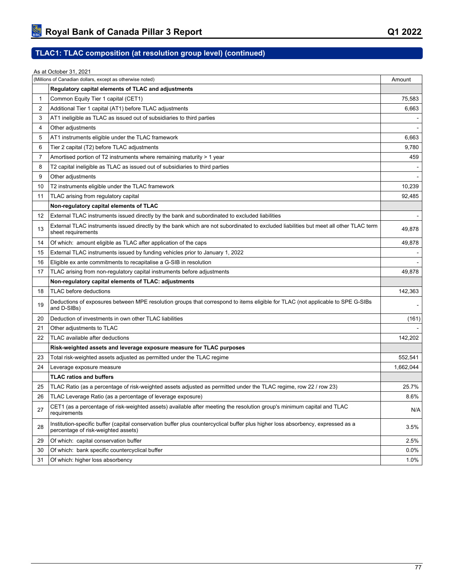# **TLAC1: TLAC composition (at resolution group level) (continued)**

|    | As at October 31, 2021                                                                                                                                                  |           |
|----|-------------------------------------------------------------------------------------------------------------------------------------------------------------------------|-----------|
|    | (Millions of Canadian dollars, except as otherwise noted)                                                                                                               | Amount    |
|    | Regulatory capital elements of TLAC and adjustments                                                                                                                     |           |
| 1  | Common Equity Tier 1 capital (CET1)                                                                                                                                     | 75,583    |
| 2  | Additional Tier 1 capital (AT1) before TLAC adjustments                                                                                                                 | 6,663     |
| 3  | AT1 ineligible as TLAC as issued out of subsidiaries to third parties                                                                                                   |           |
| 4  | Other adjustments                                                                                                                                                       |           |
| 5  | AT1 instruments eligible under the TLAC framework                                                                                                                       | 6,663     |
| 6  | Tier 2 capital (T2) before TLAC adjustments                                                                                                                             | 9,780     |
| 7  | Amortised portion of T2 instruments where remaining maturity > 1 year                                                                                                   | 459       |
| 8  | T2 capital ineligible as TLAC as issued out of subsidiaries to third parties                                                                                            |           |
| 9  | Other adjustments                                                                                                                                                       |           |
| 10 | T2 instruments eligible under the TLAC framework                                                                                                                        | 10,239    |
| 11 | TLAC arising from regulatory capital                                                                                                                                    | 92,485    |
|    | Non-regulatory capital elements of TLAC                                                                                                                                 |           |
| 12 | External TLAC instruments issued directly by the bank and subordinated to excluded liabilities                                                                          |           |
| 13 | External TLAC instruments issued directly by the bank which are not subordinated to excluded liabilities but meet all other TLAC term<br>sheet requirements             | 49,878    |
| 14 | Of which: amount eligible as TLAC after application of the caps                                                                                                         | 49,878    |
| 15 | External TLAC instruments issued by funding vehicles prior to January 1, 2022                                                                                           |           |
| 16 | Eligible ex ante commitments to recapitalise a G-SIB in resolution                                                                                                      |           |
| 17 | TLAC arising from non-regulatory capital instruments before adjustments                                                                                                 | 49,878    |
|    | Non-regulatory capital elements of TLAC: adjustments                                                                                                                    |           |
| 18 | TLAC before deductions                                                                                                                                                  | 142,363   |
| 19 | Deductions of exposures between MPE resolution groups that correspond to items eligible for TLAC (not applicable to SPE G-SIBs<br>and D-SIBs)                           |           |
| 20 | Deduction of investments in own other TLAC liabilities                                                                                                                  | (161)     |
| 21 | Other adjustments to TLAC                                                                                                                                               |           |
| 22 | TLAC available after deductions                                                                                                                                         | 142,202   |
|    | Risk-weighted assets and leverage exposure measure for TLAC purposes                                                                                                    |           |
| 23 | Total risk-weighted assets adjusted as permitted under the TLAC regime                                                                                                  | 552,541   |
| 24 | Leverage exposure measure                                                                                                                                               | 1,662,044 |
|    | <b>TLAC ratios and buffers</b>                                                                                                                                          |           |
| 25 | TLAC Ratio (as a percentage of risk-weighted assets adjusted as permitted under the TLAC regime, row 22 / row 23)                                                       | 25.7%     |
| 26 | TLAC Leverage Ratio (as a percentage of leverage exposure)                                                                                                              | 8.6%      |
| 27 | CET1 (as a percentage of risk-weighted assets) available after meeting the resolution group's minimum capital and TLAC<br>requirements                                  | N/A       |
| 28 | Institution-specific buffer (capital conservation buffer plus countercyclical buffer plus higher loss absorbency, expressed as a<br>percentage of risk-weighted assets) | 3.5%      |
| 29 | Of which: capital conservation buffer                                                                                                                                   | 2.5%      |
| 30 | Of which: bank specific countercyclical buffer                                                                                                                          | 0.0%      |
| 31 | Of which: higher loss absorbency                                                                                                                                        | 1.0%      |
|    |                                                                                                                                                                         |           |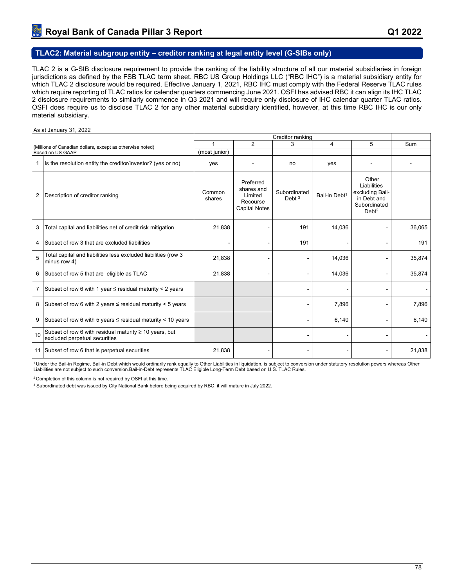### **TLAC2: Material subgroup entity – creditor ranking at legal entity level (G-SIBs only)**

TLAC 2 is a G-SIB disclosure requirement to provide the ranking of the liability structure of all our material subsidiaries in foreign jurisdictions as defined by the FSB TLAC term sheet. RBC US Group Holdings LLC ("RBC IHC") is a material subsidiary entity for which TLAC 2 disclosure would be required. Effective January 1, 2021, RBC IHC must comply with the Federal Reserve TLAC rules which require reporting of TLAC ratios for calendar quarters commencing June 2021. OSFI has advised RBC it can align its IHC TLAC 2 disclosure requirements to similarly commence in Q3 2021 and will require only disclosure of IHC calendar quarter TLAC ratios. OSFI does require us to disclose TLAC 2 for any other material subsidiary identified, however, at this time RBC IHC is our only material subsidiary.

#### As at January 31, 2022

|    | Creditor ranking                                                                        |                  |                                                                        |                          |                           |                                                                                             |        |  |
|----|-----------------------------------------------------------------------------------------|------------------|------------------------------------------------------------------------|--------------------------|---------------------------|---------------------------------------------------------------------------------------------|--------|--|
|    | (Millions of Canadian dollars, except as otherwise noted)                               |                  | $\overline{2}$                                                         | 3                        | 4                         | 5                                                                                           | Sum    |  |
|    | Based on US GAAP                                                                        | (most junior)    |                                                                        |                          |                           |                                                                                             |        |  |
| 1. | Is the resolution entity the creditor/investor? (yes or no)                             | yes              |                                                                        | no                       | yes                       |                                                                                             |        |  |
| 2  | Description of creditor ranking                                                         | Common<br>shares | Preferred<br>shares and<br>Limited<br>Recourse<br><b>Capital Notes</b> | Subordinated<br>Debt $3$ | Bail-in Debt <sup>1</sup> | Other<br>Liabilities<br>excluding Bail-<br>in Debt and<br>Subordinated<br>Debt <sup>2</sup> |        |  |
| 3  | Total capital and liabilities net of credit risk mitigation                             | 21,838           |                                                                        | 191                      | 14,036                    |                                                                                             | 36,065 |  |
| 4  | Subset of row 3 that are excluded liabilities                                           |                  |                                                                        | 191                      |                           |                                                                                             | 191    |  |
| 5  | Total capital and liabilities less excluded liabilities (row 3<br>minus row 4)          | 21,838           | $\blacksquare$                                                         |                          | 14,036                    |                                                                                             | 35,874 |  |
| 6  | Subset of row 5 that are eligible as TLAC                                               | 21,838           |                                                                        |                          | 14,036                    | $\qquad \qquad \blacksquare$                                                                | 35,874 |  |
| 7  | Subset of row 6 with 1 year $\le$ residual maturity $\lt$ 2 years                       |                  |                                                                        |                          |                           |                                                                                             |        |  |
| 8  | Subset of row 6 with 2 years $\le$ residual maturity $<$ 5 years                        |                  |                                                                        |                          | 7,896                     |                                                                                             | 7,896  |  |
| 9  | Subset of row 6 with 5 years $\le$ residual maturity < 10 years                         |                  |                                                                        |                          | 6,140                     |                                                                                             | 6,140  |  |
| 10 | Subset of row 6 with residual maturity ≥ 10 years, but<br>excluded perpetual securities |                  |                                                                        |                          |                           |                                                                                             |        |  |
|    | 11 Subset of row 6 that is perpetual securities                                         | 21,838           |                                                                        |                          |                           | ٠                                                                                           | 21,838 |  |

<sup>1</sup>Under the Bail-in Regime, Bail-in Debt which would ordinarily rank equally to Other Liabilities in liquidation, is subject to conversion under statutory resolution powers whereas Other Liabilities are not subject to such conversion.Bail-in-Debt represents TLAC Eligible Long-Term Debt based on U.S. TLAC Rules.

<sup>2</sup> Completion of this column is not required by OSFI at this time.

3 Subordinated debt was issued by City National Bank before being acquired by RBC, it will mature in July 2022.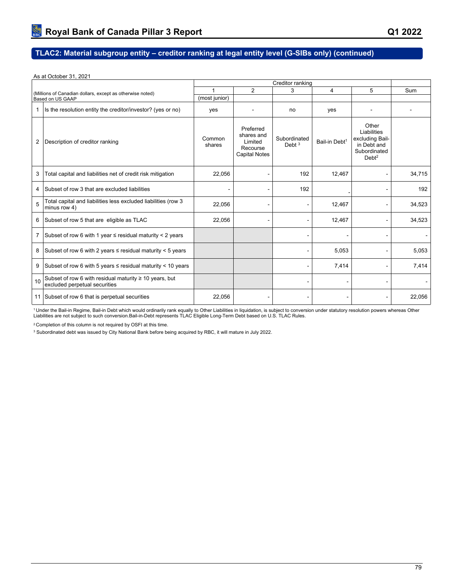# **TLAC2: Material subgroup entity – creditor ranking at legal entity level (G-SIBs only) (continued)**

### As at October 31, 2021

|                |                                                                                         | Creditor ranking |                                                                        |                          |                           |                                                                                             |        |  |
|----------------|-----------------------------------------------------------------------------------------|------------------|------------------------------------------------------------------------|--------------------------|---------------------------|---------------------------------------------------------------------------------------------|--------|--|
|                | (Millions of Canadian dollars, except as otherwise noted)                               |                  | 2                                                                      | 3                        | 4                         | 5                                                                                           | Sum    |  |
|                | Based on US GAAP                                                                        | (most junior)    |                                                                        |                          |                           |                                                                                             |        |  |
| 1              | Is the resolution entity the creditor/investor? (yes or no)                             | yes              |                                                                        | no                       | yes                       |                                                                                             |        |  |
| 2              | Description of creditor ranking                                                         | Common<br>shares | Preferred<br>shares and<br>Limited<br>Recourse<br><b>Capital Notes</b> | Subordinated<br>Debt $3$ | Bail-in Debt <sup>1</sup> | Other<br>Liabilities<br>excluding Bail-<br>in Debt and<br>Subordinated<br>Debt <sup>2</sup> |        |  |
| 3              | Total capital and liabilities net of credit risk mitigation                             | 22,056           |                                                                        | 192                      | 12,467                    |                                                                                             | 34,715 |  |
| 4              | Subset of row 3 that are excluded liabilities                                           |                  |                                                                        | 192                      |                           |                                                                                             | 192    |  |
| 5              | Total capital and liabilities less excluded liabilities (row 3<br>minus row 4)          | 22,056           |                                                                        |                          | 12,467                    | ۰                                                                                           | 34,523 |  |
|                | 6 Subset of row 5 that are eligible as TLAC                                             | 22,056           |                                                                        |                          | 12,467                    | -                                                                                           | 34,523 |  |
| $\overline{7}$ | Subset of row 6 with 1 year $\le$ residual maturity $<$ 2 years                         |                  |                                                                        |                          |                           |                                                                                             |        |  |
|                | 8 Subset of row 6 with 2 years $\le$ residual maturity < 5 years                        |                  |                                                                        |                          | 5,053                     |                                                                                             | 5,053  |  |
| 9              | Subset of row 6 with 5 years $\le$ residual maturity < 10 years                         |                  |                                                                        |                          | 7,414                     |                                                                                             | 7,414  |  |
| 10             | Subset of row 6 with residual maturity ≥ 10 years, but<br>excluded perpetual securities |                  |                                                                        |                          |                           |                                                                                             |        |  |
|                | 11 Subset of row 6 that is perpetual securities                                         | 22,056           |                                                                        |                          |                           |                                                                                             | 22,056 |  |

<sup>1</sup> Under the Bail-in Regime, Bail-in Debt which would ordinarily rank equally to Other Liabilities in liquidation, is subject to conversion under statutory resolution powers whereas Other<br>Liabilities are not subject to s

<sup>2</sup> Completion of this column is not required by OSFI at this time.

3 Subordinated debt was issued by City National Bank before being acquired by RBC, it will mature in July 2022.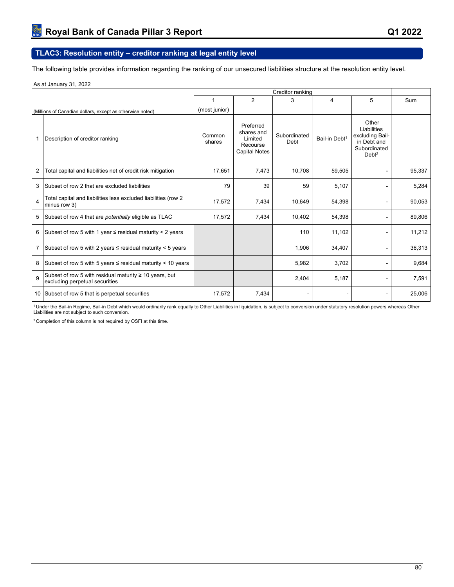## **TLAC3: Resolution entity – creditor ranking at legal entity level**

The following table provides information regarding the ranking of our unsecured liabilities structure at the resolution entity level.

As at January 31, 2022

|   |                                                                                               | Creditor ranking |                                                                        |                      |                           |                                                                                             |        |
|---|-----------------------------------------------------------------------------------------------|------------------|------------------------------------------------------------------------|----------------------|---------------------------|---------------------------------------------------------------------------------------------|--------|
|   |                                                                                               | 1                | $\overline{2}$                                                         | 3                    | 4                         | 5                                                                                           | Sum    |
|   | (Millions of Canadian dollars, except as otherwise noted)                                     | (most junior)    |                                                                        |                      |                           |                                                                                             |        |
|   | Description of creditor ranking                                                               | Common<br>shares | Preferred<br>shares and<br>Limited<br>Recourse<br><b>Capital Notes</b> | Subordinated<br>Debt | Bail-in Debt <sup>1</sup> | Other<br>Liabilities<br>excluding Bail-<br>in Debt and<br>Subordinated<br>Debt <sup>2</sup> |        |
| 2 | Total capital and liabilities net of credit risk mitigation                                   | 17,651           | 7,473                                                                  | 10,708               | 59,505                    |                                                                                             | 95,337 |
| 3 | Subset of row 2 that are excluded liabilities                                                 | 79               | 39                                                                     | 59                   | 5,107                     |                                                                                             | 5,284  |
| 4 | Total capital and liabilities less excluded liabilities (row 2<br>minus row 3)                | 17,572           | 7,434                                                                  | 10,649               | 54,398                    |                                                                                             | 90,053 |
| 5 | Subset of row 4 that are <i>potentially</i> eligible as TLAC                                  | 17,572           | 7,434                                                                  | 10,402               | 54,398                    |                                                                                             | 89,806 |
| 6 | Subset of row 5 with 1 year $\le$ residual maturity $<$ 2 years                               |                  |                                                                        | 110                  | 11,102                    |                                                                                             | 11,212 |
| 7 | Subset of row 5 with 2 years $\le$ residual maturity $<$ 5 years                              |                  |                                                                        | 1,906                | 34,407                    |                                                                                             | 36,313 |
| 8 | Subset of row 5 with 5 years $\le$ residual maturity < 10 years                               |                  |                                                                        | 5,982                | 3,702                     |                                                                                             | 9,684  |
| 9 | Subset of row 5 with residual maturity $\geq 10$ years, but<br>excluding perpetual securities |                  |                                                                        | 2,404                | 5,187                     |                                                                                             | 7,591  |
|   | 10 Subset of row 5 that is perpetual securities                                               | 17,572           | 7,434                                                                  |                      |                           |                                                                                             | 25,006 |

<sup>1</sup>Under the Bail-in Regime, Bail-in Debt which would ordinarily rank equally to Other Liabilities in liquidation, is subject to conversion under statutory resolution powers whereas Other Liabilities are not subject to such conversion.

2 Completion of this column is not required by OSFI at this time.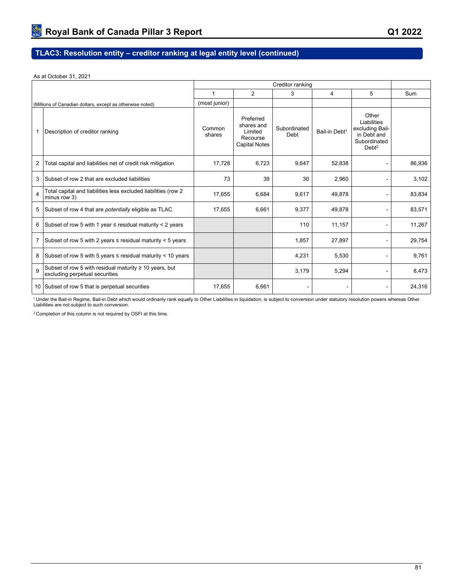# **TLAC3: Resolution entity – creditor ranking at legal entity level (continued)**

As at October 31, 2021

|                         |                                                                                               | Creditor ranking |                                                                        |                      |                           |                                                                                             |        |
|-------------------------|-----------------------------------------------------------------------------------------------|------------------|------------------------------------------------------------------------|----------------------|---------------------------|---------------------------------------------------------------------------------------------|--------|
|                         |                                                                                               | 1                | 2                                                                      | 3                    | 4                         | 5                                                                                           | Sum    |
|                         | (Millions of Canadian dollars, except as otherwise noted)                                     | (most junior)    |                                                                        |                      |                           |                                                                                             |        |
|                         | Description of creditor ranking                                                               | Common<br>shares | Preferred<br>shares and<br>Limited<br>Recourse<br><b>Capital Notes</b> | Subordinated<br>Debt | Bail-in Debt <sup>1</sup> | Other<br>Liabilities<br>excluding Bail-<br>in Debt and<br>Subordinated<br>Debt <sup>2</sup> |        |
| 2                       | Total capital and liabilities net of credit risk mitigation                                   | 17,728           | 6,723                                                                  | 9,647                | 52,838                    |                                                                                             | 86,936 |
| 3                       | Subset of row 2 that are excluded liabilities                                                 | 73               | 39                                                                     | 30                   | 2,960                     |                                                                                             | 3,102  |
| $\overline{\mathbf{A}}$ | Total capital and liabilities less excluded liabilities (row 2<br>minus row 3)                | 17,655           | 6,684                                                                  | 9,617                | 49,878                    |                                                                                             | 83,834 |
| 5                       | Subset of row 4 that are <i>potentially</i> eligible as TLAC                                  | 17,655           | 6,661                                                                  | 9,377                | 49,878                    |                                                                                             | 83,571 |
| 6                       | Subset of row 5 with 1 year $\le$ residual maturity $<$ 2 years                               |                  |                                                                        | 110                  | 11,157                    |                                                                                             | 11,267 |
|                         | Subset of row 5 with 2 years $\le$ residual maturity $\le$ 5 years                            |                  |                                                                        | 1,857                | 27,897                    |                                                                                             | 29,754 |
| 8                       | Subset of row 5 with 5 years $\le$ residual maturity < 10 years                               |                  |                                                                        | 4,231                | 5,530                     |                                                                                             | 9,761  |
| 9                       | Subset of row 5 with residual maturity $\geq 10$ years, but<br>excluding perpetual securities |                  |                                                                        | 3,179                | 5,294                     |                                                                                             | 8,473  |
|                         | 10 Subset of row 5 that is perpetual securities                                               | 17,655           | 6,661                                                                  |                      |                           |                                                                                             | 24,316 |

<sup>1</sup> Under the Bail-in Regime, Bail-in Debt which would ordinarily rank equally to Other Liabilities in liquidation, is subject to conversion under statutory resolution powers whereas Other<br>Liabilities are not subject to s

2 Completion of this column is not required by OSFI at this time.